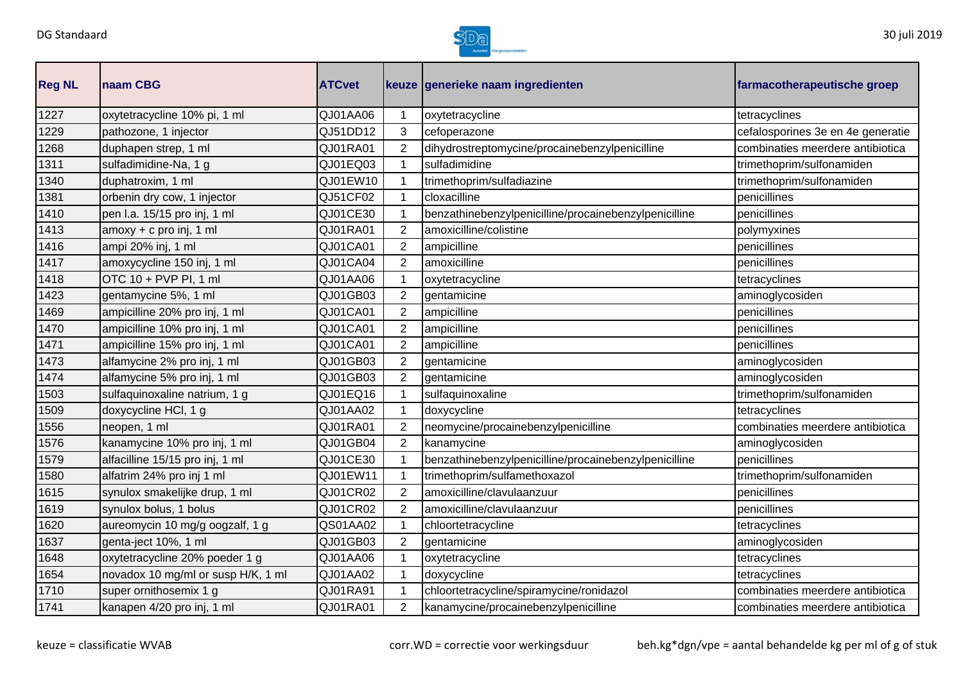

| <b>Reg NL</b> | naam CBG                           | <b>ATCvet</b> |                | keuze generieke naam ingredienten                     | farmacotherapeutische groep       |
|---------------|------------------------------------|---------------|----------------|-------------------------------------------------------|-----------------------------------|
| 1227          | oxytetracycline 10% pi, 1 ml       | QJ01AA06      | 1              | oxytetracycline                                       | tetracyclines                     |
| 1229          | pathozone, 1 injector              | QJ51DD12      | 3              | cefoperazone                                          | cefalosporines 3e en 4e generatie |
| 1268          | duphapen strep, 1 ml               | QJ01RA01      | $\overline{2}$ | dihydrostreptomycine/procainebenzylpenicilline        | combinaties meerdere antibiotica  |
| 1311          | sulfadimidine-Na, 1 g              | QJ01EQ03      | 1              | sulfadimidine                                         | trimethoprim/sulfonamiden         |
| 1340          | duphatroxim, 1 ml                  | QJ01EW10      | $\mathbf 1$    | trimethoprim/sulfadiazine                             | trimethoprim/sulfonamiden         |
| 1381          | orbenin dry cow, 1 injector        | QJ51CF02      | 1              | cloxacilline                                          | penicillines                      |
| 1410          | pen I.a. 15/15 pro inj, 1 ml       | QJ01CE30      | 1              | benzathinebenzylpenicilline/procainebenzylpenicilline | penicillines                      |
| 1413          | amoxy + c pro inj, 1 ml            | QJ01RA01      | 2              | amoxicilline/colistine                                | polymyxines                       |
| 1416          | ampi 20% inj, 1 ml                 | QJ01CA01      | $\overline{2}$ | ampicilline                                           | penicillines                      |
| 1417          | amoxycycline 150 inj, 1 ml         | QJ01CA04      | $\overline{2}$ | amoxicilline                                          | penicillines                      |
| 1418          | OTC 10 + PVP PI, 1 ml              | QJ01AA06      | 1              | oxytetracycline                                       | tetracyclines                     |
| 1423          | gentamycine 5%, 1 ml               | QJ01GB03      | $\overline{2}$ | gentamicine                                           | aminoglycosiden                   |
| 1469          | ampicilline 20% pro inj, 1 ml      | QJ01CA01      | $\overline{2}$ | ampicilline                                           | penicillines                      |
| 1470          | ampicilline 10% pro inj, 1 ml      | QJ01CA01      | 2              | ampicilline                                           | penicillines                      |
| 1471          | ampicilline 15% pro inj, 1 ml      | QJ01CA01      | $\overline{2}$ | ampicilline                                           | penicillines                      |
| 1473          | alfamycine 2% pro inj, 1 ml        | QJ01GB03      | $\overline{2}$ | gentamicine                                           | aminoglycosiden                   |
| 1474          | alfamycine 5% pro inj, 1 ml        | QJ01GB03      | $\overline{2}$ | gentamicine                                           | aminoglycosiden                   |
| 1503          | sulfaquinoxaline natrium, 1 g      | QJ01EQ16      | 1              | sulfaquinoxaline                                      | trimethoprim/sulfonamiden         |
| 1509          | doxycycline HCl, 1 g               | QJ01AA02      | $\mathbf{1}$   | doxycycline                                           | tetracyclines                     |
| 1556          | neopen, 1 ml                       | QJ01RA01      | $\overline{2}$ | neomycine/procainebenzylpenicilline                   | combinaties meerdere antibiotica  |
| 1576          | kanamycine 10% pro inj, 1 ml       | QJ01GB04      | $\overline{2}$ | kanamycine                                            | aminoglycosiden                   |
| 1579          | alfacilline 15/15 pro inj, 1 ml    | QJ01CE30      | $\mathbf 1$    | benzathinebenzylpenicilline/procainebenzylpenicilline | penicillines                      |
| 1580          | alfatrim 24% pro inj 1 ml          | QJ01EW11      | 1              | trimethoprim/sulfamethoxazol                          | trimethoprim/sulfonamiden         |
| 1615          | synulox smakelijke drup, 1 ml      | QJ01CR02      | $\overline{2}$ | amoxicilline/clavulaanzuur                            | penicillines                      |
| 1619          | synulox bolus, 1 bolus             | QJ01CR02      | 2              | amoxicilline/clavulaanzuur                            | penicillines                      |
| 1620          | aureomycin 10 mg/g oogzalf, 1 g    | QS01AA02      |                | chloortetracycline                                    | tetracyclines                     |
| 1637          | genta-ject 10%, 1 ml               | QJ01GB03      | $\overline{2}$ | gentamicine                                           | aminoglycosiden                   |
| 1648          | oxytetracycline 20% poeder 1 g     | QJ01AA06      | 1              | oxytetracycline                                       | tetracyclines                     |
| 1654          | novadox 10 mg/ml or susp H/K, 1 ml | QJ01AA02      | 1              | doxycycline                                           | tetracyclines                     |
| 1710          | super ornithosemix 1 g             | QJ01RA91      | 1              | chloortetracycline/spiramycine/ronidazol              | combinaties meerdere antibiotica  |
| 1741          | kanapen 4/20 pro inj, 1 ml         | QJ01RA01      | $\overline{2}$ | kanamycine/procainebenzylpenicilline                  | combinaties meerdere antibiotica  |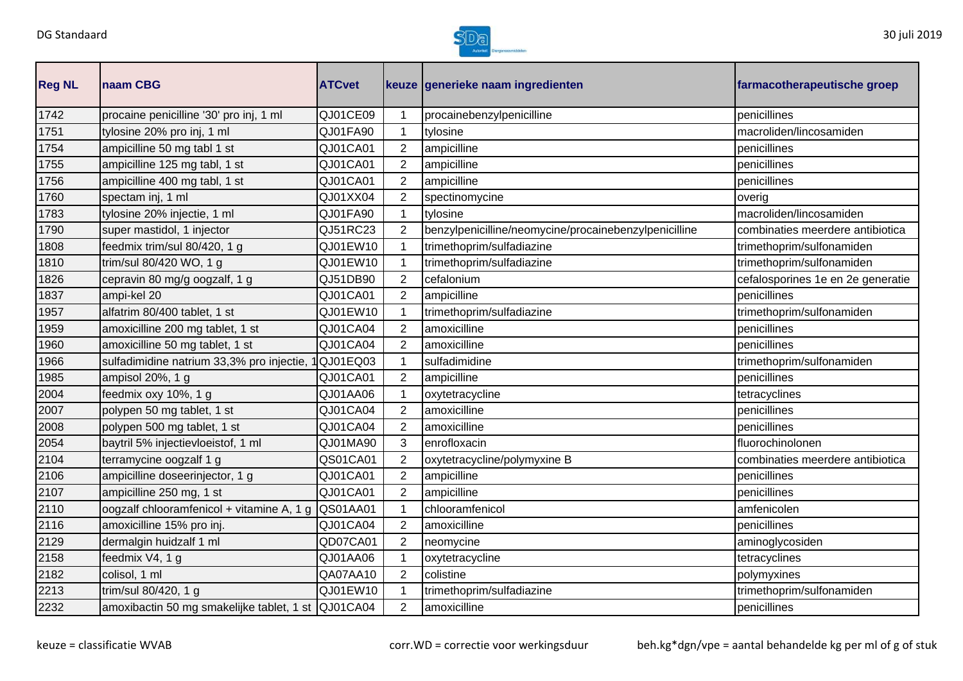

| <b>Reg NL</b> | naam CBG                                           | <b>ATCvet</b>   |                | keuze generieke naam ingredienten                     | farmacotherapeutische groep       |
|---------------|----------------------------------------------------|-----------------|----------------|-------------------------------------------------------|-----------------------------------|
| 1742          | procaine penicilline '30' pro inj, 1 ml            | QJ01CE09        |                | procainebenzylpenicilline                             | penicillines                      |
| 1751          | tylosine 20% pro inj, 1 ml                         | QJ01FA90        | $\mathbf{1}$   | tylosine                                              | macroliden/lincosamiden           |
| 1754          | ampicilline 50 mg tabl 1 st                        | QJ01CA01        | $\overline{2}$ | ampicilline                                           | penicillines                      |
| 1755          | ampicilline 125 mg tabl, 1 st                      | QJ01CA01        | 2              | ampicilline                                           | penicillines                      |
| 1756          | ampicilline 400 mg tabl, 1 st                      | QJ01CA01        | $\overline{2}$ | ampicilline                                           | penicillines                      |
| 1760          | spectam inj, 1 ml                                  | QJ01XX04        | $\overline{2}$ | spectinomycine                                        | overig                            |
| 1783          | tylosine 20% injectie, 1 ml                        | QJ01FA90        | 1              | tylosine                                              | macroliden/lincosamiden           |
| 1790          | super mastidol, 1 injector                         | QJ51RC23        | 2              | benzylpenicilline/neomycine/procainebenzylpenicilline | combinaties meerdere antibiotica  |
| 1808          | feedmix trim/sul 80/420, 1 g                       | QJ01EW10        | $\mathbf 1$    | trimethoprim/sulfadiazine                             | trimethoprim/sulfonamiden         |
| 1810          | trim/sul 80/420 WO, 1 g                            | QJ01EW10        |                | trimethoprim/sulfadiazine                             | trimethoprim/sulfonamiden         |
| 1826          | cepravin 80 mg/g oogzalf, 1 g                      | QJ51DB90        | 2              | cefalonium                                            | cefalosporines 1e en 2e generatie |
| 1837          | ampi-kel 20                                        | QJ01CA01        | 2              | ampicilline                                           | penicillines                      |
| 1957          | alfatrim 80/400 tablet, 1 st                       | QJ01EW10        |                | trimethoprim/sulfadiazine                             | trimethoprim/sulfonamiden         |
| 1959          | amoxicilline 200 mg tablet, 1 st                   | QJ01CA04        | $\overline{2}$ | amoxicilline                                          | penicillines                      |
| 1960          | amoxicilline 50 mg tablet, 1 st                    | QJ01CA04        | 2              | amoxicilline                                          | penicillines                      |
| 1966          | sulfadimidine natrium 33,3% pro injectie,          | QJ01EQ03        |                | sulfadimidine                                         | trimethoprim/sulfonamiden         |
| 1985          | ampisol 20%, 1 g                                   | QJ01CA01        | $\overline{2}$ | ampicilline                                           | penicillines                      |
| 2004          | feedmix oxy 10%, 1 g                               | QJ01AA06        |                | oxytetracycline                                       | tetracyclines                     |
| 2007          | polypen 50 mg tablet, 1 st                         | QJ01CA04        | 2              | amoxicilline                                          | penicillines                      |
| 2008          | polypen 500 mg tablet, 1 st                        | QJ01CA04        | 2              | amoxicilline                                          | penicillines                      |
| 2054          | baytril 5% injectievloeistof, 1 ml                 | QJ01MA90        | 3              | enrofloxacin                                          | fluorochinolonen                  |
| 2104          | terramycine oogzalf 1 g                            | QS01CA01        | $\overline{2}$ | oxytetracycline/polymyxine B                          | combinaties meerdere antibiotica  |
| 2106          | ampicilline doseerinjector, 1 g                    | QJ01CA01        | $\overline{2}$ | ampicilline                                           | penicillines                      |
| 2107          | ampicilline 250 mg, 1 st                           | QJ01CA01        | $\overline{2}$ | ampicilline                                           | penicillines                      |
| 2110          | oogzalf chlooramfenicol + vitamine A, 1 g          | <b>QS01AA01</b> |                | chlooramfenicol                                       | amfenicolen                       |
| 2116          | amoxicilline 15% pro inj.                          | QJ01CA04        | $\overline{2}$ | amoxicilline                                          | penicillines                      |
| 2129          | dermalgin huidzalf 1 ml                            | QD07CA01        | 2              | neomycine                                             | aminoglycosiden                   |
| 2158          | feedmix V4, 1 g                                    | QJ01AA06        |                | oxytetracycline                                       | tetracyclines                     |
| 2182          | colisol, 1 ml                                      | QA07AA10        | 2              | colistine                                             | polymyxines                       |
| 2213          | trim/sul 80/420, 1 g                               | QJ01EW10        |                | trimethoprim/sulfadiazine                             | trimethoprim/sulfonamiden         |
| 2232          | amoxibactin 50 mg smakelijke tablet, 1 st QJ01CA04 |                 | $\overline{2}$ | amoxicilline                                          | penicillines                      |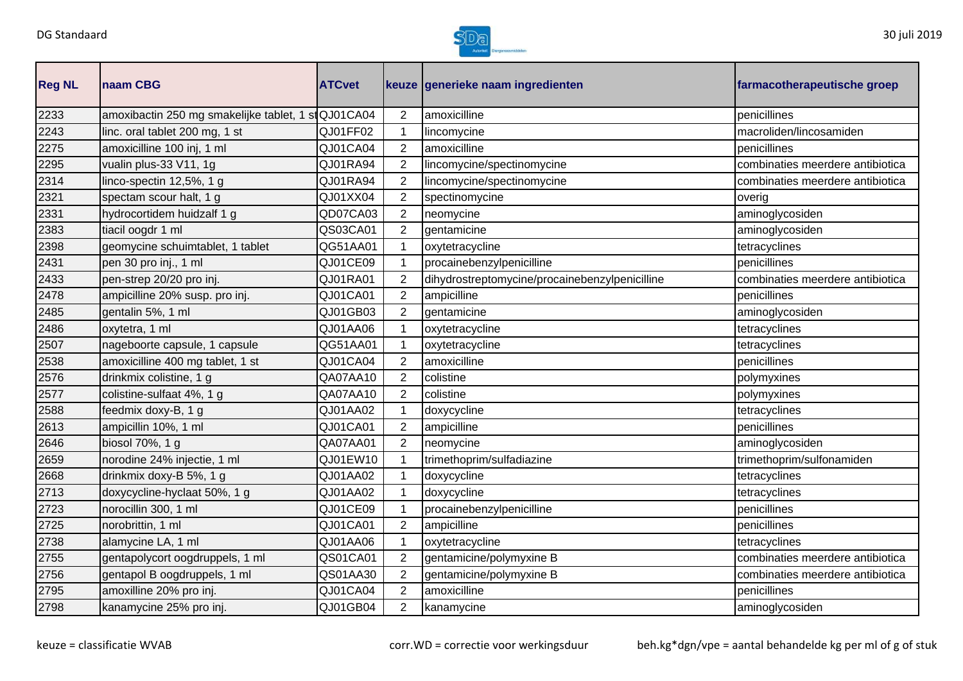

| <b>Reg NL</b> | naam CBG                                            | <b>ATCvet</b> |                | keuze generieke naam ingredienten              | farmacotherapeutische groep      |
|---------------|-----------------------------------------------------|---------------|----------------|------------------------------------------------|----------------------------------|
| 2233          | amoxibactin 250 mg smakelijke tablet, 1 st QJ01CA04 |               | $\overline{2}$ | amoxicilline                                   | penicillines                     |
| 2243          | linc. oral tablet 200 mg, 1 st                      | QJ01FF02      | $\mathbf{1}$   | lincomycine                                    | macroliden/lincosamiden          |
| 2275          | amoxicilline 100 inj, 1 ml                          | QJ01CA04      | $\overline{2}$ | amoxicilline                                   | penicillines                     |
| 2295          | vualin plus-33 V11, 1g                              | QJ01RA94      | $\overline{2}$ | lincomycine/spectinomycine                     | combinaties meerdere antibiotica |
| 2314          | linco-spectin 12,5%, 1 g                            | QJ01RA94      | $\overline{2}$ | lincomycine/spectinomycine                     | combinaties meerdere antibiotica |
| 2321          | spectam scour halt, 1 g                             | QJ01XX04      | $\overline{2}$ | spectinomycine                                 | overig                           |
| 2331          | hydrocortidem huidzalf 1 g                          | QD07CA03      | $\overline{2}$ | neomycine                                      | aminoglycosiden                  |
| 2383          | tiacil oogdr 1 ml                                   | QS03CA01      | $\overline{2}$ | gentamicine                                    | aminoglycosiden                  |
| 2398          | geomycine schuimtablet, 1 tablet                    | QG51AA01      | $\mathbf 1$    | oxytetracycline                                | tetracyclines                    |
| 2431          | pen 30 pro inj., 1 ml                               | QJ01CE09      | 1              | procainebenzylpenicilline                      | penicillines                     |
| 2433          | pen-strep 20/20 pro inj.                            | QJ01RA01      | $\overline{2}$ | dihydrostreptomycine/procainebenzylpenicilline | combinaties meerdere antibiotica |
| 2478          | ampicilline 20% susp. pro inj.                      | QJ01CA01      | $\overline{2}$ | ampicilline                                    | penicillines                     |
| 2485          | gentalin 5%, 1 ml                                   | QJ01GB03      | 2              | gentamicine                                    | aminoglycosiden                  |
| 2486          | oxytetra, 1 ml                                      | QJ01AA06      | 1              | oxytetracycline                                | tetracyclines                    |
| 2507          | nageboorte capsule, 1 capsule                       | QG51AA01      | 1              | oxytetracycline                                | tetracyclines                    |
| 2538          | amoxicilline 400 mg tablet, 1 st                    | QJ01CA04      | $\overline{2}$ | amoxicilline                                   | penicillines                     |
| 2576          | drinkmix colistine, 1 g                             | QA07AA10      | $\overline{2}$ | colistine                                      | polymyxines                      |
| 2577          | colistine-sulfaat 4%, 1 g                           | QA07AA10      | 2              | colistine                                      | polymyxines                      |
| 2588          | feedmix doxy-B, 1 g                                 | QJ01AA02      | 1              | doxycycline                                    | tetracyclines                    |
| 2613          | ampicillin 10%, 1 ml                                | QJ01CA01      | $\overline{2}$ | ampicilline                                    | penicillines                     |
| 2646          | biosol 70%, 1 g                                     | QA07AA01      | $\overline{2}$ | neomycine                                      | aminoglycosiden                  |
| 2659          | norodine 24% injectie, 1 ml                         | QJ01EW10      | 1              | trimethoprim/sulfadiazine                      | trimethoprim/sulfonamiden        |
| 2668          | drinkmix doxy-B 5%, 1 g                             | QJ01AA02      | 1              | doxycycline                                    | tetracyclines                    |
| 2713          | doxycycline-hyclaat 50%, 1 g                        | QJ01AA02      | 1              | doxycycline                                    | tetracyclines                    |
| 2723          | norocillin 300, 1 ml                                | QJ01CE09      | 1              | procainebenzylpenicilline                      | penicillines                     |
| 2725          | norobrittin, 1 ml                                   | QJ01CA01      | $\overline{2}$ | ampicilline                                    | penicillines                     |
| 2738          | alamycine LA, 1 ml                                  | QJ01AA06      | $\mathbf{1}$   | oxytetracycline                                | tetracyclines                    |
| 2755          | gentapolycort oogdruppels, 1 ml                     | QS01CA01      | $\overline{2}$ | gentamicine/polymyxine B                       | combinaties meerdere antibiotica |
| 2756          | gentapol B oogdruppels, 1 ml                        | QS01AA30      | $\overline{2}$ | gentamicine/polymyxine B                       | combinaties meerdere antibiotica |
| 2795          | amoxilline 20% pro inj.                             | QJ01CA04      | $\overline{2}$ | amoxicilline                                   | penicillines                     |
| 2798          | kanamycine 25% pro inj.                             | QJ01GB04      | $\overline{2}$ | kanamycine                                     | aminoglycosiden                  |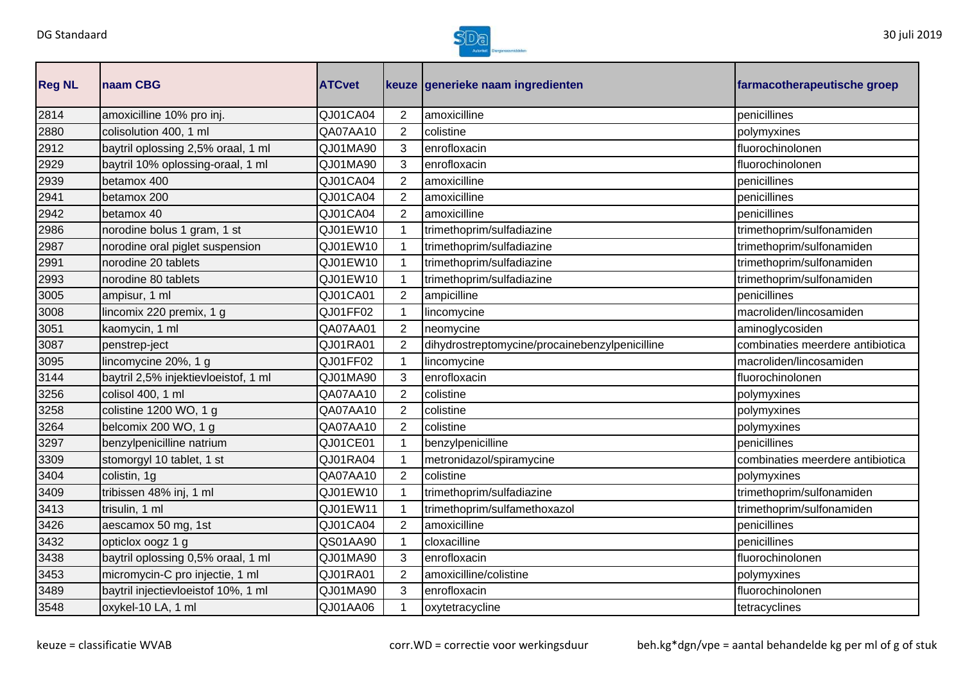

| <b>Reg NL</b> | naam CBG                             | <b>ATCvet</b> |                | keuze generieke naam ingredienten              | farmacotherapeutische groep      |
|---------------|--------------------------------------|---------------|----------------|------------------------------------------------|----------------------------------|
| 2814          | amoxicilline 10% pro inj.            | QJ01CA04      | $\overline{2}$ | amoxicilline                                   | penicillines                     |
| 2880          | colisolution 400, 1 ml               | QA07AA10      | $\overline{2}$ | colistine                                      | polymyxines                      |
| 2912          | baytril oplossing 2,5% oraal, 1 ml   | QJ01MA90      | 3              | enrofloxacin                                   | fluorochinolonen                 |
| 2929          | baytril 10% oplossing-oraal, 1 ml    | QJ01MA90      | 3              | enrofloxacin                                   | fluorochinolonen                 |
| 2939          | betamox 400                          | QJ01CA04      | 2              | amoxicilline                                   | penicillines                     |
| 2941          | betamox 200                          | QJ01CA04      | $\overline{2}$ | amoxicilline                                   | penicillines                     |
| 2942          | betamox 40                           | QJ01CA04      | 2              | amoxicilline                                   | penicillines                     |
| 2986          | norodine bolus 1 gram, 1 st          | QJ01EW10      |                | trimethoprim/sulfadiazine                      | trimethoprim/sulfonamiden        |
| 2987          | norodine oral piglet suspension      | QJ01EW10      | 1              | trimethoprim/sulfadiazine                      | trimethoprim/sulfonamiden        |
| 2991          | norodine 20 tablets                  | QJ01EW10      | $\mathbf 1$    | trimethoprim/sulfadiazine                      | trimethoprim/sulfonamiden        |
| 2993          | norodine 80 tablets                  | QJ01EW10      | 1              | trimethoprim/sulfadiazine                      | trimethoprim/sulfonamiden        |
| 3005          | ampisur, 1 ml                        | QJ01CA01      | $\overline{2}$ | ampicilline                                    | penicillines                     |
| 3008          | lincomix 220 premix, 1 g             | QJ01FF02      | $\mathbf 1$    | lincomycine                                    | macroliden/lincosamiden          |
| 3051          | kaomycin, 1 ml                       | QA07AA01      | $\overline{2}$ | neomycine                                      | aminoglycosiden                  |
| 3087          | penstrep-ject                        | QJ01RA01      | $\overline{2}$ | dihydrostreptomycine/procainebenzylpenicilline | combinaties meerdere antibiotica |
| 3095          | lincomycine 20%, 1 g                 | QJ01FF02      | $\mathbf 1$    | lincomycine                                    | macroliden/lincosamiden          |
| 3144          | baytril 2,5% injektievloeistof, 1 ml | QJ01MA90      | 3              | enrofloxacin                                   | fluorochinolonen                 |
| 3256          | colisol 400, 1 ml                    | QA07AA10      | $\overline{2}$ | colistine                                      | polymyxines                      |
| 3258          | colistine 1200 WO, 1 g               | QA07AA10      | $\overline{2}$ | colistine                                      | polymyxines                      |
| 3264          | belcomix 200 WO, 1 g                 | QA07AA10      | $\overline{2}$ | colistine                                      | polymyxines                      |
| 3297          | benzylpenicilline natrium            | QJ01CE01      | 1              | benzylpenicilline                              | penicillines                     |
| 3309          | stomorgyl 10 tablet, 1 st            | QJ01RA04      | 1              | metronidazol/spiramycine                       | combinaties meerdere antibiotica |
| 3404          | colistin, 1g                         | QA07AA10      | $\overline{2}$ | colistine                                      | polymyxines                      |
| 3409          | tribissen 48% inj, 1 ml              | QJ01EW10      | 1              | trimethoprim/sulfadiazine                      | trimethoprim/sulfonamiden        |
| 3413          | trisulin, 1 ml                       | QJ01EW11      |                | trimethoprim/sulfamethoxazol                   | trimethoprim/sulfonamiden        |
| 3426          | aescamox 50 mg, 1st                  | QJ01CA04      | 2              | amoxicilline                                   | penicillines                     |
| 3432          | opticlox oogz 1 g                    | QS01AA90      | $\mathbf 1$    | cloxacilline                                   | penicillines                     |
| 3438          | baytril oplossing 0,5% oraal, 1 ml   | QJ01MA90      | 3              | enrofloxacin                                   | fluorochinolonen                 |
| 3453          | micromycin-C pro injectie, 1 ml      | QJ01RA01      | $\overline{2}$ | amoxicilline/colistine                         | polymyxines                      |
| 3489          | baytril injectievloeistof 10%, 1 ml  | QJ01MA90      | 3              | enrofloxacin                                   | fluorochinolonen                 |
| 3548          | oxykel-10 LA, 1 ml                   | QJ01AA06      | $\mathbf 1$    | oxytetracycline                                | tetracyclines                    |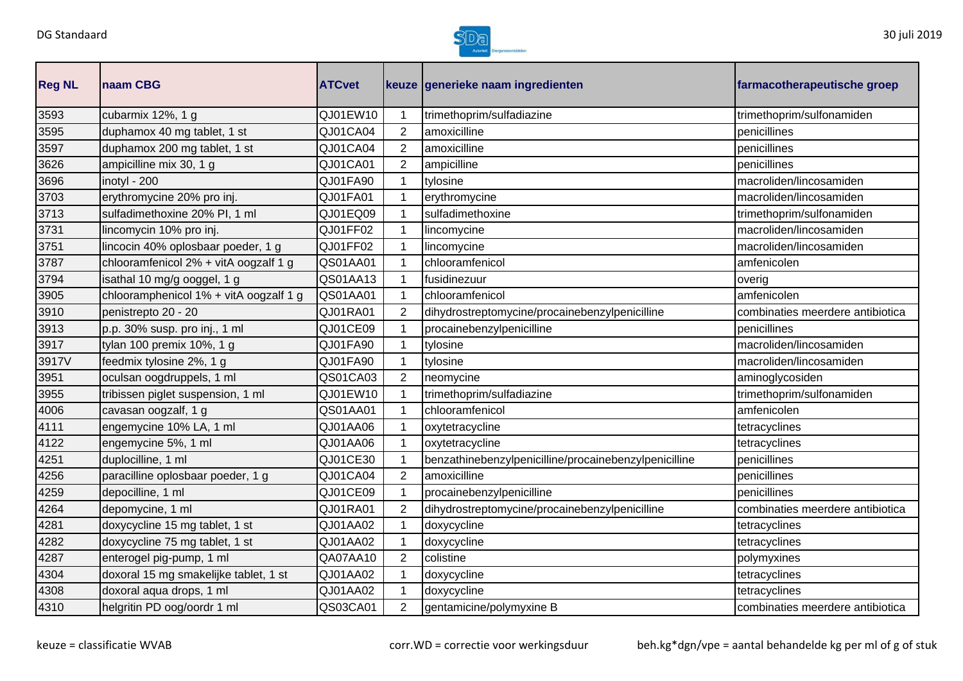

| <b>Reg NL</b> | <b>Inaam CBG</b>                       | <b>ATCvet</b> |                | keuze generieke naam ingredienten                     | farmacotherapeutische groep      |
|---------------|----------------------------------------|---------------|----------------|-------------------------------------------------------|----------------------------------|
| 3593          | cubarmix 12%, 1 g                      | QJ01EW10      |                | trimethoprim/sulfadiazine                             | trimethoprim/sulfonamiden        |
| 3595          | duphamox 40 mg tablet, 1 st            | QJ01CA04      | 2              | amoxicilline                                          | penicillines                     |
| 3597          | duphamox 200 mg tablet, 1 st           | QJ01CA04      | 2              | amoxicilline                                          | penicillines                     |
| 3626          | ampicilline mix 30, 1 g                | QJ01CA01      | 2              | ampicilline                                           | penicillines                     |
| 3696          | inotyl - 200                           | QJ01FA90      |                | tylosine                                              | macroliden/lincosamiden          |
| 3703          | erythromycine 20% pro inj.             | QJ01FA01      |                | erythromycine                                         | macroliden/lincosamiden          |
| 3713          | sulfadimethoxine 20% PI, 1 ml          | QJ01EQ09      |                | sulfadimethoxine                                      | trimethoprim/sulfonamiden        |
| 3731          | lincomycin 10% pro inj.                | QJ01FF02      |                | lincomycine                                           | macroliden/lincosamiden          |
| 3751          | lincocin 40% oplosbaar poeder, 1 g     | QJ01FF02      |                | lincomycine                                           | macroliden/lincosamiden          |
| 3787          | chlooramfenicol 2% + vitA oogzalf 1 g  | QS01AA01      |                | chlooramfenicol                                       | amfenicolen                      |
| 3794          | isathal 10 mg/g ooggel, 1 g            | QS01AA13      |                | fusidinezuur                                          | overig                           |
| 3905          | chlooramphenicol 1% + vitA oogzalf 1 g | QS01AA01      |                | chlooramfenicol                                       | amfenicolen                      |
| 3910          | penistrepto 20 - 20                    | QJ01RA01      | 2              | dihydrostreptomycine/procainebenzylpenicilline        | combinaties meerdere antibiotica |
| 3913          | p.p. 30% susp. pro inj., 1 ml          | QJ01CE09      |                | procainebenzylpenicilline                             | penicillines                     |
| 3917          | tylan 100 premix 10%, 1 g              | QJ01FA90      |                | tylosine                                              | macroliden/lincosamiden          |
| 3917V         | feedmix tylosine 2%, 1 g               | QJ01FA90      |                | tylosine                                              | macroliden/lincosamiden          |
| 3951          | oculsan oogdruppels, 1 ml              | QS01CA03      | 2              | neomycine                                             | aminoglycosiden                  |
| 3955          | tribissen piglet suspension, 1 ml      | QJ01EW10      |                | trimethoprim/sulfadiazine                             | trimethoprim/sulfonamiden        |
| 4006          | cavasan oogzalf, 1 g                   | QS01AA01      |                | chlooramfenicol                                       | amfenicolen                      |
| 4111          | engemycine 10% LA, 1 ml                | QJ01AA06      |                | oxytetracycline                                       | tetracyclines                    |
| 4122          | engemycine 5%, 1 ml                    | QJ01AA06      |                | oxytetracycline                                       | tetracyclines                    |
| 4251          | duplocilline, 1 ml                     | QJ01CE30      |                | benzathinebenzylpenicilline/procainebenzylpenicilline | penicillines                     |
| 4256          | paracilline oplosbaar poeder, 1 g      | QJ01CA04      | $\overline{2}$ | amoxicilline                                          | penicillines                     |
| 4259          | depocilline, 1 ml                      | QJ01CE09      |                | procainebenzylpenicilline                             | penicillines                     |
| 4264          | depomycine, 1 ml                       | QJ01RA01      | 2              | dihydrostreptomycine/procainebenzylpenicilline        | combinaties meerdere antibiotica |
| 4281          | doxycycline 15 mg tablet, 1 st         | QJ01AA02      |                | doxycycline                                           | tetracyclines                    |
| 4282          | doxycycline 75 mg tablet, 1 st         | QJ01AA02      |                | doxycycline                                           | tetracyclines                    |
| 4287          | enterogel pig-pump, 1 ml               | QA07AA10      | 2              | colistine                                             | polymyxines                      |
| 4304          | doxoral 15 mg smakelijke tablet, 1 st  | QJ01AA02      |                | doxycycline                                           | tetracyclines                    |
| 4308          | doxoral aqua drops, 1 ml               | QJ01AA02      |                | doxycycline                                           | tetracyclines                    |
| 4310          | helgritin PD oog/oordr 1 ml            | QS03CA01      | $\overline{2}$ | gentamicine/polymyxine B                              | combinaties meerdere antibiotica |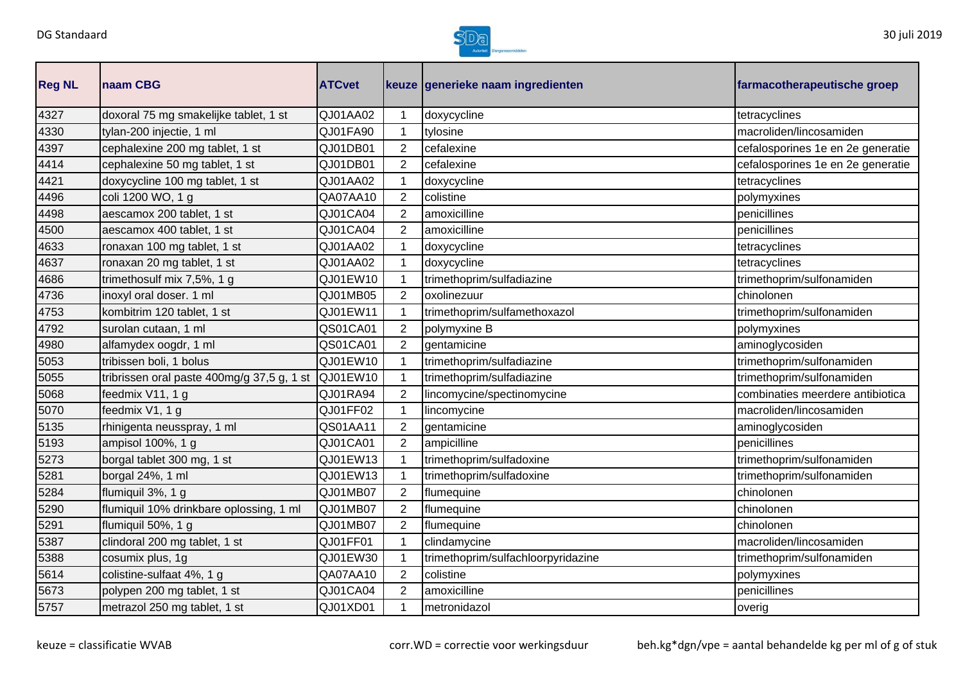

| <b>Reg NL</b> | naam CBG                                   | <b>ATCvet</b> |                | keuze generieke naam ingredienten  | farmacotherapeutische groep       |
|---------------|--------------------------------------------|---------------|----------------|------------------------------------|-----------------------------------|
| 4327          | doxoral 75 mg smakelijke tablet, 1 st      | QJ01AA02      | 1              | doxycycline                        | tetracyclines                     |
| 4330          | tylan-200 injectie, 1 ml                   | QJ01FA90      | $\mathbf{1}$   | tylosine                           | macroliden/lincosamiden           |
| 4397          | cephalexine 200 mg tablet, 1 st            | QJ01DB01      | $\overline{2}$ | cefalexine                         | cefalosporines 1e en 2e generatie |
| 4414          | cephalexine 50 mg tablet, 1 st             | QJ01DB01      | $\overline{2}$ | cefalexine                         | cefalosporines 1e en 2e generatie |
| 4421          | doxycycline 100 mg tablet, 1 st            | QJ01AA02      | 1              | doxycycline                        | tetracyclines                     |
| 4496          | coli 1200 WO, 1 g                          | QA07AA10      | $\overline{2}$ | colistine                          | polymyxines                       |
| 4498          | aescamox 200 tablet, 1 st                  | QJ01CA04      | 2              | amoxicilline                       | penicillines                      |
| 4500          | aescamox 400 tablet, 1 st                  | QJ01CA04      | $\overline{2}$ | amoxicilline                       | penicillines                      |
| 4633          | ronaxan 100 mg tablet, 1 st                | QJ01AA02      | 1              | doxycycline                        | tetracyclines                     |
| 4637          | ronaxan 20 mg tablet, 1 st                 | QJ01AA02      | 1              | doxycycline                        | tetracyclines                     |
| 4686          | trimethosulf mix 7,5%, 1 g                 | QJ01EW10      | 1              | trimethoprim/sulfadiazine          | trimethoprim/sulfonamiden         |
| 4736          | inoxyl oral doser. 1 ml                    | QJ01MB05      | $\overline{2}$ | oxolinezuur                        | chinolonen                        |
| 4753          | kombitrim 120 tablet, 1 st                 | QJ01EW11      | 1              | trimethoprim/sulfamethoxazol       | trimethoprim/sulfonamiden         |
| 4792          | surolan cutaan, 1 ml                       | QS01CA01      | $\overline{2}$ | polymyxine B                       | polymyxines                       |
| 4980          | alfamydex oogdr, 1 ml                      | QS01CA01      | $\overline{2}$ | gentamicine                        | aminoglycosiden                   |
| 5053          | tribissen boli, 1 bolus                    | QJ01EW10      | 1              | trimethoprim/sulfadiazine          | trimethoprim/sulfonamiden         |
| 5055          | tribrissen oral paste 400mg/g 37,5 g, 1 st | QJ01EW10      |                | trimethoprim/sulfadiazine          | trimethoprim/sulfonamiden         |
| 5068          | feedmix V11, 1 g                           | QJ01RA94      | $\overline{2}$ | lincomycine/spectinomycine         | combinaties meerdere antibiotica  |
| 5070          | feedmix V1, 1 g                            | QJ01FF02      | $\mathbf{1}$   | lincomycine                        | macroliden/lincosamiden           |
| 5135          | rhinigenta neusspray, 1 ml                 | QS01AA11      | $\overline{2}$ | gentamicine                        | aminoglycosiden                   |
| 5193          | ampisol 100%, 1 g                          | QJ01CA01      | $\overline{2}$ | ampicilline                        | penicillines                      |
| 5273          | borgal tablet 300 mg, 1 st                 | QJ01EW13      | 1              | trimethoprim/sulfadoxine           | trimethoprim/sulfonamiden         |
| 5281          | borgal 24%, 1 ml                           | QJ01EW13      | 1              | trimethoprim/sulfadoxine           | trimethoprim/sulfonamiden         |
| 5284          | flumiquil 3%, 1 g                          | QJ01MB07      | $\overline{2}$ | flumequine                         | chinolonen                        |
| 5290          | flumiquil 10% drinkbare oplossing, 1 ml    | QJ01MB07      | $\overline{2}$ | flumequine                         | chinolonen                        |
| 5291          | flumiquil 50%, 1 g                         | QJ01MB07      | $\overline{2}$ | flumequine                         | chinolonen                        |
| 5387          | clindoral 200 mg tablet, 1 st              | QJ01FF01      | $\mathbf{1}$   | clindamycine                       | macroliden/lincosamiden           |
| 5388          | cosumix plus, 1g                           | QJ01EW30      | $\mathbf{1}$   | trimethoprim/sulfachloorpyridazine | trimethoprim/sulfonamiden         |
| 5614          | colistine-sulfaat 4%, 1 g                  | QA07AA10      | $\overline{2}$ | colistine                          | polymyxines                       |
| 5673          | polypen 200 mg tablet, 1 st                | QJ01CA04      | $\overline{2}$ | amoxicilline                       | penicillines                      |
| 5757          | metrazol 250 mg tablet, 1 st               | QJ01XD01      | 1              | metronidazol                       | overig                            |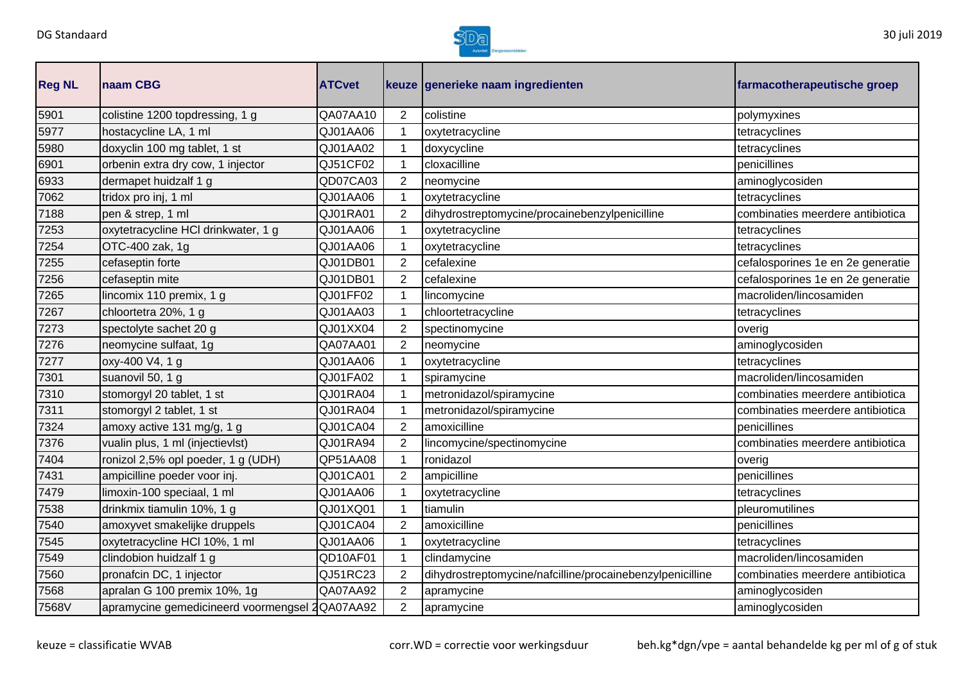

| <b>Reg NL</b> | naam CBG                                       | <b>ATCvet</b> |                | keuze generieke naam ingredienten                         | farmacotherapeutische groep       |
|---------------|------------------------------------------------|---------------|----------------|-----------------------------------------------------------|-----------------------------------|
| 5901          | colistine 1200 topdressing, 1 g                | QA07AA10      | $\overline{2}$ | colistine                                                 | polymyxines                       |
| 5977          | hostacycline LA, 1 ml                          | QJ01AA06      | 1              | oxytetracycline                                           | tetracyclines                     |
| 5980          | doxyclin 100 mg tablet, 1 st                   | QJ01AA02      | $\mathbf 1$    | doxycycline                                               | tetracyclines                     |
| 6901          | orbenin extra dry cow, 1 injector              | QJ51CF02      | 1              | cloxacilline                                              | penicillines                      |
| 6933          | dermapet huidzalf 1 g                          | QD07CA03      | $\overline{2}$ | neomycine                                                 | aminoglycosiden                   |
| 7062          | tridox pro inj, 1 ml                           | QJ01AA06      | 1              | oxytetracycline                                           | tetracyclines                     |
| 7188          | pen & strep, 1 ml                              | QJ01RA01      | $\overline{2}$ | dihydrostreptomycine/procainebenzylpenicilline            | combinaties meerdere antibiotica  |
| 7253          | oxytetracycline HCI drinkwater, 1 g            | QJ01AA06      | 1              | oxytetracycline                                           | tetracyclines                     |
| 7254          | OTC-400 zak, 1g                                | QJ01AA06      | 1              | oxytetracycline                                           | tetracyclines                     |
| 7255          | cefaseptin forte                               | QJ01DB01      | $\overline{2}$ | cefalexine                                                | cefalosporines 1e en 2e generatie |
| 7256          | cefaseptin mite                                | QJ01DB01      | $\overline{2}$ | cefalexine                                                | cefalosporines 1e en 2e generatie |
| 7265          | lincomix 110 premix, 1 g                       | QJ01FF02      | 1              | lincomycine                                               | macroliden/lincosamiden           |
| 7267          | chloortetra 20%, 1 g                           | QJ01AA03      | 1              | chloortetracycline                                        | tetracyclines                     |
| 7273          | spectolyte sachet 20 g                         | QJ01XX04      | $\overline{2}$ | spectinomycine                                            | overig                            |
| 7276          | neomycine sulfaat, 1g                          | QA07AA01      | $\overline{2}$ | neomycine                                                 | aminoglycosiden                   |
| 7277          | oxy-400 V4, 1 g                                | QJ01AA06      | $\mathbf 1$    | oxytetracycline                                           | tetracyclines                     |
| 7301          | suanovil 50, 1 g                               | QJ01FA02      | $\mathbf 1$    | spiramycine                                               | macroliden/lincosamiden           |
| 7310          | stomorgyl 20 tablet, 1 st                      | QJ01RA04      | 1              | metronidazol/spiramycine                                  | combinaties meerdere antibiotica  |
| 7311          | stomorgyl 2 tablet, 1 st                       | QJ01RA04      | 1              | metronidazol/spiramycine                                  | combinaties meerdere antibiotica  |
| 7324          | amoxy active 131 mg/g, 1 g                     | QJ01CA04      | $\overline{2}$ | amoxicilline                                              | penicillines                      |
| 7376          | vualin plus, 1 ml (injectievlst)               | QJ01RA94      | 2              | lincomycine/spectinomycine                                | combinaties meerdere antibiotica  |
| 7404          | ronizol 2,5% opl poeder, 1 g (UDH)             | QP51AA08      | 1              | ronidazol                                                 | overig                            |
| 7431          | ampicilline poeder voor inj.                   | QJ01CA01      | $\overline{2}$ | ampicilline                                               | penicillines                      |
| 7479          | limoxin-100 speciaal, 1 ml                     | QJ01AA06      |                | oxytetracycline                                           | tetracyclines                     |
| 7538          | drinkmix tiamulin 10%, 1 g                     | QJ01XQ01      | 1              | tiamulin                                                  | pleuromutilines                   |
| 7540          | amoxyvet smakelijke druppels                   | QJ01CA04      | 2              | amoxicilline                                              | penicillines                      |
| 7545          | oxytetracycline HCl 10%, 1 ml                  | QJ01AA06      | $\mathbf{1}$   | oxytetracycline                                           | tetracyclines                     |
| 7549          | clindobion huidzalf 1 g                        | QD10AF01      | $\mathbf{1}$   | clindamycine                                              | macroliden/lincosamiden           |
| 7560          | pronafcin DC, 1 injector                       | QJ51RC23      | $\overline{2}$ | dihydrostreptomycine/nafcilline/procainebenzylpenicilline | combinaties meerdere antibiotica  |
| 7568          | apralan G 100 premix 10%, 1g                   | QA07AA92      | 2              | apramycine                                                | aminoglycosiden                   |
| 7568V         | apramycine gemedicineerd voormengsel 2QA07AA92 |               | $\overline{2}$ | apramycine                                                | aminoglycosiden                   |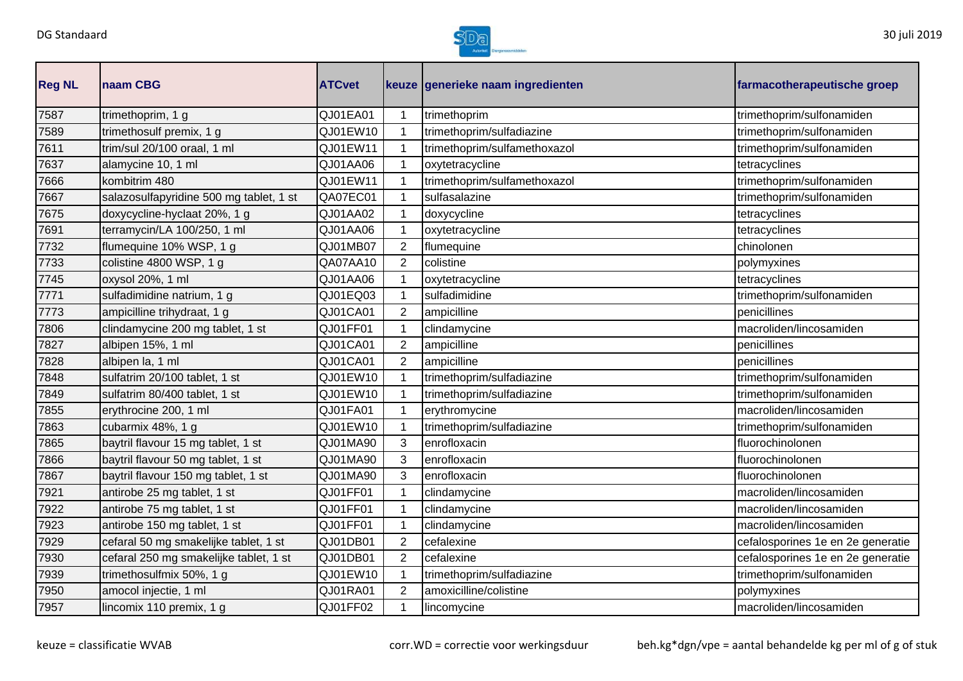

| <b>Reg NL</b> | <b>Inaam CBG</b>                        | <b>ATCvet</b> |                | keuze generieke naam ingredienten | farmacotherapeutische groep       |
|---------------|-----------------------------------------|---------------|----------------|-----------------------------------|-----------------------------------|
| 7587          | trimethoprim, 1 g                       | QJ01EA01      |                | trimethoprim                      | trimethoprim/sulfonamiden         |
| 7589          | trimethosulf premix, 1 g                | QJ01EW10      |                | trimethoprim/sulfadiazine         | trimethoprim/sulfonamiden         |
| 7611          | trim/sul 20/100 oraal, 1 ml             | QJ01EW11      |                | trimethoprim/sulfamethoxazol      | trimethoprim/sulfonamiden         |
| 7637          | alamycine 10, 1 ml                      | QJ01AA06      |                | oxytetracycline                   | tetracyclines                     |
| 7666          | kombitrim 480                           | QJ01EW11      |                | trimethoprim/sulfamethoxazol      | trimethoprim/sulfonamiden         |
| 7667          | salazosulfapyridine 500 mg tablet, 1 st | QA07EC01      |                | sulfasalazine                     | trimethoprim/sulfonamiden         |
| 7675          | doxycycline-hyclaat 20%, 1 g            | QJ01AA02      |                | doxycycline                       | tetracyclines                     |
| 7691          | terramycin/LA 100/250, 1 ml             | QJ01AA06      |                | oxytetracycline                   | tetracyclines                     |
| 7732          | flumequine 10% WSP, 1 g                 | QJ01MB07      | $\overline{2}$ | flumequine                        | chinolonen                        |
| 7733          | colistine 4800 WSP, 1 g                 | QA07AA10      | $\overline{2}$ | colistine                         | polymyxines                       |
| 7745          | oxysol 20%, 1 ml                        | QJ01AA06      |                | oxytetracycline                   | tetracyclines                     |
| 7771          | sulfadimidine natrium, 1 g              | QJ01EQ03      |                | sulfadimidine                     | trimethoprim/sulfonamiden         |
| 7773          | ampicilline trihydraat, 1 g             | QJ01CA01      | 2              | ampicilline                       | penicillines                      |
| 7806          | clindamycine 200 mg tablet, 1 st        | QJ01FF01      |                | clindamycine                      | macroliden/lincosamiden           |
| 7827          | albipen 15%, 1 ml                       | QJ01CA01      | $\overline{2}$ | ampicilline                       | penicillines                      |
| 7828          | albipen la, 1 ml                        | QJ01CA01      | $\overline{2}$ | ampicilline                       | penicillines                      |
| 7848          | sulfatrim 20/100 tablet, 1 st           | QJ01EW10      |                | trimethoprim/sulfadiazine         | trimethoprim/sulfonamiden         |
| 7849          | sulfatrim 80/400 tablet, 1 st           | QJ01EW10      |                | trimethoprim/sulfadiazine         | trimethoprim/sulfonamiden         |
| 7855          | erythrocine 200, 1 ml                   | QJ01FA01      | 1              | erythromycine                     | macroliden/lincosamiden           |
| 7863          | cubarmix 48%, 1 g                       | QJ01EW10      |                | trimethoprim/sulfadiazine         | trimethoprim/sulfonamiden         |
| 7865          | baytril flavour 15 mg tablet, 1 st      | QJ01MA90      | 3              | enrofloxacin                      | fluorochinolonen                  |
| 7866          | baytril flavour 50 mg tablet, 1 st      | QJ01MA90      | 3              | enrofloxacin                      | fluorochinolonen                  |
| 7867          | baytril flavour 150 mg tablet, 1 st     | QJ01MA90      | 3              | enrofloxacin                      | fluorochinolonen                  |
| 7921          | antirobe 25 mg tablet, 1 st             | QJ01FF01      |                | clindamycine                      | macroliden/lincosamiden           |
| 7922          | antirobe 75 mg tablet, 1 st             | QJ01FF01      |                | clindamycine                      | macroliden/lincosamiden           |
| 7923          | antirobe 150 mg tablet, 1 st            | QJ01FF01      |                | clindamycine                      | macroliden/lincosamiden           |
| 7929          | cefaral 50 mg smakelijke tablet, 1 st   | QJ01DB01      | $\overline{2}$ | cefalexine                        | cefalosporines 1e en 2e generatie |
| 7930          | cefaral 250 mg smakelijke tablet, 1 st  | QJ01DB01      | 2              | cefalexine                        | cefalosporines 1e en 2e generatie |
| 7939          | trimethosulfmix 50%, 1 g                | QJ01EW10      | 1              | trimethoprim/sulfadiazine         | trimethoprim/sulfonamiden         |
| 7950          | amocol injectie, 1 ml                   | QJ01RA01      | $\overline{2}$ | amoxicilline/colistine            | polymyxines                       |
| 7957          | lincomix 110 premix, 1 g                | QJ01FF02      |                | lincomycine                       | macroliden/lincosamiden           |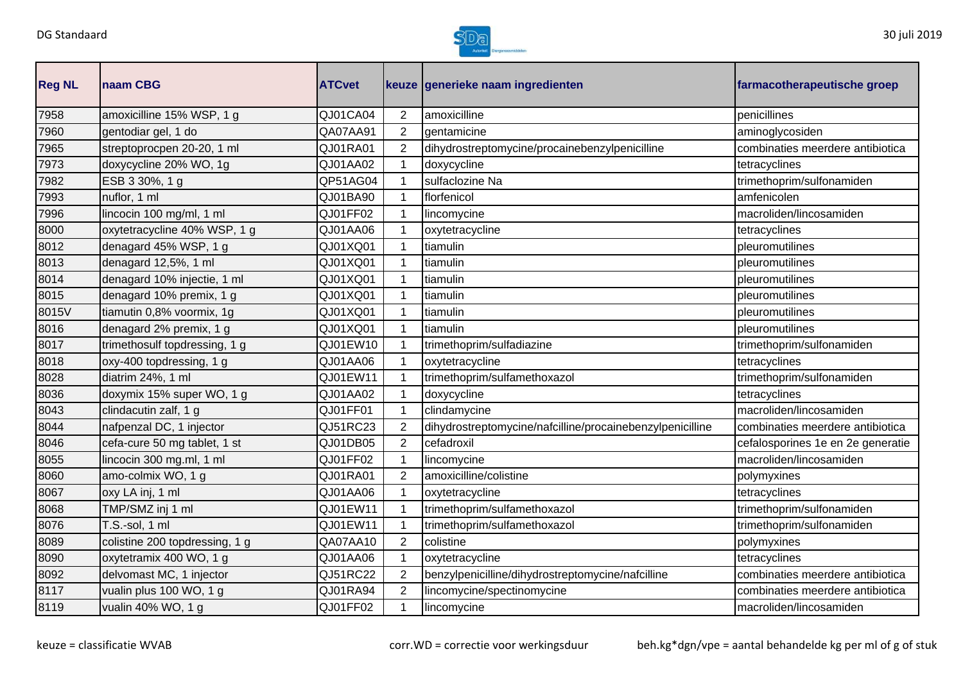

| <b>Reg NL</b> | naam CBG                       | <b>ATCvet</b> |                | keuze generieke naam ingredienten                         | farmacotherapeutische groep       |
|---------------|--------------------------------|---------------|----------------|-----------------------------------------------------------|-----------------------------------|
| 7958          | amoxicilline 15% WSP, 1 g      | QJ01CA04      | $\overline{2}$ | amoxicilline                                              | penicillines                      |
| 7960          | gentodiar gel, 1 do            | QA07AA91      | $\overline{2}$ | gentamicine                                               | aminoglycosiden                   |
| 7965          | streptoprocpen 20-20, 1 ml     | QJ01RA01      | $\overline{2}$ | dihydrostreptomycine/procainebenzylpenicilline            | combinaties meerdere antibiotica  |
| 7973          | doxycycline 20% WO, 1g         | QJ01AA02      | 1              | doxycycline                                               | tetracyclines                     |
| 7982          | ESB 3 30%, 1 g                 | QP51AG04      | 1              | sulfaclozine Na                                           | trimethoprim/sulfonamiden         |
| 7993          | nuflor, 1 ml                   | QJ01BA90      |                | florfenicol                                               | amfenicolen                       |
| 7996          | lincocin 100 mg/ml, 1 ml       | QJ01FF02      |                | lincomycine                                               | macroliden/lincosamiden           |
| 8000          | oxytetracycline 40% WSP, 1 g   | QJ01AA06      |                | oxytetracycline                                           | tetracyclines                     |
| 8012          | denagard 45% WSP, 1 g          | QJ01XQ01      |                | tiamulin                                                  | pleuromutilines                   |
| 8013          | denagard 12,5%, 1 ml           | QJ01XQ01      | 1              | tiamulin                                                  | pleuromutilines                   |
| 8014          | denagard 10% injectie, 1 ml    | QJ01XQ01      |                | tiamulin                                                  | pleuromutilines                   |
| 8015          | denagard 10% premix, 1 g       | QJ01XQ01      | 1              | tiamulin                                                  | pleuromutilines                   |
| 8015V         | tiamutin 0,8% voormix, 1g      | QJ01XQ01      | 1              | tiamulin                                                  | pleuromutilines                   |
| 8016          | denagard 2% premix, 1 g        | QJ01XQ01      | 1              | tiamulin                                                  | pleuromutilines                   |
| 8017          | trimethosulf topdressing, 1 g  | QJ01EW10      |                | trimethoprim/sulfadiazine                                 | trimethoprim/sulfonamiden         |
| 8018          | oxy-400 topdressing, 1 g       | QJ01AA06      |                | oxytetracycline                                           | tetracyclines                     |
| 8028          | diatrim 24%, 1 ml              | QJ01EW11      |                | trimethoprim/sulfamethoxazol                              | trimethoprim/sulfonamiden         |
| 8036          | doxymix 15% super WO, 1 g      | QJ01AA02      | $\mathbf 1$    | doxycycline                                               | tetracyclines                     |
| 8043          | clindacutin zalf, 1 g          | QJ01FF01      | 1              | clindamycine                                              | macroliden/lincosamiden           |
| 8044          | nafpenzal DC, 1 injector       | QJ51RC23      | $\overline{2}$ | dihydrostreptomycine/nafcilline/procainebenzylpenicilline | combinaties meerdere antibiotica  |
| 8046          | cefa-cure 50 mg tablet, 1 st   | QJ01DB05      | $\overline{2}$ | cefadroxil                                                | cefalosporines 1e en 2e generatie |
| 8055          | lincocin 300 mg.ml, 1 ml       | QJ01FF02      |                | lincomycine                                               | macroliden/lincosamiden           |
| 8060          | amo-colmix WO, 1 g             | QJ01RA01      | $\overline{2}$ | amoxicilline/colistine                                    | polymyxines                       |
| 8067          | oxy LA inj, 1 ml               | QJ01AA06      |                | oxytetracycline                                           | tetracyclines                     |
| 8068          | TMP/SMZ inj 1 ml               | QJ01EW11      |                | trimethoprim/sulfamethoxazol                              | trimethoprim/sulfonamiden         |
| 8076          | T.S.-sol, 1 ml                 | QJ01EW11      |                | trimethoprim/sulfamethoxazol                              | trimethoprim/sulfonamiden         |
| 8089          | colistine 200 topdressing, 1 g | QA07AA10      | $\overline{2}$ | colistine                                                 | polymyxines                       |
| 8090          | oxytetramix 400 WO, 1 g        | QJ01AA06      | 1              | oxytetracycline                                           | tetracyclines                     |
| 8092          | delvomast MC, 1 injector       | QJ51RC22      | $\overline{2}$ | benzylpenicilline/dihydrostreptomycine/nafcilline         | combinaties meerdere antibiotica  |
| 8117          | vualin plus 100 WO, 1 g        | QJ01RA94      | $\overline{2}$ | lincomycine/spectinomycine                                | combinaties meerdere antibiotica  |
| 8119          | vualin 40% WO, 1 g             | QJ01FF02      | $\mathbf 1$    | lincomycine                                               | macroliden/lincosamiden           |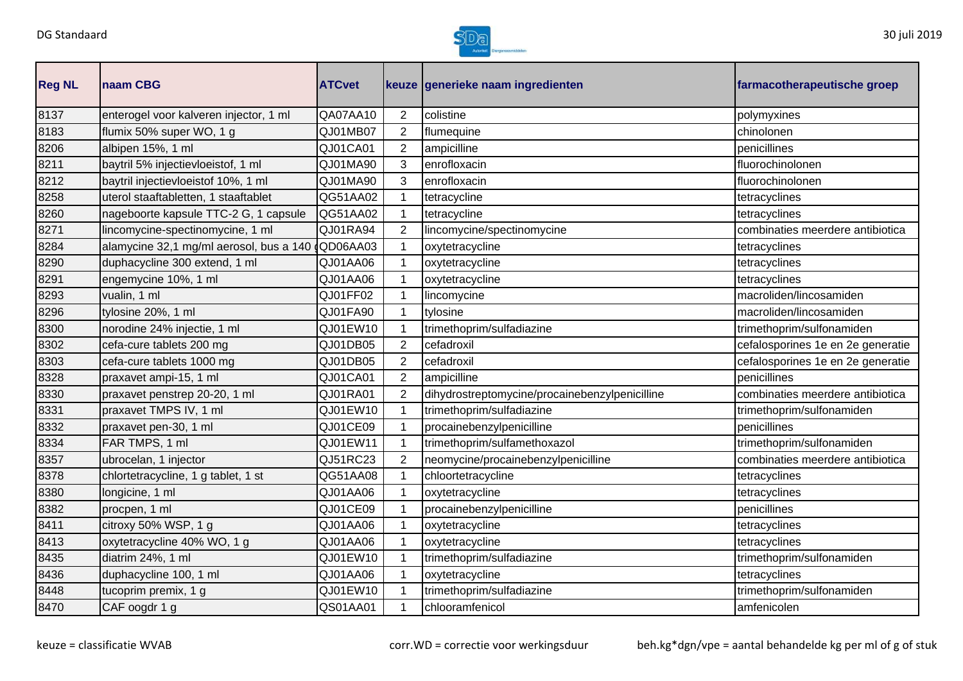

| <b>Reg NL</b> | naam CBG                                | <b>ATCvet</b> |                | keuze generieke naam ingredienten              | farmacotherapeutische groep       |
|---------------|-----------------------------------------|---------------|----------------|------------------------------------------------|-----------------------------------|
| 8137          | enterogel voor kalveren injector, 1 ml  | QA07AA10      | $\overline{2}$ | colistine                                      | polymyxines                       |
| 8183          | flumix 50% super WO, 1 g                | QJ01MB07      | $\overline{2}$ | flumequine                                     | chinolonen                        |
| 8206          | albipen 15%, 1 ml                       | QJ01CA01      | $\overline{2}$ | ampicilline                                    | penicillines                      |
| 8211          | baytril 5% injectievloeistof, 1 ml      | QJ01MA90      | 3              | enrofloxacin                                   | fluorochinolonen                  |
| 8212          | baytril injectievloeistof 10%, 1 ml     | QJ01MA90      | 3              | enrofloxacin                                   | fluorochinolonen                  |
| 8258          | uterol staaftabletten, 1 staaftablet    | QG51AA02      |                | tetracycline                                   | tetracyclines                     |
| 8260          | nageboorte kapsule TTC-2 G, 1 capsule   | QG51AA02      | 1              | tetracycline                                   | tetracyclines                     |
| 8271          | lincomycine-spectinomycine, 1 ml        | QJ01RA94      | 2              | lincomycine/spectinomycine                     | combinaties meerdere antibiotica  |
| 8284          | alamycine 32,1 mg/ml aerosol, bus a 140 | QD06AA03      | 1              | oxytetracycline                                | tetracyclines                     |
| 8290          | duphacycline 300 extend, 1 ml           | QJ01AA06      |                | oxytetracycline                                | tetracyclines                     |
| 8291          | engemycine 10%, 1 ml                    | QJ01AA06      | 1              | oxytetracycline                                | tetracyclines                     |
| 8293          | vualin, 1 ml                            | QJ01FF02      |                | lincomycine                                    | macroliden/lincosamiden           |
| 8296          | tylosine 20%, 1 ml                      | QJ01FA90      | $\mathbf 1$    | tylosine                                       | macroliden/lincosamiden           |
| 8300          | norodine 24% injectie, 1 ml             | QJ01EW10      | 1              | trimethoprim/sulfadiazine                      | trimethoprim/sulfonamiden         |
| 8302          | cefa-cure tablets 200 mg                | QJ01DB05      | $\overline{2}$ | cefadroxil                                     | cefalosporines 1e en 2e generatie |
| 8303          | cefa-cure tablets 1000 mg               | QJ01DB05      | $\overline{2}$ | cefadroxil                                     | cefalosporines 1e en 2e generatie |
| 8328          | praxavet ampi-15, 1 ml                  | QJ01CA01      | $\overline{2}$ | ampicilline                                    | penicillines                      |
| 8330          | praxavet penstrep 20-20, 1 ml           | QJ01RA01      | $\overline{2}$ | dihydrostreptomycine/procainebenzylpenicilline | combinaties meerdere antibiotica  |
| 8331          | praxavet TMPS IV, 1 ml                  | QJ01EW10      | 1              | trimethoprim/sulfadiazine                      | trimethoprim/sulfonamiden         |
| 8332          | praxavet pen-30, 1 ml                   | QJ01CE09      | $\mathbf{1}$   | procainebenzylpenicilline                      | penicillines                      |
| 8334          | FAR TMPS, 1 ml                          | QJ01EW11      | 1              | trimethoprim/sulfamethoxazol                   | trimethoprim/sulfonamiden         |
| 8357          | ubrocelan, 1 injector                   | QJ51RC23      | $\overline{2}$ | neomycine/procainebenzylpenicilline            | combinaties meerdere antibiotica  |
| 8378          | chlortetracycline, 1 g tablet, 1 st     | QG51AA08      |                | chloortetracycline                             | tetracyclines                     |
| 8380          | longicine, 1 ml                         | QJ01AA06      |                | oxytetracycline                                | tetracyclines                     |
| 8382          | procpen, 1 ml                           | QJ01CE09      |                | procainebenzylpenicilline                      | penicillines                      |
| 8411          | citroxy 50% WSP, 1 g                    | QJ01AA06      | 1              | oxytetracycline                                | tetracyclines                     |
| 8413          | oxytetracycline 40% WO, 1 g             | QJ01AA06      | 1              | oxytetracycline                                | tetracyclines                     |
| 8435          | diatrim 24%, 1 ml                       | QJ01EW10      | 1              | trimethoprim/sulfadiazine                      | trimethoprim/sulfonamiden         |
| 8436          | duphacycline 100, 1 ml                  | QJ01AA06      |                | oxytetracycline                                | tetracyclines                     |
| 8448          | tucoprim premix, 1 g                    | QJ01EW10      |                | trimethoprim/sulfadiazine                      | trimethoprim/sulfonamiden         |
| 8470          | CAF oogdr 1 g                           | QS01AA01      | 1              | chlooramfenicol                                | amfenicolen                       |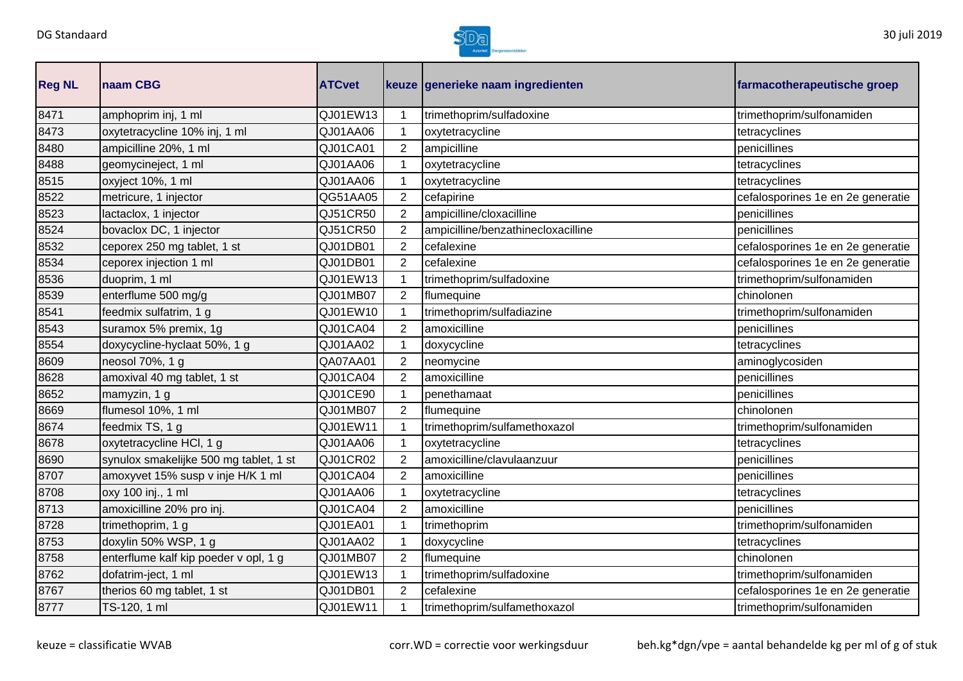

| <b>Reg NL</b> | naam CBG                               | <b>ATCvet</b> |                | keuze generieke naam ingredienten  | farmacotherapeutische groep       |
|---------------|----------------------------------------|---------------|----------------|------------------------------------|-----------------------------------|
| 8471          | amphoprim inj, 1 ml                    | QJ01EW13      | 1              | trimethoprim/sulfadoxine           | trimethoprim/sulfonamiden         |
| 8473          | oxytetracycline 10% inj, 1 ml          | QJ01AA06      | 1              | oxytetracycline                    | tetracyclines                     |
| 8480          | ampicilline 20%, 1 ml                  | QJ01CA01      | $\overline{2}$ | ampicilline                        | penicillines                      |
| 8488          | geomycineject, 1 ml                    | QJ01AA06      | 1              | oxytetracycline                    | tetracyclines                     |
| 8515          | oxyject 10%, 1 ml                      | QJ01AA06      |                | oxytetracycline                    | tetracyclines                     |
| 8522          | metricure, 1 injector                  | QG51AA05      | $\overline{2}$ | cefapirine                         | cefalosporines 1e en 2e generatie |
| 8523          | lactaclox, 1 injector                  | QJ51CR50      | $\overline{2}$ | ampicilline/cloxacilline           | penicillines                      |
| 8524          | bovaclox DC, 1 injector                | QJ51CR50      | 2              | ampicilline/benzathinecloxacilline | penicillines                      |
| 8532          | ceporex 250 mg tablet, 1 st            | QJ01DB01      | $\overline{2}$ | cefalexine                         | cefalosporines 1e en 2e generatie |
| 8534          | ceporex injection 1 ml                 | QJ01DB01      | $\overline{2}$ | cefalexine                         | cefalosporines 1e en 2e generatie |
| 8536          | duoprim, 1 ml                          | QJ01EW13      | $\mathbf 1$    | trimethoprim/sulfadoxine           | trimethoprim/sulfonamiden         |
| 8539          | enterflume 500 mg/g                    | QJ01MB07      | $\overline{2}$ | flumequine                         | chinolonen                        |
| 8541          | feedmix sulfatrim, 1 g                 | QJ01EW10      | 1              | trimethoprim/sulfadiazine          | trimethoprim/sulfonamiden         |
| 8543          | suramox 5% premix, 1g                  | QJ01CA04      | $\overline{2}$ | amoxicilline                       | penicillines                      |
| 8554          | doxycycline-hyclaat 50%, 1 g           | QJ01AA02      | 1              | doxycycline                        | tetracyclines                     |
| 8609          | neosol 70%, 1 g                        | QA07AA01      | $\overline{2}$ | neomycine                          | aminoglycosiden                   |
| 8628          | amoxival 40 mg tablet, 1 st            | QJ01CA04      | $\overline{2}$ | amoxicilline                       | penicillines                      |
| 8652          | mamyzin, 1 g                           | QJ01CE90      | $\mathbf 1$    | penethamaat                        | penicillines                      |
| 8669          | flumesol 10%, 1 ml                     | QJ01MB07      | $\overline{2}$ | flumequine                         | chinolonen                        |
| 8674          | feedmix TS, 1 g                        | QJ01EW11      | 1              | trimethoprim/sulfamethoxazol       | trimethoprim/sulfonamiden         |
| 8678          | oxytetracycline HCl, 1 g               | QJ01AA06      | 1              | oxytetracycline                    | tetracyclines                     |
| 8690          | synulox smakelijke 500 mg tablet, 1 st | QJ01CR02      | $\overline{2}$ | amoxicilline/clavulaanzuur         | penicillines                      |
| 8707          | amoxyvet 15% susp v inje H/K 1 ml      | QJ01CA04      | $\overline{2}$ | amoxicilline                       | penicillines                      |
| 8708          | oxy 100 inj., 1 ml                     | QJ01AA06      | 1              | oxytetracycline                    | tetracyclines                     |
| 8713          | amoxicilline 20% pro inj.              | QJ01CA04      | $\overline{2}$ | amoxicilline                       | penicillines                      |
| 8728          | trimethoprim, 1 g                      | QJ01EA01      | 1              | trimethoprim                       | trimethoprim/sulfonamiden         |
| 8753          | doxylin 50% WSP, 1 g                   | QJ01AA02      | $\mathbf 1$    | doxycycline                        | tetracyclines                     |
| 8758          | enterflume kalf kip poeder v opl, 1 g  | QJ01MB07      | $\overline{2}$ | flumequine                         | chinolonen                        |
| 8762          | dofatrim-ject, 1 ml                    | QJ01EW13      |                | trimethoprim/sulfadoxine           | trimethoprim/sulfonamiden         |
| 8767          | therios 60 mg tablet, 1 st             | QJ01DB01      | $\overline{2}$ | cefalexine                         | cefalosporines 1e en 2e generatie |
| 8777          | TS-120, 1 ml                           | QJ01EW11      | 1              | trimethoprim/sulfamethoxazol       | trimethoprim/sulfonamiden         |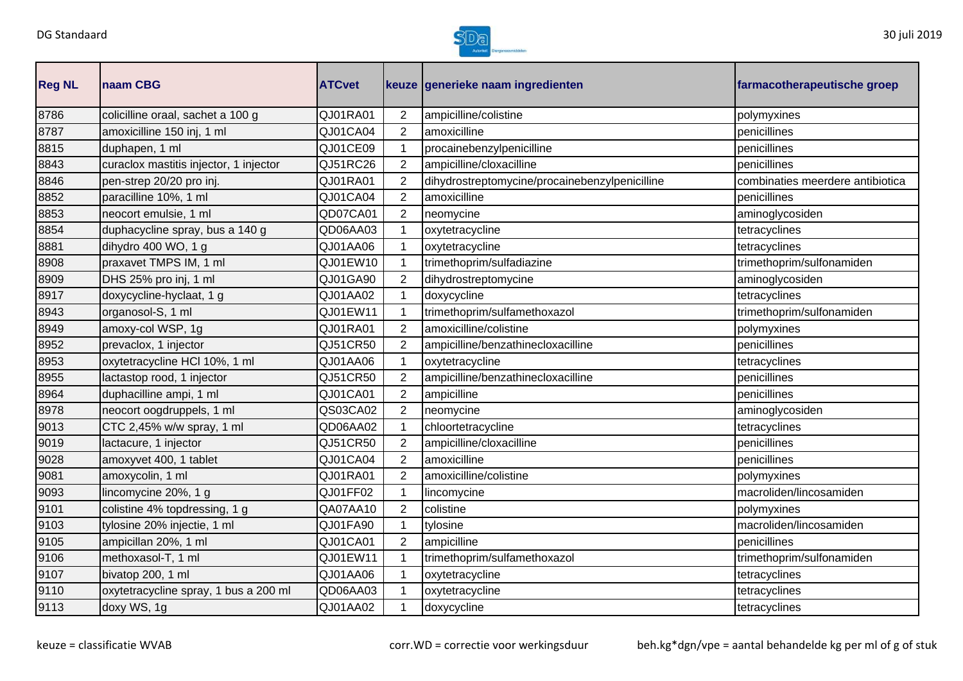

| <b>Reg NL</b> | naam CBG                               | <b>ATCvet</b> |                | keuze generieke naam ingredienten              | farmacotherapeutische groep      |
|---------------|----------------------------------------|---------------|----------------|------------------------------------------------|----------------------------------|
| 8786          | colicilline oraal, sachet a 100 g      | QJ01RA01      | $\overline{2}$ | ampicilline/colistine                          | polymyxines                      |
| 8787          | amoxicilline 150 inj, 1 ml             | QJ01CA04      | $\overline{2}$ | amoxicilline                                   | penicillines                     |
| 8815          | duphapen, 1 ml                         | QJ01CE09      | $\mathbf{1}$   | procainebenzylpenicilline                      | penicillines                     |
| 8843          | curaclox mastitis injector, 1 injector | QJ51RC26      | $\overline{2}$ | ampicilline/cloxacilline                       | penicillines                     |
| 8846          | pen-strep 20/20 pro inj.               | QJ01RA01      | $\overline{2}$ | dihydrostreptomycine/procainebenzylpenicilline | combinaties meerdere antibiotica |
| 8852          | paracilline 10%, 1 ml                  | QJ01CA04      | $\overline{2}$ | amoxicilline                                   | penicillines                     |
| 8853          | neocort emulsie, 1 ml                  | QD07CA01      | $\overline{2}$ | neomycine                                      | aminoglycosiden                  |
| 8854          | duphacycline spray, bus a 140 g        | QD06AA03      | 1              | oxytetracycline                                | tetracyclines                    |
| 8881          | dihydro 400 WO, 1 g                    | QJ01AA06      | $\mathbf 1$    | oxytetracycline                                | tetracyclines                    |
| 8908          | praxavet TMPS IM, 1 ml                 | QJ01EW10      | $\mathbf{1}$   | trimethoprim/sulfadiazine                      | trimethoprim/sulfonamiden        |
| 8909          | DHS 25% pro inj, 1 ml                  | QJ01GA90      | $\overline{2}$ | dihydrostreptomycine                           | aminoglycosiden                  |
| 8917          | doxycycline-hyclaat, 1 g               | QJ01AA02      | 1              | doxycycline                                    | tetracyclines                    |
| 8943          | organosol-S, 1 ml                      | QJ01EW11      | 1              | trimethoprim/sulfamethoxazol                   | trimethoprim/sulfonamiden        |
| 8949          | amoxy-col WSP, 1g                      | QJ01RA01      | $\overline{2}$ | amoxicilline/colistine                         | polymyxines                      |
| 8952          | prevaclox, 1 injector                  | QJ51CR50      | $\overline{2}$ | ampicilline/benzathinecloxacilline             | penicillines                     |
| 8953          | oxytetracycline HCl 10%, 1 ml          | QJ01AA06      | $\mathbf{1}$   | oxytetracycline                                | tetracyclines                    |
| 8955          | lactastop rood, 1 injector             | QJ51CR50      | $\overline{2}$ | ampicilline/benzathinecloxacilline             | penicillines                     |
| 8964          | duphacilline ampi, 1 ml                | QJ01CA01      | $\overline{2}$ | ampicilline                                    | penicillines                     |
| 8978          | neocort oogdruppels, 1 ml              | QS03CA02      | $\overline{2}$ | neomycine                                      | aminoglycosiden                  |
| 9013          | CTC 2,45% w/w spray, 1 ml              | QD06AA02      | 1              | chloortetracycline                             | tetracyclines                    |
| 9019          | lactacure, 1 injector                  | QJ51CR50      | $\overline{2}$ | ampicilline/cloxacilline                       | penicillines                     |
| 9028          | amoxyvet 400, 1 tablet                 | QJ01CA04      | $\overline{2}$ | amoxicilline                                   | penicillines                     |
| 9081          | amoxycolin, 1 ml                       | QJ01RA01      | $\overline{2}$ | amoxicilline/colistine                         | polymyxines                      |
| 9093          | lincomycine 20%, 1 g                   | QJ01FF02      | 1              | lincomycine                                    | macroliden/lincosamiden          |
| 9101          | colistine 4% topdressing, 1 g          | QA07AA10      | $\overline{2}$ | colistine                                      | polymyxines                      |
| 9103          | tylosine 20% injectie, 1 ml            | QJ01FA90      | 1              | tylosine                                       | macroliden/lincosamiden          |
| 9105          | ampicillan 20%, 1 ml                   | QJ01CA01      | $\overline{2}$ | ampicilline                                    | penicillines                     |
| 9106          | methoxasol-T, 1 ml                     | QJ01EW11      | $\mathbf{1}$   | trimethoprim/sulfamethoxazol                   | trimethoprim/sulfonamiden        |
| 9107          | bivatop 200, 1 ml                      | QJ01AA06      | 1              | oxytetracycline                                | tetracyclines                    |
| 9110          | oxytetracycline spray, 1 bus a 200 ml  | QD06AA03      |                | oxytetracycline                                | tetracyclines                    |
| 9113          | doxy WS, 1g                            | QJ01AA02      | 1              | doxycycline                                    | tetracyclines                    |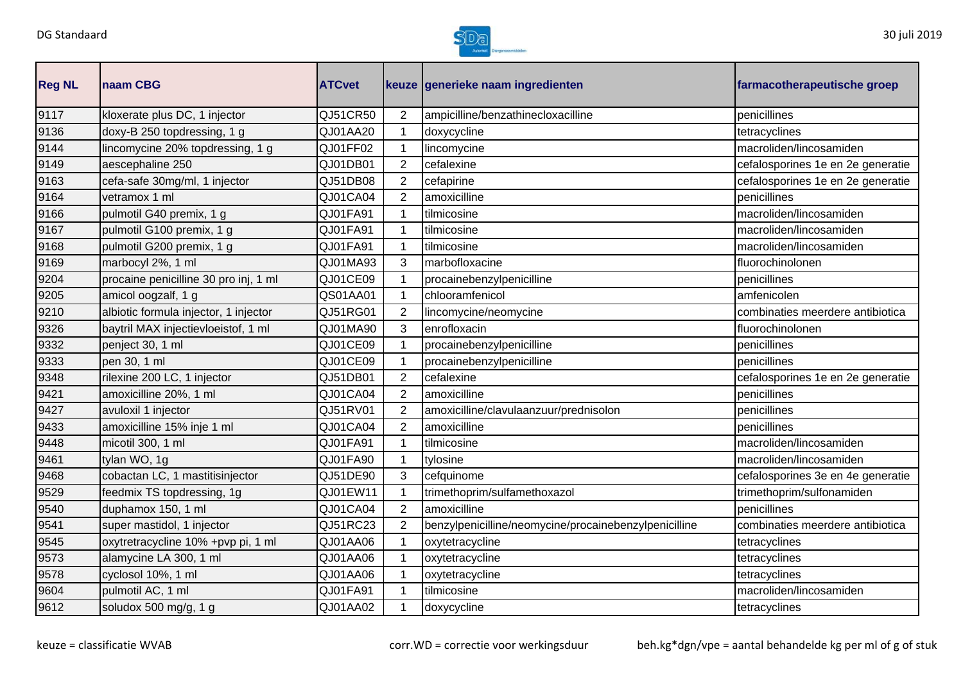

| <b>Reg NL</b> | naam CBG                              | <b>ATCvet</b> |                | keuze generieke naam ingredienten                     | farmacotherapeutische groep       |
|---------------|---------------------------------------|---------------|----------------|-------------------------------------------------------|-----------------------------------|
| 9117          | kloxerate plus DC, 1 injector         | QJ51CR50      | 2              | ampicilline/benzathinecloxacilline                    | penicillines                      |
| 9136          | doxy-B 250 topdressing, 1 g           | QJ01AA20      | 1              | doxycycline                                           | tetracyclines                     |
| 9144          | lincomycine 20% topdressing, 1 g      | QJ01FF02      |                | lincomycine                                           | macroliden/lincosamiden           |
| 9149          | aescephaline 250                      | QJ01DB01      | 2              | cefalexine                                            | cefalosporines 1e en 2e generatie |
| 9163          | cefa-safe 30mg/ml, 1 injector         | QJ51DB08      | 2              | cefapirine                                            | cefalosporines 1e en 2e generatie |
| 9164          | vetramox 1 ml                         | QJ01CA04      | $\overline{2}$ | amoxicilline                                          | penicillines                      |
| 9166          | pulmotil G40 premix, 1 g              | QJ01FA91      | 1              | tilmicosine                                           | macroliden/lincosamiden           |
| 9167          | pulmotil G100 premix, 1 g             | QJ01FA91      |                | tilmicosine                                           | macroliden/lincosamiden           |
| 9168          | pulmotil G200 premix, 1 g             | QJ01FA91      |                | tilmicosine                                           | macroliden/lincosamiden           |
| 9169          | marbocyl 2%, 1 ml                     | QJ01MA93      | 3              | marbofloxacine                                        | fluorochinolonen                  |
| 9204          | procaine penicilline 30 pro inj, 1 ml | QJ01CE09      |                | procainebenzylpenicilline                             | penicillines                      |
| 9205          | amicol oogzalf, 1 g                   | QS01AA01      | 1              | chlooramfenicol                                       | amfenicolen                       |
| 9210          | albiotic formula injector, 1 injector | QJ51RG01      | 2              | lincomycine/neomycine                                 | combinaties meerdere antibiotica  |
| 9326          | baytril MAX injectievloeistof, 1 ml   | QJ01MA90      | 3              | enrofloxacin                                          | fluorochinolonen                  |
| 9332          | penject 30, 1 ml                      | QJ01CE09      |                | procainebenzylpenicilline                             | penicillines                      |
| 9333          | pen 30, 1 ml                          | QJ01CE09      |                | procainebenzylpenicilline                             | penicillines                      |
| 9348          | rilexine 200 LC, 1 injector           | QJ51DB01      | 2              | cefalexine                                            | cefalosporines 1e en 2e generatie |
| 9421          | amoxicilline 20%, 1 ml                | QJ01CA04      | 2              | amoxicilline                                          | penicillines                      |
| 9427          | avuloxil 1 injector                   | QJ51RV01      | $\overline{2}$ | amoxicilline/clavulaanzuur/prednisolon                | penicillines                      |
| 9433          | amoxicilline 15% inje 1 ml            | QJ01CA04      | 2              | amoxicilline                                          | penicillines                      |
| 9448          | micotil 300, 1 ml                     | QJ01FA91      |                | tilmicosine                                           | macroliden/lincosamiden           |
| 9461          | tylan WO, 1g                          | QJ01FA90      |                | tylosine                                              | macroliden/lincosamiden           |
| 9468          | cobactan LC, 1 mastitisinjector       | QJ51DE90      | 3              | cefquinome                                            | cefalosporines 3e en 4e generatie |
| 9529          | feedmix TS topdressing, 1g            | QJ01EW11      |                | trimethoprim/sulfamethoxazol                          | trimethoprim/sulfonamiden         |
| 9540          | duphamox 150, 1 ml                    | QJ01CA04      | 2              | amoxicilline                                          | penicillines                      |
| 9541          | super mastidol, 1 injector            | QJ51RC23      | 2              | benzylpenicilline/neomycine/procainebenzylpenicilline | combinaties meerdere antibiotica  |
| 9545          | oxytretracycline 10% +pvp pi, 1 ml    | QJ01AA06      | 1              | oxytetracycline                                       | tetracyclines                     |
| 9573          | alamycine LA 300, 1 ml                | QJ01AA06      | $\mathbf{1}$   | oxytetracycline                                       | tetracyclines                     |
| 9578          | cyclosol 10%, 1 ml                    | QJ01AA06      |                | oxytetracycline                                       | tetracyclines                     |
| 9604          | pulmotil AC, 1 ml                     | QJ01FA91      |                | tilmicosine                                           | macroliden/lincosamiden           |
| 9612          | soludox 500 mg/g, 1 g                 | QJ01AA02      | 1              | doxycycline                                           | tetracyclines                     |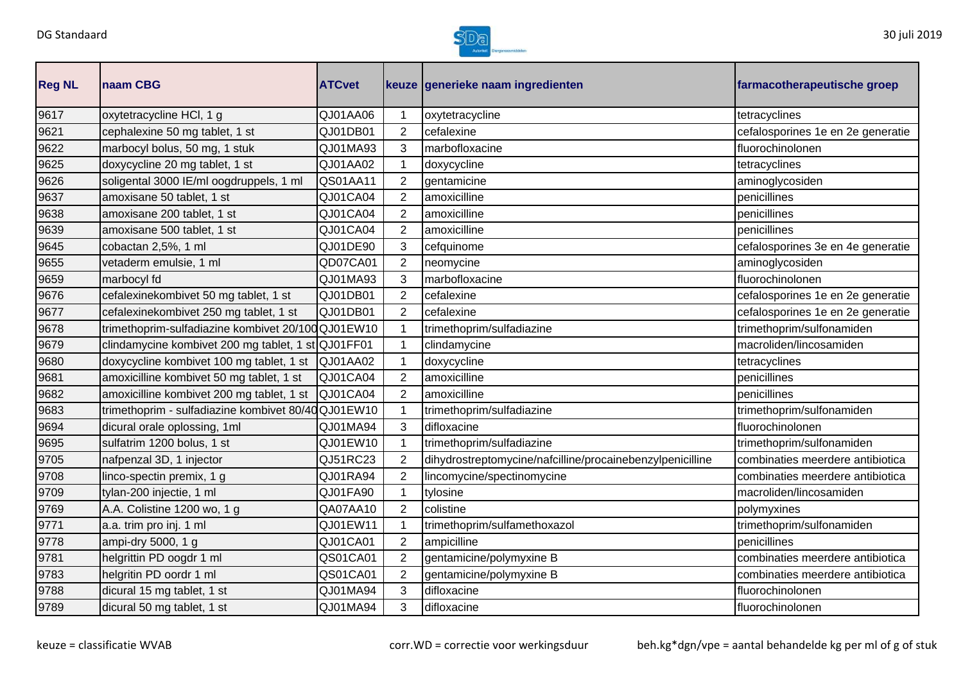

| <b>Reg NL</b> | <b>Inaam CBG</b>                                   | <b>ATCvet</b> |                | keuze generieke naam ingredienten                         | farmacotherapeutische groep       |
|---------------|----------------------------------------------------|---------------|----------------|-----------------------------------------------------------|-----------------------------------|
| 9617          | oxytetracycline HCl, 1 g                           | QJ01AA06      |                | oxytetracycline                                           | tetracyclines                     |
| 9621          | cephalexine 50 mg tablet, 1 st                     | QJ01DB01      | $\overline{2}$ | cefalexine                                                | cefalosporines 1e en 2e generatie |
| 9622          | marbocyl bolus, 50 mg, 1 stuk                      | QJ01MA93      | 3              | marbofloxacine                                            | fluorochinolonen                  |
| 9625          | doxycycline 20 mg tablet, 1 st                     | QJ01AA02      |                | doxycycline                                               | tetracyclines                     |
| 9626          | soligental 3000 IE/ml oogdruppels, 1 ml            | QS01AA11      | $\overline{2}$ | gentamicine                                               | aminoglycosiden                   |
| 9637          | amoxisane 50 tablet, 1 st                          | QJ01CA04      | $\overline{2}$ | amoxicilline                                              | penicillines                      |
| 9638          | amoxisane 200 tablet, 1 st                         | QJ01CA04      | $\overline{2}$ | amoxicilline                                              | penicillines                      |
| 9639          | amoxisane 500 tablet, 1 st                         | QJ01CA04      | $\overline{2}$ | amoxicilline                                              | penicillines                      |
| 9645          | cobactan 2,5%, 1 ml                                | QJ01DE90      | 3              | cefquinome                                                | cefalosporines 3e en 4e generatie |
| 9655          | vetaderm emulsie, 1 ml                             | QD07CA01      | $\overline{2}$ | neomycine                                                 | aminoglycosiden                   |
| 9659          | marbocyl fd                                        | QJ01MA93      | 3              | marbofloxacine                                            | fluorochinolonen                  |
| 9676          | cefalexinekombivet 50 mg tablet, 1 st              | QJ01DB01      | $\overline{2}$ | cefalexine                                                | cefalosporines 1e en 2e generatie |
| 9677          | cefalexinekombivet 250 mg tablet, 1 st             | QJ01DB01      | $\overline{2}$ | cefalexine                                                | cefalosporines 1e en 2e generatie |
| 9678          | trimethoprim-sulfadiazine kombivet 20/100 QJ01EW10 |               |                | trimethoprim/sulfadiazine                                 | trimethoprim/sulfonamiden         |
| 9679          | clindamycine kombivet 200 mg tablet, 1 st QJ01FF01 |               |                | clindamycine                                              | macroliden/lincosamiden           |
| 9680          | doxycycline kombivet 100 mg tablet, 1 st           | QJ01AA02      |                | doxycycline                                               | tetracyclines                     |
| 9681          | amoxicilline kombivet 50 mg tablet, 1 st           | QJ01CA04      | 2              | amoxicilline                                              | penicillines                      |
| 9682          | amoxicilline kombivet 200 mg tablet, 1 st          | QJ01CA04      | $\overline{2}$ | amoxicilline                                              | penicillines                      |
| 9683          | trimethoprim - sulfadiazine kombivet 80/40QJ01EW10 |               |                | trimethoprim/sulfadiazine                                 | trimethoprim/sulfonamiden         |
| 9694          | dicural orale oplossing, 1ml                       | QJ01MA94      | 3              | difloxacine                                               | fluorochinolonen                  |
| 9695          | sulfatrim 1200 bolus, 1 st                         | QJ01EW10      |                | trimethoprim/sulfadiazine                                 | trimethoprim/sulfonamiden         |
| 9705          | nafpenzal 3D, 1 injector                           | QJ51RC23      | $\overline{2}$ | dihydrostreptomycine/nafcilline/procainebenzylpenicilline | combinaties meerdere antibiotica  |
| 9708          | linco-spectin premix, 1 g                          | QJ01RA94      | $\overline{2}$ | lincomycine/spectinomycine                                | combinaties meerdere antibiotica  |
| 9709          | tylan-200 injectie, 1 ml                           | QJ01FA90      |                | tylosine                                                  | macroliden/lincosamiden           |
| 9769          | A.A. Colistine 1200 wo, 1 g                        | QA07AA10      | $\overline{2}$ | colistine                                                 | polymyxines                       |
| 9771          | a.a. trim pro inj. 1 ml                            | QJ01EW11      |                | trimethoprim/sulfamethoxazol                              | trimethoprim/sulfonamiden         |
| 9778          | ampi-dry 5000, 1 g                                 | QJ01CA01      | $\overline{2}$ | ampicilline                                               | penicillines                      |
| 9781          | helgrittin PD oogdr 1 ml                           | QS01CA01      | $\overline{2}$ | gentamicine/polymyxine B                                  | combinaties meerdere antibiotica  |
| 9783          | helgritin PD oordr 1 ml                            | QS01CA01      | $\overline{2}$ | gentamicine/polymyxine B                                  | combinaties meerdere antibiotica  |
| 9788          | dicural 15 mg tablet, 1 st                         | QJ01MA94      | 3              | difloxacine                                               | fluorochinolonen                  |
| 9789          | dicural 50 mg tablet, 1 st                         | QJ01MA94      | 3              | difloxacine                                               | fluorochinolonen                  |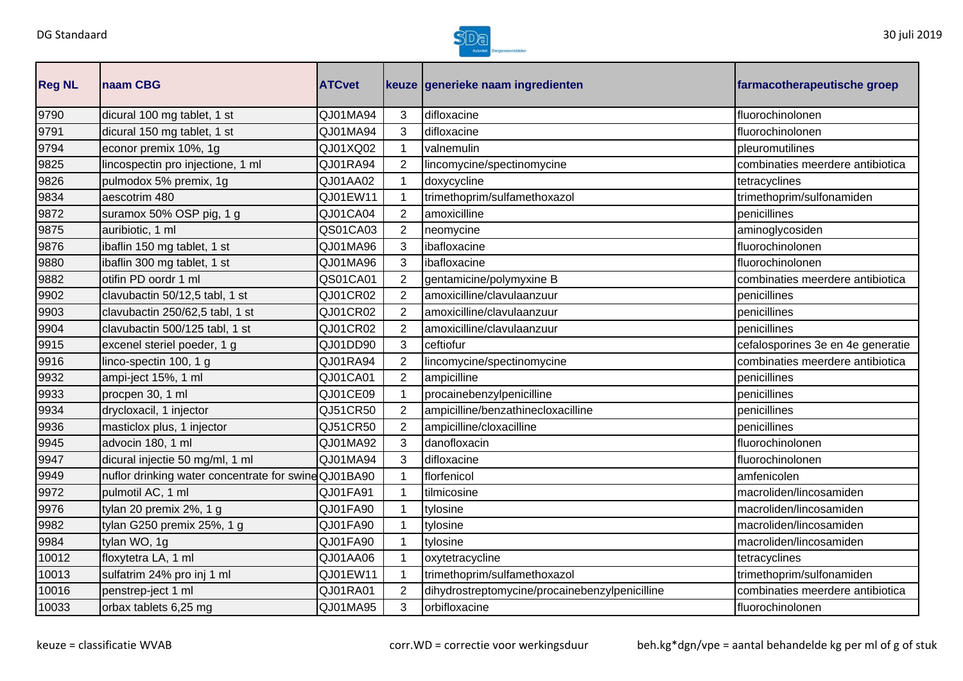

| <b>Reg NL</b> | naam CBG                                            | <b>ATCvet</b> |                | keuze generieke naam ingredienten              | farmacotherapeutische groep       |
|---------------|-----------------------------------------------------|---------------|----------------|------------------------------------------------|-----------------------------------|
| 9790          | dicural 100 mg tablet, 1 st                         | QJ01MA94      | 3              | difloxacine                                    | fluorochinolonen                  |
| 9791          | dicural 150 mg tablet, 1 st                         | QJ01MA94      | 3              | difloxacine                                    | fluorochinolonen                  |
| 9794          | econor premix 10%, 1g                               | QJ01XQ02      | 1              | valnemulin                                     | pleuromutilines                   |
| 9825          | lincospectin pro injectione, 1 ml                   | QJ01RA94      | 2              | lincomycine/spectinomycine                     | combinaties meerdere antibiotica  |
| 9826          | pulmodox 5% premix, 1g                              | QJ01AA02      |                | doxycycline                                    | tetracyclines                     |
| 9834          | aescotrim 480                                       | QJ01EW11      |                | trimethoprim/sulfamethoxazol                   | trimethoprim/sulfonamiden         |
| 9872          | suramox 50% OSP pig, 1 g                            | QJ01CA04      | 2              | amoxicilline                                   | penicillines                      |
| 9875          | auribiotic, 1 ml                                    | QS01CA03      | $\overline{2}$ | neomycine                                      | aminoglycosiden                   |
| 9876          | ibaflin 150 mg tablet, 1 st                         | QJ01MA96      | 3              | ibafloxacine                                   | fluorochinolonen                  |
| 9880          | ibaflin 300 mg tablet, 1 st                         | QJ01MA96      | 3              | ibafloxacine                                   | fluorochinolonen                  |
| 9882          | otifin PD oordr 1 ml                                | QS01CA01      | 2              | gentamicine/polymyxine B                       | combinaties meerdere antibiotica  |
| 9902          | clavubactin 50/12,5 tabl, 1 st                      | QJ01CR02      | $\overline{2}$ | amoxicilline/clavulaanzuur                     | penicillines                      |
| 9903          | clavubactin 250/62,5 tabl, 1 st                     | QJ01CR02      | 2              | amoxicilline/clavulaanzuur                     | penicillines                      |
| 9904          | clavubactin 500/125 tabl, 1 st                      | QJ01CR02      | 2              | amoxicilline/clavulaanzuur                     | penicillines                      |
| 9915          | excenel steriel poeder, 1 g                         | QJ01DD90      | 3              | ceftiofur                                      | cefalosporines 3e en 4e generatie |
| 9916          | linco-spectin 100, 1 g                              | QJ01RA94      | 2              | lincomycine/spectinomycine                     | combinaties meerdere antibiotica  |
| 9932          | ampi-ject 15%, 1 ml                                 | QJ01CA01      | 2              | ampicilline                                    | penicillines                      |
| 9933          | procpen 30, 1 ml                                    | QJ01CE09      |                | procainebenzylpenicilline                      | penicillines                      |
| 9934          | drycloxacil, 1 injector                             | QJ51CR50      | $\overline{2}$ | ampicilline/benzathinecloxacilline             | penicillines                      |
| 9936          | masticlox plus, 1 injector                          | QJ51CR50      | 2              | ampicilline/cloxacilline                       | penicillines                      |
| 9945          | advocin 180, 1 ml                                   | QJ01MA92      | 3              | danofloxacin                                   | fluorochinolonen                  |
| 9947          | dicural injectie 50 mg/ml, 1 ml                     | QJ01MA94      | 3              | difloxacine                                    | fluorochinolonen                  |
| 9949          | nuflor drinking water concentrate for swineQJ01BA90 |               |                | florfenicol                                    | amfenicolen                       |
| 9972          | pulmotil AC, 1 ml                                   | QJ01FA91      |                | tilmicosine                                    | macroliden/lincosamiden           |
| 9976          | tylan 20 premix 2%, 1 g                             | QJ01FA90      |                | tylosine                                       | macroliden/lincosamiden           |
| 9982          | tylan G250 premix 25%, 1 g                          | QJ01FA90      |                | tylosine                                       | macroliden/lincosamiden           |
| 9984          | tylan WO, 1g                                        | QJ01FA90      | $\mathbf{1}$   | tylosine                                       | macroliden/lincosamiden           |
| 10012         | floxytetra LA, 1 ml                                 | QJ01AA06      | $\mathbf{1}$   | oxytetracycline                                | tetracyclines                     |
| 10013         | sulfatrim 24% pro inj 1 ml                          | QJ01EW11      | $\mathbf{1}$   | trimethoprim/sulfamethoxazol                   | trimethoprim/sulfonamiden         |
| 10016         | penstrep-ject 1 ml                                  | QJ01RA01      | $\overline{2}$ | dihydrostreptomycine/procainebenzylpenicilline | combinaties meerdere antibiotica  |
| 10033         | orbax tablets 6,25 mg                               | QJ01MA95      | 3              | orbifloxacine                                  | fluorochinolonen                  |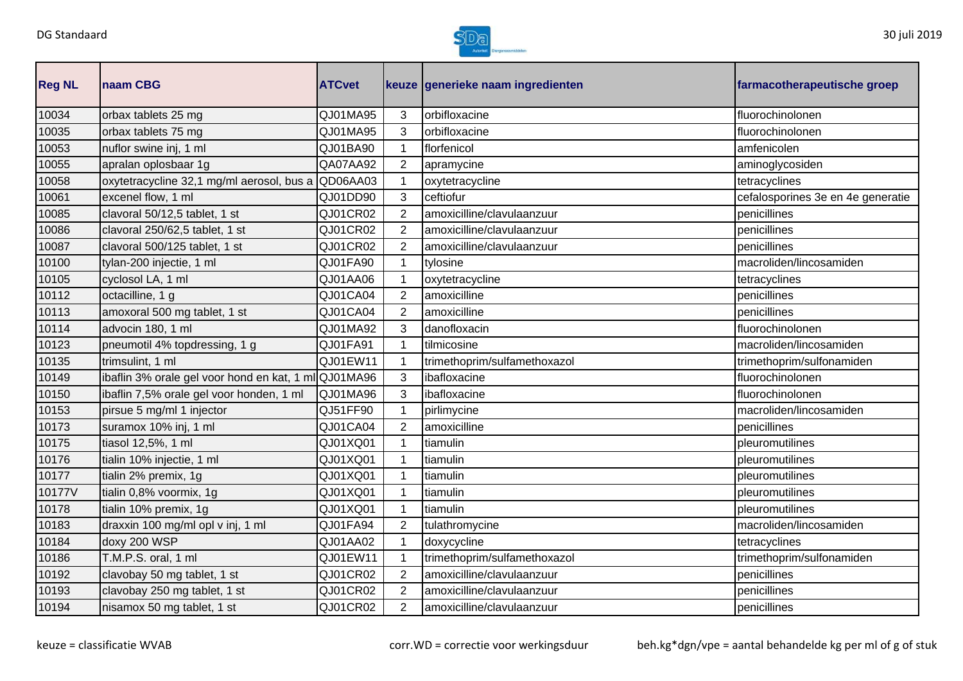

| <b>Reg NL</b> | <b>Inaam CBG</b>                                     | <b>ATCvet</b> |                | keuze generieke naam ingredienten | farmacotherapeutische groep       |
|---------------|------------------------------------------------------|---------------|----------------|-----------------------------------|-----------------------------------|
| 10034         | orbax tablets 25 mg                                  | QJ01MA95      | 3              | orbifloxacine                     | fluorochinolonen                  |
| 10035         | orbax tablets 75 mg                                  | QJ01MA95      | 3              | orbifloxacine                     | fluorochinolonen                  |
| 10053         | nuflor swine inj, 1 ml                               | QJ01BA90      |                | florfenicol                       | amfenicolen                       |
| 10055         | apralan oplosbaar 1g                                 | QA07AA92      | 2              | apramycine                        | aminoglycosiden                   |
| 10058         | oxytetracycline 32,1 mg/ml aerosol, bus a            | QD06AA03      |                | oxytetracycline                   | tetracyclines                     |
| 10061         | excenel flow, 1 ml                                   | QJ01DD90      | 3              | ceftiofur                         | cefalosporines 3e en 4e generatie |
| 10085         | clavoral 50/12,5 tablet, 1 st                        | QJ01CR02      | $\overline{2}$ | amoxicilline/clavulaanzuur        | penicillines                      |
| 10086         | clavoral 250/62,5 tablet, 1 st                       | QJ01CR02      | $\overline{2}$ | amoxicilline/clavulaanzuur        | penicillines                      |
| 10087         | clavoral 500/125 tablet, 1 st                        | QJ01CR02      | $\overline{2}$ | amoxicilline/clavulaanzuur        | penicillines                      |
| 10100         | tylan-200 injectie, 1 ml                             | QJ01FA90      |                | tylosine                          | macroliden/lincosamiden           |
| 10105         | cyclosol LA, 1 ml                                    | QJ01AA06      |                | oxytetracycline                   | tetracyclines                     |
| 10112         | octacilline, 1 g                                     | QJ01CA04      | $\overline{2}$ | amoxicilline                      | penicillines                      |
| 10113         | amoxoral 500 mg tablet, 1 st                         | QJ01CA04      | $\overline{2}$ | amoxicilline                      | penicillines                      |
| 10114         | advocin 180, 1 ml                                    | QJ01MA92      | 3              | danofloxacin                      | fluorochinolonen                  |
| 10123         | pneumotil 4% topdressing, 1 g                        | QJ01FA91      |                | tilmicosine                       | macroliden/lincosamiden           |
| 10135         | trimsulint, 1 ml                                     | QJ01EW11      |                | trimethoprim/sulfamethoxazol      | trimethoprim/sulfonamiden         |
| 10149         | ibaflin 3% orale gel voor hond en kat, 1 ml QJ01MA96 |               | 3              | ibafloxacine                      | fluorochinolonen                  |
| 10150         | ibaflin 7,5% orale gel voor honden, 1 ml             | QJ01MA96      | 3              | ibafloxacine                      | fluorochinolonen                  |
| 10153         | pirsue 5 mg/ml 1 injector                            | QJ51FF90      |                | pirlimycine                       | macroliden/lincosamiden           |
| 10173         | suramox 10% inj, 1 ml                                | QJ01CA04      | 2              | amoxicilline                      | penicillines                      |
| 10175         | tiasol 12,5%, 1 ml                                   | QJ01XQ01      |                | tiamulin                          | pleuromutilines                   |
| 10176         | tialin 10% injectie, 1 ml                            | QJ01XQ01      |                | tiamulin                          | pleuromutilines                   |
| 10177         | tialin 2% premix, 1g                                 | QJ01XQ01      |                | tiamulin                          | pleuromutilines                   |
| 10177V        | tialin 0,8% voormix, 1g                              | QJ01XQ01      |                | tiamulin                          | pleuromutilines                   |
| 10178         | tialin 10% premix, 1g                                | QJ01XQ01      |                | tiamulin                          | pleuromutilines                   |
| 10183         | draxxin 100 mg/ml opl v inj, 1 ml                    | QJ01FA94      | $\overline{2}$ | tulathromycine                    | macroliden/lincosamiden           |
| 10184         | doxy 200 WSP                                         | QJ01AA02      | $\mathbf{1}$   | doxycycline                       | tetracyclines                     |
| 10186         | T.M.P.S. oral, 1 ml                                  | QJ01EW11      | $\mathbf{1}$   | trimethoprim/sulfamethoxazol      | trimethoprim/sulfonamiden         |
| 10192         | clavobay 50 mg tablet, 1 st                          | QJ01CR02      | $\overline{2}$ | amoxicilline/clavulaanzuur        | penicillines                      |
| 10193         | clavobay 250 mg tablet, 1 st                         | QJ01CR02      | 2              | amoxicilline/clavulaanzuur        | penicillines                      |
| 10194         | nisamox 50 mg tablet, 1 st                           | QJ01CR02      | $\overline{2}$ | amoxicilline/clavulaanzuur        | penicillines                      |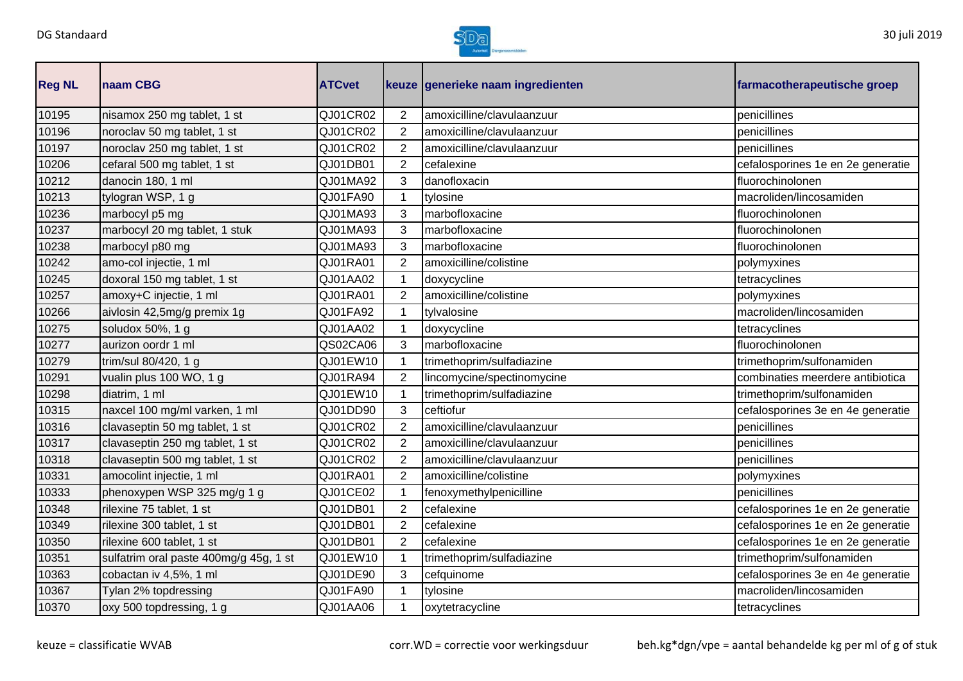

| <b>Reg NL</b> | naam CBG                               | <b>ATCvet</b> |                | keuze generieke naam ingredienten | farmacotherapeutische groep       |
|---------------|----------------------------------------|---------------|----------------|-----------------------------------|-----------------------------------|
| 10195         | nisamox 250 mg tablet, 1 st            | QJ01CR02      | $\overline{2}$ | amoxicilline/clavulaanzuur        | penicillines                      |
| 10196         | noroclav 50 mg tablet, 1 st            | QJ01CR02      | $\overline{2}$ | amoxicilline/clavulaanzuur        | penicillines                      |
| 10197         | noroclav 250 mg tablet, 1 st           | QJ01CR02      | $\overline{2}$ | amoxicilline/clavulaanzuur        | penicillines                      |
| 10206         | cefaral 500 mg tablet, 1 st            | QJ01DB01      | $\overline{2}$ | cefalexine                        | cefalosporines 1e en 2e generatie |
| 10212         | danocin 180, 1 ml                      | QJ01MA92      | 3              | danofloxacin                      | fluorochinolonen                  |
| 10213         | tylogran WSP, 1 g                      | QJ01FA90      |                | tylosine                          | macroliden/lincosamiden           |
| 10236         | marbocyl p5 mg                         | QJ01MA93      | 3              | marbofloxacine                    | fluorochinolonen                  |
| 10237         | marbocyl 20 mg tablet, 1 stuk          | QJ01MA93      | 3              | marbofloxacine                    | fluorochinolonen                  |
| 10238         | marbocyl p80 mg                        | QJ01MA93      | 3              | marbofloxacine                    | fluorochinolonen                  |
| 10242         | amo-col injectie, 1 ml                 | QJ01RA01      | $\overline{2}$ | amoxicilline/colistine            | polymyxines                       |
| 10245         | doxoral 150 mg tablet, 1 st            | QJ01AA02      | 1              | doxycycline                       | tetracyclines                     |
| 10257         | amoxy+C injectie, 1 ml                 | QJ01RA01      | $\overline{2}$ | amoxicilline/colistine            | polymyxines                       |
| 10266         | aivlosin 42,5mg/g premix 1g            | QJ01FA92      | 1              | tylvalosine                       | macroliden/lincosamiden           |
| 10275         | soludox 50%, 1 g                       | QJ01AA02      | 1              | doxycycline                       | tetracyclines                     |
| 10277         | aurizon oordr 1 ml                     | QS02CA06      | 3              | marbofloxacine                    | fluorochinolonen                  |
| 10279         | trim/sul 80/420, 1 g                   | QJ01EW10      | 1              | trimethoprim/sulfadiazine         | trimethoprim/sulfonamiden         |
| 10291         | vualin plus 100 WO, 1 g                | QJ01RA94      | $\overline{2}$ | lincomycine/spectinomycine        | combinaties meerdere antibiotica  |
| 10298         | diatrim, 1 ml                          | QJ01EW10      | 1              | trimethoprim/sulfadiazine         | trimethoprim/sulfonamiden         |
| 10315         | naxcel 100 mg/ml varken, 1 ml          | QJ01DD90      | 3              | ceftiofur                         | cefalosporines 3e en 4e generatie |
| 10316         | clavaseptin 50 mg tablet, 1 st         | QJ01CR02      | $\overline{2}$ | amoxicilline/clavulaanzuur        | penicillines                      |
| 10317         | clavaseptin 250 mg tablet, 1 st        | QJ01CR02      | 2              | amoxicilline/clavulaanzuur        | penicillines                      |
| 10318         | clavaseptin 500 mg tablet, 1 st        | QJ01CR02      | $\overline{2}$ | amoxicilline/clavulaanzuur        | penicillines                      |
| 10331         | amocolint injectie, 1 ml               | QJ01RA01      | $\overline{2}$ | amoxicilline/colistine            | polymyxines                       |
| 10333         | phenoxypen WSP 325 mg/g 1 g            | QJ01CE02      |                | fenoxymethylpenicilline           | penicillines                      |
| 10348         | rilexine 75 tablet, 1 st               | QJ01DB01      | $\overline{2}$ | cefalexine                        | cefalosporines 1e en 2e generatie |
| 10349         | rilexine 300 tablet, 1 st              | QJ01DB01      | $\overline{2}$ | cefalexine                        | cefalosporines 1e en 2e generatie |
| 10350         | rilexine 600 tablet, 1 st              | QJ01DB01      | $\overline{2}$ | cefalexine                        | cefalosporines 1e en 2e generatie |
| 10351         | sulfatrim oral paste 400mg/g 45g, 1 st | QJ01EW10      | $\mathbf{1}$   | trimethoprim/sulfadiazine         | trimethoprim/sulfonamiden         |
| 10363         | cobactan iv 4,5%, 1 ml                 | QJ01DE90      | 3              | cefquinome                        | cefalosporines 3e en 4e generatie |
| 10367         | Tylan 2% topdressing                   | QJ01FA90      |                | tylosine                          | macroliden/lincosamiden           |
| 10370         | oxy 500 topdressing, 1 g               | QJ01AA06      | 1              | oxytetracycline                   | tetracyclines                     |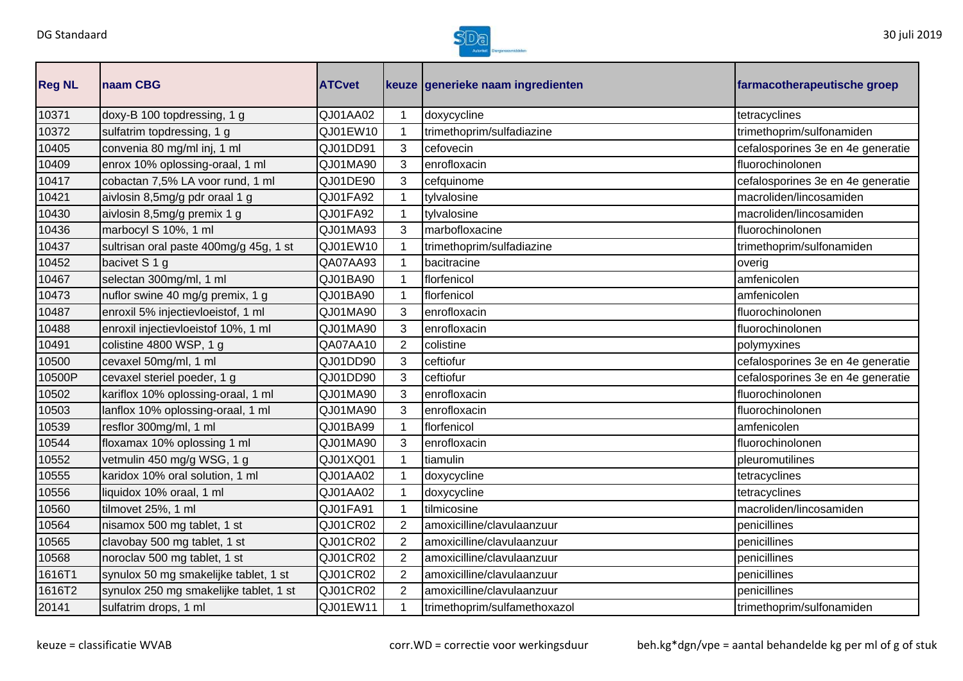

| <b>Reg NL</b> | naam CBG                               | <b>ATCvet</b> |                | keuze generieke naam ingredienten | farmacotherapeutische groep       |
|---------------|----------------------------------------|---------------|----------------|-----------------------------------|-----------------------------------|
| 10371         | doxy-B 100 topdressing, 1 g            | QJ01AA02      | $\mathbf{1}$   | doxycycline                       | tetracyclines                     |
| 10372         | sulfatrim topdressing, 1 g             | QJ01EW10      | $\mathbf{1}$   | trimethoprim/sulfadiazine         | trimethoprim/sulfonamiden         |
| 10405         | convenia 80 mg/ml inj, 1 ml            | QJ01DD91      | 3              | cefovecin                         | cefalosporines 3e en 4e generatie |
| 10409         | enrox 10% oplossing-oraal, 1 ml        | QJ01MA90      | 3              | enrofloxacin                      | fluorochinolonen                  |
| 10417         | cobactan 7,5% LA voor rund, 1 ml       | QJ01DE90      | 3              | cefquinome                        | cefalosporines 3e en 4e generatie |
| 10421         | aivlosin 8,5mg/g pdr oraal 1 g         | QJ01FA92      |                | tylvalosine                       | macroliden/lincosamiden           |
| 10430         | aivlosin 8,5mg/g premix 1 g            | QJ01FA92      | $\mathbf 1$    | tylvalosine                       | macroliden/lincosamiden           |
| 10436         | marbocyl S 10%, 1 ml                   | QJ01MA93      | 3              | marbofloxacine                    | fluorochinolonen                  |
| 10437         | sultrisan oral paste 400mg/g 45g, 1 st | QJ01EW10      | 1              | trimethoprim/sulfadiazine         | trimethoprim/sulfonamiden         |
| 10452         | bacivet S 1 g                          | QA07AA93      | $\mathbf{1}$   | bacitracine                       | overig                            |
| 10467         | selectan 300mg/ml, 1 ml                | QJ01BA90      | $\mathbf{1}$   | florfenicol                       | amfenicolen                       |
| 10473         | nuflor swine 40 mg/g premix, 1 g       | QJ01BA90      | 1              | florfenicol                       | amfenicolen                       |
| 10487         | enroxil 5% injectievloeistof, 1 ml     | QJ01MA90      | 3              | enrofloxacin                      | fluorochinolonen                  |
| 10488         | enroxil injectievloeistof 10%, 1 ml    | QJ01MA90      | 3              | enrofloxacin                      | fluorochinolonen                  |
| 10491         | colistine 4800 WSP, 1 g                | QA07AA10      | $\overline{2}$ | colistine                         | polymyxines                       |
| 10500         | cevaxel 50mg/ml, 1 ml                  | QJ01DD90      | 3              | ceftiofur                         | cefalosporines 3e en 4e generatie |
| 10500P        | cevaxel steriel poeder, 1 g            | QJ01DD90      | 3              | ceftiofur                         | cefalosporines 3e en 4e generatie |
| 10502         | kariflox 10% oplossing-oraal, 1 ml     | QJ01MA90      | 3              | enrofloxacin                      | fluorochinolonen                  |
| 10503         | lanflox 10% oplossing-oraal, 1 ml      | QJ01MA90      | 3              | enrofloxacin                      | fluorochinolonen                  |
| 10539         | resflor 300mg/ml, 1 ml                 | QJ01BA99      | $\mathbf{1}$   | florfenicol                       | amfenicolen                       |
| 10544         | floxamax 10% oplossing 1 ml            | QJ01MA90      | 3              | enrofloxacin                      | fluorochinolonen                  |
| 10552         | vetmulin 450 mg/g WSG, 1 g             | QJ01XQ01      | 1              | tiamulin                          | pleuromutilines                   |
| 10555         | karidox 10% oral solution, 1 ml        | QJ01AA02      | $\mathbf 1$    | doxycycline                       | tetracyclines                     |
| 10556         | liquidox 10% oraal, 1 ml               | QJ01AA02      | 1              | doxycycline                       | tetracyclines                     |
| 10560         | tilmovet 25%, 1 ml                     | QJ01FA91      | 1              | tilmicosine                       | macroliden/lincosamiden           |
| 10564         | nisamox 500 mg tablet, 1 st            | QJ01CR02      | $\overline{2}$ | amoxicilline/clavulaanzuur        | penicillines                      |
| 10565         | clavobay 500 mg tablet, 1 st           | QJ01CR02      | $\overline{2}$ | amoxicilline/clavulaanzuur        | penicillines                      |
| 10568         | noroclav 500 mg tablet, 1 st           | QJ01CR02      | $\overline{2}$ | amoxicilline/clavulaanzuur        | penicillines                      |
| 1616T1        | synulox 50 mg smakelijke tablet, 1 st  | QJ01CR02      | $\overline{2}$ | amoxicilline/clavulaanzuur        | penicillines                      |
| 1616T2        | synulox 250 mg smakelijke tablet, 1 st | QJ01CR02      | 2              | amoxicilline/clavulaanzuur        | penicillines                      |
| 20141         | sulfatrim drops, 1 ml                  | QJ01EW11      | $\mathbf{1}$   | trimethoprim/sulfamethoxazol      | trimethoprim/sulfonamiden         |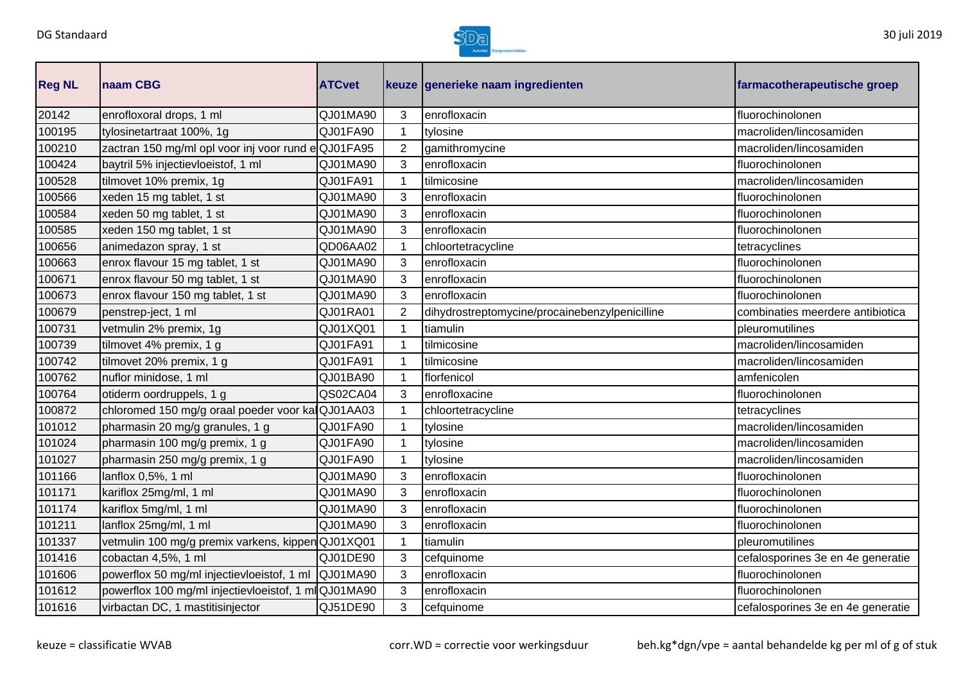

| <b>Reg NL</b> | <b>Inaam CBG</b>                                    | <b>ATCvet</b> |                | keuze generieke naam ingredienten              | farmacotherapeutische groep       |
|---------------|-----------------------------------------------------|---------------|----------------|------------------------------------------------|-----------------------------------|
| 20142         | enrofloxoral drops, 1 ml                            | QJ01MA90      | 3              | enrofloxacin                                   | fluorochinolonen                  |
| 100195        | tylosinetartraat 100%, 1g                           | QJ01FA90      |                | tylosine                                       | macroliden/lincosamiden           |
| 100210        | zactran 150 mg/ml opl voor inj voor rund eQJ01FA95  |               | $\overline{2}$ | gamithromycine                                 | macroliden/lincosamiden           |
| 100424        | baytril 5% injectievloeistof, 1 ml                  | QJ01MA90      | 3              | enrofloxacin                                   | fluorochinolonen                  |
| 100528        | tilmovet 10% premix, 1g                             | QJ01FA91      |                | tilmicosine                                    | macroliden/lincosamiden           |
| 100566        | xeden 15 mg tablet, 1 st                            | QJ01MA90      | 3              | enrofloxacin                                   | fluorochinolonen                  |
| 100584        | xeden 50 mg tablet, 1 st                            | QJ01MA90      | 3              | enrofloxacin                                   | fluorochinolonen                  |
| 100585        | xeden 150 mg tablet, 1 st                           | QJ01MA90      | 3              | enrofloxacin                                   | fluorochinolonen                  |
| 100656        | animedazon spray, 1 st                              | QD06AA02      |                | chloortetracycline                             | tetracyclines                     |
| 100663        | enrox flavour 15 mg tablet, 1 st                    | QJ01MA90      | 3              | enrofloxacin                                   | fluorochinolonen                  |
| 100671        | enrox flavour 50 mg tablet, 1 st                    | QJ01MA90      | 3              | enrofloxacin                                   | fluorochinolonen                  |
| 100673        | enrox flavour 150 mg tablet, 1 st                   | QJ01MA90      | 3              | enrofloxacin                                   | fluorochinolonen                  |
| 100679        | penstrep-ject, 1 ml                                 | QJ01RA01      | $\overline{2}$ | dihydrostreptomycine/procainebenzylpenicilline | combinaties meerdere antibiotica  |
| 100731        | vetmulin 2% premix, 1g                              | QJ01XQ01      |                | tiamulin                                       | pleuromutilines                   |
| 100739        | tilmovet 4% premix, 1 g                             | QJ01FA91      |                | tilmicosine                                    | macroliden/lincosamiden           |
| 100742        | tilmovet 20% premix, 1 g                            | QJ01FA91      |                | tilmicosine                                    | macroliden/lincosamiden           |
| 100762        | nuflor minidose, 1 ml                               | QJ01BA90      |                | florfenicol                                    | amfenicolen                       |
| 100764        | otiderm oordruppels, 1 g                            | QS02CA04      | 3              | enrofloxacine                                  | fluorochinolonen                  |
| 100872        | chloromed 150 mg/g oraal poeder voor ka QJ01AA03    |               |                | chloortetracycline                             | tetracyclines                     |
| 101012        | pharmasin 20 mg/g granules, 1 g                     | QJ01FA90      |                | tylosine                                       | macroliden/lincosamiden           |
| 101024        | pharmasin 100 mg/g premix, 1 g                      | QJ01FA90      |                | tylosine                                       | macroliden/lincosamiden           |
| 101027        | pharmasin 250 mg/g premix, 1 g                      | QJ01FA90      |                | tylosine                                       | macroliden/lincosamiden           |
| 101166        | lanflox 0,5%, 1 ml                                  | QJ01MA90      | 3              | enrofloxacin                                   | fluorochinolonen                  |
| 101171        | kariflox 25mg/ml, 1 ml                              | QJ01MA90      | 3              | enrofloxacin                                   | fluorochinolonen                  |
| 101174        | kariflox 5mg/ml, 1 ml                               | QJ01MA90      | 3              | enrofloxacin                                   | fluorochinolonen                  |
| 101211        | lanflox 25mg/ml, 1 ml                               | QJ01MA90      | 3              | enrofloxacin                                   | fluorochinolonen                  |
| 101337        | vetmulin 100 mg/g premix varkens, kippenQJ01XQ01    |               | 1              | tiamulin                                       | pleuromutilines                   |
| 101416        | cobactan 4,5%, 1 ml                                 | QJ01DE90      | 3              | cefquinome                                     | cefalosporines 3e en 4e generatie |
| 101606        | powerflox 50 mg/ml injectievloeistof, 1 ml          | QJ01MA90      | 3              | enrofloxacin                                   | fluorochinolonen                  |
| 101612        | powerflox 100 mg/ml injectievloeistof, 1 mlQJ01MA90 |               | 3              | enrofloxacin                                   | fluorochinolonen                  |
| 101616        | virbactan DC, 1 mastitisinjector                    | QJ51DE90      | 3              | cefquinome                                     | cefalosporines 3e en 4e generatie |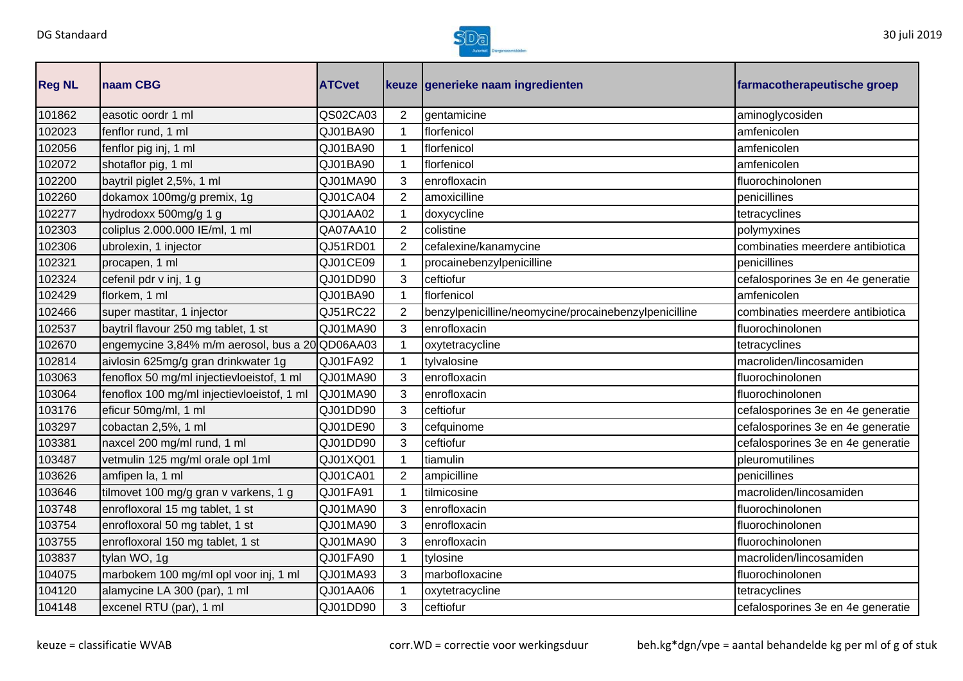

| <b>Reg NL</b> | naam CBG                                        | <b>ATCvet</b> |                | keuze generieke naam ingredienten                     | farmacotherapeutische groep       |
|---------------|-------------------------------------------------|---------------|----------------|-------------------------------------------------------|-----------------------------------|
| 101862        | easotic oordr 1 ml                              | QS02CA03      | 2              | gentamicine                                           | aminoglycosiden                   |
| 102023        | fenflor rund, 1 ml                              | QJ01BA90      | 1              | florfenicol                                           | amfenicolen                       |
| 102056        | fenflor pig inj, 1 ml                           | QJ01BA90      | 1              | florfenicol                                           | amfenicolen                       |
| 102072        | shotaflor pig, 1 ml                             | QJ01BA90      | $\mathbf 1$    | florfenicol                                           | amfenicolen                       |
| 102200        | baytril piglet 2,5%, 1 ml                       | QJ01MA90      | 3              | enrofloxacin                                          | fluorochinolonen                  |
| 102260        | dokamox 100mg/g premix, 1g                      | QJ01CA04      | 2              | amoxicilline                                          | penicillines                      |
| 102277        | hydrodoxx 500mg/g 1 g                           | QJ01AA02      | 1              | doxycycline                                           | tetracyclines                     |
| 102303        | coliplus 2.000.000 IE/ml, 1 ml                  | QA07AA10      | $\overline{2}$ | colistine                                             | polymyxines                       |
| 102306        | ubrolexin, 1 injector                           | QJ51RD01      | $\overline{2}$ | cefalexine/kanamycine                                 | combinaties meerdere antibiotica  |
| 102321        | procapen, 1 ml                                  | QJ01CE09      | 1              | procainebenzylpenicilline                             | penicillines                      |
| 102324        | cefenil pdr v inj, 1 g                          | QJ01DD90      | 3              | ceftiofur                                             | cefalosporines 3e en 4e generatie |
| 102429        | florkem, 1 ml                                   | QJ01BA90      | 1              | florfenicol                                           | amfenicolen                       |
| 102466        | super mastitar, 1 injector                      | QJ51RC22      | $\overline{2}$ | benzylpenicilline/neomycine/procainebenzylpenicilline | combinaties meerdere antibiotica  |
| 102537        | baytril flavour 250 mg tablet, 1 st             | QJ01MA90      | 3              | enrofloxacin                                          | fluorochinolonen                  |
| 102670        | engemycine 3,84% m/m aerosol, bus a 20 QD06AA03 |               |                | oxytetracycline                                       | tetracyclines                     |
| 102814        | aivlosin 625mg/g gran drinkwater 1g             | QJ01FA92      | 1              | tylvalosine                                           | macroliden/lincosamiden           |
| 103063        | fenoflox 50 mg/ml injectievloeistof, 1 ml       | QJ01MA90      | 3              | enrofloxacin                                          | fluorochinolonen                  |
| 103064        | fenoflox 100 mg/ml injectievloeistof, 1 ml      | QJ01MA90      | 3              | enrofloxacin                                          | fluorochinolonen                  |
| 103176        | eficur 50mg/ml, 1 ml                            | QJ01DD90      | 3              | ceftiofur                                             | cefalosporines 3e en 4e generatie |
| 103297        | cobactan 2,5%, 1 ml                             | QJ01DE90      | 3              | cefquinome                                            | cefalosporines 3e en 4e generatie |
| 103381        | naxcel 200 mg/ml rund, 1 ml                     | QJ01DD90      | 3              | ceftiofur                                             | cefalosporines 3e en 4e generatie |
| 103487        | vetmulin 125 mg/ml orale opl 1ml                | QJ01XQ01      | 1              | tiamulin                                              | pleuromutilines                   |
| 103626        | amfipen la, 1 ml                                | QJ01CA01      | $\overline{2}$ | ampicilline                                           | penicillines                      |
| 103646        | tilmovet 100 mg/g gran v varkens, 1 g           | QJ01FA91      | 1              | tilmicosine                                           | macroliden/lincosamiden           |
| 103748        | enrofloxoral 15 mg tablet, 1 st                 | QJ01MA90      | 3              | enrofloxacin                                          | fluorochinolonen                  |
| 103754        | enrofloxoral 50 mg tablet, 1 st                 | QJ01MA90      | 3              | enrofloxacin                                          | fluorochinolonen                  |
| 103755        | enrofloxoral 150 mg tablet, 1 st                | QJ01MA90      | 3              | enrofloxacin                                          | fluorochinolonen                  |
| 103837        | tylan WO, 1g                                    | QJ01FA90      | 1              | tylosine                                              | macroliden/lincosamiden           |
| 104075        | marbokem 100 mg/ml opl voor inj, 1 ml           | QJ01MA93      | 3              | marbofloxacine                                        | fluorochinolonen                  |
| 104120        | alamycine LA 300 (par), 1 ml                    | QJ01AA06      |                | oxytetracycline                                       | tetracyclines                     |
| 104148        | excenel RTU (par), 1 ml                         | QJ01DD90      | 3              | ceftiofur                                             | cefalosporines 3e en 4e generatie |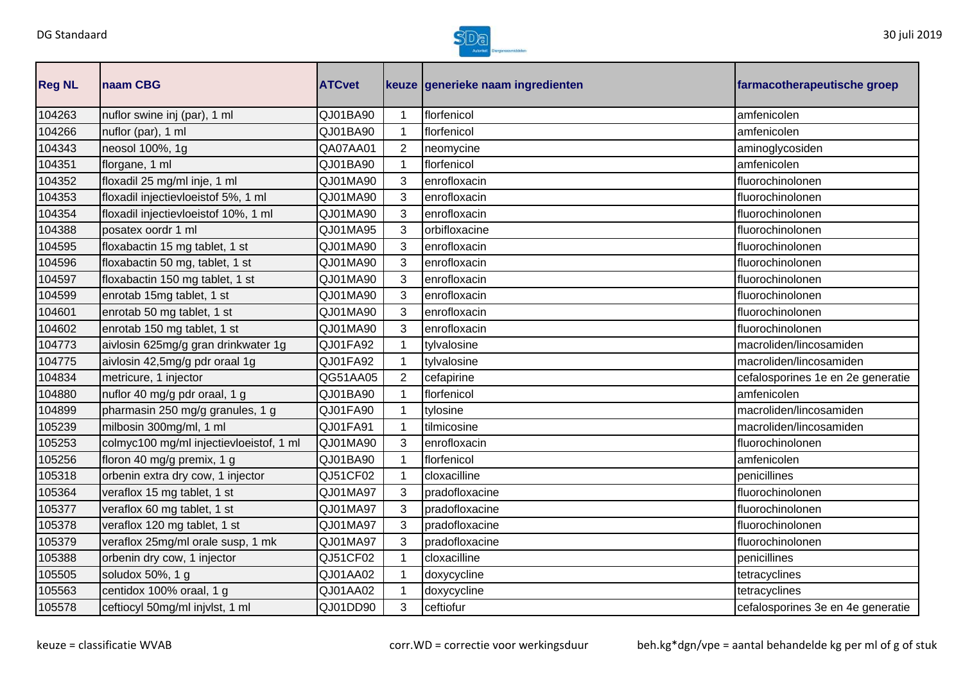

| <b>Reg NL</b> | naam CBG                                | <b>ATCvet</b> |                | keuze generieke naam ingredienten | farmacotherapeutische groep       |
|---------------|-----------------------------------------|---------------|----------------|-----------------------------------|-----------------------------------|
| 104263        | nuflor swine inj (par), 1 ml            | QJ01BA90      | 1              | florfenicol                       | amfenicolen                       |
| 104266        | nuflor (par), 1 ml                      | QJ01BA90      | 1              | florfenicol                       | amfenicolen                       |
| 104343        | neosol 100%, 1g                         | QA07AA01      | $\overline{2}$ | neomycine                         | aminoglycosiden                   |
| 104351        | florgane, 1 ml                          | QJ01BA90      | 1              | florfenicol                       | amfenicolen                       |
| 104352        | floxadil 25 mg/ml inje, 1 ml            | QJ01MA90      | 3              | enrofloxacin                      | fluorochinolonen                  |
| 104353        | floxadil injectievloeistof 5%, 1 ml     | QJ01MA90      | 3              | enrofloxacin                      | fluorochinolonen                  |
| 104354        | floxadil injectievloeistof 10%, 1 ml    | QJ01MA90      | 3              | enrofloxacin                      | fluorochinolonen                  |
| 104388        | posatex oordr 1 ml                      | QJ01MA95      | 3              | orbifloxacine                     | fluorochinolonen                  |
| 104595        | floxabactin 15 mg tablet, 1 st          | QJ01MA90      | 3              | enrofloxacin                      | fluorochinolonen                  |
| 104596        | floxabactin 50 mg, tablet, 1 st         | QJ01MA90      | 3              | enrofloxacin                      | fluorochinolonen                  |
| 104597        | floxabactin 150 mg tablet, 1 st         | QJ01MA90      | 3              | enrofloxacin                      | fluorochinolonen                  |
| 104599        | enrotab 15mg tablet, 1 st               | QJ01MA90      | 3              | enrofloxacin                      | fluorochinolonen                  |
| 104601        | enrotab 50 mg tablet, 1 st              | QJ01MA90      | 3              | enrofloxacin                      | fluorochinolonen                  |
| 104602        | enrotab 150 mg tablet, 1 st             | QJ01MA90      | 3              | enrofloxacin                      | fluorochinolonen                  |
| 104773        | aivlosin 625mg/g gran drinkwater 1g     | QJ01FA92      |                | tylvalosine                       | macroliden/lincosamiden           |
| 104775        | aivlosin 42,5mg/g pdr oraal 1g          | QJ01FA92      | 1              | tylvalosine                       | macroliden/lincosamiden           |
| 104834        | metricure, 1 injector                   | QG51AA05      | 2              | cefapirine                        | cefalosporines 1e en 2e generatie |
| 104880        | nuflor 40 mg/g pdr oraal, 1 g           | QJ01BA90      | 1              | florfenicol                       | amfenicolen                       |
| 104899        | pharmasin 250 mg/g granules, 1 g        | QJ01FA90      | 1              | tylosine                          | macroliden/lincosamiden           |
| 105239        | milbosin 300mg/ml, 1 ml                 | QJ01FA91      | 1              | tilmicosine                       | macroliden/lincosamiden           |
| 105253        | colmyc100 mg/ml injectievloeistof, 1 ml | QJ01MA90      | 3              | enrofloxacin                      | fluorochinolonen                  |
| 105256        | floron 40 mg/g premix, 1 g              | QJ01BA90      | 1              | florfenicol                       | amfenicolen                       |
| 105318        | orbenin extra dry cow, 1 injector       | QJ51CF02      | 1              | cloxacilline                      | penicillines                      |
| 105364        | veraflox 15 mg tablet, 1 st             | QJ01MA97      | 3              | pradofloxacine                    | fluorochinolonen                  |
| 105377        | veraflox 60 mg tablet, 1 st             | QJ01MA97      | 3              | pradofloxacine                    | fluorochinolonen                  |
| 105378        | veraflox 120 mg tablet, 1 st            | QJ01MA97      | 3              | pradofloxacine                    | fluorochinolonen                  |
| 105379        | veraflox 25mg/ml orale susp, 1 mk       | QJ01MA97      | 3              | pradofloxacine                    | fluorochinolonen                  |
| 105388        | orbenin dry cow, 1 injector             | QJ51CF02      | 1              | cloxacilline                      | penicillines                      |
| 105505        | soludox 50%, 1 g                        | QJ01AA02      | 1              | doxycycline                       | tetracyclines                     |
| 105563        | centidox 100% oraal, 1 g                | QJ01AA02      |                | doxycycline                       | tetracyclines                     |
| 105578        | ceftiocyl 50mg/ml injvlst, 1 ml         | QJ01DD90      | 3              | ceftiofur                         | cefalosporines 3e en 4e generatie |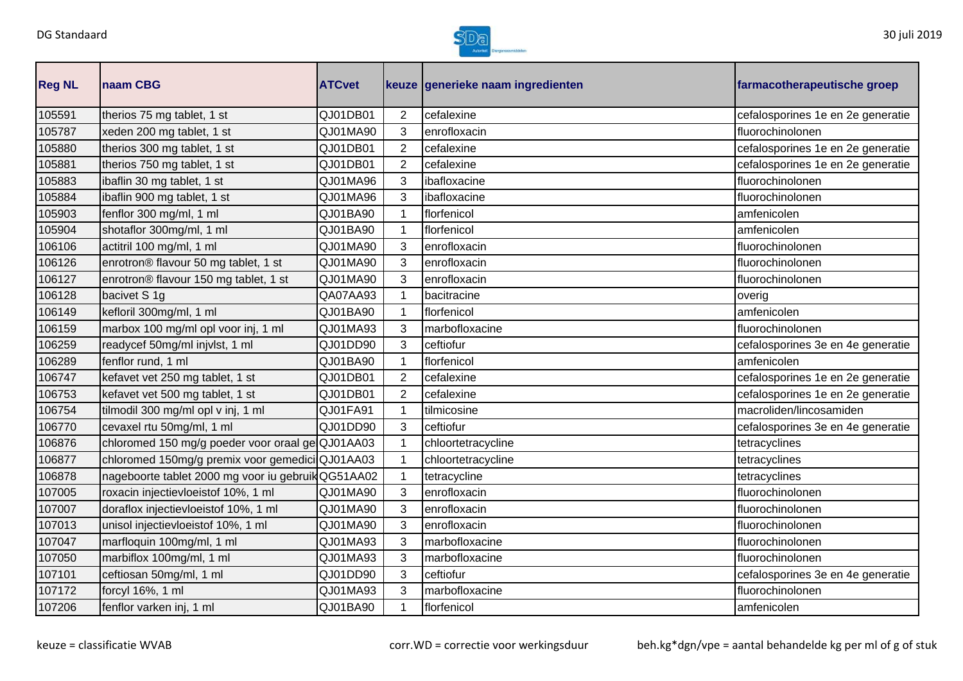

| <b>Reg NL</b> | naam CBG                                          | <b>ATCvet</b> |                | keuze generieke naam ingredienten | farmacotherapeutische groep       |
|---------------|---------------------------------------------------|---------------|----------------|-----------------------------------|-----------------------------------|
| 105591        | therios 75 mg tablet, 1 st                        | QJ01DB01      | $\overline{2}$ | cefalexine                        | cefalosporines 1e en 2e generatie |
| 105787        | xeden 200 mg tablet, 1 st                         | QJ01MA90      | 3              | enrofloxacin                      | fluorochinolonen                  |
| 105880        | therios 300 mg tablet, 1 st                       | QJ01DB01      | $\overline{2}$ | cefalexine                        | cefalosporines 1e en 2e generatie |
| 105881        | therios 750 mg tablet, 1 st                       | QJ01DB01      | $\overline{2}$ | cefalexine                        | cefalosporines 1e en 2e generatie |
| 105883        | ibaflin 30 mg tablet, 1 st                        | QJ01MA96      | 3              | ibafloxacine                      | fluorochinolonen                  |
| 105884        | ibaflin 900 mg tablet, 1 st                       | QJ01MA96      | 3              | ibafloxacine                      | fluorochinolonen                  |
| 105903        | fenflor 300 mg/ml, 1 ml                           | QJ01BA90      | $\mathbf{1}$   | florfenicol                       | amfenicolen                       |
| 105904        | shotaflor 300mg/ml, 1 ml                          | QJ01BA90      | 1              | florfenicol                       | amfenicolen                       |
| 106106        | actitril 100 mg/ml, 1 ml                          | QJ01MA90      | 3              | enrofloxacin                      | fluorochinolonen                  |
| 106126        | enrotron® flavour 50 mg tablet, 1 st              | QJ01MA90      | 3              | enrofloxacin                      | fluorochinolonen                  |
| 106127        | enrotron® flavour 150 mg tablet, 1 st             | QJ01MA90      | 3              | enrofloxacin                      | fluorochinolonen                  |
| 106128        | bacivet S 1g                                      | QA07AA93      | 1              | bacitracine                       | overig                            |
| 106149        | kefloril 300mg/ml, 1 ml                           | QJ01BA90      | 1              | florfenicol                       | amfenicolen                       |
| 106159        | marbox 100 mg/ml opl voor inj, 1 ml               | QJ01MA93      | 3              | marbofloxacine                    | fluorochinolonen                  |
| 106259        | readycef 50mg/ml injvlst, 1 ml                    | QJ01DD90      | 3              | ceftiofur                         | cefalosporines 3e en 4e generatie |
| 106289        | fenflor rund, 1 ml                                | QJ01BA90      | 1              | florfenicol                       | amfenicolen                       |
| 106747        | kefavet vet 250 mg tablet, 1 st                   | QJ01DB01      | 2              | cefalexine                        | cefalosporines 1e en 2e generatie |
| 106753        | kefavet vet 500 mg tablet, 1 st                   | QJ01DB01      | $\overline{2}$ | cefalexine                        | cefalosporines 1e en 2e generatie |
| 106754        | tilmodil 300 mg/ml opl v inj, 1 ml                | QJ01FA91      | $\mathbf 1$    | tilmicosine                       | macroliden/lincosamiden           |
| 106770        | cevaxel rtu 50mg/ml, 1 ml                         | QJ01DD90      | 3              | ceftiofur                         | cefalosporines 3e en 4e generatie |
| 106876        | chloromed 150 mg/g poeder voor oraal ge QJ01AA03  |               |                | chloortetracycline                | tetracyclines                     |
| 106877        | chloromed 150mg/g premix voor gemedici QJ01AA03   |               |                | chloortetracycline                | tetracyclines                     |
| 106878        | nageboorte tablet 2000 mg voor iu gebruikQG51AA02 |               |                | tetracycline                      | tetracyclines                     |
| 107005        | roxacin injectievloeistof 10%, 1 ml               | QJ01MA90      | 3              | enrofloxacin                      | fluorochinolonen                  |
| 107007        | doraflox injectievloeistof 10%, 1 ml              | QJ01MA90      | 3              | enrofloxacin                      | fluorochinolonen                  |
| 107013        | unisol injectievloeistof 10%, 1 ml                | QJ01MA90      | 3              | enrofloxacin                      | fluorochinolonen                  |
| 107047        | marfloquin 100mg/ml, 1 ml                         | QJ01MA93      | 3              | marbofloxacine                    | fluorochinolonen                  |
| 107050        | marbiflox 100mg/ml, 1 ml                          | QJ01MA93      | 3              | marbofloxacine                    | fluorochinolonen                  |
| 107101        | ceftiosan 50mg/ml, 1 ml                           | QJ01DD90      | 3              | ceftiofur                         | cefalosporines 3e en 4e generatie |
| 107172        | forcyl 16%, 1 ml                                  | QJ01MA93      | 3              | marbofloxacine                    | fluorochinolonen                  |
| 107206        | fenflor varken inj, 1 ml                          | QJ01BA90      | 1              | florfenicol                       | amfenicolen                       |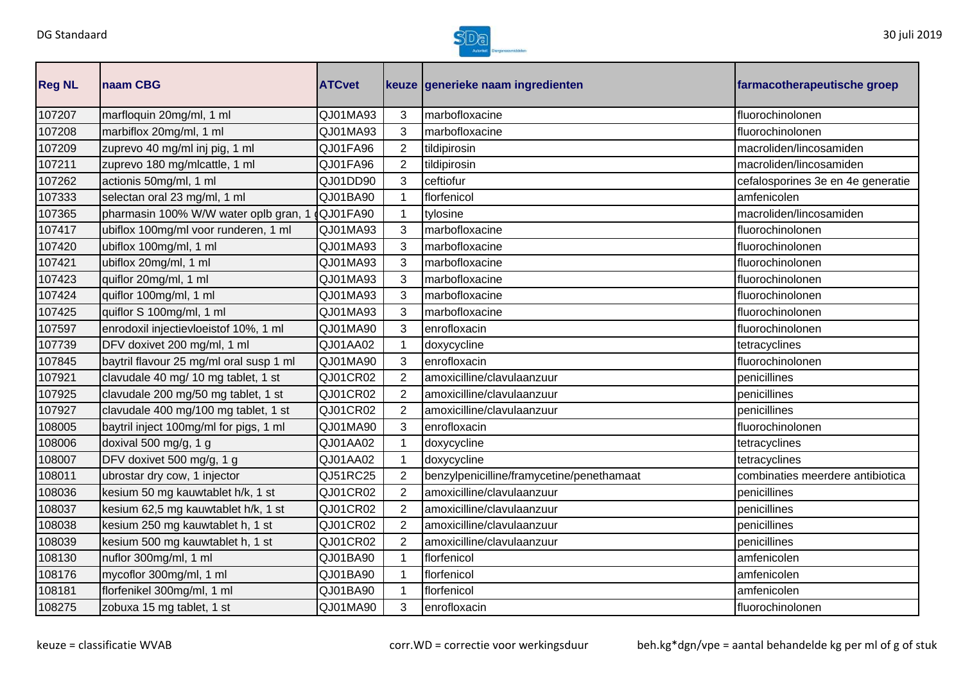

| <b>Reg NL</b> | <b>Inaam CBG</b>                        | <b>ATCvet</b> |                | keuze generieke naam ingredienten         | farmacotherapeutische groep       |
|---------------|-----------------------------------------|---------------|----------------|-------------------------------------------|-----------------------------------|
| 107207        | marfloquin 20mg/ml, 1 ml                | QJ01MA93      | 3              | marbofloxacine                            | fluorochinolonen                  |
| 107208        | marbiflox 20mg/ml, 1 ml                 | QJ01MA93      | 3              | marbofloxacine                            | fluorochinolonen                  |
| 107209        | zuprevo 40 mg/ml inj pig, 1 ml          | QJ01FA96      | $\overline{2}$ | tildipirosin                              | macroliden/lincosamiden           |
| 107211        | zuprevo 180 mg/mlcattle, 1 ml           | QJ01FA96      | 2              | tildipirosin                              | macroliden/lincosamiden           |
| 107262        | actionis 50mg/ml, 1 ml                  | QJ01DD90      | 3              | ceftiofur                                 | cefalosporines 3e en 4e generatie |
| 107333        | selectan oral 23 mg/ml, 1 ml            | QJ01BA90      |                | florfenicol                               | amfenicolen                       |
| 107365        | pharmasin 100% W/W water oplb gran, 1   | QJ01FA90      |                | tylosine                                  | macroliden/lincosamiden           |
| 107417        | ubiflox 100mg/ml voor runderen, 1 ml    | QJ01MA93      | 3              | marbofloxacine                            | fluorochinolonen                  |
| 107420        | ubiflox 100mg/ml, 1 ml                  | QJ01MA93      | 3              | marbofloxacine                            | fluorochinolonen                  |
| 107421        | ubiflox 20mg/ml, 1 ml                   | QJ01MA93      | 3              | marbofloxacine                            | fluorochinolonen                  |
| 107423        | quiflor 20mg/ml, 1 ml                   | QJ01MA93      | 3              | marbofloxacine                            | fluorochinolonen                  |
| 107424        | quiflor 100mg/ml, 1 ml                  | QJ01MA93      | 3              | marbofloxacine                            | fluorochinolonen                  |
| 107425        | quiflor S 100mg/ml, 1 ml                | QJ01MA93      | 3              | marbofloxacine                            | fluorochinolonen                  |
| 107597        | enrodoxil injectievloeistof 10%, 1 ml   | QJ01MA90      | 3              | enrofloxacin                              | fluorochinolonen                  |
| 107739        | DFV doxivet 200 mg/ml, 1 ml             | QJ01AA02      |                | doxycycline                               | tetracyclines                     |
| 107845        | baytril flavour 25 mg/ml oral susp 1 ml | QJ01MA90      | 3              | enrofloxacin                              | fluorochinolonen                  |
| 107921        | clavudale 40 mg/ 10 mg tablet, 1 st     | QJ01CR02      | 2              | amoxicilline/clavulaanzuur                | penicillines                      |
| 107925        | clavudale 200 mg/50 mg tablet, 1 st     | QJ01CR02      | $\overline{2}$ | amoxicilline/clavulaanzuur                | penicillines                      |
| 107927        | clavudale 400 mg/100 mg tablet, 1 st    | QJ01CR02      | $\overline{2}$ | amoxicilline/clavulaanzuur                | penicillines                      |
| 108005        | baytril inject 100mg/ml for pigs, 1 ml  | QJ01MA90      | 3              | enrofloxacin                              | fluorochinolonen                  |
| 108006        | doxival 500 mg/g, 1 g                   | QJ01AA02      |                | doxycycline                               | tetracyclines                     |
| 108007        | DFV doxivet 500 mg/g, 1 g               | QJ01AA02      |                | doxycycline                               | tetracyclines                     |
| 108011        | ubrostar dry cow, 1 injector            | QJ51RC25      | 2              | benzylpenicilline/framycetine/penethamaat | combinaties meerdere antibiotica  |
| 108036        | kesium 50 mg kauwtablet h/k, 1 st       | QJ01CR02      | $\overline{2}$ | amoxicilline/clavulaanzuur                | penicillines                      |
| 108037        | kesium 62,5 mg kauwtablet h/k, 1 st     | QJ01CR02      | $\overline{2}$ | amoxicilline/clavulaanzuur                | penicillines                      |
| 108038        | kesium 250 mg kauwtablet h, 1 st        | QJ01CR02      | 2              | amoxicilline/clavulaanzuur                | penicillines                      |
| 108039        | kesium 500 mg kauwtablet h, 1 st        | QJ01CR02      | $\overline{2}$ | amoxicilline/clavulaanzuur                | penicillines                      |
| 108130        | nuflor 300mg/ml, 1 ml                   | QJ01BA90      | 1              | florfenicol                               | amfenicolen                       |
| 108176        | mycoflor 300mg/ml, 1 ml                 | QJ01BA90      |                | florfenicol                               | amfenicolen                       |
| 108181        | florfenikel 300mg/ml, 1 ml              | QJ01BA90      |                | florfenicol                               | amfenicolen                       |
| 108275        | zobuxa 15 mg tablet, 1 st               | QJ01MA90      | 3              | enrofloxacin                              | fluorochinolonen                  |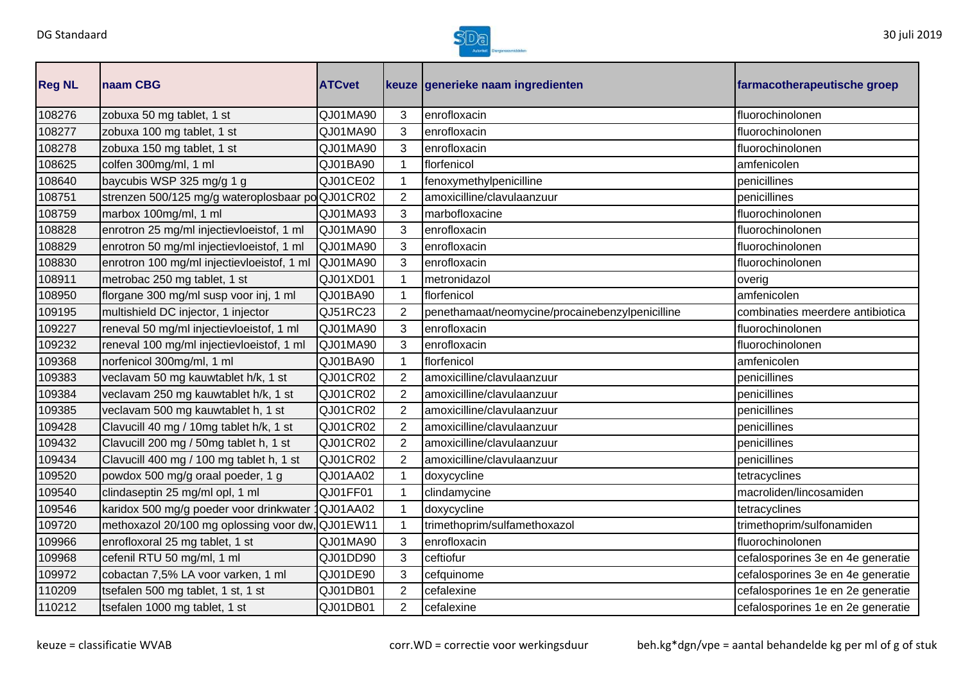

| <b>Reg NL</b> | naam CBG                                         | <b>ATCvet</b>   |                | keuze generieke naam ingredienten               | farmacotherapeutische groep       |
|---------------|--------------------------------------------------|-----------------|----------------|-------------------------------------------------|-----------------------------------|
| 108276        | zobuxa 50 mg tablet, 1 st                        | QJ01MA90        | 3              | enrofloxacin                                    | fluorochinolonen                  |
| 108277        | zobuxa 100 mg tablet, 1 st                       | QJ01MA90        | 3              | enrofloxacin                                    | fluorochinolonen                  |
| 108278        | zobuxa 150 mg tablet, 1 st                       | QJ01MA90        | 3              | enrofloxacin                                    | fluorochinolonen                  |
| 108625        | colfen 300mg/ml, 1 ml                            | QJ01BA90        | $\mathbf{1}$   | florfenicol                                     | amfenicolen                       |
| 108640        | baycubis WSP 325 mg/g 1 g                        | QJ01CE02        | 1              | fenoxymethylpenicilline                         | penicillines                      |
| 108751        | strenzen 500/125 mg/g wateroplosbaar po QJ01CR02 |                 | $\overline{2}$ | amoxicilline/clavulaanzuur                      | penicillines                      |
| 108759        | marbox 100mg/ml, 1 ml                            | QJ01MA93        | 3              | marbofloxacine                                  | fluorochinolonen                  |
| 108828        | enrotron 25 mg/ml injectievloeistof, 1 ml        | QJ01MA90        | 3              | enrofloxacin                                    | fluorochinolonen                  |
| 108829        | enrotron 50 mg/ml injectievloeistof, 1 ml        | QJ01MA90        | 3              | enrofloxacin                                    | fluorochinolonen                  |
| 108830        | enrotron 100 mg/ml injectievloeistof, 1 ml       | QJ01MA90        | 3              | enrofloxacin                                    | fluorochinolonen                  |
| 108911        | metrobac 250 mg tablet, 1 st                     | QJ01XD01        | $\mathbf{1}$   | metronidazol                                    | overig                            |
| 108950        | florgane 300 mg/ml susp voor inj, 1 ml           | QJ01BA90        | $\mathbf 1$    | florfenicol                                     | amfenicolen                       |
| 109195        | multishield DC injector, 1 injector              | QJ51RC23        | $\overline{2}$ | penethamaat/neomycine/procainebenzylpenicilline | combinaties meerdere antibiotica  |
| 109227        | reneval 50 mg/ml injectievloeistof, 1 ml         | QJ01MA90        | 3              | enrofloxacin                                    | fluorochinolonen                  |
| 109232        | reneval 100 mg/ml injectievloeistof, 1 ml        | QJ01MA90        | 3              | enrofloxacin                                    | fluorochinolonen                  |
| 109368        | norfenicol 300mg/ml, 1 ml                        | QJ01BA90        | 1              | florfenicol                                     | amfenicolen                       |
| 109383        | veclavam 50 mg kauwtablet h/k, 1 st              | QJ01CR02        | 2              | amoxicilline/clavulaanzuur                      | penicillines                      |
| 109384        | veclavam 250 mg kauwtablet h/k, 1 st             | QJ01CR02        | $\overline{2}$ | amoxicilline/clavulaanzuur                      | penicillines                      |
| 109385        | veclavam 500 mg kauwtablet h, 1 st               | QJ01CR02        | 2              | amoxicilline/clavulaanzuur                      | penicillines                      |
| 109428        | Clavucill 40 mg / 10mg tablet h/k, 1 st          | QJ01CR02        | $\overline{2}$ | amoxicilline/clavulaanzuur                      | penicillines                      |
| 109432        | Clavucill 200 mg / 50mg tablet h, 1 st           | QJ01CR02        | $\overline{2}$ | amoxicilline/clavulaanzuur                      | penicillines                      |
| 109434        | Clavucill 400 mg / 100 mg tablet h, 1 st         | QJ01CR02        | $\overline{2}$ | amoxicilline/clavulaanzuur                      | penicillines                      |
| 109520        | powdox 500 mg/g oraal poeder, 1 g                | QJ01AA02        | 1              | doxycycline                                     | tetracyclines                     |
| 109540        | clindaseptin 25 mg/ml opl, 1 ml                  | QJ01FF01        | 1              | clindamycine                                    | macroliden/lincosamiden           |
| 109546        | karidox 500 mg/g poeder voor drinkwater          | <b>QJ01AA02</b> |                | doxycycline                                     | tetracyclines                     |
| 109720        | methoxazol 20/100 mg oplossing voor dw, QJ01EW11 |                 |                | trimethoprim/sulfamethoxazol                    | trimethoprim/sulfonamiden         |
| 109966        | enrofloxoral 25 mg tablet, 1 st                  | QJ01MA90        | 3              | enrofloxacin                                    | fluorochinolonen                  |
| 109968        | cefenil RTU 50 mg/ml, 1 ml                       | QJ01DD90        | 3              | ceftiofur                                       | cefalosporines 3e en 4e generatie |
| 109972        | cobactan 7,5% LA voor varken, 1 ml               | QJ01DE90        | 3              | cefquinome                                      | cefalosporines 3e en 4e generatie |
| 110209        | tsefalen 500 mg tablet, 1 st, 1 st               | QJ01DB01        | $\overline{2}$ | cefalexine                                      | cefalosporines 1e en 2e generatie |
| 110212        | tsefalen 1000 mg tablet, 1 st                    | QJ01DB01        | $\overline{2}$ | cefalexine                                      | cefalosporines 1e en 2e generatie |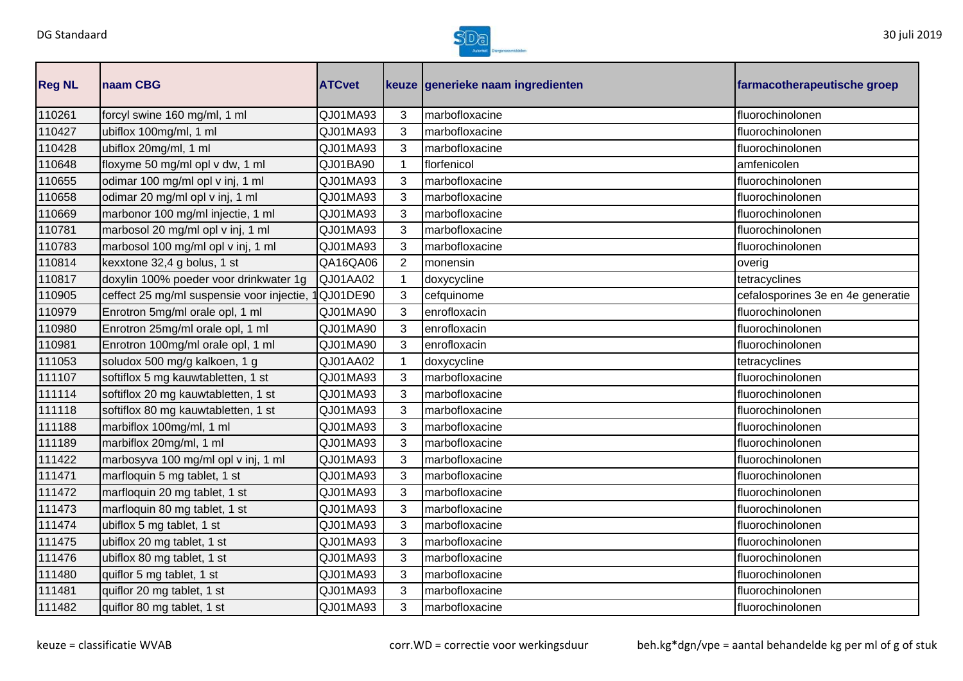

| <b>Reg NL</b> | naam CBG                                  | <b>ATCvet</b> |                | keuze generieke naam ingredienten | farmacotherapeutische groep       |
|---------------|-------------------------------------------|---------------|----------------|-----------------------------------|-----------------------------------|
| 110261        | forcyl swine 160 mg/ml, 1 ml              | QJ01MA93      | 3              | marbofloxacine                    | fluorochinolonen                  |
| 110427        | ubiflox 100mg/ml, 1 ml                    | QJ01MA93      | 3              | marbofloxacine                    | fluorochinolonen                  |
| 110428        | ubiflox 20mg/ml, 1 ml                     | QJ01MA93      | 3              | marbofloxacine                    | fluorochinolonen                  |
| 110648        | floxyme 50 mg/ml opl v dw, 1 ml           | QJ01BA90      | 1              | florfenicol                       | amfenicolen                       |
| 110655        | odimar 100 mg/ml opl v inj, 1 ml          | QJ01MA93      | 3              | marbofloxacine                    | fluorochinolonen                  |
| 110658        | odimar 20 mg/ml opl v inj, 1 ml           | QJ01MA93      | 3              | marbofloxacine                    | fluorochinolonen                  |
| 110669        | marbonor 100 mg/ml injectie, 1 ml         | QJ01MA93      | 3              | marbofloxacine                    | fluorochinolonen                  |
| 110781        | marbosol 20 mg/ml opl v inj, 1 ml         | QJ01MA93      | 3              | marbofloxacine                    | fluorochinolonen                  |
| 110783        | marbosol 100 mg/ml opl v inj, 1 ml        | QJ01MA93      | 3              | marbofloxacine                    | fluorochinolonen                  |
| 110814        | kexxtone 32,4 g bolus, 1 st               | QA16QA06      | $\overline{2}$ | monensin                          | overig                            |
| 110817        | doxylin 100% poeder voor drinkwater 1g    | QJ01AA02      | $\mathbf{1}$   | doxycycline                       | tetracyclines                     |
| 110905        | ceffect 25 mg/ml suspensie voor injectie, | 1QJ01DE90     | 3              | cefquinome                        | cefalosporines 3e en 4e generatie |
| 110979        | Enrotron 5mg/ml orale opl, 1 ml           | QJ01MA90      | 3              | enrofloxacin                      | fluorochinolonen                  |
| 110980        | Enrotron 25mg/ml orale opl, 1 ml          | QJ01MA90      | 3              | enrofloxacin                      | fluorochinolonen                  |
| 110981        | Enrotron 100mg/ml orale opl, 1 ml         | QJ01MA90      | 3              | enrofloxacin                      | fluorochinolonen                  |
| 111053        | soludox 500 mg/g kalkoen, 1 g             | QJ01AA02      |                | doxycycline                       | tetracyclines                     |
| 111107        | softiflox 5 mg kauwtabletten, 1 st        | QJ01MA93      | 3              | marbofloxacine                    | fluorochinolonen                  |
| 111114        | softiflox 20 mg kauwtabletten, 1 st       | QJ01MA93      | 3              | marbofloxacine                    | fluorochinolonen                  |
| 111118        | softiflox 80 mg kauwtabletten, 1 st       | QJ01MA93      | 3              | marbofloxacine                    | fluorochinolonen                  |
| 111188        | marbiflox 100mg/ml, 1 ml                  | QJ01MA93      | 3              | marbofloxacine                    | fluorochinolonen                  |
| 111189        | marbiflox 20mg/ml, 1 ml                   | QJ01MA93      | 3              | marbofloxacine                    | fluorochinolonen                  |
| 111422        | marbosyva 100 mg/ml opl v inj, 1 ml       | QJ01MA93      | 3              | marbofloxacine                    | fluorochinolonen                  |
| 111471        | marfloquin 5 mg tablet, 1 st              | QJ01MA93      | 3              | marbofloxacine                    | fluorochinolonen                  |
| 111472        | marfloquin 20 mg tablet, 1 st             | QJ01MA93      | 3              | marbofloxacine                    | fluorochinolonen                  |
| 111473        | marfloquin 80 mg tablet, 1 st             | QJ01MA93      | 3              | marbofloxacine                    | fluorochinolonen                  |
| 111474        | ubiflox 5 mg tablet, 1 st                 | QJ01MA93      | 3              | marbofloxacine                    | fluorochinolonen                  |
| 111475        | ubiflox 20 mg tablet, 1 st                | QJ01MA93      | 3              | marbofloxacine                    | fluorochinolonen                  |
| 111476        | ubiflox 80 mg tablet, 1 st                | QJ01MA93      | 3              | marbofloxacine                    | fluorochinolonen                  |
| 111480        | quiflor 5 mg tablet, 1 st                 | QJ01MA93      | 3              | marbofloxacine                    | fluorochinolonen                  |
| 111481        | quiflor 20 mg tablet, 1 st                | QJ01MA93      | 3              | marbofloxacine                    | fluorochinolonen                  |
| 111482        | quiflor 80 mg tablet, 1 st                | QJ01MA93      | 3              | marbofloxacine                    | fluorochinolonen                  |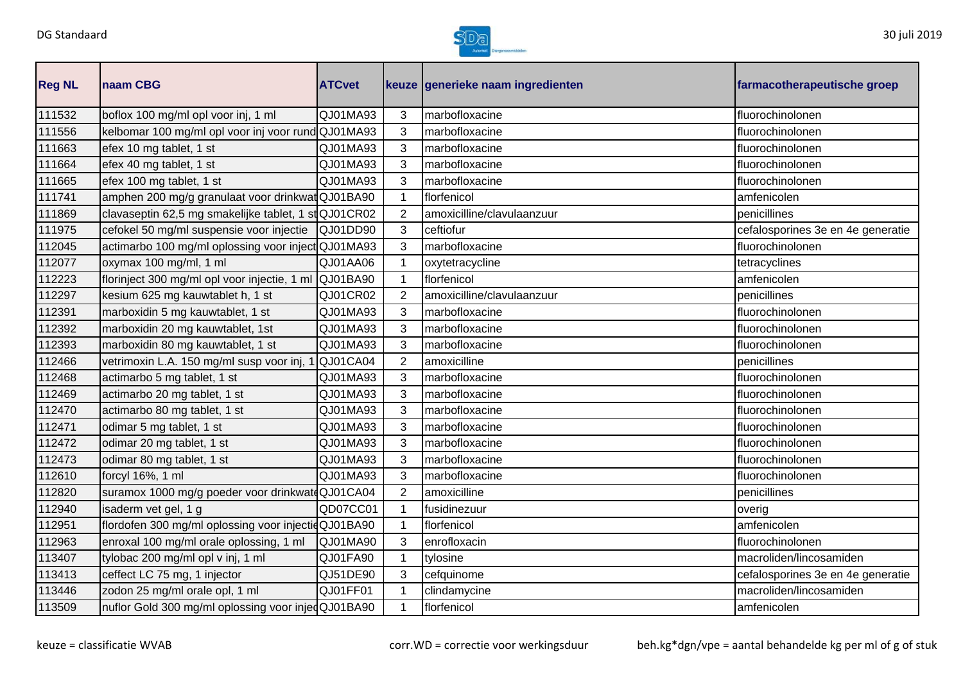

| <b>Reg NL</b> | <b>Inaam CBG</b>                                      | <b>ATCvet</b> |                | keuze generieke naam ingredienten | farmacotherapeutische groep       |
|---------------|-------------------------------------------------------|---------------|----------------|-----------------------------------|-----------------------------------|
| 111532        | boflox 100 mg/ml opl voor inj, 1 ml                   | QJ01MA93      | 3              | marbofloxacine                    | fluorochinolonen                  |
| 111556        | kelbomar 100 mg/ml opl voor inj voor rund QJ01MA93    |               | 3              | marbofloxacine                    | fluorochinolonen                  |
| 111663        | efex 10 mg tablet, 1 st                               | QJ01MA93      | 3              | marbofloxacine                    | fluorochinolonen                  |
| 111664        | efex 40 mg tablet, 1 st                               | QJ01MA93      | 3              | marbofloxacine                    | fluorochinolonen                  |
| 111665        | efex 100 mg tablet, 1 st                              | QJ01MA93      | 3              | marbofloxacine                    | fluorochinolonen                  |
| 111741        | amphen 200 mg/g granulaat voor drinkwatQJ01BA90       |               |                | florfenicol                       | amfenicolen                       |
| 111869        | clavaseptin 62,5 mg smakelijke tablet, 1 st QJ01CR02  |               | $\overline{2}$ | amoxicilline/clavulaanzuur        | penicillines                      |
| 111975        | cefokel 50 mg/ml suspensie voor injectie              | QJ01DD90      | 3              | ceftiofur                         | cefalosporines 3e en 4e generatie |
| 112045        | actimarbo 100 mg/ml oplossing voor inject QJ01MA93    |               | 3              | marbofloxacine                    | fluorochinolonen                  |
| 112077        | oxymax 100 mg/ml, 1 ml                                | QJ01AA06      |                | oxytetracycline                   | tetracyclines                     |
| 112223        | florinject 300 mg/ml opl voor injectie, 1 ml QJ01BA90 |               |                | florfenicol                       | amfenicolen                       |
| 112297        | kesium 625 mg kauwtablet h, 1 st                      | QJ01CR02      | 2              | amoxicilline/clavulaanzuur        | penicillines                      |
| 112391        | marboxidin 5 mg kauwtablet, 1 st                      | QJ01MA93      | 3              | marbofloxacine                    | fluorochinolonen                  |
| 112392        | marboxidin 20 mg kauwtablet, 1st                      | QJ01MA93      | 3              | marbofloxacine                    | fluorochinolonen                  |
| 112393        | marboxidin 80 mg kauwtablet, 1 st                     | QJ01MA93      | 3              | marbofloxacine                    | fluorochinolonen                  |
| 112466        | vetrimoxin L.A. 150 mg/ml susp voor inj, 1            | QJ01CA04      | $\overline{2}$ | amoxicilline                      | penicillines                      |
| 112468        | actimarbo 5 mg tablet, 1 st                           | QJ01MA93      | 3              | marbofloxacine                    | fluorochinolonen                  |
| 112469        | actimarbo 20 mg tablet, 1 st                          | QJ01MA93      | 3              | marbofloxacine                    | fluorochinolonen                  |
| 112470        | actimarbo 80 mg tablet, 1 st                          | QJ01MA93      | 3              | marbofloxacine                    | fluorochinolonen                  |
| 112471        | odimar 5 mg tablet, 1 st                              | QJ01MA93      | 3              | marbofloxacine                    | fluorochinolonen                  |
| 112472        | odimar 20 mg tablet, 1 st                             | QJ01MA93      | 3              | marbofloxacine                    | fluorochinolonen                  |
| 112473        | odimar 80 mg tablet, 1 st                             | QJ01MA93      | 3              | marbofloxacine                    | fluorochinolonen                  |
| 112610        | forcyl 16%, 1 ml                                      | QJ01MA93      | 3              | marbofloxacine                    | fluorochinolonen                  |
| 112820        | suramox 1000 mg/g poeder voor drinkwatdQJ01CA04       |               | $\overline{2}$ | amoxicilline                      | penicillines                      |
| 112940        | isaderm vet gel, 1 g                                  | QD07CC01      |                | fusidinezuur                      | overig                            |
| 112951        | flordofen 300 mg/ml oplossing voor injectidQJ01BA90   |               |                | florfenicol                       | amfenicolen                       |
| 112963        | enroxal 100 mg/ml orale oplossing, 1 ml               | QJ01MA90      | 3              | enrofloxacin                      | fluorochinolonen                  |
| 113407        | tylobac 200 mg/ml opl v inj, 1 ml                     | QJ01FA90      |                | tylosine                          | macroliden/lincosamiden           |
| 113413        | ceffect LC 75 mg, 1 injector                          | QJ51DE90      | 3              | cefquinome                        | cefalosporines 3e en 4e generatie |
| 113446        | zodon 25 mg/ml orale opl, 1 ml                        | QJ01FF01      |                | clindamycine                      | macroliden/lincosamiden           |
| 113509        | nuflor Gold 300 mg/ml oplossing voor injedQJ01BA90    |               |                | florfenicol                       | amfenicolen                       |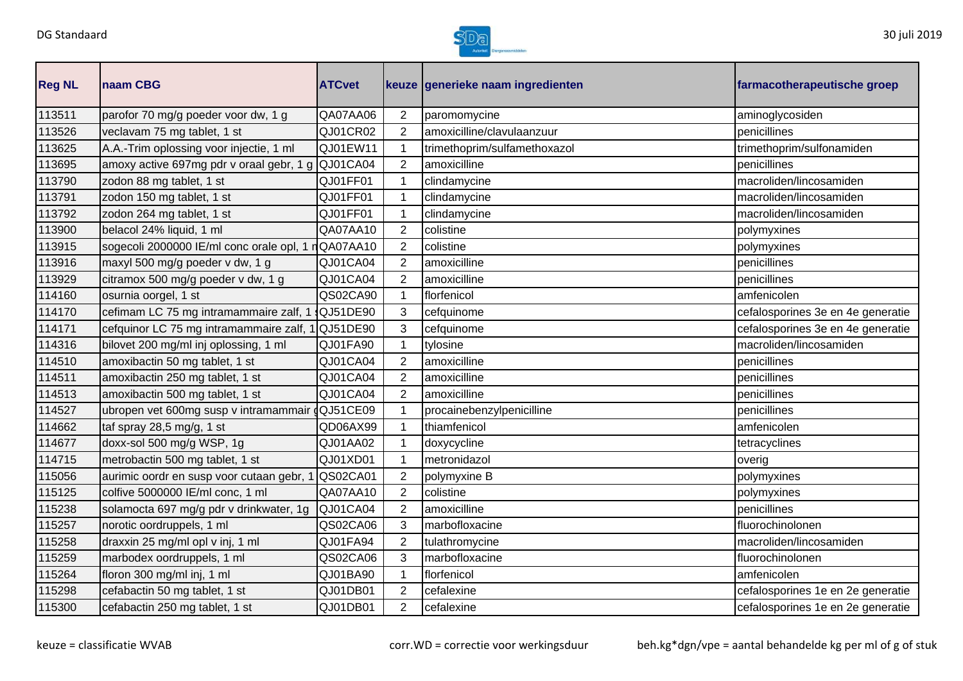

| <b>Reg NL</b> | naam CBG                                          | <b>ATCvet</b> |                | keuze generieke naam ingredienten | farmacotherapeutische groep       |
|---------------|---------------------------------------------------|---------------|----------------|-----------------------------------|-----------------------------------|
| 113511        | parofor 70 mg/g poeder voor dw, 1 g               | QA07AA06      | $\overline{2}$ | paromomycine                      | aminoglycosiden                   |
| 113526        | veclavam 75 mg tablet, 1 st                       | QJ01CR02      | $\overline{2}$ | amoxicilline/clavulaanzuur        | penicillines                      |
| 113625        | A.A.-Trim oplossing voor injectie, 1 ml           | QJ01EW11      | 1              | trimethoprim/sulfamethoxazol      | trimethoprim/sulfonamiden         |
| 113695        | amoxy active 697mg pdr v oraal gebr, 1 g QJ01CA04 |               | $\overline{2}$ | amoxicilline                      | penicillines                      |
| 113790        | zodon 88 mg tablet, 1 st                          | QJ01FF01      | $\mathbf{1}$   | clindamycine                      | macroliden/lincosamiden           |
| 113791        | zodon 150 mg tablet, 1 st                         | QJ01FF01      | 1              | clindamycine                      | macroliden/lincosamiden           |
| 113792        | zodon 264 mg tablet, 1 st                         | QJ01FF01      | $\mathbf 1$    | clindamycine                      | macroliden/lincosamiden           |
| 113900        | belacol 24% liquid, 1 ml                          | QA07AA10      | $\overline{2}$ | colistine                         | polymyxines                       |
| 113915        | sogecoli 2000000 IE/ml conc orale opl, 1          | nQA07AA10     | $\overline{2}$ | colistine                         | polymyxines                       |
| 113916        | maxyl 500 mg/g poeder v dw, 1 g                   | QJ01CA04      | $\overline{2}$ | amoxicilline                      | penicillines                      |
| 113929        | citramox 500 mg/g poeder v dw, 1 g                | QJ01CA04      | $\overline{2}$ | amoxicilline                      | penicillines                      |
| 114160        | osurnia oorgel, 1 st                              | QS02CA90      | 1              | florfenicol                       | amfenicolen                       |
| 114170        | cefimam LC 75 mg intramammaire zalf, 1            | QJ51DE90      | 3              | cefquinome                        | cefalosporines 3e en 4e generatie |
| 114171        | cefquinor LC 75 mg intramammaire zalf, 1 QJ51DE90 |               | 3              | cefquinome                        | cefalosporines 3e en 4e generatie |
| 114316        | bilovet 200 mg/ml inj oplossing, 1 ml             | QJ01FA90      |                | tylosine                          | macroliden/lincosamiden           |
| 114510        | amoxibactin 50 mg tablet, 1 st                    | QJ01CA04      | 2              | amoxicilline                      | penicillines                      |
| 114511        | amoxibactin 250 mg tablet, 1 st                   | QJ01CA04      | $\overline{2}$ | amoxicilline                      | penicillines                      |
| 114513        | amoxibactin 500 mg tablet, 1 st                   | QJ01CA04      | $\overline{2}$ | amoxicilline                      | penicillines                      |
| 114527        | ubropen vet 600mg susp v intramammair gQJ51CE09   |               | 1              | procainebenzylpenicilline         | penicillines                      |
| 114662        | taf spray 28,5 mg/g, 1 st                         | QD06AX99      | 1              | thiamfenicol                      | amfenicolen                       |
| 114677        | doxx-sol 500 mg/g WSP, 1g                         | QJ01AA02      |                | doxycycline                       | tetracyclines                     |
| 114715        | metrobactin 500 mg tablet, 1 st                   | QJ01XD01      | 1              | metronidazol                      | overig                            |
| 115056        | aurimic oordr en susp voor cutaan gebr, 1         | QS02CA01      | $\overline{2}$ | polymyxine B                      | polymyxines                       |
| 115125        | colfive 5000000 IE/ml conc, 1 ml                  | QA07AA10      | $\overline{2}$ | colistine                         | polymyxines                       |
| 115238        | solamocta 697 mg/g pdr v drinkwater, 1g           | QJ01CA04      | $\overline{2}$ | amoxicilline                      | penicillines                      |
| 115257        | norotic oordruppels, 1 ml                         | QS02CA06      | 3              | marbofloxacine                    | fluorochinolonen                  |
| 115258        | draxxin 25 mg/ml opl v inj, 1 ml                  | QJ01FA94      | $\overline{2}$ | tulathromycine                    | macroliden/lincosamiden           |
| 115259        | marbodex oordruppels, 1 ml                        | QS02CA06      | 3              | marbofloxacine                    | fluorochinolonen                  |
| 115264        | floron 300 mg/ml inj, 1 ml                        | QJ01BA90      | 1              | florfenicol                       | amfenicolen                       |
| 115298        | cefabactin 50 mg tablet, 1 st                     | QJ01DB01      | 2              | cefalexine                        | cefalosporines 1e en 2e generatie |
| 115300        | cefabactin 250 mg tablet, 1 st                    | QJ01DB01      | $\overline{2}$ | cefalexine                        | cefalosporines 1e en 2e generatie |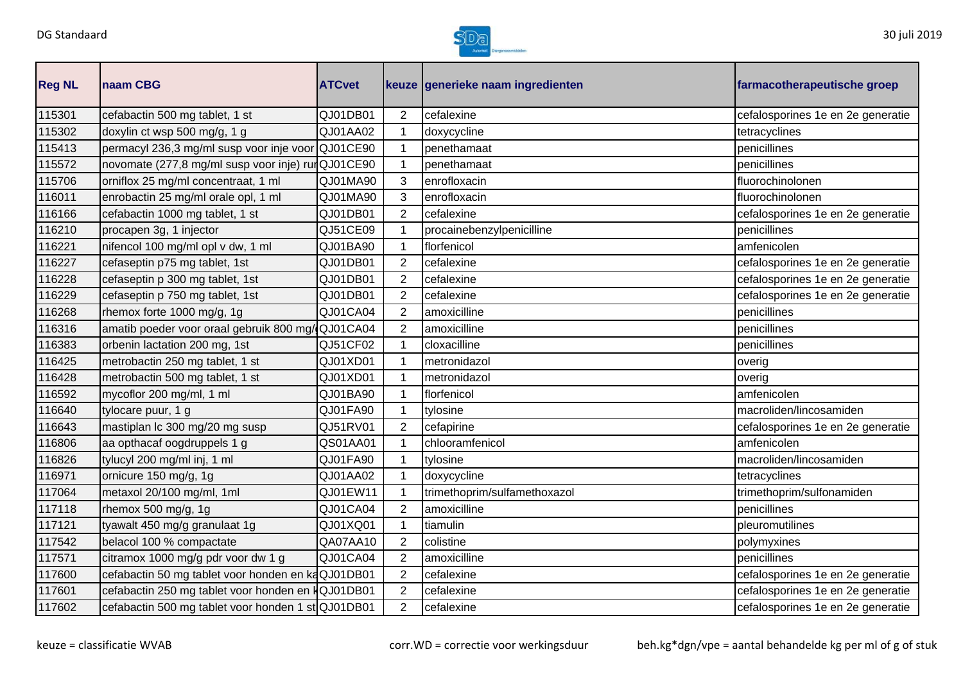

| <b>Reg NL</b> | naam CBG                                           | <b>ATCvet</b> |                | keuze generieke naam ingredienten | farmacotherapeutische groep       |
|---------------|----------------------------------------------------|---------------|----------------|-----------------------------------|-----------------------------------|
| 115301        | cefabactin 500 mg tablet, 1 st                     | QJ01DB01      | 2              | cefalexine                        | cefalosporines 1e en 2e generatie |
| 115302        | doxylin ct wsp 500 mg/g, 1 g                       | QJ01AA02      |                | doxycycline                       | tetracyclines                     |
| 115413        | permacyl 236,3 mg/ml susp voor inje voor QJ01CE90  |               |                | penethamaat                       | penicillines                      |
| 115572        | novomate (277,8 mg/ml susp voor inje) rurQJ01CE90  |               |                | penethamaat                       | penicillines                      |
| 115706        | orniflox 25 mg/ml concentraat, 1 ml                | QJ01MA90      | 3              | enrofloxacin                      | fluorochinolonen                  |
| 116011        | enrobactin 25 mg/ml orale opl, 1 ml                | QJ01MA90      | 3              | enrofloxacin                      | fluorochinolonen                  |
| 116166        | cefabactin 1000 mg tablet, 1 st                    | QJ01DB01      | $\overline{2}$ | cefalexine                        | cefalosporines 1e en 2e generatie |
| 116210        | procapen 3g, 1 injector                            | QJ51CE09      |                | procainebenzylpenicilline         | penicillines                      |
| 116221        | nifencol 100 mg/ml opl v dw, 1 ml                  | QJ01BA90      | 1              | florfenicol                       | amfenicolen                       |
| 116227        | cefaseptin p75 mg tablet, 1st                      | QJ01DB01      | $\overline{2}$ | cefalexine                        | cefalosporines 1e en 2e generatie |
| 116228        | cefaseptin p 300 mg tablet, 1st                    | QJ01DB01      | $\overline{2}$ | cefalexine                        | cefalosporines 1e en 2e generatie |
| 116229        | cefaseptin p 750 mg tablet, 1st                    | QJ01DB01      | $\overline{2}$ | cefalexine                        | cefalosporines 1e en 2e generatie |
| 116268        | rhemox forte 1000 mg/g, 1g                         | QJ01CA04      | 2              | amoxicilline                      | penicillines                      |
| 116316        | amatib poeder voor oraal gebruik 800 mg/QJ01CA04   |               | $\overline{2}$ | amoxicilline                      | penicillines                      |
| 116383        | orbenin lactation 200 mg, 1st                      | QJ51CF02      |                | cloxacilline                      | penicillines                      |
| 116425        | metrobactin 250 mg tablet, 1 st                    | QJ01XD01      |                | metronidazol                      | overig                            |
| 116428        | metrobactin 500 mg tablet, 1 st                    | QJ01XD01      |                | metronidazol                      | overig                            |
| 116592        | mycoflor 200 mg/ml, 1 ml                           | QJ01BA90      | 1              | florfenicol                       | amfenicolen                       |
| 116640        | tylocare puur, 1 g                                 | QJ01FA90      | 1              | tylosine                          | macroliden/lincosamiden           |
| 116643        | mastiplan Ic 300 mg/20 mg susp                     | QJ51RV01      | $\overline{2}$ | cefapirine                        | cefalosporines 1e en 2e generatie |
| 116806        | aa opthacaf oogdruppels 1 g                        | QS01AA01      |                | chlooramfenicol                   | amfenicolen                       |
| 116826        | tylucyl 200 mg/ml inj, 1 ml                        | QJ01FA90      | 1              | tylosine                          | macroliden/lincosamiden           |
| 116971        | ornicure 150 mg/g, 1g                              | QJ01AA02      |                | doxycycline                       | tetracyclines                     |
| 117064        | metaxol 20/100 mg/ml, 1ml                          | QJ01EW11      |                | trimethoprim/sulfamethoxazol      | trimethoprim/sulfonamiden         |
| 117118        | rhemox 500 mg/g, 1g                                | QJ01CA04      | 2              | amoxicilline                      | penicillines                      |
| 117121        | tyawalt 450 mg/g granulaat 1g                      | QJ01XQ01      |                | tiamulin                          | pleuromutilines                   |
| 117542        | belacol 100 % compactate                           | QA07AA10      | $\overline{2}$ | colistine                         | polymyxines                       |
| 117571        | citramox 1000 mg/g pdr voor dw 1 g                 | QJ01CA04      | 2              | amoxicilline                      | penicillines                      |
| 117600        | cefabactin 50 mg tablet voor honden en kaQJ01DB01  |               | $\overline{2}$ | cefalexine                        | cefalosporines 1e en 2e generatie |
| 117601        | cefabactin 250 mg tablet voor honden en KQJ01DB01  |               | 2              | cefalexine                        | cefalosporines 1e en 2e generatie |
| 117602        | cefabactin 500 mg tablet voor honden 1 st QJ01DB01 |               | $\overline{2}$ | cefalexine                        | cefalosporines 1e en 2e generatie |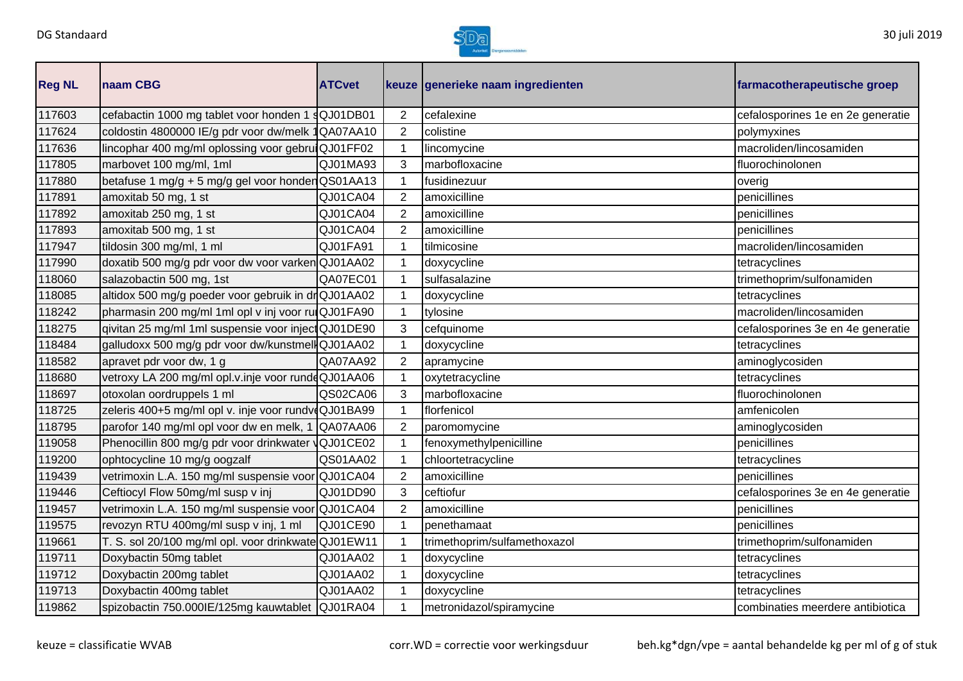

| <b>Reg NL</b> | naam CBG                                            | <b>ATCvet</b> |                | keuze generieke naam ingredienten | farmacotherapeutische groep       |
|---------------|-----------------------------------------------------|---------------|----------------|-----------------------------------|-----------------------------------|
| 117603        | cefabactin 1000 mg tablet voor honden 1 sQJ01DB01   |               | $\overline{2}$ | cefalexine                        | cefalosporines 1e en 2e generatie |
| 117624        | coldostin 4800000 IE/g pdr voor dw/melk 1QA07AA10   |               | $\overline{2}$ | colistine                         | polymyxines                       |
| 117636        | lincophar 400 mg/ml oplossing voor gebruiQJ01FF02   |               | 1              | lincomycine                       | macroliden/lincosamiden           |
| 117805        | marbovet 100 mg/ml, 1ml                             | QJ01MA93      | 3              | marbofloxacine                    | fluorochinolonen                  |
| 117880        | betafuse 1 mg/g + 5 mg/g gel voor honder QS01AA13   |               | $\mathbf{1}$   | fusidinezuur                      | overig                            |
| 117891        | amoxitab 50 mg, 1 st                                | QJ01CA04      | $\overline{2}$ | amoxicilline                      | penicillines                      |
| 117892        | amoxitab 250 mg, 1 st                               | QJ01CA04      | $\overline{2}$ | amoxicilline                      | penicillines                      |
| 117893        | amoxitab 500 mg, 1 st                               | QJ01CA04      | 2              | amoxicilline                      | penicillines                      |
| 117947        | tildosin 300 mg/ml, 1 ml                            | QJ01FA91      | 1              | tilmicosine                       | macroliden/lincosamiden           |
| 117990        | doxatib 500 mg/g pdr voor dw voor varkenQJ01AA02    |               |                | doxycycline                       | tetracyclines                     |
| 118060        | salazobactin 500 mg, 1st                            | QA07EC01      |                | sulfasalazine                     | trimethoprim/sulfonamiden         |
| 118085        | altidox 500 mg/g poeder voor gebruik in drQJ01AA02  |               |                | doxycycline                       | tetracyclines                     |
| 118242        | pharmasin 200 mg/ml 1ml opl v inj voor rulQJ01FA90  |               |                | tylosine                          | macroliden/lincosamiden           |
| 118275        | qivitan 25 mg/ml 1ml suspensie voor inject QJ01DE90 |               | 3              | cefquinome                        | cefalosporines 3e en 4e generatie |
| 118484        | galludoxx 500 mg/g pdr voor dw/kunstmellQJ01AA02    |               |                | doxycycline                       | tetracyclines                     |
| 118582        | apravet pdr voor dw, 1 g                            | QA07AA92      | $\overline{2}$ | apramycine                        | aminoglycosiden                   |
| 118680        | vetroxy LA 200 mg/ml opl.v.inje voor rundeQJ01AA06  |               |                | oxytetracycline                   | tetracyclines                     |
| 118697        | otoxolan oordruppels 1 ml                           | QS02CA06      | 3              | marbofloxacine                    | fluorochinolonen                  |
| 118725        | zeleris 400+5 mg/ml opl v. inje voor rundvoQJ01BA99 |               |                | florfenicol                       | amfenicolen                       |
| 118795        | parofor 140 mg/ml opl voor dw en melk, 1 QA07AA06   |               | 2              | paromomycine                      | aminoglycosiden                   |
| 119058        | Phenocillin 800 mg/g pdr voor drinkwater QJ01CE02   |               |                | fenoxymethylpenicilline           | penicillines                      |
| 119200        | ophtocycline 10 mg/g oogzalf                        | QS01AA02      |                | chloortetracycline                | tetracyclines                     |
| 119439        | vetrimoxin L.A. 150 mg/ml suspensie voor QJ01CA04   |               | $\overline{2}$ | amoxicilline                      | penicillines                      |
| 119446        | Ceftiocyl Flow 50mg/ml susp v inj                   | QJ01DD90      | 3              | ceftiofur                         | cefalosporines 3e en 4e generatie |
| 119457        | vetrimoxin L.A. 150 mg/ml suspensie voor QJ01CA04   |               | 2              | amoxicilline                      | penicillines                      |
| 119575        | revozyn RTU 400mg/ml susp v inj, 1 ml               | QJ01CE90      |                | penethamaat                       | penicillines                      |
| 119661        | T. S. sol 20/100 mg/ml opl. voor drinkwate QJ01EW11 |               | $\mathbf 1$    | trimethoprim/sulfamethoxazol      | trimethoprim/sulfonamiden         |
| 119711        | Doxybactin 50mg tablet                              | QJ01AA02      | $\mathbf{1}$   | doxycycline                       | tetracyclines                     |
| 119712        | Doxybactin 200mg tablet                             | QJ01AA02      | $\mathbf{1}$   | doxycycline                       | tetracyclines                     |
| 119713        | Doxybactin 400mg tablet                             | QJ01AA02      |                | doxycycline                       | tetracyclines                     |
| 119862        | spizobactin 750.000IE/125mg kauwtablet QJ01RA04     |               |                | metronidazol/spiramycine          | combinaties meerdere antibiotica  |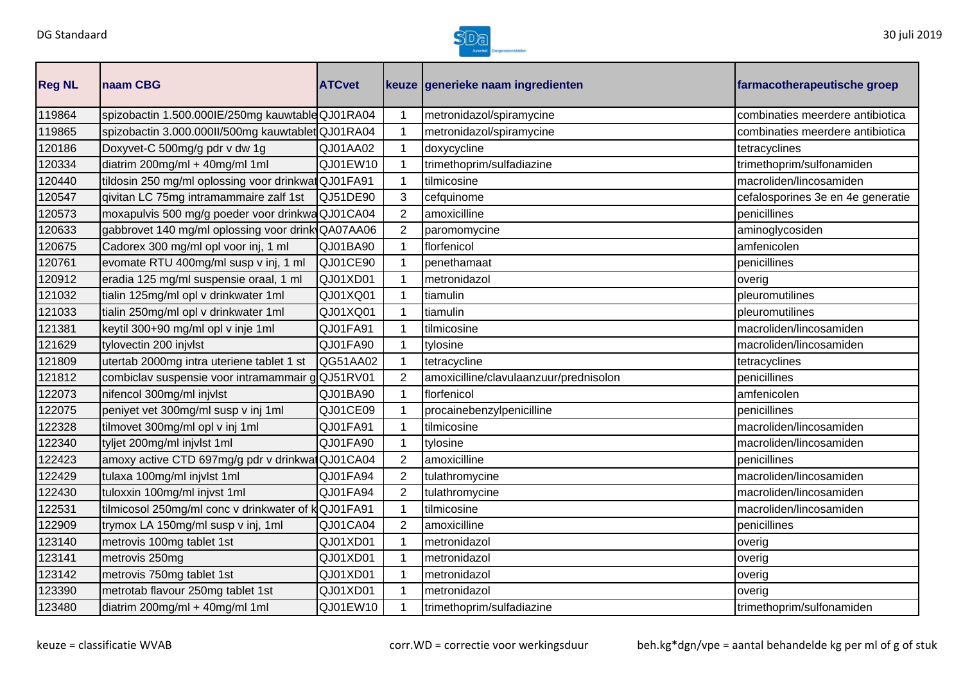

| <b>Reg NL</b> | naam CBG                                           | <b>ATCvet</b> | farmacotherapeutische groep |                                        |                                   |
|---------------|----------------------------------------------------|---------------|-----------------------------|----------------------------------------|-----------------------------------|
| 119864        | spizobactin 1.500.000IE/250mg kauwtable QJ01RA04   |               |                             | metronidazol/spiramycine               | combinaties meerdere antibiotica  |
| 119865        | spizobactin 3.000.000II/500mg kauwtablet QJ01RA04  |               | 1                           | metronidazol/spiramycine               | combinaties meerdere antibiotica  |
| 120186        | Doxyvet-C 500mg/g pdr v dw 1g                      | QJ01AA02      | $\mathbf 1$                 | doxycycline                            | tetracyclines                     |
| 120334        | diatrim 200mg/ml + 40mg/ml 1ml                     | QJ01EW10      |                             | trimethoprim/sulfadiazine              | trimethoprim/sulfonamiden         |
| 120440        | tildosin 250 mg/ml oplossing voor drinkwatQJ01FA91 |               | 1                           | tilmicosine                            | macroliden/lincosamiden           |
| 120547        | givitan LC 75mg intramammaire zalf 1st             | QJ51DE90      | 3                           | cefquinome                             | cefalosporines 3e en 4e generatie |
| 120573        | moxapulvis 500 mg/g poeder voor drinkwa QJ01CA04   |               | $\overline{2}$              | amoxicilline                           | penicillines                      |
| 120633        | gabbrovet 140 mg/ml oplossing voor drink QA07AA06  |               | $\overline{2}$              | paromomycine                           | aminoglycosiden                   |
| 120675        | Cadorex 300 mg/ml opl voor inj, 1 ml               | QJ01BA90      | $\mathbf 1$                 | florfenicol                            | amfenicolen                       |
| 120761        | evomate RTU 400mg/ml susp v inj, 1 ml              | QJ01CE90      |                             | penethamaat                            | penicillines                      |
| 120912        | eradia 125 mg/ml suspensie oraal, 1 ml             | QJ01XD01      | 1                           | metronidazol                           | overig                            |
| 121032        | tialin 125mg/ml opl v drinkwater 1ml               | QJ01XQ01      | 1                           | tiamulin                               | pleuromutilines                   |
| 121033        | tialin 250mg/ml opl v drinkwater 1ml               | QJ01XQ01      | 1                           | tiamulin                               | pleuromutilines                   |
| 121381        | keytil 300+90 mg/ml opl v inje 1ml                 | QJ01FA91      | 1                           | tilmicosine                            | macroliden/lincosamiden           |
| 121629        | tylovectin 200 injvlst                             | QJ01FA90      | 1                           | tylosine                               | macroliden/lincosamiden           |
| 121809        | utertab 2000mg intra uteriene tablet 1 st          | QG51AA02      |                             | tetracycline                           | tetracyclines                     |
| 121812        | combiclav suspensie voor intramammair gQJ51RV01    |               | $\overline{2}$              | amoxicilline/clavulaanzuur/prednisolon | penicillines                      |
| 122073        | nifencol 300mg/ml injvlst                          | QJ01BA90      | $\mathbf 1$                 | florfenicol                            | amfenicolen                       |
| 122075        | peniyet vet 300mg/ml susp v inj 1ml                | QJ01CE09      | 1                           | procainebenzylpenicilline              | penicillines                      |
| 122328        | tilmovet 300mg/ml opl v inj 1ml                    | QJ01FA91      | 1                           | tilmicosine                            | macroliden/lincosamiden           |
| 122340        | tyljet 200mg/ml injvlst 1ml                        | QJ01FA90      |                             | tylosine                               | macroliden/lincosamiden           |
| 122423        | amoxy active CTD 697mg/g pdr v drinkwatQJ01CA04    |               | $\overline{2}$              | amoxicilline                           | penicillines                      |
| 122429        | tulaxa 100mg/ml injvlst 1ml                        | QJ01FA94      | $\overline{2}$              | tulathromycine                         | macroliden/lincosamiden           |
| 122430        | tuloxxin 100mg/ml injvst 1ml                       | QJ01FA94      | 2                           | tulathromycine                         | macroliden/lincosamiden           |
| 122531        | tilmicosol 250mg/ml conc v drinkwater of kQJ01FA91 |               |                             | tilmicosine                            | macroliden/lincosamiden           |
| 122909        | trymox LA 150mg/ml susp v inj, 1ml                 | QJ01CA04      | 2                           | amoxicilline                           | penicillines                      |
| 123140        | metrovis 100mg tablet 1st                          | QJ01XD01      | 1                           | metronidazol                           | overig                            |
| 123141        | metrovis 250mg                                     | QJ01XD01      | 1                           | metronidazol                           | overig                            |
| 123142        | metrovis 750mg tablet 1st                          | QJ01XD01      |                             | metronidazol                           | overig                            |
| 123390        | metrotab flavour 250mg tablet 1st                  | QJ01XD01      |                             | metronidazol                           | overig                            |
| 123480        | diatrim 200mg/ml + 40mg/ml 1ml                     | QJ01EW10      |                             | trimethoprim/sulfadiazine              | trimethoprim/sulfonamiden         |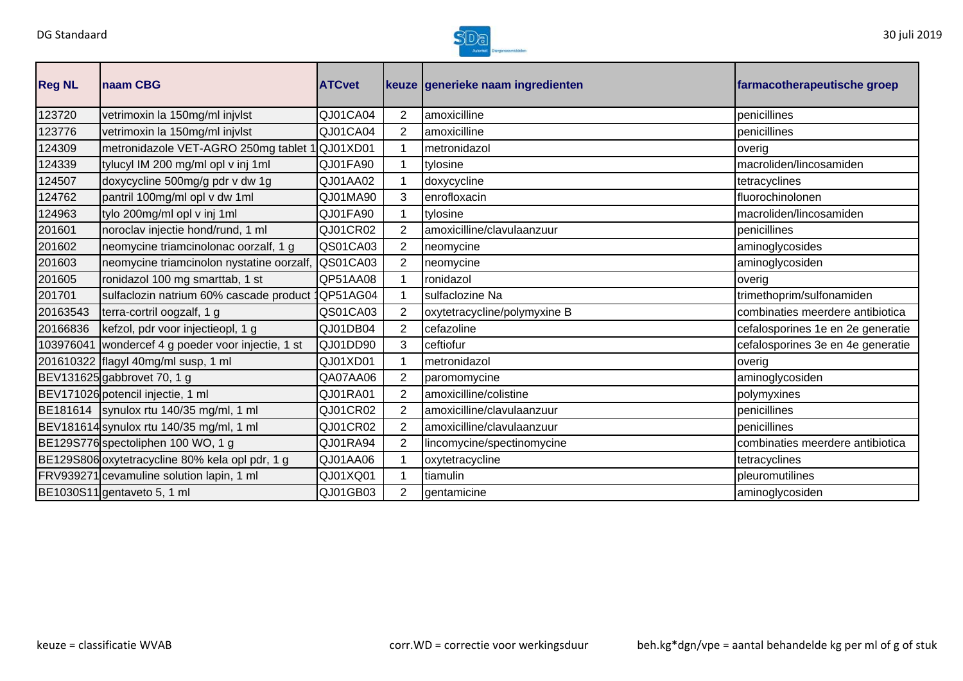

| <b>Reg NL</b> | naam CBG                                           | <b>ATCvet</b>   |                | keuze generieke naam ingredienten | farmacotherapeutische groep       |
|---------------|----------------------------------------------------|-----------------|----------------|-----------------------------------|-----------------------------------|
| 123720        | vetrimoxin la 150mg/ml injvlst                     | QJ01CA04        | $\overline{2}$ | amoxicilline                      | penicillines                      |
| 123776        | vetrimoxin la 150mg/ml injvlst                     | QJ01CA04        | $\overline{2}$ | amoxicilline                      | penicillines                      |
| 124309        | metronidazole VET-AGRO 250mg tablet 1 QJ01XD01     |                 |                | metronidazol                      | overig                            |
| 124339        | tylucyl IM 200 mg/ml opl v inj 1ml                 | QJ01FA90        |                | tylosine                          | macroliden/lincosamiden           |
| 124507        | doxycycline 500mg/g pdr v dw 1g                    | QJ01AA02        |                | doxycycline                       | tetracyclines                     |
| 124762        | pantril 100mg/ml opl v dw 1ml                      | QJ01MA90        | 3              | enrofloxacin                      | fluorochinolonen                  |
| 124963        | tylo 200mg/ml opl v inj 1ml                        | QJ01FA90        |                | tylosine                          | macroliden/lincosamiden           |
| 201601        | noroclav injectie hond/rund, 1 ml                  | QJ01CR02        | 2              | amoxicilline/clavulaanzuur        | penicillines                      |
| 201602        | neomycine triamcinolonac oorzalf, 1 g              | QS01CA03        | $\overline{2}$ | neomycine                         | aminoglycosides                   |
| 201603        | neomycine triamcinolon nystatine oorzalf,          | QS01CA03        | $\overline{2}$ | neomycine                         | aminoglycosiden                   |
| 201605        | ronidazol 100 mg smarttab, 1 st                    | QP51AA08        |                | ronidazol                         | overig                            |
| 201701        | sulfaclozin natrium 60% cascade product            | <b>QP51AG04</b> |                | sulfaclozine Na                   | trimethoprim/sulfonamiden         |
| 20163543      | terra-cortril oogzalf, 1 g                         | QS01CA03        | $\overline{2}$ | oxytetracycline/polymyxine B      | combinaties meerdere antibiotica  |
| 20166836      | kefzol, pdr voor injectieopl, 1 g                  | QJ01DB04        | $\overline{2}$ | cefazoline                        | cefalosporines 1e en 2e generatie |
|               | 103976041 wondercef 4 g poeder voor injectie, 1 st | QJ01DD90        | 3              | ceftiofur                         | cefalosporines 3e en 4e generatie |
|               | 201610322 flagyl 40mg/ml susp, 1 ml                | QJ01XD01        |                | metronidazol                      | overig                            |
|               | BEV131625 gabbrovet 70, 1 g                        | QA07AA06        | $\overline{2}$ | paromomycine                      | aminoglycosiden                   |
|               | BEV171026 potencil injectie, 1 ml                  | QJ01RA01        | $\overline{2}$ | amoxicilline/colistine            | polymyxines                       |
|               | BE181614   synulox rtu 140/35 mg/ml, 1 ml          | QJ01CR02        | 2              | amoxicilline/clavulaanzuur        | penicillines                      |
|               | BEV181614 synulox rtu 140/35 mg/ml, 1 ml           | QJ01CR02        | $\overline{2}$ | amoxicilline/clavulaanzuur        | penicillines                      |
|               | BE129S776 spectoliphen 100 WO, 1 g                 | QJ01RA94        | $\overline{2}$ | lincomycine/spectinomycine        | combinaties meerdere antibiotica  |
|               | BE129S806 oxytetracycline 80% kela opl pdr, 1 g    | QJ01AA06        |                | oxytetracycline                   | tetracyclines                     |
|               | FRV939271 cevamuline solution lapin, 1 ml          | QJ01XQ01        |                | tiamulin                          | pleuromutilines                   |
|               | BE1030S11 gentaveto 5, 1 ml                        | QJ01GB03        | $\overline{2}$ | gentamicine                       | aminoglycosiden                   |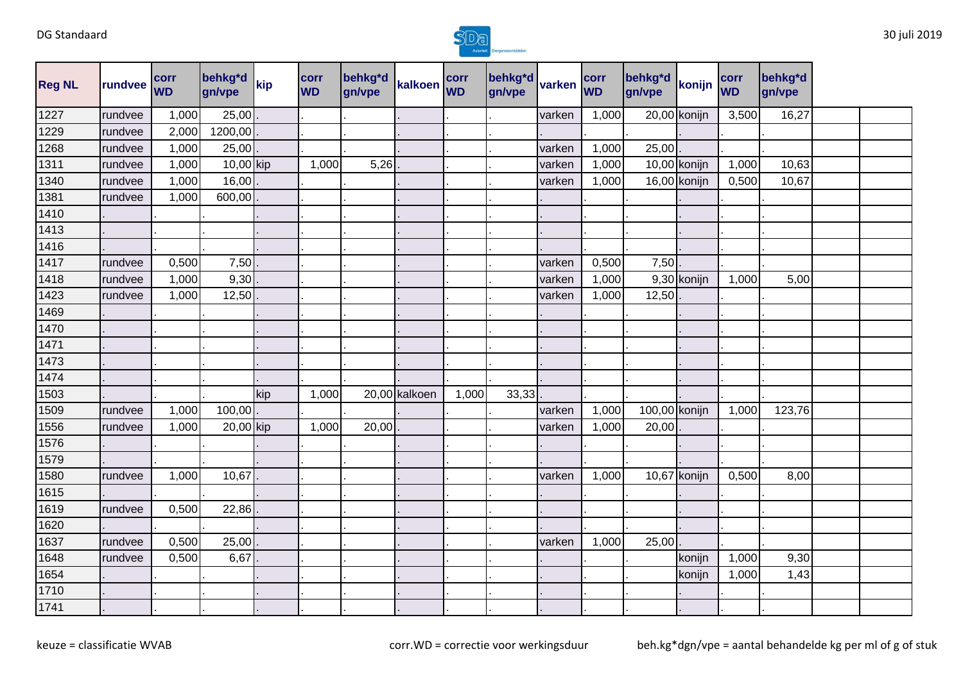

| <b>Reg NL</b> | rundvee | corr<br><b>WD</b> | behkg <sup>*</sup> d<br>gn/vpe | kip | corr<br><b>WD</b> | behkg*d<br>gn/vpe | kalkoen WD    | corr  | behkg*d varken<br>gn/vpe |        | corr<br><b>WD</b> | behkg*d<br>gn/vpe | konijn       | corr<br><b>WD</b> | behkg*d<br>gn/vpe |  |
|---------------|---------|-------------------|--------------------------------|-----|-------------------|-------------------|---------------|-------|--------------------------|--------|-------------------|-------------------|--------------|-------------------|-------------------|--|
| 1227          | rundvee | 1,000             | 25,00                          |     |                   |                   |               |       |                          | varken | 1,000             |                   | 20,00 konijn | 3,500             | 16,27             |  |
| 1229          | rundvee | 2,000             | 1200,00                        |     |                   |                   |               |       |                          |        |                   |                   |              |                   |                   |  |
| 1268          | rundvee | 1,000             | 25,00                          |     |                   |                   |               |       |                          | varken | 1,000             | 25,00             |              |                   |                   |  |
| 1311          | rundvee | 1,000             | 10,00 kip                      |     | 1,000             | 5,26              |               |       |                          | varken | 1,000             |                   | 10,00 konijn | 1,000             | 10,63             |  |
| 1340          | rundvee | 1,000             | 16,00                          |     |                   |                   |               |       |                          | varken | 1,000             |                   | 16,00 konijn | 0,500             | 10,67             |  |
| 1381          | rundvee | 1,000             | 600,00                         |     |                   |                   |               |       |                          |        |                   |                   |              |                   |                   |  |
| 1410          |         |                   |                                |     |                   |                   |               |       |                          |        |                   |                   |              |                   |                   |  |
| 1413          |         |                   |                                |     |                   |                   |               |       |                          |        |                   |                   |              |                   |                   |  |
| 1416          |         |                   |                                |     |                   |                   |               |       |                          |        |                   |                   |              |                   |                   |  |
| 1417          | rundvee | 0,500             | 7,50                           |     |                   |                   |               |       |                          | varken | 0,500             | 7,50              |              |                   |                   |  |
| 1418          | rundvee | 1,000             | 9,30                           |     |                   |                   |               |       |                          | varken | 1,000             |                   | 9,30 konijn  | 1,000             | 5,00              |  |
| 1423          | rundvee | 1,000             | 12,50                          |     |                   |                   |               |       |                          | varken | 1,000             | 12,50             |              |                   |                   |  |
| 1469          |         |                   |                                |     |                   |                   |               |       |                          |        |                   |                   |              |                   |                   |  |
| 1470          |         |                   |                                |     |                   |                   |               |       |                          |        |                   |                   |              |                   |                   |  |
| 1471          |         |                   |                                |     |                   |                   |               |       |                          |        |                   |                   |              |                   |                   |  |
| 1473          |         |                   |                                |     |                   |                   |               |       |                          |        |                   |                   |              |                   |                   |  |
| 1474          |         |                   |                                |     |                   |                   |               |       |                          |        |                   |                   |              |                   |                   |  |
| 1503          |         |                   |                                | kip | 1,000             |                   | 20,00 kalkoen | 1,000 | 33,33                    |        |                   |                   |              |                   |                   |  |
| 1509          | rundvee | 1,000             | 100,00                         |     |                   |                   |               |       |                          | varken | 1,000             | 100,00 konijn     |              | 1,000             | 123,76            |  |
| 1556          | rundvee | 1,000             | 20,00 kip                      |     | 1,000             | 20,00             |               |       |                          | varken | 1,000             | 20,00             |              |                   |                   |  |
| 1576          |         |                   |                                |     |                   |                   |               |       |                          |        |                   |                   |              |                   |                   |  |
| 1579          |         |                   |                                |     |                   |                   |               |       |                          |        |                   |                   |              |                   |                   |  |
| 1580          | rundvee | 1,000             | 10,67                          |     |                   |                   |               |       |                          | varken | 1,000             |                   | 10,67 konijn | 0,500             | 8,00              |  |
| 1615          |         |                   |                                |     |                   |                   |               |       |                          |        |                   |                   |              |                   |                   |  |
| 1619          | rundvee | 0,500             | 22,86                          |     |                   |                   |               |       |                          |        |                   |                   |              |                   |                   |  |
| 1620          |         |                   |                                |     |                   |                   |               |       |                          |        |                   |                   |              |                   |                   |  |
| 1637          | rundvee | 0,500             | 25,00                          |     |                   |                   |               |       |                          | varken | 1,000             | 25,00             |              |                   |                   |  |
| 1648          | rundvee | 0,500             | 6,67                           |     |                   |                   |               |       |                          |        |                   |                   | konijn       | 1,000             | 9,30              |  |
| 1654          |         |                   |                                |     |                   |                   |               |       |                          |        |                   |                   | konijn       | 1,000             | 1,43              |  |
| 1710          |         |                   |                                |     |                   |                   |               |       |                          |        |                   |                   |              |                   |                   |  |
| 1741          |         |                   |                                |     |                   |                   |               |       |                          |        |                   |                   |              |                   |                   |  |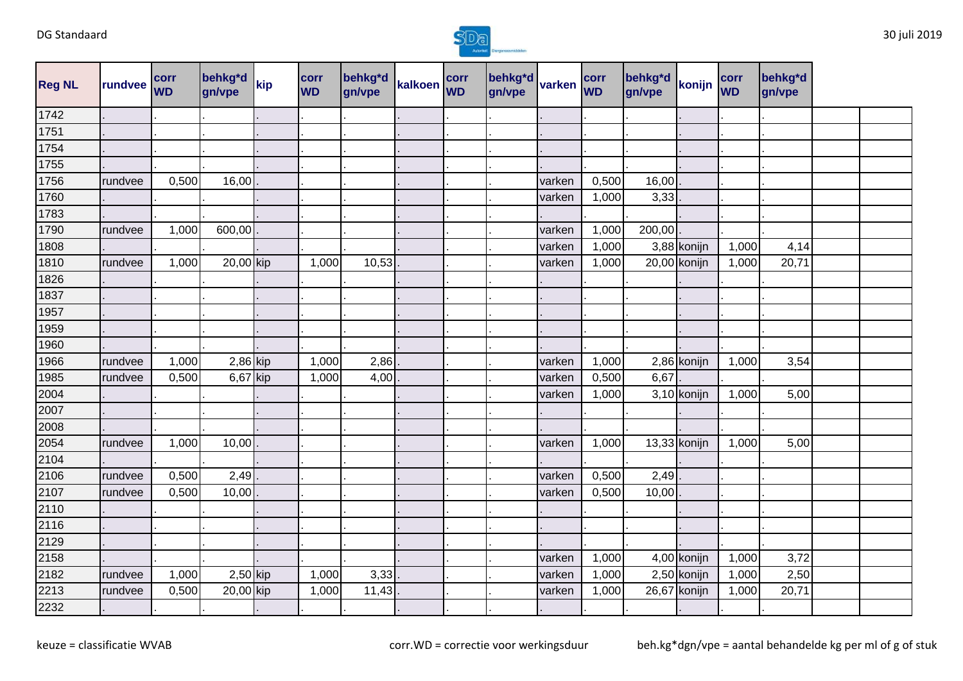

| <b>Reg NL</b> | rundvee | corr<br><b>WD</b> | behkg*d<br>gn/vpe | kip | corr<br><b>WD</b> | behkg*d<br>gn/vpe | kalkoen corr | behkg*d<br>gn/vpe | varken | corr<br><b>WD</b> | behkg*d<br>gn/vpe | konijn       | corr<br><b>WD</b> | behkg*d<br>gn/vpe |  |
|---------------|---------|-------------------|-------------------|-----|-------------------|-------------------|--------------|-------------------|--------|-------------------|-------------------|--------------|-------------------|-------------------|--|
| 1742          |         |                   |                   |     |                   |                   |              |                   |        |                   |                   |              |                   |                   |  |
| 1751          |         |                   |                   |     |                   |                   |              |                   |        |                   |                   |              |                   |                   |  |
| 1754          |         |                   |                   |     |                   |                   |              |                   |        |                   |                   |              |                   |                   |  |
| 1755          |         |                   |                   |     |                   |                   |              |                   |        |                   |                   |              |                   |                   |  |
| 1756          | rundvee | 0,500             | 16,00             |     |                   |                   |              |                   | varken | 0,500             | 16,00             |              |                   |                   |  |
| 1760          |         |                   |                   |     |                   |                   |              |                   | varken | 1,000             | 3,33              |              |                   |                   |  |
| 1783          |         |                   |                   |     |                   |                   |              |                   |        |                   |                   |              |                   |                   |  |
| 1790          | rundvee | 1,000             | 600,00            |     |                   |                   |              |                   | varken | 1,000             | 200,00            |              |                   |                   |  |
| 1808          |         |                   |                   |     |                   |                   |              |                   | varken | 1,000             |                   | 3,88 konijn  | 1,000             | 4,14              |  |
| 1810          | rundvee | 1,000             | 20,00 kip         |     | 1,000             | 10,53             |              |                   | varken | 1,000             |                   | 20,00 konijn | 1,000             | 20,71             |  |
| 1826          |         |                   |                   |     |                   |                   |              |                   |        |                   |                   |              |                   |                   |  |
| 1837          |         |                   |                   |     |                   |                   |              |                   |        |                   |                   |              |                   |                   |  |
| 1957          |         |                   |                   |     |                   |                   |              |                   |        |                   |                   |              |                   |                   |  |
| 1959          |         |                   |                   |     |                   |                   |              |                   |        |                   |                   |              |                   |                   |  |
| 1960          |         |                   |                   |     |                   |                   |              |                   |        |                   |                   |              |                   |                   |  |
| 1966          | rundvee | 1,000             | $2,86$ kip        |     | 1,000             | 2,86              |              |                   | varken | 1,000             |                   | 2,86 konijn  | 1,000             | 3,54              |  |
| 1985          | rundvee | 0,500             | 6,67 kip          |     | 1,000             | 4,00              |              |                   | varken | 0,500             | 6,67              |              |                   |                   |  |
| 2004          |         |                   |                   |     |                   |                   |              |                   | varken | 1,000             |                   | 3,10 konijn  | 1,000             | 5,00              |  |
| 2007          |         |                   |                   |     |                   |                   |              |                   |        |                   |                   |              |                   |                   |  |
| 2008          |         |                   |                   |     |                   |                   |              |                   |        |                   |                   |              |                   |                   |  |
| 2054          | rundvee | 1,000             | 10,00             |     |                   |                   |              |                   | varken | 1,000             |                   | 13,33 konijn | 1,000             | 5,00              |  |
| 2104          |         |                   |                   |     |                   |                   |              |                   |        |                   |                   |              |                   |                   |  |
| 2106          | rundvee | 0,500             | 2,49              |     |                   |                   |              |                   | varken | 0,500             | 2,49              |              |                   |                   |  |
| 2107          | rundvee | 0,500             | 10,00             |     |                   |                   |              |                   | varken | 0,500             | 10,00             |              |                   |                   |  |
| 2110          |         |                   |                   |     |                   |                   |              |                   |        |                   |                   |              |                   |                   |  |
| 2116          |         |                   |                   |     |                   |                   |              |                   |        |                   |                   |              |                   |                   |  |
| 2129          |         |                   |                   |     |                   |                   |              |                   |        |                   |                   |              |                   |                   |  |
| 2158          |         |                   |                   |     |                   |                   |              |                   | varken | 1,000             |                   | 4,00 konijn  | 1,000             | 3,72              |  |
| 2182          | rundvee | 1,000             | $2,50$ kip        |     | 1,000             | 3,33              |              |                   | varken | 1,000             |                   | 2,50 konijn  | 1,000             | 2,50              |  |
| 2213          | rundvee | 0,500             | 20,00 kip         |     | 1,000             | 11,43             |              |                   | varken | 1,000             |                   | 26,67 konijn | 1,000             | 20,71             |  |
| 2232          |         |                   |                   |     |                   |                   |              |                   |        |                   |                   |              |                   |                   |  |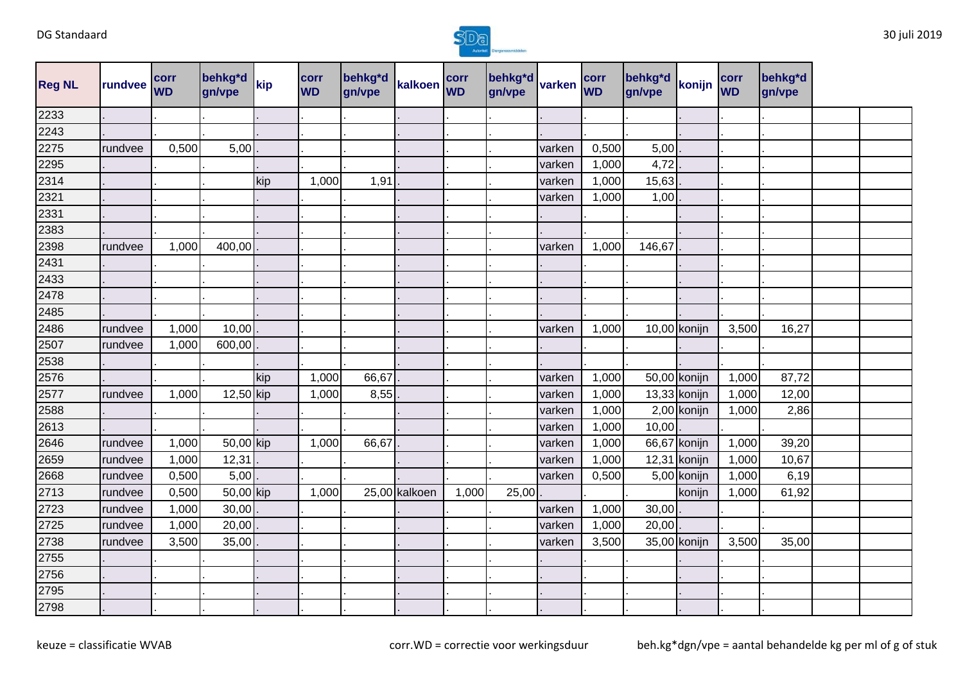

| <b>Reg NL</b> | rundvee | <b>corr</b><br><b>WD</b> | behkg*d<br>gn/vpe       | kip | corr<br><b>WD</b> | behkg*d<br>gn/vpe | kalkoen corr  |       | behkg*d<br>gn/vpe | varken | corr<br><b>WD</b> | behkg*d<br>gn/vpe | konijn         | corr<br><b>WD</b> | behkg*d<br>gn/vpe |  |
|---------------|---------|--------------------------|-------------------------|-----|-------------------|-------------------|---------------|-------|-------------------|--------|-------------------|-------------------|----------------|-------------------|-------------------|--|
| 2233          |         |                          |                         |     |                   |                   |               |       |                   |        |                   |                   |                |                   |                   |  |
| 2243          |         |                          |                         |     |                   |                   |               |       |                   |        |                   |                   |                |                   |                   |  |
| 2275          | rundvee | 0,500                    | 5,00                    |     |                   |                   |               |       |                   | varken | 0,500             | 5,00              |                |                   |                   |  |
| 2295          |         |                          |                         |     |                   |                   |               |       |                   | varken | 1,000             | 4,72              |                |                   |                   |  |
| 2314          |         |                          |                         | kip | 1,000             | 1,91              |               |       |                   | varken | 1,000             | 15,63             |                |                   |                   |  |
| 2321          |         |                          |                         |     |                   |                   |               |       |                   | varken | 1,000             | 1,00              |                |                   |                   |  |
| 2331          |         |                          |                         |     |                   |                   |               |       |                   |        |                   |                   |                |                   |                   |  |
| 2383          |         |                          |                         |     |                   |                   |               |       |                   |        |                   |                   |                |                   |                   |  |
| 2398          | rundvee | 1,000                    | 400,00                  |     |                   |                   |               |       |                   | varken | 1,000             | 146,67            |                |                   |                   |  |
| 2431          |         |                          |                         |     |                   |                   |               |       |                   |        |                   |                   |                |                   |                   |  |
| 2433          |         |                          |                         |     |                   |                   |               |       |                   |        |                   |                   |                |                   |                   |  |
| 2478          |         |                          |                         |     |                   |                   |               |       |                   |        |                   |                   |                |                   |                   |  |
| 2485          |         |                          |                         |     |                   |                   |               |       |                   |        |                   |                   |                |                   |                   |  |
| 2486          | rundvee | 1,000                    | 10,00                   |     |                   |                   |               |       |                   | varken | 1,000             |                   | 10,00 konijn   | 3,500             | 16,27             |  |
| 2507          | rundvee | 1,000                    | 600,00                  |     |                   |                   |               |       |                   |        |                   |                   |                |                   |                   |  |
| 2538          |         |                          |                         |     |                   |                   |               |       |                   |        |                   |                   |                |                   |                   |  |
| 2576          |         |                          |                         | kip | 1,000             | 66,67             |               |       |                   | varken | 1,000             |                   | 50,00 konijn   | 1,000             | 87,72             |  |
| 2577          | rundvee | 1,000                    | 12,50 kip               |     | 1,000             | 8,55              |               |       |                   | varken | 1,000             |                   | $13,33$ konijn | 1,000             | 12,00             |  |
| 2588          |         |                          |                         |     |                   |                   |               |       |                   | varken | 1,000             |                   | 2,00 konijn    | 1,000             | 2,86              |  |
| 2613          |         |                          |                         |     |                   |                   |               |       |                   | varken | 1,000             | 10,00             |                |                   |                   |  |
| 2646          | rundvee | 1,000                    | 50,00 kip               |     | 1,000             | 66,67             |               |       |                   | varken | 1,000             |                   | 66,67 konijn   | 1,000             | 39,20             |  |
| 2659          | rundvee | 1,000                    | 12,31                   |     |                   |                   |               |       |                   | varken | 1,000             |                   | $12,31$ konijn | 1,000             | 10,67             |  |
| 2668          | rundvee | 0,500                    | 5,00                    |     |                   |                   |               |       |                   | varken | 0,500             |                   | 5,00 konijn    | 1,000             | 6,19              |  |
| 2713          | rundvee | 0,500                    | $\overline{50}$ ,00 kip |     | 1,000             |                   | 25,00 kalkoen | 1,000 | 25,00             |        |                   |                   | konijn         | 1,000             | 61,92             |  |
| 2723          | rundvee | 1,000                    | 30,00                   |     |                   |                   |               |       |                   | varken | 1,000             | 30,00             |                |                   |                   |  |
| 2725          | rundvee | 1,000                    | 20,00                   |     |                   |                   |               |       |                   | varken | 1,000             | 20,00             |                |                   |                   |  |
| 2738          | rundvee | 3,500                    | 35,00                   |     |                   |                   |               |       |                   | varken | 3,500             |                   | 35,00 konijn   | 3,500             | 35,00             |  |
| 2755          |         |                          |                         |     |                   |                   |               |       |                   |        |                   |                   |                |                   |                   |  |
| 2756          |         |                          |                         |     |                   |                   |               |       |                   |        |                   |                   |                |                   |                   |  |
| 2795          |         |                          |                         |     |                   |                   |               |       |                   |        |                   |                   |                |                   |                   |  |
| 2798          |         |                          |                         |     |                   |                   |               |       |                   |        |                   |                   |                |                   |                   |  |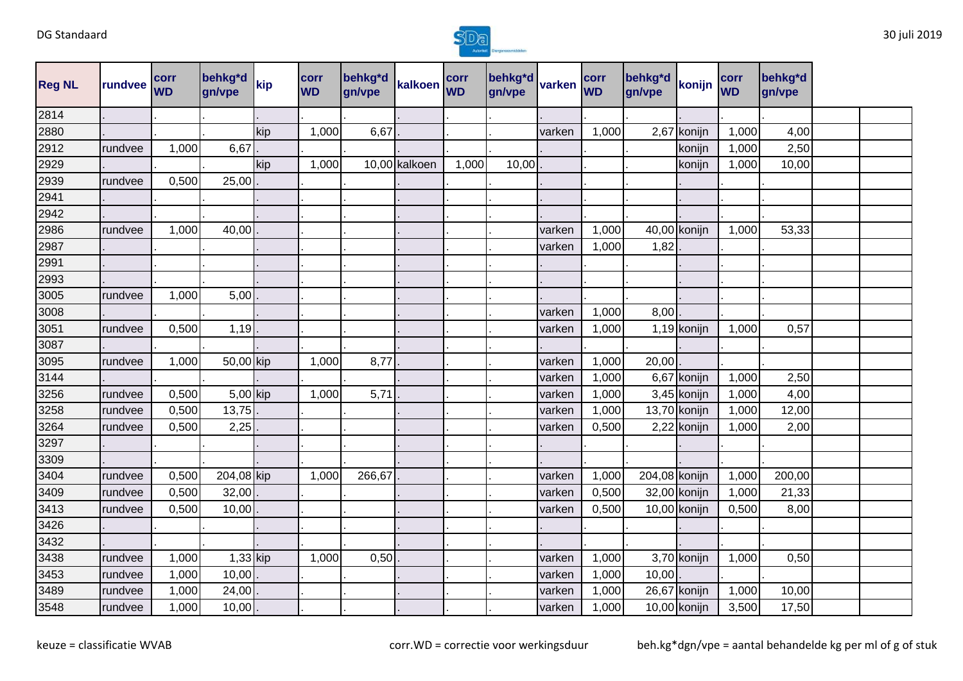

| <b>Reg NL</b> | rundvee | corr<br><b>WD</b> | behkg*d<br>gn/vpe | kip | corr<br><b>WD</b> | behkg*d<br>gn/vpe | kalkoen WD    | corr  | behkg*d<br>gn/vpe | varken | corr<br><b>WD</b> | behkg*d<br>gn/vpe | konijn       | corr<br><b>WD</b> | behkg*d<br>gn/vpe |  |
|---------------|---------|-------------------|-------------------|-----|-------------------|-------------------|---------------|-------|-------------------|--------|-------------------|-------------------|--------------|-------------------|-------------------|--|
| 2814          |         |                   |                   |     |                   |                   |               |       |                   |        |                   |                   |              |                   |                   |  |
| 2880          |         |                   |                   | kip | 1,000             | 6,67              |               |       |                   | varken | 1,000             |                   | 2,67 konijn  | 1,000             | 4,00              |  |
| 2912          | rundvee | 1,000             | 6,67              |     |                   |                   |               |       |                   |        |                   |                   | konijn       | 1,000             | 2,50              |  |
| 2929          |         |                   |                   | kip | 1,000             |                   | 10,00 kalkoen | 1,000 | 10,00             |        |                   |                   | konijn       | 1,000             | 10,00             |  |
| 2939          | rundvee | 0,500             | 25,00             |     |                   |                   |               |       |                   |        |                   |                   |              |                   |                   |  |
| 2941          |         |                   |                   |     |                   |                   |               |       |                   |        |                   |                   |              |                   |                   |  |
| 2942          |         |                   |                   |     |                   |                   |               |       |                   |        |                   |                   |              |                   |                   |  |
| 2986          | rundvee | 1,000             | 40,00             |     |                   |                   |               |       |                   | varken | 1,000             |                   | 40,00 konijn | 1,000             | 53,33             |  |
| 2987          |         |                   |                   |     |                   |                   |               |       |                   | varken | 1,000             | 1,82              |              |                   |                   |  |
| 2991          |         |                   |                   |     |                   |                   |               |       |                   |        |                   |                   |              |                   |                   |  |
| 2993          |         |                   |                   |     |                   |                   |               |       |                   |        |                   |                   |              |                   |                   |  |
| 3005          | rundvee | 1,000             | 5,00              |     |                   |                   |               |       |                   |        |                   |                   |              |                   |                   |  |
| 3008          |         |                   |                   |     |                   |                   |               |       |                   | varken | 1,000             | 8,00              |              |                   |                   |  |
| 3051          | rundvee | 0,500             | 1,19              |     |                   |                   |               |       |                   | varken | 1,000             |                   | 1,19 konijn  | 1,000             | 0,57              |  |
| 3087          |         |                   |                   |     |                   |                   |               |       |                   |        |                   |                   |              |                   |                   |  |
| 3095          | rundvee | 1,000             | 50,00 kip         |     | 1,000             | 8,77              |               |       |                   | varken | 1,000             | 20,00             |              |                   |                   |  |
| 3144          |         |                   |                   |     |                   |                   |               |       |                   | varken | 1,000             |                   | 6,67 konijn  | 1,000             | 2,50              |  |
| 3256          | rundvee | 0,500             | 5,00 kip          |     | 1,000             | 5,71              |               |       |                   | varken | 1,000             |                   | 3,45 konijn  | 1,000             | 4,00              |  |
| 3258          | rundvee | 0,500             | 13,75             |     |                   |                   |               |       |                   | varken | 1,000             |                   | 13,70 konijn | 1,000             | 12,00             |  |
| 3264          | rundvee | 0,500             | 2,25              |     |                   |                   |               |       |                   | varken | 0,500             |                   | 2,22 konijn  | 1,000             | 2,00              |  |
| 3297          |         |                   |                   |     |                   |                   |               |       |                   |        |                   |                   |              |                   |                   |  |
| 3309          |         |                   |                   |     |                   |                   |               |       |                   |        |                   |                   |              |                   |                   |  |
| 3404          | rundvee | 0,500             | 204,08 kip        |     | 1,000             | 266,67            |               |       |                   | varken | 1,000             | 204,08 konijn     |              | 1,000             | 200,00            |  |
| 3409          | rundvee | 0,500             | 32,00             |     |                   |                   |               |       |                   | varken | 0,500             |                   | 32,00 konijn | 1,000             | 21,33             |  |
| 3413          | rundvee | 0,500             | 10,00             |     |                   |                   |               |       |                   | varken | 0,500             |                   | 10,00 konijn | 0,500             | 8,00              |  |
| 3426          |         |                   |                   |     |                   |                   |               |       |                   |        |                   |                   |              |                   |                   |  |
| 3432          |         |                   |                   |     |                   |                   |               |       |                   |        |                   |                   |              |                   |                   |  |
| 3438          | rundvee | 1,000             | $1,33$ kip        |     | 1,000             | 0,50              |               |       |                   | varken | 1,000             |                   | 3,70 konijn  | 1,000             | 0,50              |  |
| 3453          | rundvee | 1,000             | 10,00             |     |                   |                   |               |       |                   | varken | 1,000             | 10,00             |              |                   |                   |  |
| 3489          | rundvee | 1,000             | 24,00             |     |                   |                   |               |       |                   | varken | 1,000             |                   | 26,67 konijn | 1,000             | 10,00             |  |
| 3548          | rundvee | 1,000             | 10,00             |     |                   |                   |               |       |                   | varken | 1,000             |                   | 10,00 konijn | 3,500             | 17,50             |  |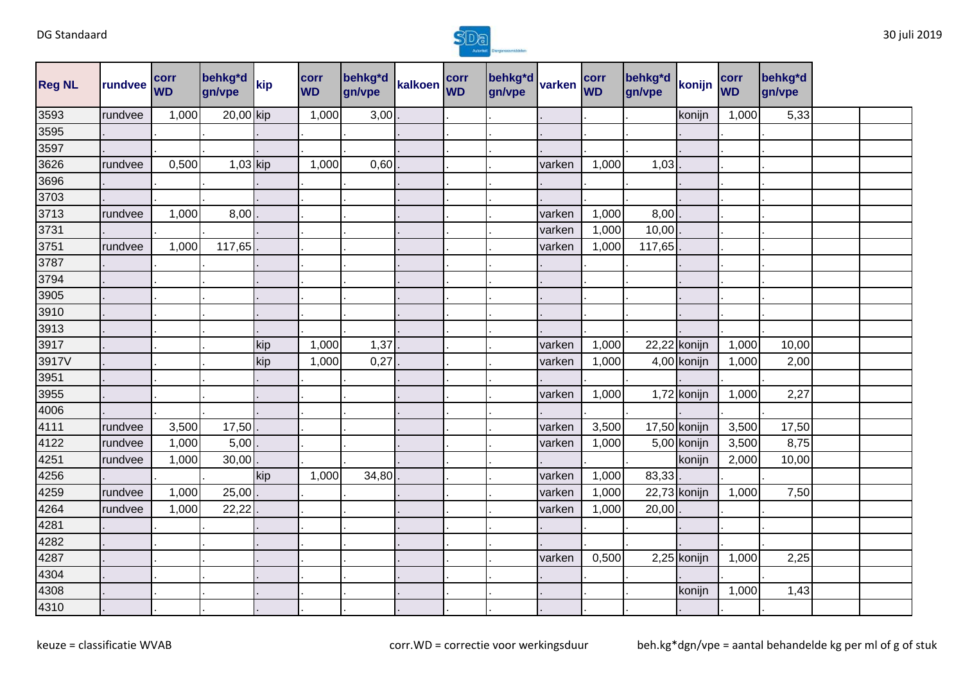

| <b>Reg NL</b>     | rundvee | corr<br><b>WD</b> | behkg*d<br>gn/vpe | kip | corr<br><b>WD</b> | behkg*d<br>gn/vpe | kalkoen corr | behkg <sup>*</sup> d<br>gn/vpe | varken | corr<br><b>WD</b> | behkg*d<br>gn/vpe | konijn         | corr<br><b>WD</b> | behkg*d<br>gn/vpe |  |
|-------------------|---------|-------------------|-------------------|-----|-------------------|-------------------|--------------|--------------------------------|--------|-------------------|-------------------|----------------|-------------------|-------------------|--|
| 3593              | rundvee | 1,000             | 20,00 kip         |     | 1,000             | 3,00              |              |                                |        |                   |                   | konijn         | 1,000             | 5,33              |  |
| 3595              |         |                   |                   |     |                   |                   |              |                                |        |                   |                   |                |                   |                   |  |
| 3597              |         |                   |                   |     |                   |                   |              |                                |        |                   |                   |                |                   |                   |  |
| 3626              | rundvee | 0,500             | 1,03 kip          |     | 1,000             | 0,60              |              |                                | varken | 1,000             | 1,03              |                |                   |                   |  |
| 3696              |         |                   |                   |     |                   |                   |              |                                |        |                   |                   |                |                   |                   |  |
| 3703              |         |                   |                   |     |                   |                   |              |                                |        |                   |                   |                |                   |                   |  |
| 3713              | rundvee | 1,000             | 8,00              |     |                   |                   |              |                                | varken | 1,000             | 8,00              |                |                   |                   |  |
| 3731              |         |                   |                   |     |                   |                   |              |                                | varken | 1,000             | 10,00             |                |                   |                   |  |
| 3751              | rundvee | 1,000             | 117,65            |     |                   |                   |              |                                | varken | 1,000             | 117,65            |                |                   |                   |  |
| 3787              |         |                   |                   |     |                   |                   |              |                                |        |                   |                   |                |                   |                   |  |
| 3794              |         |                   |                   |     |                   |                   |              |                                |        |                   |                   |                |                   |                   |  |
| 3905              |         |                   |                   |     |                   |                   |              |                                |        |                   |                   |                |                   |                   |  |
| 3910              |         |                   |                   |     |                   |                   |              |                                |        |                   |                   |                |                   |                   |  |
| 3913              |         |                   |                   |     |                   |                   |              |                                |        |                   |                   |                |                   |                   |  |
| 3917              |         |                   |                   | kip | 1,000             | 1,37              |              |                                | varken | 1,000             |                   | $22,22$ konijn | 1,000             | 10,00             |  |
| 3917V             |         |                   |                   | kip | 1,000             | 0,27              |              |                                | varken | 1,000             |                   | 4,00 konijn    | 1,000             | 2,00              |  |
| 3951              |         |                   |                   |     |                   |                   |              |                                |        |                   |                   |                |                   |                   |  |
| 3955              |         |                   |                   |     |                   |                   |              |                                | varken | 1,000             |                   | 1,72 konijn    | 1,000             | 2,27              |  |
| 4006              |         |                   |                   |     |                   |                   |              |                                |        |                   |                   |                |                   |                   |  |
| 4111              | rundvee | 3,500             | 17,50             |     |                   |                   |              |                                | varken | 3,500             |                   | 17,50 konijn   | 3,500             | 17,50             |  |
| 4122              | rundvee | 1,000             | 5,00              |     |                   |                   |              |                                | varken | 1,000             |                   | 5,00 konijn    | 3,500             | 8,75              |  |
| 4251              | rundvee | 1,000             | 30,00             |     |                   |                   |              |                                |        |                   |                   | konijn         | 2,000             | 10,00             |  |
| 4256              |         |                   |                   | kip | 1,000             | 34,80             |              |                                | varken | 1,000             | 83,33             |                |                   |                   |  |
| 4259              | rundvee | 1,000             | 25,00             |     |                   |                   |              |                                | varken | 1,000             |                   | 22,73 konijn   | 1,000             | 7,50              |  |
| 4264              | rundvee | 1,000             | 22,22             |     |                   |                   |              |                                | varken | 1,000             | 20,00             |                |                   |                   |  |
| $\overline{4281}$ |         |                   |                   |     |                   |                   |              |                                |        |                   |                   |                |                   |                   |  |
| 4282              |         |                   |                   |     |                   |                   |              |                                |        |                   |                   |                |                   |                   |  |
| 4287              |         |                   |                   |     |                   |                   |              |                                | varken | 0,500             |                   | 2,25 konijn    | 1,000             | 2,25              |  |
| 4304              |         |                   |                   |     |                   |                   |              |                                |        |                   |                   |                |                   |                   |  |
| 4308              |         |                   |                   |     |                   |                   |              |                                |        |                   |                   | konijn         | 1,000             | 1,43              |  |
| 4310              |         |                   |                   |     |                   |                   |              |                                |        |                   |                   |                |                   |                   |  |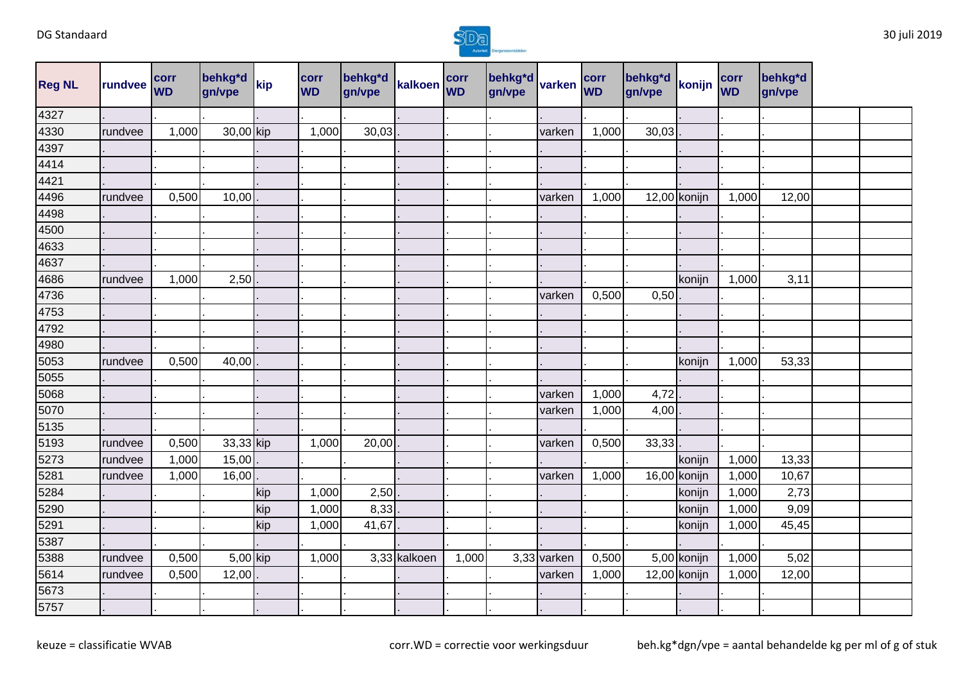

| <b>Reg NL</b> | rundvee | corr<br><b>WD</b> | behkg <sup>*</sup> d<br>gn/vpe | kip | corr<br><b>WD</b> | behkg*d<br>gn/vpe | kalkoen corr |       | behkg*d varken<br>gn/vpe |             | corr<br><b>WD</b> | behkg*d<br>gn/vpe | konijn       | corr<br><b>WD</b> | behkg*d<br>gn/vpe |  |
|---------------|---------|-------------------|--------------------------------|-----|-------------------|-------------------|--------------|-------|--------------------------|-------------|-------------------|-------------------|--------------|-------------------|-------------------|--|
| 4327          |         |                   |                                |     |                   |                   |              |       |                          |             |                   |                   |              |                   |                   |  |
| 4330          | rundvee | 1,000             | 30,00 kip                      |     | 1,000             | 30,03             |              |       |                          | varken      | 1,000             | 30,03             |              |                   |                   |  |
| 4397          |         |                   |                                |     |                   |                   |              |       |                          |             |                   |                   |              |                   |                   |  |
| 4414          |         |                   |                                |     |                   |                   |              |       |                          |             |                   |                   |              |                   |                   |  |
| 4421          |         |                   |                                |     |                   |                   |              |       |                          |             |                   |                   |              |                   |                   |  |
| 4496          | rundvee | 0,500             | 10,00                          |     |                   |                   |              |       |                          | varken      | 1,000             |                   | 12,00 konijn | 1,000             | 12,00             |  |
| 4498          |         |                   |                                |     |                   |                   |              |       |                          |             |                   |                   |              |                   |                   |  |
| 4500          |         |                   |                                |     |                   |                   |              |       |                          |             |                   |                   |              |                   |                   |  |
| 4633          |         |                   |                                |     |                   |                   |              |       |                          |             |                   |                   |              |                   |                   |  |
| 4637          |         |                   |                                |     |                   |                   |              |       |                          |             |                   |                   |              |                   |                   |  |
| 4686          | rundvee | 1,000             | 2,50                           |     |                   |                   |              |       |                          |             |                   |                   | konijn       | 1,000             | 3,11              |  |
| 4736          |         |                   |                                |     |                   |                   |              |       |                          | varken      | 0,500             | 0,50              |              |                   |                   |  |
| 4753          |         |                   |                                |     |                   |                   |              |       |                          |             |                   |                   |              |                   |                   |  |
| 4792          |         |                   |                                |     |                   |                   |              |       |                          |             |                   |                   |              |                   |                   |  |
| 4980          |         |                   |                                |     |                   |                   |              |       |                          |             |                   |                   |              |                   |                   |  |
| 5053          | rundvee | 0,500             | 40,00                          |     |                   |                   |              |       |                          |             |                   |                   | konijn       | 1,000             | 53,33             |  |
| 5055          |         |                   |                                |     |                   |                   |              |       |                          |             |                   |                   |              |                   |                   |  |
| 5068          |         |                   |                                |     |                   |                   |              |       |                          | varken      | 1,000             | 4,72              |              |                   |                   |  |
| 5070          |         |                   |                                |     |                   |                   |              |       |                          | varken      | 1,000             | 4,00              |              |                   |                   |  |
| 5135          |         |                   |                                |     |                   |                   |              |       |                          |             |                   |                   |              |                   |                   |  |
| 5193          | rundvee | 0,500             | 33,33 kip                      |     | 1,000             | 20,00             |              |       |                          | varken      | 0,500             | 33,33             |              |                   |                   |  |
| 5273          | rundvee | 1,000             | 15,00                          |     |                   |                   |              |       |                          |             |                   |                   | konijn       | 1,000             | 13,33             |  |
| 5281          | rundvee | 1,000             | 16,00                          |     |                   |                   |              |       |                          | varken      | 1,000             |                   | 16,00 konijn | 1,000             | 10,67             |  |
| 5284          |         |                   |                                | kip | 1,000             | 2,50              |              |       |                          |             |                   |                   | konijn       | 1,000             | 2,73              |  |
| 5290          |         |                   |                                | kip | 1,000             | 8,33              |              |       |                          |             |                   |                   | konijn       | 1,000             | 9,09              |  |
| 5291          |         |                   |                                | kip | 1,000             | 41,67             |              |       |                          |             |                   |                   | konijn       | 1,000             | 45,45             |  |
| 5387          |         |                   |                                |     |                   |                   |              |       |                          |             |                   |                   |              |                   |                   |  |
| 5388          | rundvee | 0,500             | 5,00 kip                       |     | 1,000             |                   | 3,33 kalkoen | 1,000 |                          | 3,33 varken | 0,500             |                   | 5,00 konijn  | 1,000             | 5,02              |  |
| 5614          | rundvee | 0,500             | 12,00                          |     |                   |                   |              |       |                          | varken      | 1,000             |                   | 12,00 konijn | 1,000             | 12,00             |  |
| 5673          |         |                   |                                |     |                   |                   |              |       |                          |             |                   |                   |              |                   |                   |  |
| 5757          |         |                   |                                |     |                   |                   |              |       |                          |             |                   |                   |              |                   |                   |  |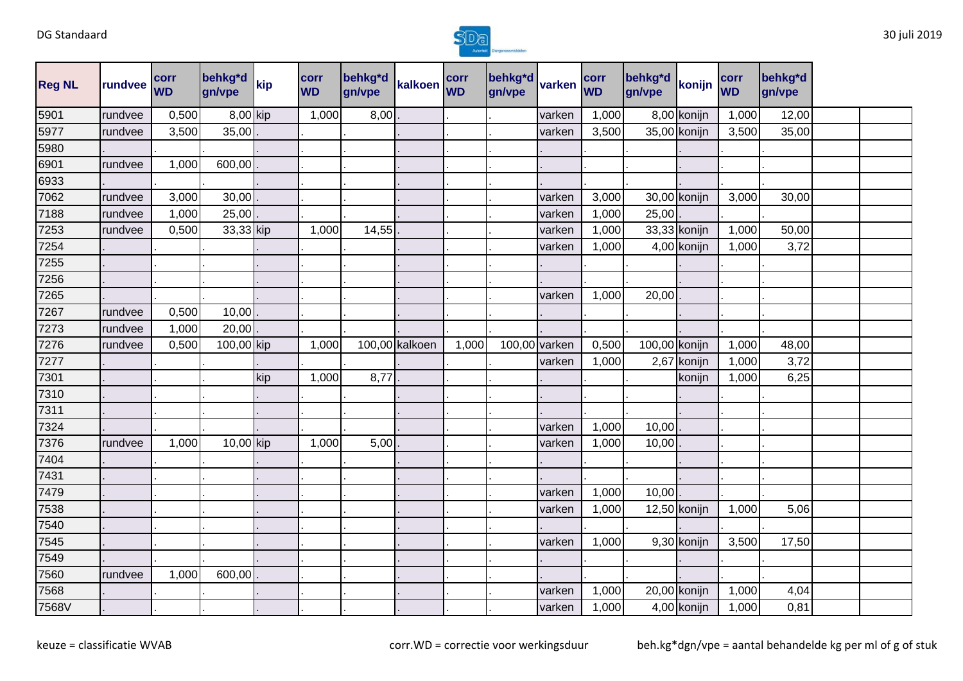

| <b>Reg NL</b> | rundvee | corr<br><b>WD</b> | behkg*d<br>gn/vpe | kip | corr<br><b>WD</b> | behkg*d<br>gn/vpe | kalkoen corr   |       | behkg <sup>*</sup> d<br>gn/vpe | varken        | corr<br><b>WD</b> | behkg*d<br>gn/vpe | konijn       | corr<br><b>WD</b> | behkg*d<br>gn/vpe |  |
|---------------|---------|-------------------|-------------------|-----|-------------------|-------------------|----------------|-------|--------------------------------|---------------|-------------------|-------------------|--------------|-------------------|-------------------|--|
| 5901          | rundvee | 0,500             | 8,00 kip          |     | 1,000             | 8,00              |                |       |                                | varken        | 1,000             |                   | 8,00 konijn  | 1,000             | 12,00             |  |
| 5977          | rundvee | 3,500             | 35,00             |     |                   |                   |                |       |                                | varken        | 3,500             |                   | 35,00 konijn | 3,500             | 35,00             |  |
| 5980          |         |                   |                   |     |                   |                   |                |       |                                |               |                   |                   |              |                   |                   |  |
| 6901          | rundvee | 1,000             | 600,00            |     |                   |                   |                |       |                                |               |                   |                   |              |                   |                   |  |
| 6933          |         |                   |                   |     |                   |                   |                |       |                                |               |                   |                   |              |                   |                   |  |
| 7062          | rundvee | 3,000             | 30,00             |     |                   |                   |                |       |                                | varken        | 3,000             |                   | 30,00 konijn | 3,000             | 30,00             |  |
| 7188          | rundvee | 1,000             | 25,00             |     |                   |                   |                |       |                                | varken        | 1,000             | 25,00             |              |                   |                   |  |
| 7253          | rundvee | 0,500             | 33,33 kip         |     | 1,000             | 14,55             |                |       |                                | varken        | 1,000             |                   | 33,33 konijn | 1,000             | 50,00             |  |
| 7254          |         |                   |                   |     |                   |                   |                |       |                                | varken        | 1,000             |                   | 4,00 konijn  | 1,000             | 3,72              |  |
| 7255          |         |                   |                   |     |                   |                   |                |       |                                |               |                   |                   |              |                   |                   |  |
| 7256          |         |                   |                   |     |                   |                   |                |       |                                |               |                   |                   |              |                   |                   |  |
| 7265          |         |                   |                   |     |                   |                   |                |       |                                | varken        | 1,000             | 20,00             |              |                   |                   |  |
| 7267          | rundvee | 0,500             | 10,00             |     |                   |                   |                |       |                                |               |                   |                   |              |                   |                   |  |
| 7273          | rundvee | 1,000             | 20,00             |     |                   |                   |                |       |                                |               |                   |                   |              |                   |                   |  |
| 7276          | rundvee | 0,500             | 100,00 kip        |     | 1,000             |                   | 100,00 kalkoen | 1,000 |                                | 100,00 varken | 0,500             | 100,00 konijn     |              | 1,000             | 48,00             |  |
| 7277          |         |                   |                   |     |                   |                   |                |       |                                | varken        | 1,000             |                   | 2,67 konijn  | 1,000             | 3,72              |  |
| 7301          |         |                   |                   | kip | 1,000             | 8,77              |                |       |                                |               |                   |                   | konijn       | 1,000             | 6,25              |  |
| 7310          |         |                   |                   |     |                   |                   |                |       |                                |               |                   |                   |              |                   |                   |  |
| 7311          |         |                   |                   |     |                   |                   |                |       |                                |               |                   |                   |              |                   |                   |  |
| 7324          |         |                   |                   |     |                   |                   |                |       |                                | varken        | 1,000             | 10,00             |              |                   |                   |  |
| 7376          | rundvee | 1,000             | 10,00 kip         |     | 1,000             | 5,00              |                |       |                                | varken        | 1,000             | 10,00             |              |                   |                   |  |
| 7404          |         |                   |                   |     |                   |                   |                |       |                                |               |                   |                   |              |                   |                   |  |
| 7431          |         |                   |                   |     |                   |                   |                |       |                                |               |                   |                   |              |                   |                   |  |
| 7479          |         |                   |                   |     |                   |                   |                |       |                                | varken        | 1,000             | 10,00             |              |                   |                   |  |
| 7538          |         |                   |                   |     |                   |                   |                |       |                                | varken        | 1,000             |                   | 12,50 konijn | 1,000             | 5,06              |  |
| 7540          |         |                   |                   |     |                   |                   |                |       |                                |               |                   |                   |              |                   |                   |  |
| 7545          |         |                   |                   |     |                   |                   |                |       |                                | varken        | 1,000             |                   | 9,30 konijn  | 3,500             | 17,50             |  |
| 7549          |         |                   |                   |     |                   |                   |                |       |                                |               |                   |                   |              |                   |                   |  |
| 7560          | rundvee | 1,000             | 600,00            |     |                   |                   |                |       |                                |               |                   |                   |              |                   |                   |  |
| 7568          |         |                   |                   |     |                   |                   |                |       |                                | varken        | 1,000             |                   | 20,00 konijn | 1,000             | 4,04              |  |
| 7568V         |         |                   |                   |     |                   |                   |                |       |                                | varken        | 1,000             |                   | 4,00 konijn  | 1,000             | 0,81              |  |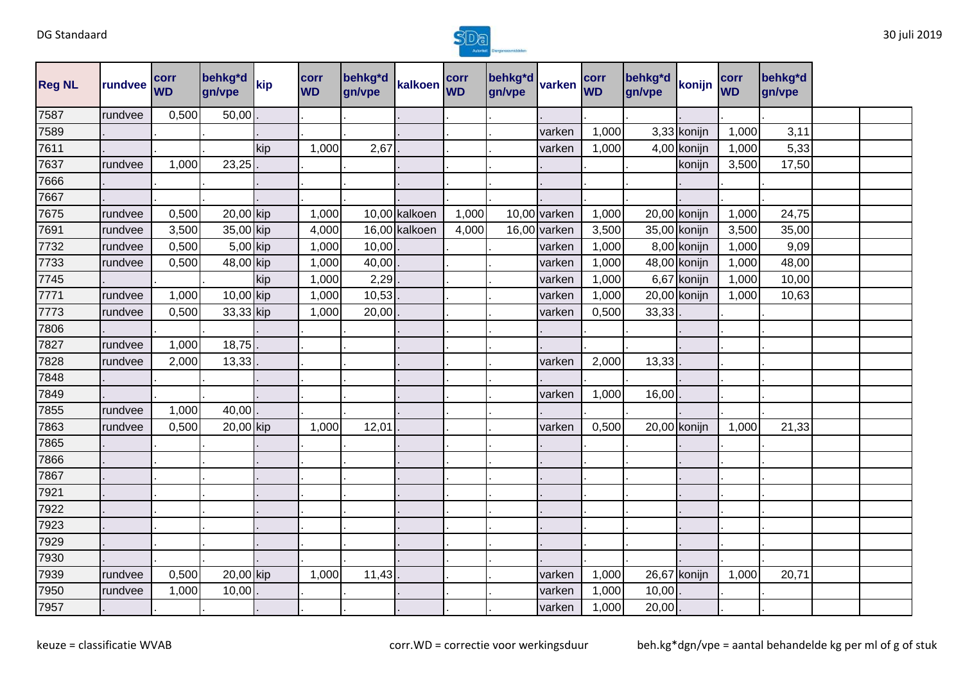

| <b>Reg NL</b> | rundvee | corr<br><b>WD</b> | behkg*d<br>gn/vpe | kip | corr<br><b>WD</b> | behkg*d<br>gn/vpe | kalkoen       | corr<br><b>WD</b> | behkg*d<br>gn/vpe | varken       | corr<br><b>WD</b> | behkg*d<br>gn/vpe | konijn       | corr<br><b>WD</b> | behkg*d<br>gn/vpe |  |
|---------------|---------|-------------------|-------------------|-----|-------------------|-------------------|---------------|-------------------|-------------------|--------------|-------------------|-------------------|--------------|-------------------|-------------------|--|
| 7587          | rundvee | 0,500             | 50,00             |     |                   |                   |               |                   |                   |              |                   |                   |              |                   |                   |  |
| 7589          |         |                   |                   |     |                   |                   |               |                   |                   | varken       | 1,000             |                   | 3,33 konijn  | 1,000             | 3,11              |  |
| 7611          |         |                   |                   | kip | 1,000             | 2,67              |               |                   |                   | varken       | 1,000             |                   | 4,00 konijn  | 1,000             | 5,33              |  |
| 7637          | rundvee | 1,000             | 23,25             |     |                   |                   |               |                   |                   |              |                   |                   | konijn       | 3,500             | 17,50             |  |
| 7666          |         |                   |                   |     |                   |                   |               |                   |                   |              |                   |                   |              |                   |                   |  |
| 7667          |         |                   |                   |     |                   |                   |               |                   |                   |              |                   |                   |              |                   |                   |  |
| 7675          | rundvee | 0,500             | 20,00 kip         |     | 1,000             |                   | 10,00 kalkoen | 1,000             |                   | 10,00 varken | 1,000             |                   | 20,00 konijn | 1,000             | 24,75             |  |
| 7691          | rundvee | 3,500             | 35,00 kip         |     | 4,000             |                   | 16,00 kalkoen | 4,000             |                   | 16,00 varken | 3,500             |                   | 35,00 konijn | 3,500             | 35,00             |  |
| 7732          | rundvee | 0,500             | 5,00 kip          |     | 1,000             | 10,00             |               |                   |                   | varken       | 1,000             |                   | 8,00 konijn  | 1,000             | 9,09              |  |
| 7733          | rundvee | 0,500             | 48,00 kip         |     | 1,000             | 40,00             |               |                   |                   | varken       | 1,000             |                   | 48,00 konijn | 1,000             | 48,00             |  |
| 7745          |         |                   |                   | kip | 1,000             | 2,29              |               |                   |                   | varken       | 1,000             |                   | 6,67 konijn  | 1,000             | 10,00             |  |
| 7771          | rundvee | 1,000             | 10,00 kip         |     | 1,000             | 10,53             |               |                   |                   | varken       | 1,000             |                   | 20,00 konijn | 1,000             | 10,63             |  |
| 7773          | rundvee | 0,500             | 33,33 kip         |     | 1,000             | 20,00             |               |                   |                   | varken       | 0,500             | 33,33             |              |                   |                   |  |
| 7806          |         |                   |                   |     |                   |                   |               |                   |                   |              |                   |                   |              |                   |                   |  |
| 7827          | rundvee | 1,000             | 18,75             |     |                   |                   |               |                   |                   |              |                   |                   |              |                   |                   |  |
| 7828          | rundvee | 2,000             | 13,33             |     |                   |                   |               |                   |                   | varken       | 2,000             | 13,33             |              |                   |                   |  |
| 7848          |         |                   |                   |     |                   |                   |               |                   |                   |              |                   |                   |              |                   |                   |  |
| 7849          |         |                   |                   |     |                   |                   |               |                   |                   | varken       | 1,000             | 16,00             |              |                   |                   |  |
| 7855          | rundvee | 1,000             | 40,00             |     |                   |                   |               |                   |                   |              |                   |                   |              |                   |                   |  |
| 7863          | rundvee | 0,500             | 20,00 kip         |     | 1,000             | 12,01             |               |                   |                   | varken       | 0,500             |                   | 20,00 konijn | 1,000             | 21,33             |  |
| 7865          |         |                   |                   |     |                   |                   |               |                   |                   |              |                   |                   |              |                   |                   |  |
| 7866          |         |                   |                   |     |                   |                   |               |                   |                   |              |                   |                   |              |                   |                   |  |
| 7867          |         |                   |                   |     |                   |                   |               |                   |                   |              |                   |                   |              |                   |                   |  |
| 7921          |         |                   |                   |     |                   |                   |               |                   |                   |              |                   |                   |              |                   |                   |  |
| 7922          |         |                   |                   |     |                   |                   |               |                   |                   |              |                   |                   |              |                   |                   |  |
| 7923          |         |                   |                   |     |                   |                   |               |                   |                   |              |                   |                   |              |                   |                   |  |
| 7929          |         |                   |                   |     |                   |                   |               |                   |                   |              |                   |                   |              |                   |                   |  |
| 7930          |         |                   |                   |     |                   |                   |               |                   |                   |              |                   |                   |              |                   |                   |  |
| 7939          | rundvee | 0,500             | 20,00 kip         |     | 1,000             | 11,43             |               |                   |                   | varken       | 1,000             |                   | 26,67 konijn | 1,000             | 20,71             |  |
| 7950          | rundvee | 1,000             | 10,00             |     |                   |                   |               |                   |                   | varken       | 1,000             | 10,00             |              |                   |                   |  |
| 7957          |         |                   |                   |     |                   |                   |               |                   |                   | varken       | 1,000             | 20,00             |              |                   |                   |  |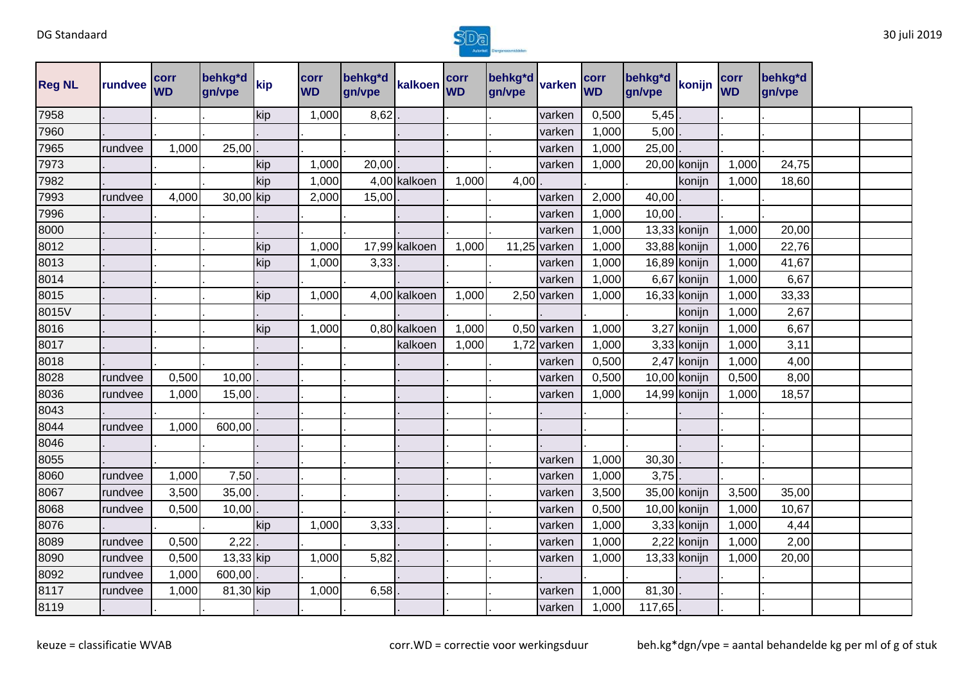

| <b>Reg NL</b> | rundvee | corr<br><b>WD</b> | behkg*d<br>gn/vpe | kip | <b>corr</b><br><b>WD</b> | behkg*d<br>gn/vpe | kalkoen       | corr<br><b>WD</b> | behkg*d<br>gn/vpe | varken        | corr<br><b>WD</b> | behkg*d<br>gn/vpe | konijn         | corr<br><b>WD</b> | behkg*d<br>gn/vpe |  |
|---------------|---------|-------------------|-------------------|-----|--------------------------|-------------------|---------------|-------------------|-------------------|---------------|-------------------|-------------------|----------------|-------------------|-------------------|--|
| 7958          |         |                   |                   | kip | 1,000                    | 8,62              |               |                   |                   | varken        | 0,500             | 5,45              |                |                   |                   |  |
| 7960          |         |                   |                   |     |                          |                   |               |                   |                   | varken        | 1,000             | 5,00              |                |                   |                   |  |
| 7965          | rundvee | 1,000             | 25,00             |     |                          |                   |               |                   |                   | varken        | 1,000             | 25,00             |                |                   |                   |  |
| 7973          |         |                   |                   | kip | 1,000                    | 20,00             |               |                   |                   | varken        | 1,000             |                   | 20,00 konijn   | 1,000             | 24,75             |  |
| 7982          |         |                   |                   | kip | 1,000                    |                   | 4,00 kalkoen  | 1,000             | 4,00              |               |                   |                   | konijn         | 1,000             | 18,60             |  |
| 7993          | rundvee | 4,000             | 30,00 kip         |     | 2,000                    | 15,00             |               |                   |                   | varken        | 2,000             | 40,00             |                |                   |                   |  |
| 7996          |         |                   |                   |     |                          |                   |               |                   |                   | varken        | 1,000             | 10,00             |                |                   |                   |  |
| 8000          |         |                   |                   |     |                          |                   |               |                   |                   | varken        | 1,000             |                   | 13,33 konijn   | 1,000             | 20,00             |  |
| 8012          |         |                   |                   | kip | 1,000                    |                   | 17,99 kalkoen | 1,000             |                   | 11,25 varken  | 1,000             |                   | 33,88 konijn   | 1,000             | 22,76             |  |
| 8013          |         |                   |                   | kip | 1,000                    | 3,33              |               |                   |                   | varken        | 1,000             |                   | 16,89 konijn   | 1,000             | 41,67             |  |
| 8014          |         |                   |                   |     |                          |                   |               |                   |                   | varken        | 1,000             |                   | 6,67 konijn    | 1,000             | 6,67              |  |
| 8015          |         |                   |                   | kip | 1,000                    |                   | 4,00 kalkoen  | 1,000             |                   | 2,50 varken   | 1,000             |                   | 16,33 konijn   | 1,000             | 33,33             |  |
| 8015V         |         |                   |                   |     |                          |                   |               |                   |                   |               |                   |                   | konijn         | 1,000             | 2,67              |  |
| 8016          |         |                   |                   | kip | 1,000                    |                   | 0,80 kalkoen  | 1,000             |                   | $0,50$ varken | 1,000             |                   | 3,27 konijn    | 1,000             | 6,67              |  |
| 8017          |         |                   |                   |     |                          |                   | kalkoen       | 1,000             |                   | 1,72 varken   | 1,000             |                   | 3,33 konijn    | 1,000             | 3,11              |  |
| 8018          |         |                   |                   |     |                          |                   |               |                   |                   | varken        | 0,500             |                   | 2,47 konijn    | 1,000             | 4,00              |  |
| 8028          | rundvee | 0,500             | 10,00             |     |                          |                   |               |                   |                   | varken        | 0,500             |                   | 10,00 konijn   | 0,500             | 8,00              |  |
| 8036          | rundvee | 1,000             | 15,00             |     |                          |                   |               |                   |                   | varken        | 1,000             |                   | 14,99 konijn   | 1,000             | 18,57             |  |
| 8043          |         |                   |                   |     |                          |                   |               |                   |                   |               |                   |                   |                |                   |                   |  |
| 8044          | rundvee | 1,000             | 600,00            |     |                          |                   |               |                   |                   |               |                   |                   |                |                   |                   |  |
| 8046          |         |                   |                   |     |                          |                   |               |                   |                   |               |                   |                   |                |                   |                   |  |
| 8055          |         |                   |                   |     |                          |                   |               |                   |                   | varken        | 1,000             | 30,30             |                |                   |                   |  |
| 8060          | rundvee | 1,000             | 7,50              |     |                          |                   |               |                   |                   | varken        | 1,000             | 3,75              |                |                   |                   |  |
| 8067          | rundvee | 3,500             | 35,00             |     |                          |                   |               |                   |                   | varken        | 3,500             |                   | 35,00 konijn   | 3,500             | 35,00             |  |
| 8068          | rundvee | 0,500             | 10,00             |     |                          |                   |               |                   |                   | varken        | 0,500             |                   | 10,00 konijn   | 1,000             | 10,67             |  |
| 8076          |         |                   |                   | kip | 1,000                    | 3,33              |               |                   |                   | varken        | 1,000             |                   | 3,33 konijn    | 1,000             | 4,44              |  |
| 8089          | rundvee | 0,500             | 2,22              |     |                          |                   |               |                   |                   | varken        | 1,000             |                   | 2,22 konijn    | 1,000             | 2,00              |  |
| 8090          | rundvee | 0,500             | 13,33 kip         |     | 1,000                    | 5,82              |               |                   |                   | varken        | 1,000             |                   | $13,33$ konijn | 1,000             | 20,00             |  |
| 8092          | rundvee | 1,000             | 600,00            |     |                          |                   |               |                   |                   |               |                   |                   |                |                   |                   |  |
| 8117          | rundvee | 1,000             | 81,30 kip         |     | 1,000                    | 6,58              |               |                   |                   | varken        | 1,000             | 81,30             |                |                   |                   |  |
| 8119          |         |                   |                   |     |                          |                   |               |                   |                   | varken        | 1,000             | 117,65            |                |                   |                   |  |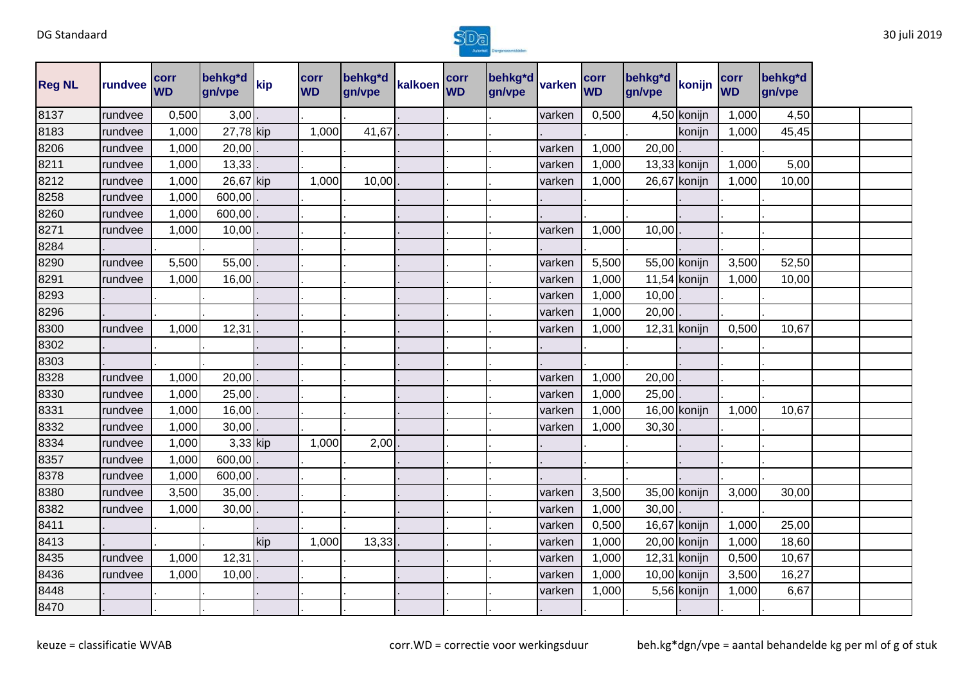

| <b>Reg NL</b> | rundvee | corr<br><b>WD</b> | behkg*d<br>gn/vpe | kip | corr<br><b>WD</b> | behkg*d<br>gn/vpe | kalkoen corr | behkg <sup>*d</sup> varken<br>gn/vpe |        | corr<br><b>WD</b> | behkg*d<br>gn/vpe | konijn         | corr<br><b>WD</b> | behkg*d<br>gn/vpe |  |
|---------------|---------|-------------------|-------------------|-----|-------------------|-------------------|--------------|--------------------------------------|--------|-------------------|-------------------|----------------|-------------------|-------------------|--|
| 8137          | rundvee | 0,500             | 3,00              |     |                   |                   |              |                                      | varken | 0,500             |                   | 4,50 konijn    | 1,000             | 4,50              |  |
| 8183          | rundvee | 1,000             | 27,78 kip         |     | 1,000             | 41,67             |              |                                      |        |                   |                   | konijn         | 1,000             | 45,45             |  |
| 8206          | rundvee | 1,000             | 20,00             |     |                   |                   |              |                                      | varken | 1,000             | 20,00             |                |                   |                   |  |
| 8211          | rundvee | 1,000             | 13,33             |     |                   |                   |              |                                      | varken | 1,000             |                   | $13,33$ konijn | 1,000             | 5,00              |  |
| 8212          | rundvee | 1,000             | 26,67 kip         |     | 1,000             | 10,00             |              |                                      | varken | 1,000             |                   | 26,67 konijn   | 1,000             | 10,00             |  |
| 8258          | rundvee | 1,000             | 600,00            |     |                   |                   |              |                                      |        |                   |                   |                |                   |                   |  |
| 8260          | rundvee | 1,000             | 600,00            |     |                   |                   |              |                                      |        |                   |                   |                |                   |                   |  |
| 8271          | rundvee | 1,000             | 10,00             |     |                   |                   |              |                                      | varken | 1,000             | 10,00             |                |                   |                   |  |
| 8284          |         |                   |                   |     |                   |                   |              |                                      |        |                   |                   |                |                   |                   |  |
| 8290          | rundvee | 5,500             | 55,00             |     |                   |                   |              |                                      | varken | 5,500             |                   | 55,00 konijn   | 3,500             | 52,50             |  |
| 8291          | rundvee | 1,000             | 16,00             |     |                   |                   |              |                                      | varken | 1,000             |                   | $11,54$ konijn | 1,000             | 10,00             |  |
| 8293          |         |                   |                   |     |                   |                   |              |                                      | varken | 1,000             | 10,00             |                |                   |                   |  |
| 8296          |         |                   |                   |     |                   |                   |              |                                      | varken | 1,000             | 20,00             |                |                   |                   |  |
| 8300          | rundvee | 1,000             | 12,31             |     |                   |                   |              |                                      | varken | 1,000             |                   | 12,31 konijn   | 0,500             | 10,67             |  |
| 8302          |         |                   |                   |     |                   |                   |              |                                      |        |                   |                   |                |                   |                   |  |
| 8303          |         |                   |                   |     |                   |                   |              |                                      |        |                   |                   |                |                   |                   |  |
| 8328          | rundvee | 1,000             | 20,00             |     |                   |                   |              |                                      | varken | 1,000             | 20,00             |                |                   |                   |  |
| 8330          | rundvee | 1,000             | 25,00             |     |                   |                   |              |                                      | varken | 1,000             | 25,00             |                |                   |                   |  |
| 8331          | rundvee | 1,000             | 16,00             |     |                   |                   |              |                                      | varken | 1,000             |                   | 16,00 konijn   | 1,000             | 10,67             |  |
| 8332          | rundvee | 1,000             | 30,00             |     |                   |                   |              |                                      | varken | 1,000             | 30,30             |                |                   |                   |  |
| 8334          | rundvee | 1,000             | 3,33 kip          |     | 1,000             | 2,00              |              |                                      |        |                   |                   |                |                   |                   |  |
| 8357          | rundvee | 1,000             | 600,00            |     |                   |                   |              |                                      |        |                   |                   |                |                   |                   |  |
| 8378          | rundvee | 1,000             | 600,00            |     |                   |                   |              |                                      |        |                   |                   |                |                   |                   |  |
| 8380          | rundvee | 3,500             | 35,00             |     |                   |                   |              |                                      | varken | 3,500             |                   | 35,00 konijn   | 3,000             | 30,00             |  |
| 8382          | rundvee | 1,000             | 30,00             |     |                   |                   |              |                                      | varken | 1,000             | 30,00             |                |                   |                   |  |
| 8411          |         |                   |                   |     |                   |                   |              |                                      | varken | 0,500             |                   | 16,67 konijn   | 1,000             | 25,00             |  |
| 8413          |         |                   |                   | kip | 1,000             | 13,33             |              |                                      | varken | 1,000             |                   | 20,00 konijn   | 1,000             | 18,60             |  |
| 8435          | rundvee | 1,000             | 12,31             |     |                   |                   |              |                                      | varken | 1,000             |                   | 12,31 konijn   | 0,500             | 10,67             |  |
| 8436          | rundvee | 1,000             | 10,00             |     |                   |                   |              |                                      | varken | 1,000             |                   | 10,00 konijn   | 3,500             | 16,27             |  |
| 8448          |         |                   |                   |     |                   |                   |              |                                      | varken | 1,000             |                   | 5,56 konijn    | 1,000             | 6,67              |  |
| 8470          |         |                   |                   |     |                   |                   |              |                                      |        |                   |                   |                |                   |                   |  |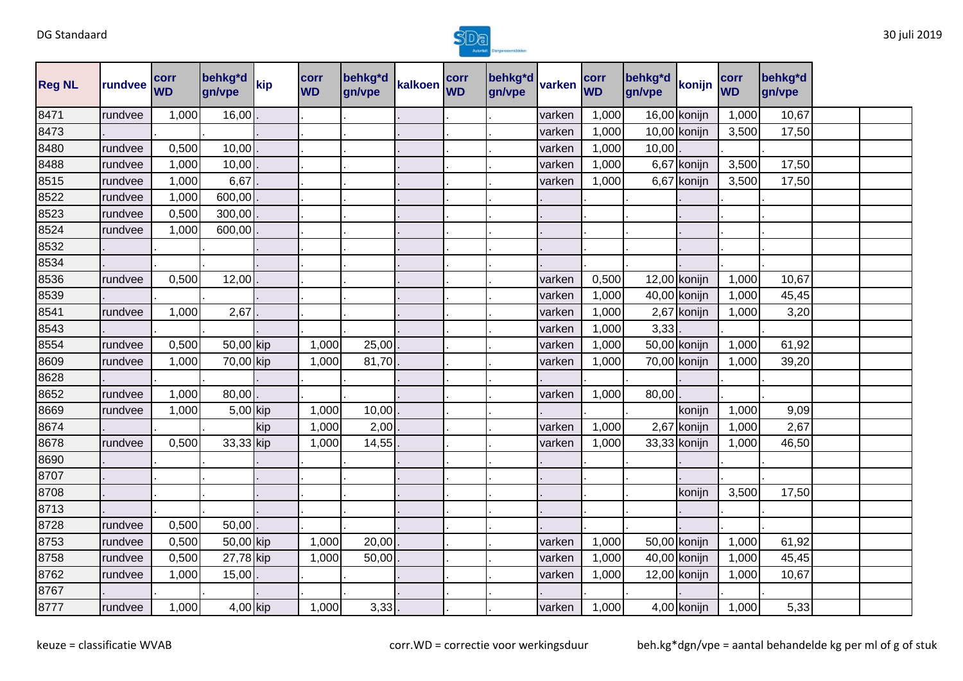

| <b>Reg NL</b> | rundvee | corr<br><b>WD</b> | behkg*d<br>gn/vpe | kip | <b>corr</b><br><b>WD</b> | behkg*d<br>gn/vpe | kalkoen | corr<br><b>WD</b> | behkg*d<br>gn/vpe | varken | corr<br><b>WD</b> | behkg*d<br>gn/vpe | konijn       | corr<br><b>WD</b> | behkg*d<br>gn/vpe |  |
|---------------|---------|-------------------|-------------------|-----|--------------------------|-------------------|---------|-------------------|-------------------|--------|-------------------|-------------------|--------------|-------------------|-------------------|--|
| 8471          | rundvee | 1,000             | 16,00             |     |                          |                   |         |                   |                   | varken | 1,000             |                   | 16,00 konijn | 1,000             | 10,67             |  |
| 8473          |         |                   |                   |     |                          |                   |         |                   |                   | varken | 1,000             |                   | 10,00 konijn | 3,500             | 17,50             |  |
| 8480          | rundvee | 0,500             | 10,00             |     |                          |                   |         |                   |                   | varken | 1,000             | 10,00             |              |                   |                   |  |
| 8488          | rundvee | 1,000             | 10,00             |     |                          |                   |         |                   |                   | varken | 1,000             |                   | 6,67 konijn  | 3,500             | 17,50             |  |
| 8515          | rundvee | 1,000             | 6,67              |     |                          |                   |         |                   |                   | varken | 1,000             |                   | 6,67 konijn  | 3,500             | 17,50             |  |
| 8522          | rundvee | 1,000             | 600,00            |     |                          |                   |         |                   |                   |        |                   |                   |              |                   |                   |  |
| 8523          | rundvee | 0,500             | 300,00            |     |                          |                   |         |                   |                   |        |                   |                   |              |                   |                   |  |
| 8524          | rundvee | 1,000             | 600,00            |     |                          |                   |         |                   |                   |        |                   |                   |              |                   |                   |  |
| 8532          |         |                   |                   |     |                          |                   |         |                   |                   |        |                   |                   |              |                   |                   |  |
| 8534          |         |                   |                   |     |                          |                   |         |                   |                   |        |                   |                   |              |                   |                   |  |
| 8536          | rundvee | 0,500             | 12,00             |     |                          |                   |         |                   |                   | varken | 0,500             |                   | 12,00 konijn | 1,000             | 10,67             |  |
| 8539          |         |                   |                   |     |                          |                   |         |                   |                   | varken | 1,000             |                   | 40,00 konijn | 1,000             | 45,45             |  |
| 8541          | rundvee | 1,000             | 2,67              |     |                          |                   |         |                   |                   | varken | 1,000             |                   | 2,67 konijn  | 1,000             | 3,20              |  |
| 8543          |         |                   |                   |     |                          |                   |         |                   |                   | varken | 1,000             | 3,33              |              |                   |                   |  |
| 8554          | rundvee | 0,500             | 50,00 kip         |     | 1,000                    | 25,00             |         |                   |                   | varken | 1,000             |                   | 50,00 konijn | 1,000             | 61,92             |  |
| 8609          | rundvee | 1,000             | 70,00 kip         |     | 1,000                    | 81,70             |         |                   |                   | varken | 1,000             |                   | 70,00 konijn | 1,000             | 39,20             |  |
| 8628          |         |                   |                   |     |                          |                   |         |                   |                   |        |                   |                   |              |                   |                   |  |
| 8652          | rundvee | 1,000             | 80,00             |     |                          |                   |         |                   |                   | varken | 1,000             | 80,00             |              |                   |                   |  |
| 8669          | rundvee | 1,000             | 5,00 kip          |     | 1,000                    | 10,00             |         |                   |                   |        |                   |                   | konijn       | 1,000             | 9,09              |  |
| 8674          |         |                   |                   | kip | 1,000                    | 2,00              |         |                   |                   | varken | 1,000             |                   | 2,67 konijn  | 1,000             | 2,67              |  |
| 8678          | rundvee | 0,500             | 33,33 kip         |     | 1,000                    | 14,55             |         |                   |                   | varken | 1,000             |                   | 33,33 konijn | 1,000             | 46,50             |  |
| 8690          |         |                   |                   |     |                          |                   |         |                   |                   |        |                   |                   |              |                   |                   |  |
| 8707          |         |                   |                   |     |                          |                   |         |                   |                   |        |                   |                   |              |                   |                   |  |
| 8708          |         |                   |                   |     |                          |                   |         |                   |                   |        |                   |                   | konijn       | 3,500             | 17,50             |  |
| 8713          |         |                   |                   |     |                          |                   |         |                   |                   |        |                   |                   |              |                   |                   |  |
| 8728          | rundvee | 0,500             | 50,00             |     |                          |                   |         |                   |                   |        |                   |                   |              |                   |                   |  |
| 8753          | rundvee | 0,500             | 50,00 kip         |     | 1,000                    | 20,00             |         |                   |                   | varken | 1,000             |                   | 50,00 konijn | 1,000             | 61,92             |  |
| 8758          | rundvee | 0,500             | 27,78 kip         |     | 1,000                    | 50,00             |         |                   |                   | varken | 1,000             |                   | 40,00 konijn | 1,000             | 45,45             |  |
| 8762          | rundvee | 1,000             | $15,00$ .         |     |                          |                   |         |                   |                   | varken | 1,000             |                   | 12,00 konijn | 1,000             | 10,67             |  |
| 8767          |         |                   |                   |     |                          |                   |         |                   |                   |        |                   |                   |              |                   |                   |  |
| 8777          | rundvee | 1,000             | 4,00 kip          |     | 1,000                    | 3,33              |         |                   |                   | varken | 1,000             |                   | 4,00 konijn  | 1,000             | 5,33              |  |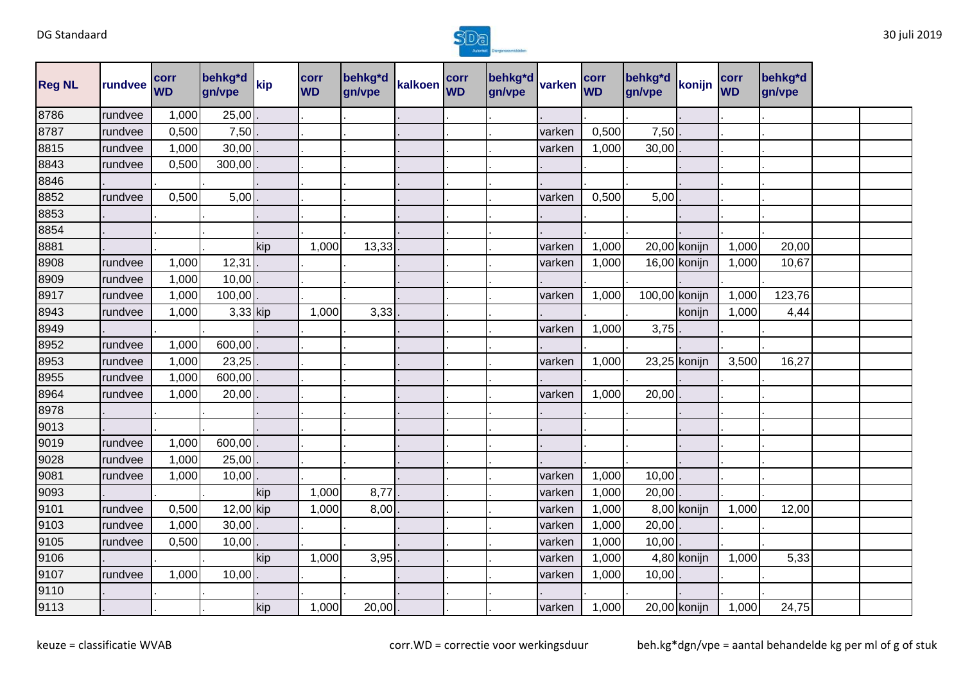

| <b>Reg NL</b> | rundvee | corr<br><b>WD</b> | behkg*d<br>gn/vpe | kip | corr<br><b>WD</b> | behkg*d<br>gn/vpe | kalkoen | corr<br><b>WD</b> | behkg*d<br>gn/vpe | varken | corr<br><b>WD</b> | behkg*d<br>gn/vpe | konijn       | corr<br><b>WD</b> | behkg*d<br>gn/vpe |  |
|---------------|---------|-------------------|-------------------|-----|-------------------|-------------------|---------|-------------------|-------------------|--------|-------------------|-------------------|--------------|-------------------|-------------------|--|
| 8786          | rundvee | 1,000             | 25,00             |     |                   |                   |         |                   |                   |        |                   |                   |              |                   |                   |  |
| 8787          | rundvee | 0,500             | 7,50              |     |                   |                   |         |                   |                   | varken | 0,500             | 7,50              |              |                   |                   |  |
| 8815          | rundvee | 1,000             | 30,00             |     |                   |                   |         |                   |                   | varken | 1,000             | 30,00             |              |                   |                   |  |
| 8843          | rundvee | 0,500             | 300,00            |     |                   |                   |         |                   |                   |        |                   |                   |              |                   |                   |  |
| 8846          |         |                   |                   |     |                   |                   |         |                   |                   |        |                   |                   |              |                   |                   |  |
| 8852          | rundvee | 0,500             | 5,00              |     |                   |                   |         |                   |                   | varken | 0,500             | 5,00              |              |                   |                   |  |
| 8853          |         |                   |                   |     |                   |                   |         |                   |                   |        |                   |                   |              |                   |                   |  |
| 8854          |         |                   |                   |     |                   |                   |         |                   |                   |        |                   |                   |              |                   |                   |  |
| 8881          |         |                   |                   | kip | 1,000             | 13,33             |         |                   |                   | varken | 1,000             |                   | 20,00 konijn | 1,000             | 20,00             |  |
| 8908          | rundvee | 1,000             | 12,31             |     |                   |                   |         |                   |                   | varken | 1,000             |                   | 16,00 konijn | 1,000             | 10,67             |  |
| 8909          | rundvee | 1,000             | 10,00             |     |                   |                   |         |                   |                   |        |                   |                   |              |                   |                   |  |
| 8917          | rundvee | 1,000             | 100,00            |     |                   |                   |         |                   |                   | varken | 1,000             | 100,00 konijn     |              | 1,000             | 123,76            |  |
| 8943          | rundvee | 1,000             | 3,33 kip          |     | 1,000             | 3,33              |         |                   |                   |        |                   |                   | konijn       | 1,000             | 4,44              |  |
| 8949          |         |                   |                   |     |                   |                   |         |                   |                   | varken | 1,000             | 3,75              |              |                   |                   |  |
| 8952          | rundvee | 1,000             | 600,00            |     |                   |                   |         |                   |                   |        |                   |                   |              |                   |                   |  |
| 8953          | rundvee | 1,000             | 23,25             |     |                   |                   |         |                   |                   | varken | 1,000             |                   | 23,25 konijn | 3,500             | 16,27             |  |
| 8955          | rundvee | 1,000             | 600,00            |     |                   |                   |         |                   |                   |        |                   |                   |              |                   |                   |  |
| 8964          | rundvee | 1,000             | 20,00             |     |                   |                   |         |                   |                   | varken | 1,000             | 20,00             |              |                   |                   |  |
| 8978          |         |                   |                   |     |                   |                   |         |                   |                   |        |                   |                   |              |                   |                   |  |
| 9013          |         |                   |                   |     |                   |                   |         |                   |                   |        |                   |                   |              |                   |                   |  |
| 9019          | rundvee | 1,000             | 600,00            |     |                   |                   |         |                   |                   |        |                   |                   |              |                   |                   |  |
| 9028          | rundvee | 1,000             | 25,00             |     |                   |                   |         |                   |                   |        |                   |                   |              |                   |                   |  |
| 9081          | rundvee | 1,000             | 10,00             |     |                   |                   |         |                   |                   | varken | 1,000             | 10,00             |              |                   |                   |  |
| 9093          |         |                   |                   | kip | 1,000             | 8,77              |         |                   |                   | varken | 1,000             | 20,00             |              |                   |                   |  |
| 9101          | rundvee | 0,500             | 12,00 kip         |     | 1,000             | 8,00              |         |                   |                   | varken | 1,000             |                   | 8,00 konijn  | 1,000             | 12,00             |  |
| 9103          | rundvee | 1,000             | 30,00             |     |                   |                   |         |                   |                   | varken | 1,000             | 20,00             |              |                   |                   |  |
| 9105          | rundvee | 0,500             | 10,00             |     |                   |                   |         |                   |                   | varken | 1,000             | 10,00             |              |                   |                   |  |
| 9106          |         |                   |                   | kip | 1,000             | 3,95              |         |                   |                   | varken | 1,000             |                   | 4,80 konijn  | 1,000             | 5,33              |  |
| 9107          | rundvee | 1,000             | 10,00             |     |                   |                   |         |                   |                   | varken | 1,000             | 10,00             |              |                   |                   |  |
| 9110          |         |                   |                   |     |                   |                   |         |                   |                   |        |                   |                   |              |                   |                   |  |
| 9113          |         |                   |                   | kip | 1,000             | 20,00             |         |                   |                   | varken | 1,000             |                   | 20,00 konijn | 1,000             | 24,75             |  |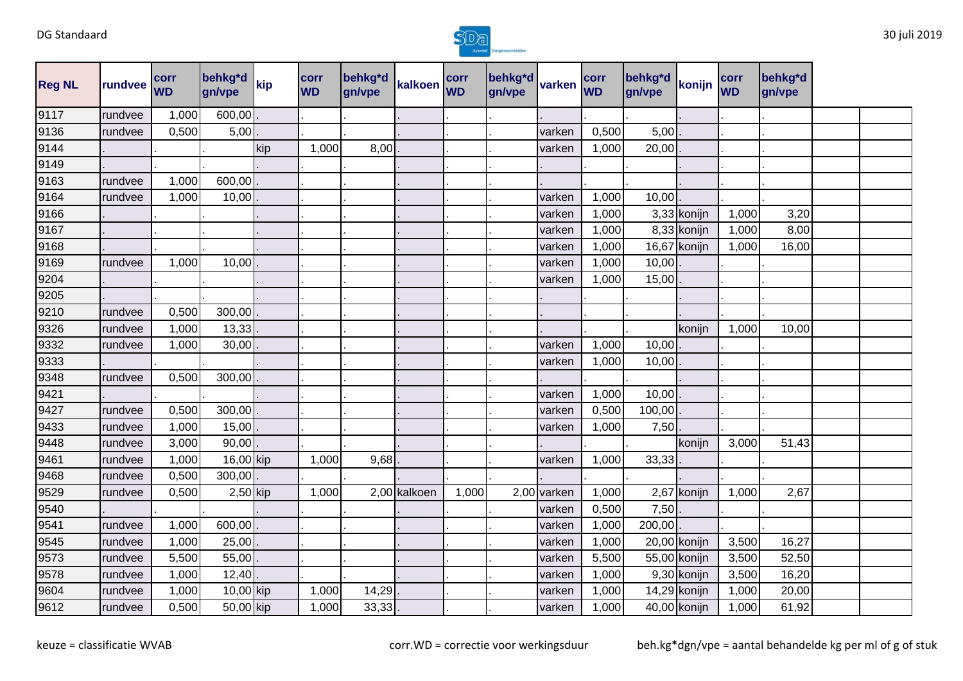

| <b>Reg NL</b> | rundvee | corr<br><b>WD</b> | behkg*d<br>gn/vpe | kip | corr<br><b>WD</b> | behkg*d<br>gn/vpe | kalkoen      | corr<br><b>WD</b> | behkg*d<br>gn/vpe | varken      | corr<br><b>WD</b> | behkg*d<br>gn/vpe | konijn       | corr<br><b>WD</b> | behkg*d<br>gn/vpe |  |
|---------------|---------|-------------------|-------------------|-----|-------------------|-------------------|--------------|-------------------|-------------------|-------------|-------------------|-------------------|--------------|-------------------|-------------------|--|
| 9117          | rundvee | 1,000             | 600,00            |     |                   |                   |              |                   |                   |             |                   |                   |              |                   |                   |  |
| 9136          | rundvee | 0,500             | 5,00              |     |                   |                   |              |                   |                   | varken      | 0,500             | 5,00              |              |                   |                   |  |
| 9144          |         |                   |                   | kip | 1,000             | 8,00              |              |                   |                   | varken      | 1,000             | 20,00             |              |                   |                   |  |
| 9149          |         |                   |                   |     |                   |                   |              |                   |                   |             |                   |                   |              |                   |                   |  |
| 9163          | rundvee | 1,000             | 600,00            |     |                   |                   |              |                   |                   |             |                   |                   |              |                   |                   |  |
| 9164          | rundvee | 1,000             | 10,00             |     |                   |                   |              |                   |                   | varken      | 1,000             | 10,00             |              |                   |                   |  |
| 9166          |         |                   |                   |     |                   |                   |              |                   |                   | varken      | 1,000             |                   | 3,33 konijn  | 1,000             | 3,20              |  |
| 9167          |         |                   |                   |     |                   |                   |              |                   |                   | varken      | 1,000             |                   | 8,33 konijn  | 1,000             | 8,00              |  |
| 9168          |         |                   |                   |     |                   |                   |              |                   |                   | varken      | 1,000             |                   | 16,67 konijn | 1,000             | 16,00             |  |
| 9169          | rundvee | 1,000             | 10,00             |     |                   |                   |              |                   |                   | varken      | 1,000             | 10,00             |              |                   |                   |  |
| 9204          |         |                   |                   |     |                   |                   |              |                   |                   | varken      | 1,000             | 15,00             |              |                   |                   |  |
| 9205          |         |                   |                   |     |                   |                   |              |                   |                   |             |                   |                   |              |                   |                   |  |
| 9210          | rundvee | 0,500             | 300,00            |     |                   |                   |              |                   |                   |             |                   |                   |              |                   |                   |  |
| 9326          | rundvee | 1,000             | 13,33             |     |                   |                   |              |                   |                   |             |                   |                   | konijn       | 1,000             | 10,00             |  |
| 9332          | rundvee | 1,000             | 30,00             |     |                   |                   |              |                   |                   | varken      | 1,000             | 10,00             |              |                   |                   |  |
| 9333          |         |                   |                   |     |                   |                   |              |                   |                   | varken      | 1,000             | 10,00             |              |                   |                   |  |
| 9348          | rundvee | 0,500             | 300,00            |     |                   |                   |              |                   |                   |             |                   |                   |              |                   |                   |  |
| 9421          |         |                   |                   |     |                   |                   |              |                   |                   | varken      | 1,000             | 10,00             |              |                   |                   |  |
| 9427          | rundvee | 0,500             | 300,00            |     |                   |                   |              |                   |                   | varken      | 0,500             | 100,00            |              |                   |                   |  |
| 9433          | rundvee | 1,000             | 15,00             |     |                   |                   |              |                   |                   | varken      | 1,000             | 7,50              |              |                   |                   |  |
| 9448          | rundvee | 3,000             | 90,00             |     |                   |                   |              |                   |                   |             |                   |                   | konijn       | 3,000             | 51,43             |  |
| 9461          | rundvee | 1,000             | 16,00 kip         |     | 1,000             | 9,68              |              |                   |                   | varken      | 1,000             | 33,33             |              |                   |                   |  |
| 9468          | rundvee | 0,500             | 300,00            |     |                   |                   |              |                   |                   |             |                   |                   |              |                   |                   |  |
| 9529          | rundvee | 0,500             | $2,50$ kip        |     | 1,000             |                   | 2,00 kalkoen | 1,000             |                   | 2,00 varken | 1,000             |                   | 2,67 konijn  | 1,000             | 2,67              |  |
| 9540          |         |                   |                   |     |                   |                   |              |                   |                   | varken      | 0,500             | 7,50              |              |                   |                   |  |
| 9541          | rundvee | 1,000             | 600,00            |     |                   |                   |              |                   |                   | varken      | 1,000             | 200,00            |              |                   |                   |  |
| 9545          | rundvee | 1,000             | 25,00             |     |                   |                   |              |                   |                   | varken      | 1,000             |                   | 20,00 konijn | 3,500             | 16,27             |  |
| 9573          | rundvee | 5,500             | 55,00             |     |                   |                   |              |                   |                   | varken      | 5,500             |                   | 55,00 konijn | 3,500             | 52,50             |  |
| 9578          | rundvee | 1,000             | 12,40             |     |                   |                   |              |                   |                   | varken      | 1,000             |                   | 9,30 konijn  | 3,500             | 16,20             |  |
| 9604          | rundvee | 1,000             | 10,00 kip         |     | 1,000             | 14,29             |              |                   |                   | varken      | 1,000             |                   | 14,29 konijn | 1,000             | 20,00             |  |
| 9612          | rundvee | 0,500             | 50,00 kip         |     | 1,000             | 33,33             |              |                   |                   | varken      | 1,000             |                   | 40,00 konijn | 1,000             | 61,92             |  |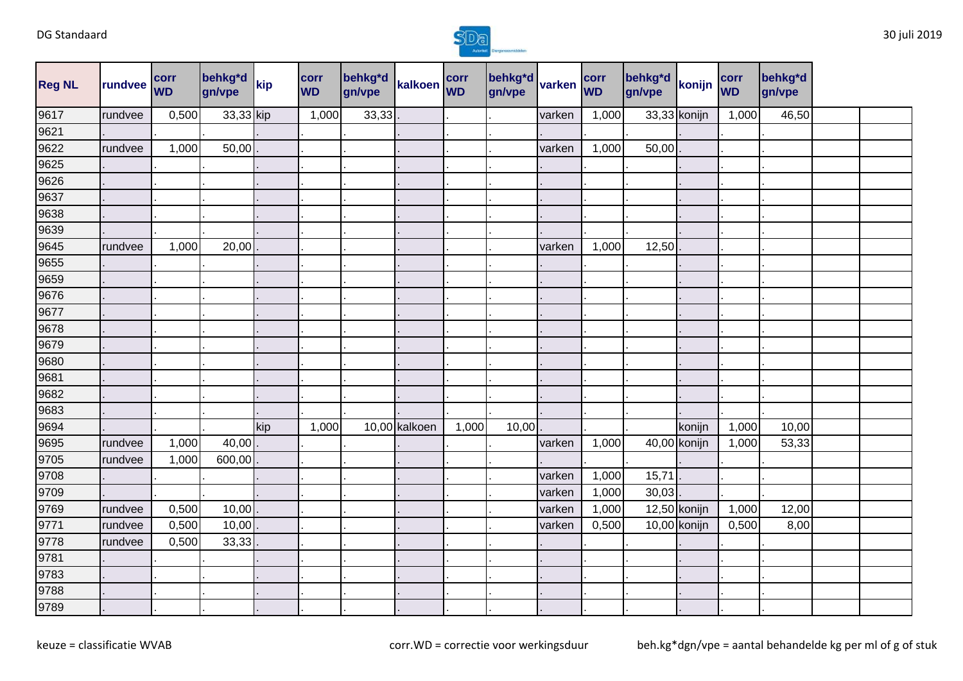

| <b>Reg NL</b> | rundvee | corr<br><b>WD</b> | behkg*d<br>gn/vpe | kip | corr<br><b>WD</b> | behkg*d<br>gn/vpe | kalkoen corr  |       | behkg*d varken /<br>gn/vpe |        | corr<br><b>WD</b> | behkg*d<br>gn/vpe | konijn       | corr<br><b>WD</b> | behkg*d<br>gn/vpe |  |
|---------------|---------|-------------------|-------------------|-----|-------------------|-------------------|---------------|-------|----------------------------|--------|-------------------|-------------------|--------------|-------------------|-------------------|--|
| 9617          | rundvee | 0,500             | 33,33 kip         |     | 1,000             | 33,33             |               |       |                            | varken | 1,000             |                   | 33,33 konijn | 1,000             | 46,50             |  |
| 9621          |         |                   |                   |     |                   |                   |               |       |                            |        |                   |                   |              |                   |                   |  |
| 9622          | rundvee | 1,000             | 50,00             |     |                   |                   |               |       |                            | varken | 1,000             | 50,00             |              |                   |                   |  |
| 9625          |         |                   |                   |     |                   |                   |               |       |                            |        |                   |                   |              |                   |                   |  |
| 9626          |         |                   |                   |     |                   |                   |               |       |                            |        |                   |                   |              |                   |                   |  |
| 9637          |         |                   |                   |     |                   |                   |               |       |                            |        |                   |                   |              |                   |                   |  |
| 9638          |         |                   |                   |     |                   |                   |               |       |                            |        |                   |                   |              |                   |                   |  |
| 9639          |         |                   |                   |     |                   |                   |               |       |                            |        |                   |                   |              |                   |                   |  |
| 9645          | rundvee | 1,000             | 20,00             |     |                   |                   |               |       |                            | varken | 1,000             | 12,50             |              |                   |                   |  |
| 9655          |         |                   |                   |     |                   |                   |               |       |                            |        |                   |                   |              |                   |                   |  |
| 9659          |         |                   |                   |     |                   |                   |               |       |                            |        |                   |                   |              |                   |                   |  |
| 9676          |         |                   |                   |     |                   |                   |               |       |                            |        |                   |                   |              |                   |                   |  |
| 9677          |         |                   |                   |     |                   |                   |               |       |                            |        |                   |                   |              |                   |                   |  |
| 9678          |         |                   |                   |     |                   |                   |               |       |                            |        |                   |                   |              |                   |                   |  |
| 9679          |         |                   |                   |     |                   |                   |               |       |                            |        |                   |                   |              |                   |                   |  |
| 9680          |         |                   |                   |     |                   |                   |               |       |                            |        |                   |                   |              |                   |                   |  |
| 9681          |         |                   |                   |     |                   |                   |               |       |                            |        |                   |                   |              |                   |                   |  |
| 9682          |         |                   |                   |     |                   |                   |               |       |                            |        |                   |                   |              |                   |                   |  |
| 9683          |         |                   |                   |     |                   |                   |               |       |                            |        |                   |                   |              |                   |                   |  |
| 9694          |         |                   |                   | kip | 1,000             |                   | 10,00 kalkoen | 1,000 | 10,00                      |        |                   |                   | konijn       | 1,000             | 10,00             |  |
| 9695          | rundvee | 1,000             | 40,00             |     |                   |                   |               |       |                            | varken | 1,000             |                   | 40,00 konijn | 1,000             | 53,33             |  |
| 9705          | rundvee | 1,000             | 600,00            |     |                   |                   |               |       |                            |        |                   |                   |              |                   |                   |  |
| 9708          |         |                   |                   |     |                   |                   |               |       |                            | varken | 1,000             | 15,71             |              |                   |                   |  |
| 9709          |         |                   |                   |     |                   |                   |               |       |                            | varken | 1,000             | 30,03             |              |                   |                   |  |
| 9769          | rundvee | 0,500             | 10,00             |     |                   |                   |               |       |                            | varken | 1,000             |                   | 12,50 konijn | 1,000             | 12,00             |  |
| 9771          | rundvee | 0,500             | 10,00             |     |                   |                   |               |       |                            | varken | 0,500             |                   | 10,00 konijn | 0,500             | 8,00              |  |
| 9778          | rundvee | 0,500             | 33,33             |     |                   |                   |               |       |                            |        |                   |                   |              |                   |                   |  |
| 9781          |         |                   |                   |     |                   |                   |               |       |                            |        |                   |                   |              |                   |                   |  |
| 9783          |         |                   |                   |     |                   |                   |               |       |                            |        |                   |                   |              |                   |                   |  |
| 9788          |         |                   |                   |     |                   |                   |               |       |                            |        |                   |                   |              |                   |                   |  |
| 9789          |         |                   |                   |     |                   |                   |               |       |                            |        |                   |                   |              |                   |                   |  |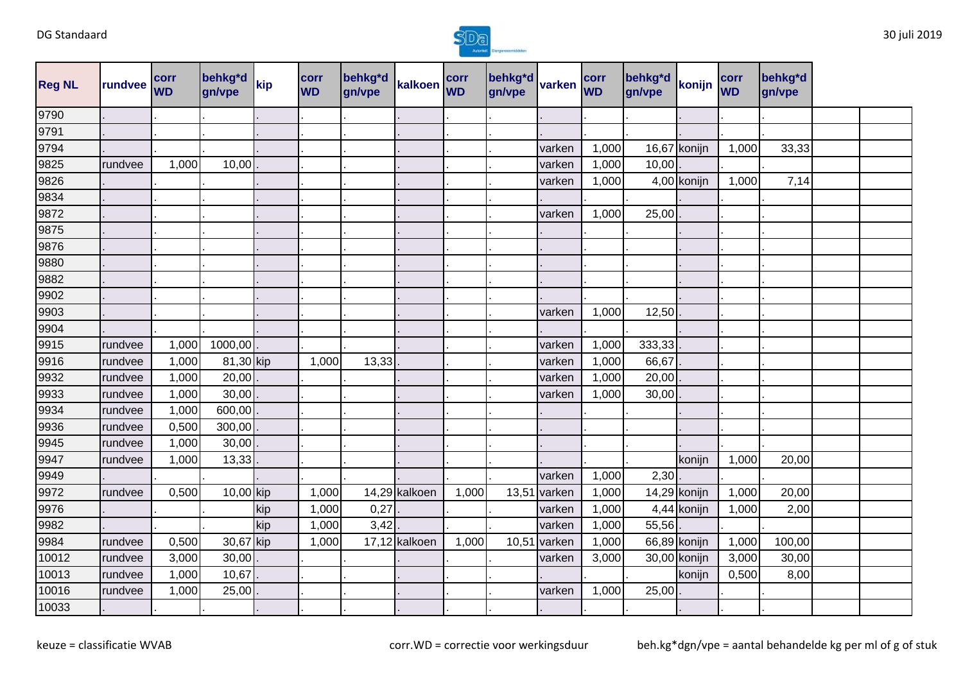

| <b>Reg NL</b> | rundvee | corr<br><b>WD</b> | behkg*d<br>gn/vpe | kip | <b>corr</b><br><b>WD</b> | behkg*d<br>gn/vpe | kalkoen corr  |       | behkg*d<br>gn/vpe | varken | corr<br><b>WD</b> | behkg*d<br>gn/vpe | konijn       | corr<br><b>WD</b> | behkg*d<br>gn/vpe |  |
|---------------|---------|-------------------|-------------------|-----|--------------------------|-------------------|---------------|-------|-------------------|--------|-------------------|-------------------|--------------|-------------------|-------------------|--|
| 9790          |         |                   |                   |     |                          |                   |               |       |                   |        |                   |                   |              |                   |                   |  |
| 9791          |         |                   |                   |     |                          |                   |               |       |                   |        |                   |                   |              |                   |                   |  |
| 9794          |         |                   |                   |     |                          |                   |               |       |                   | varken | 1,000             |                   | 16,67 konijn | 1,000             | 33,33             |  |
| 9825          | rundvee | 1,000             | 10,00             |     |                          |                   |               |       |                   | varken | 1,000             | 10,00             |              |                   |                   |  |
| 9826          |         |                   |                   |     |                          |                   |               |       |                   | varken | 1,000             |                   | 4,00 konijn  | 1,000             | 7,14              |  |
| 9834          |         |                   |                   |     |                          |                   |               |       |                   |        |                   |                   |              |                   |                   |  |
| 9872          |         |                   |                   |     |                          |                   |               |       |                   | varken | 1,000             | 25,00             |              |                   |                   |  |
| 9875          |         |                   |                   |     |                          |                   |               |       |                   |        |                   |                   |              |                   |                   |  |
| 9876          |         |                   |                   |     |                          |                   |               |       |                   |        |                   |                   |              |                   |                   |  |
| 9880          |         |                   |                   |     |                          |                   |               |       |                   |        |                   |                   |              |                   |                   |  |
| 9882          |         |                   |                   |     |                          |                   |               |       |                   |        |                   |                   |              |                   |                   |  |
| 9902          |         |                   |                   |     |                          |                   |               |       |                   |        |                   |                   |              |                   |                   |  |
| 9903          |         |                   |                   |     |                          |                   |               |       |                   | varken | 1,000             | 12,50             |              |                   |                   |  |
| 9904          |         |                   |                   |     |                          |                   |               |       |                   |        |                   |                   |              |                   |                   |  |
| 9915          | rundvee | 1,000             | 1000,00           |     |                          |                   |               |       |                   | varken | 1,000             | 333,33            |              |                   |                   |  |
| 9916          | rundvee | 1,000             | 81,30 kip         |     | 1,000                    | 13,33             |               |       |                   | varken | 1,000             | 66,67             |              |                   |                   |  |
| 9932          | rundvee | 1,000             | 20,00             |     |                          |                   |               |       |                   | varken | 1,000             | 20,00             |              |                   |                   |  |
| 9933          | rundvee | 1,000             | 30,00             |     |                          |                   |               |       |                   | varken | 1,000             | 30,00             |              |                   |                   |  |
| 9934          | rundvee | 1,000             | 600,00            |     |                          |                   |               |       |                   |        |                   |                   |              |                   |                   |  |
| 9936          | rundvee | 0,500             | 300,00            |     |                          |                   |               |       |                   |        |                   |                   |              |                   |                   |  |
| 9945          | rundvee | 1,000             | 30,00             |     |                          |                   |               |       |                   |        |                   |                   |              |                   |                   |  |
| 9947          | rundvee | 1,000             | 13,33             |     |                          |                   |               |       |                   |        |                   |                   | konijn       | 1,000             | 20,00             |  |
| 9949          |         |                   |                   |     |                          |                   |               |       |                   | varken | 1,000             | 2,30              |              |                   |                   |  |
| 9972          | rundvee | 0,500             | 10,00 kip         |     | 1,000                    |                   | 14,29 kalkoen | 1,000 | 13,51             | varken | 1,000             |                   | 14,29 konijn | 1,000             | 20,00             |  |
| 9976          |         |                   |                   | kip | 1,000                    | 0,27              |               |       |                   | varken | 1,000             |                   | 4,44 konijn  | 1,000             | 2,00              |  |
| 9982          |         |                   |                   | kip | 1,000                    | 3,42              |               |       |                   | varken | 1,000             | 55,56             |              |                   |                   |  |
| 9984          | rundvee | 0,500             | 30,67 kip         |     | 1,000                    |                   | 17,12 kalkoen | 1,000 | 10,5'             | varken | 1,000             |                   | 66,89 konijn | 1,000             | 100,00            |  |
| 10012         | rundvee | 3,000             | 30,00             |     |                          |                   |               |       |                   | varken | 3,000             |                   | 30,00 konijn | 3,000             | 30,00             |  |
| 10013         | rundvee | 1,000             | 10,67             |     |                          |                   |               |       |                   |        |                   |                   | konijn       | 0,500             | 8,00              |  |
| 10016         | rundvee | 1,000             | 25,00             |     |                          |                   |               |       |                   | varken | 1,000             | 25,00             |              |                   |                   |  |
| 10033         |         |                   |                   |     |                          |                   |               |       |                   |        |                   |                   |              |                   |                   |  |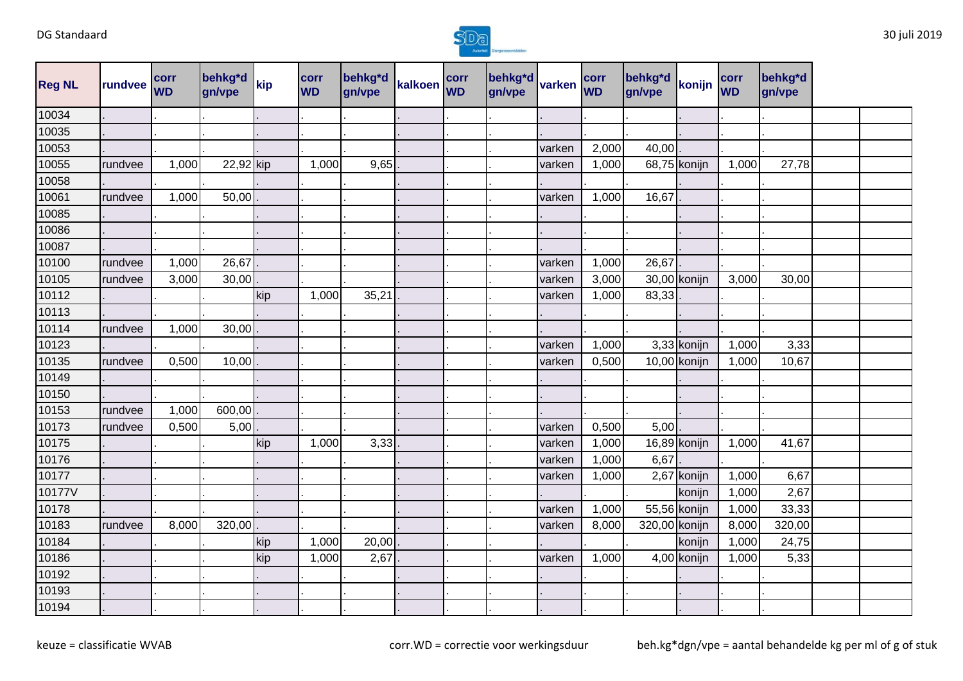

| <b>Reg NL</b> | rundvee | corr<br><b>WD</b> | behkg*d<br>gn/vpe | kip | corr<br><b>WD</b> | behkg*d<br>gn/vpe | kalkoen corr | behkg*d varken<br>gn/vpe |        | corr<br><b>WD</b> | behkg*d<br>gn/vpe | konijn       | corr<br><b>WD</b> | behkg*d<br>gn/vpe |  |
|---------------|---------|-------------------|-------------------|-----|-------------------|-------------------|--------------|--------------------------|--------|-------------------|-------------------|--------------|-------------------|-------------------|--|
| 10034         |         |                   |                   |     |                   |                   |              |                          |        |                   |                   |              |                   |                   |  |
| 10035         |         |                   |                   |     |                   |                   |              |                          |        |                   |                   |              |                   |                   |  |
| 10053         |         |                   |                   |     |                   |                   |              |                          | varken | 2,000             | 40,00             |              |                   |                   |  |
| 10055         | rundvee | 1,000             | 22,92 kip         |     | 1,000             | 9,65              |              |                          | varken | 1,000             |                   | 68,75 konijn | 1,000             | 27,78             |  |
| 10058         |         |                   |                   |     |                   |                   |              |                          |        |                   |                   |              |                   |                   |  |
| 10061         | rundvee | 1,000             | 50,00             |     |                   |                   |              |                          | varken | 1,000             | 16,67             |              |                   |                   |  |
| 10085         |         |                   |                   |     |                   |                   |              |                          |        |                   |                   |              |                   |                   |  |
| 10086         |         |                   |                   |     |                   |                   |              |                          |        |                   |                   |              |                   |                   |  |
| 10087         |         |                   |                   |     |                   |                   |              |                          |        |                   |                   |              |                   |                   |  |
| 10100         | rundvee | 1,000             | 26,67             |     |                   |                   |              |                          | varken | 1,000             | 26,67             |              |                   |                   |  |
| 10105         | rundvee | 3,000             | 30,00             |     |                   |                   |              |                          | varken | 3,000             |                   | 30,00 konijn | 3,000             | 30,00             |  |
| 10112         |         |                   |                   | kip | 1,000             | 35,21             |              |                          | varken | 1,000             | 83,33             |              |                   |                   |  |
| 10113         |         |                   |                   |     |                   |                   |              |                          |        |                   |                   |              |                   |                   |  |
| 10114         | rundvee | 1,000             | 30,00             |     |                   |                   |              |                          |        |                   |                   |              |                   |                   |  |
| 10123         |         |                   |                   |     |                   |                   |              |                          | varken | 1,000             |                   | 3,33 konijn  | 1,000             | 3,33              |  |
| 10135         | rundvee | 0,500             | 10,00             |     |                   |                   |              |                          | varken | 0,500             |                   | 10,00 konijn | 1,000             | 10,67             |  |
| 10149         |         |                   |                   |     |                   |                   |              |                          |        |                   |                   |              |                   |                   |  |
| 10150         |         |                   |                   |     |                   |                   |              |                          |        |                   |                   |              |                   |                   |  |
| 10153         | rundvee | 1,000             | 600,00            |     |                   |                   |              |                          |        |                   |                   |              |                   |                   |  |
| 10173         | rundvee | 0,500             | 5,00              |     |                   |                   |              |                          | varken | 0,500             | 5,00              |              |                   |                   |  |
| 10175         |         |                   |                   | kip | 1,000             | 3,33              |              |                          | varken | 1,000             |                   | 16,89 konijn | 1,000             | 41,67             |  |
| 10176         |         |                   |                   |     |                   |                   |              |                          | varken | 1,000             | 6,67              |              |                   |                   |  |
| 10177         |         |                   |                   |     |                   |                   |              |                          | varken | 1,000             |                   | 2,67 konijn  | 1,000             | 6,67              |  |
| 10177V        |         |                   |                   |     |                   |                   |              |                          |        |                   |                   | konijn       | 1,000             | 2,67              |  |
| 10178         |         |                   |                   |     |                   |                   |              |                          | varken | 1,000             |                   | 55,56 konijn | 1,000             | 33,33             |  |
| 10183         | rundvee | 8,000             | 320,00            |     |                   |                   |              |                          | varken | 8,000             | 320,00 konijn     |              | 8,000             | 320,00            |  |
| 10184         |         |                   |                   | kip | 1,000             | 20,00             |              |                          |        |                   |                   | konijn       | 1,000             | 24,75             |  |
| 10186         |         |                   |                   | kip | 1,000             | 2,67              |              |                          | varken | 1,000             |                   | 4,00 konijn  | 1,000             | 5,33              |  |
| 10192         |         |                   |                   |     |                   |                   |              |                          |        |                   |                   |              |                   |                   |  |
| 10193         |         |                   |                   |     |                   |                   |              |                          |        |                   |                   |              |                   |                   |  |
| 10194         |         |                   |                   |     |                   |                   |              |                          |        |                   |                   |              |                   |                   |  |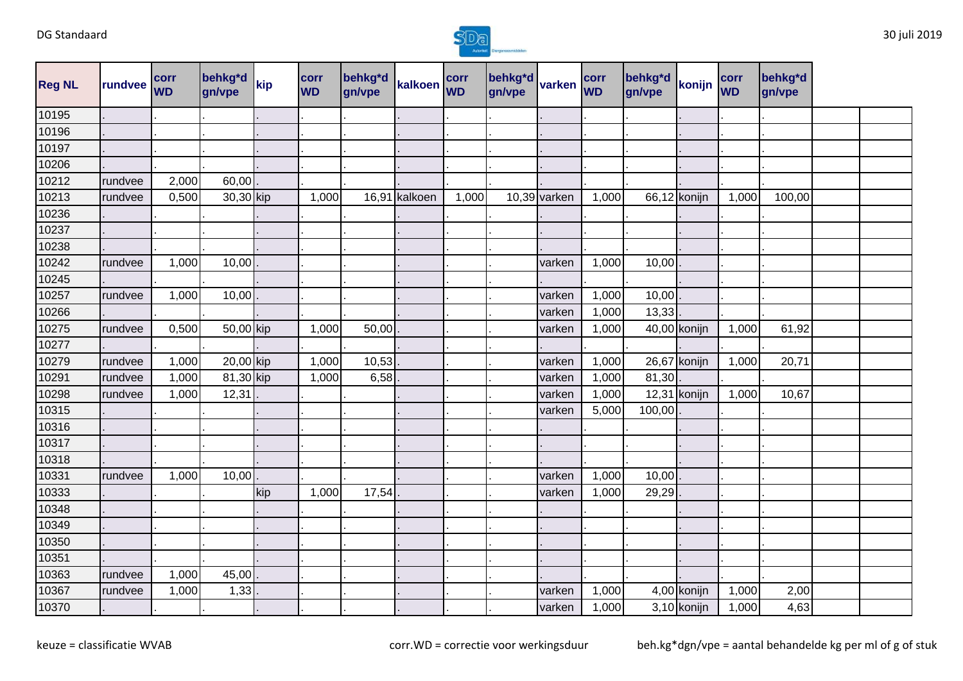

| <b>Reg NL</b> | rundvee | corr<br><b>WD</b> | behkg*d<br>gn/vpe | kip | <b>corr</b><br><b>WD</b> | behkg*d<br>gn/vpe | kalkoen | corr<br><b>WD</b> | behkg <sup>*</sup> d<br>gn/vpe | varken       | corr<br><b>WD</b> | behkg*d<br>gn/vpe | konijn         | corr<br><b>WD</b> | behkg*d<br>gn/vpe |  |
|---------------|---------|-------------------|-------------------|-----|--------------------------|-------------------|---------|-------------------|--------------------------------|--------------|-------------------|-------------------|----------------|-------------------|-------------------|--|
| 10195         |         |                   |                   |     |                          |                   |         |                   |                                |              |                   |                   |                |                   |                   |  |
| 10196         |         |                   |                   |     |                          |                   |         |                   |                                |              |                   |                   |                |                   |                   |  |
| 10197         |         |                   |                   |     |                          |                   |         |                   |                                |              |                   |                   |                |                   |                   |  |
| 10206         |         |                   |                   |     |                          |                   |         |                   |                                |              |                   |                   |                |                   |                   |  |
| 10212         | rundvee | 2,000             | 60,00             |     |                          |                   |         |                   |                                |              |                   |                   |                |                   |                   |  |
| 10213         | rundvee | 0,500             | 30,30 kip         |     | 1,000                    | 16,91             | kalkoen | 1,000             |                                | 10,39 varken | 1,000             |                   | 66,12 konijn   | 1,000             | 100,00            |  |
| 10236         |         |                   |                   |     |                          |                   |         |                   |                                |              |                   |                   |                |                   |                   |  |
| 10237         |         |                   |                   |     |                          |                   |         |                   |                                |              |                   |                   |                |                   |                   |  |
| 10238         |         |                   |                   |     |                          |                   |         |                   |                                |              |                   |                   |                |                   |                   |  |
| 10242         | rundvee | 1,000             | 10,00             |     |                          |                   |         |                   |                                | varken       | 1,000             | 10,00             |                |                   |                   |  |
| 10245         |         |                   |                   |     |                          |                   |         |                   |                                |              |                   |                   |                |                   |                   |  |
| 10257         | rundvee | 1,000             | 10,00             |     |                          |                   |         |                   |                                | varken       | 1,000             | 10,00             |                |                   |                   |  |
| 10266         |         |                   |                   |     |                          |                   |         |                   |                                | varken       | 1,000             | 13,33             |                |                   |                   |  |
| 10275         | rundvee | 0,500             | 50,00 kip         |     | 1,000                    | 50,00             |         |                   |                                | varken       | 1,000             |                   | 40,00 konijn   | 1,000             | 61,92             |  |
| 10277         |         |                   |                   |     |                          |                   |         |                   |                                |              |                   |                   |                |                   |                   |  |
| 10279         | rundvee | 1,000             | 20,00 kip         |     | 1,000                    | 10,53             |         |                   |                                | varken       | 1,000             |                   | 26,67 konijn   | 1,000             | 20,71             |  |
| 10291         | rundvee | 1,000             | 81,30 kip         |     | 1,000                    | 6,58              |         |                   |                                | varken       | 1,000             | 81,30             |                |                   |                   |  |
| 10298         | rundvee | 1,000             | 12,31             |     |                          |                   |         |                   |                                | varken       | 1,000             |                   | $12,31$ konijn | 1,000             | 10,67             |  |
| 10315         |         |                   |                   |     |                          |                   |         |                   |                                | varken       | 5,000             | 100,00            |                |                   |                   |  |
| 10316         |         |                   |                   |     |                          |                   |         |                   |                                |              |                   |                   |                |                   |                   |  |
| 10317         |         |                   |                   |     |                          |                   |         |                   |                                |              |                   |                   |                |                   |                   |  |
| 10318         |         |                   |                   |     |                          |                   |         |                   |                                |              |                   |                   |                |                   |                   |  |
| 10331         | rundvee | 1,000             | 10,00             |     |                          |                   |         |                   |                                | varken       | 1,000             | 10,00             |                |                   |                   |  |
| 10333         |         |                   |                   | kip | 1,000                    | 17,54             |         |                   |                                | varken       | 1,000             | 29,29             |                |                   |                   |  |
| 10348         |         |                   |                   |     |                          |                   |         |                   |                                |              |                   |                   |                |                   |                   |  |
| 10349         |         |                   |                   |     |                          |                   |         |                   |                                |              |                   |                   |                |                   |                   |  |
| 10350         |         |                   |                   |     |                          |                   |         |                   |                                |              |                   |                   |                |                   |                   |  |
| 10351         |         |                   |                   |     |                          |                   |         |                   |                                |              |                   |                   |                |                   |                   |  |
| 10363         | rundvee | 1,000             | 45,00             |     |                          |                   |         |                   |                                |              |                   |                   |                |                   |                   |  |
| 10367         | rundvee | 1,000             | 1,33              |     |                          |                   |         |                   |                                | varken       | 1,000             |                   | 4,00 konijn    | 1,000             | 2,00              |  |
| 10370         |         |                   |                   |     |                          |                   |         |                   |                                | varken       | 1,000             |                   | 3,10 konijn    | 1,000             | 4,63              |  |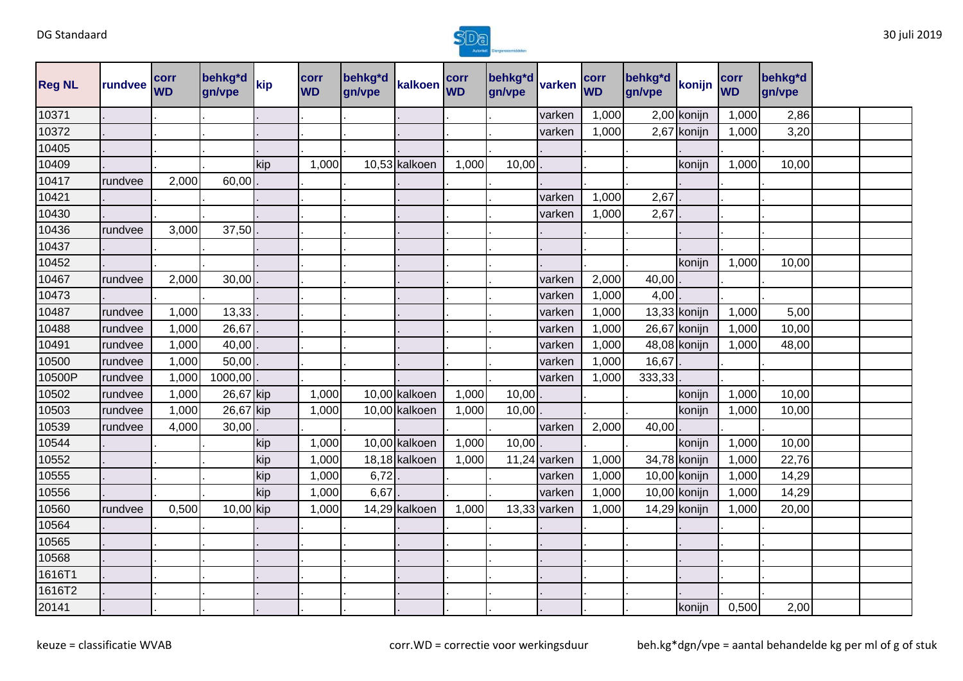

| <b>Reg NL</b> | rundvee | corr<br><b>WD</b> | behkg*d<br>gn/vpe | kip | corr<br><b>WD</b> | behkg*d<br>gn/vpe | kalkoen       | corr<br><b>WD</b> | behkg*d<br>gn/vpe | varken       | corr<br><b>WD</b> | behkg <sup>*</sup> d<br>gn/vpe | konijn         | corr<br><b>WD</b> | behkg*d<br>gn/vpe |  |
|---------------|---------|-------------------|-------------------|-----|-------------------|-------------------|---------------|-------------------|-------------------|--------------|-------------------|--------------------------------|----------------|-------------------|-------------------|--|
| 10371         |         |                   |                   |     |                   |                   |               |                   |                   | varken       | 1,000             |                                | 2,00 konijn    | 1,000             | 2,86              |  |
| 10372         |         |                   |                   |     |                   |                   |               |                   |                   | varken       | 1,000             |                                | 2,67 konijn    | 1,000             | 3,20              |  |
| 10405         |         |                   |                   |     |                   |                   |               |                   |                   |              |                   |                                |                |                   |                   |  |
| 10409         |         |                   |                   | kip | 1,000             |                   | 10,53 kalkoen | 1,000             | 10,00             |              |                   |                                | konijn         | 1,000             | 10,00             |  |
| 10417         | rundvee | 2,000             | 60,00             |     |                   |                   |               |                   |                   |              |                   |                                |                |                   |                   |  |
| 10421         |         |                   |                   |     |                   |                   |               |                   |                   | varken       | 1,000             | 2,67                           |                |                   |                   |  |
| 10430         |         |                   |                   |     |                   |                   |               |                   |                   | varken       | 1,000             | 2,67                           |                |                   |                   |  |
| 10436         | rundvee | 3,000             | 37,50             |     |                   |                   |               |                   |                   |              |                   |                                |                |                   |                   |  |
| 10437         |         |                   |                   |     |                   |                   |               |                   |                   |              |                   |                                |                |                   |                   |  |
| 10452         |         |                   |                   |     |                   |                   |               |                   |                   |              |                   |                                | konijn         | 1,000             | 10,00             |  |
| 10467         | rundvee | 2,000             | 30,00             |     |                   |                   |               |                   |                   | varken       | 2,000             | 40,00                          |                |                   |                   |  |
| 10473         |         |                   |                   |     |                   |                   |               |                   |                   | varken       | 1,000             | 4,00                           |                |                   |                   |  |
| 10487         | rundvee | 1,000             | 13,33             |     |                   |                   |               |                   |                   | varken       | 1,000             |                                | $13,33$ konijn | 1,000             | 5,00              |  |
| 10488         | rundvee | 1,000             | 26,67             |     |                   |                   |               |                   |                   | varken       | 1,000             |                                | 26,67 konijn   | 1,000             | 10,00             |  |
| 10491         | rundvee | 1,000             | 40,00             |     |                   |                   |               |                   |                   | varken       | 1,000             |                                | 48,08 konijn   | 1,000             | 48,00             |  |
| 10500         | rundvee | 1,000             | 50,00             |     |                   |                   |               |                   |                   | varken       | 1,000             | 16,67                          |                |                   |                   |  |
| 10500P        | rundvee | 1,000             | 1000,00           |     |                   |                   |               |                   |                   | varken       | 1,000             | 333,33                         |                |                   |                   |  |
| 10502         | rundvee | 1,000             | 26,67 kip         |     | 1,000             |                   | 10,00 kalkoen | 1,000             | 10,00             |              |                   |                                | konijn         | 1,000             | 10,00             |  |
| 10503         | rundvee | 1,000             | 26,67 kip         |     | 1,000             |                   | 10,00 kalkoen | 1,000             | 10,00             |              |                   |                                | konijn         | 1,000             | 10,00             |  |
| 10539         | rundvee | 4,000             | 30,00             |     |                   |                   |               |                   |                   | varken       | 2,000             | 40,00                          |                |                   |                   |  |
| 10544         |         |                   |                   | kip | 1,000             |                   | 10,00 kalkoen | 1,000             | 10,00             |              |                   |                                | konijn         | 1,000             | 10,00             |  |
| 10552         |         |                   |                   | kip | 1,000             |                   | 18,18 kalkoen | 1,000             |                   | 11,24 varken | 1,000             |                                | 34,78 konijn   | 1,000             | 22,76             |  |
| 10555         |         |                   |                   | kip | 1,000             | 6,72              |               |                   |                   | varken       | 1,000             |                                | 10,00 konijn   | 1,000             | 14,29             |  |
| 10556         |         |                   |                   | kip | 1,000             | 6,67              |               |                   |                   | varken       | 1,000             |                                | 10,00 konijn   | 1,000             | 14,29             |  |
| 10560         | rundvee | 0,500             | 10,00 kip         |     | 1,000             |                   | 14,29 kalkoen | 1,000             |                   | 13,33 varken | 1,000             |                                | $14,29$ konijn | 1,000             | 20,00             |  |
| 10564         |         |                   |                   |     |                   |                   |               |                   |                   |              |                   |                                |                |                   |                   |  |
| 10565         |         |                   |                   |     |                   |                   |               |                   |                   |              |                   |                                |                |                   |                   |  |
| 10568         |         |                   |                   |     |                   |                   |               |                   |                   |              |                   |                                |                |                   |                   |  |
| 1616T1        |         |                   |                   |     |                   |                   |               |                   |                   |              |                   |                                |                |                   |                   |  |
| 1616T2        |         |                   |                   |     |                   |                   |               |                   |                   |              |                   |                                |                |                   |                   |  |
| 20141         |         |                   |                   |     |                   |                   |               |                   |                   |              |                   |                                | konijn         | 0,500             | 2,00              |  |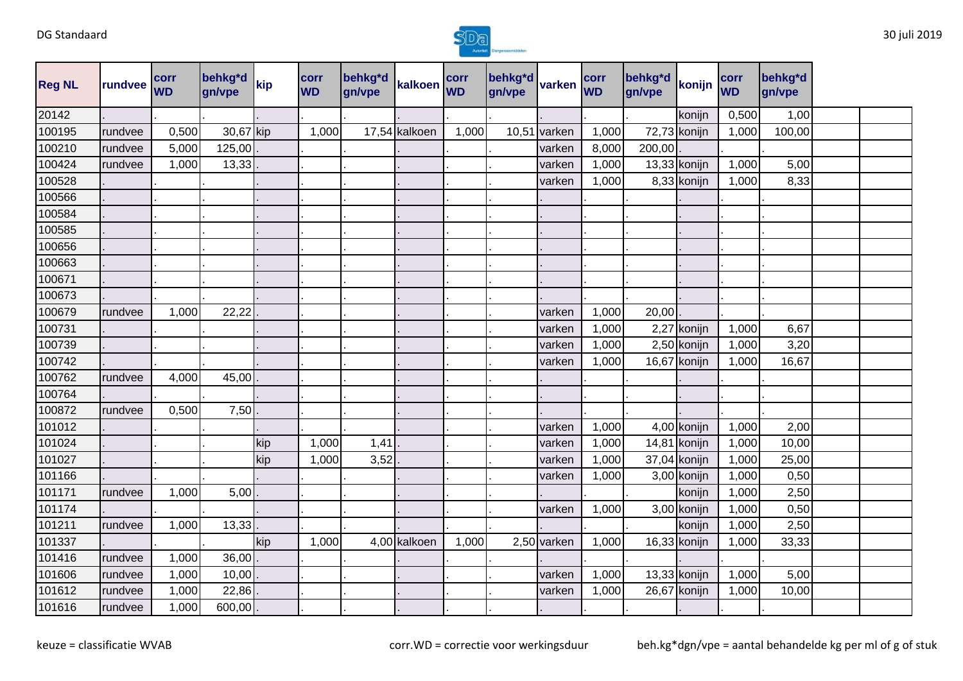

| <b>Reg NL</b> | rundvee | <b>corr</b><br><b>WD</b> | behkg*d<br>gn/vpe | kip | corr<br><b>WD</b> | behkg*d<br>gn/vpe | kalkoen       | corr<br><b>WD</b> | behkg*d<br>gn/vpe | varken      | corr<br><b>WD</b> | behkg*d<br>gn/vpe | konijn         | corr<br><b>WD</b> | behkg*d<br>gn/vpe |  |
|---------------|---------|--------------------------|-------------------|-----|-------------------|-------------------|---------------|-------------------|-------------------|-------------|-------------------|-------------------|----------------|-------------------|-------------------|--|
| 20142         |         |                          |                   |     |                   |                   |               |                   |                   |             |                   |                   | konijn         | 0,500             | 1,00              |  |
| 100195        | rundvee | 0,500                    | 30,67 kip         |     | 1,000             |                   | 17,54 kalkoen | 1,000             | 10,51             | varken      | 1,000             |                   | 72,73 konijn   | 1,000             | 100,00            |  |
| 100210        | rundvee | 5,000                    | 125,00            |     |                   |                   |               |                   |                   | varken      | 8,000             | 200,00            |                |                   |                   |  |
| 100424        | rundvee | 1,000                    | 13,33             |     |                   |                   |               |                   |                   | varken      | 1,000             | 13,33 konijn      |                | 1,000             | 5,00              |  |
| 100528        |         |                          |                   |     |                   |                   |               |                   |                   | varken      | 1,000             |                   | 8,33 konijn    | 1,000             | 8,33              |  |
| 100566        |         |                          |                   |     |                   |                   |               |                   |                   |             |                   |                   |                |                   |                   |  |
| 100584        |         |                          |                   |     |                   |                   |               |                   |                   |             |                   |                   |                |                   |                   |  |
| 100585        |         |                          |                   |     |                   |                   |               |                   |                   |             |                   |                   |                |                   |                   |  |
| 100656        |         |                          |                   |     |                   |                   |               |                   |                   |             |                   |                   |                |                   |                   |  |
| 100663        |         |                          |                   |     |                   |                   |               |                   |                   |             |                   |                   |                |                   |                   |  |
| 100671        |         |                          |                   |     |                   |                   |               |                   |                   |             |                   |                   |                |                   |                   |  |
| 100673        |         |                          |                   |     |                   |                   |               |                   |                   |             |                   |                   |                |                   |                   |  |
| 100679        | rundvee | 1,000                    | 22,22             |     |                   |                   |               |                   |                   | varken      | 1,000             | 20,00             |                |                   |                   |  |
| 100731        |         |                          |                   |     |                   |                   |               |                   |                   | varken      | 1,000             |                   | 2,27 konijn    | 1,000             | 6,67              |  |
| 100739        |         |                          |                   |     |                   |                   |               |                   |                   | varken      | 1,000             |                   | 2,50 konijn    | 1,000             | 3,20              |  |
| 100742        |         |                          |                   |     |                   |                   |               |                   |                   | varken      | 1,000             |                   | 16,67 konijn   | 1,000             | 16,67             |  |
| 100762        | rundvee | 4,000                    | 45,00             |     |                   |                   |               |                   |                   |             |                   |                   |                |                   |                   |  |
| 100764        |         |                          |                   |     |                   |                   |               |                   |                   |             |                   |                   |                |                   |                   |  |
| 100872        | rundvee | 0,500                    | 7,50              |     |                   |                   |               |                   |                   |             |                   |                   |                |                   |                   |  |
| 101012        |         |                          |                   |     |                   |                   |               |                   |                   | varken      | 1,000             |                   | 4,00 konijn    | 1,000             | 2,00              |  |
| 101024        |         |                          |                   | kip | 1,000             | 1,41              |               |                   |                   | varken      | 1,000             |                   | 14,81 konijn   | 1,000             | 10,00             |  |
| 101027        |         |                          |                   | kip | 1,000             | 3,52              |               |                   |                   | varken      | 1,000             |                   | $37,04$ konijn | 1,000             | 25,00             |  |
| 101166        |         |                          |                   |     |                   |                   |               |                   |                   | varken      | 1,000             |                   | 3,00 konijn    | 1,000             | 0,50              |  |
| 101171        | rundvee | 1,000                    | 5,00              |     |                   |                   |               |                   |                   |             |                   |                   | konijn         | 1,000             | 2,50              |  |
| 101174        |         |                          |                   |     |                   |                   |               |                   |                   | varken      | 1,000             |                   | 3,00 konijn    | 1,000             | 0,50              |  |
| 101211        | rundvee | 1,000                    | 13,33             |     |                   |                   |               |                   |                   |             |                   |                   | konijn         | 1,000             | 2,50              |  |
| 101337        |         |                          |                   | kip | 1,000             |                   | 4,00 kalkoen  | 1,000             |                   | 2,50 varken | 1,000             |                   | $16,33$ konijn | 1,000             | 33,33             |  |
| 101416        | rundvee | 1,000                    | 36,00             |     |                   |                   |               |                   |                   |             |                   |                   |                |                   |                   |  |
| 101606        | rundvee | 1,000                    | 10,00             |     |                   |                   |               |                   |                   | varken      | 1,000             |                   | $13,33$ konijn | 1,000             | 5,00              |  |
| 101612        | rundvee | 1,000                    | 22,86             |     |                   |                   |               |                   |                   | varken      | 1,000             | 26,67 konijn      |                | 1,000             | 10,00             |  |
| 101616        | rundvee | 1,000                    | 600,00            |     |                   |                   |               |                   |                   |             |                   |                   |                |                   |                   |  |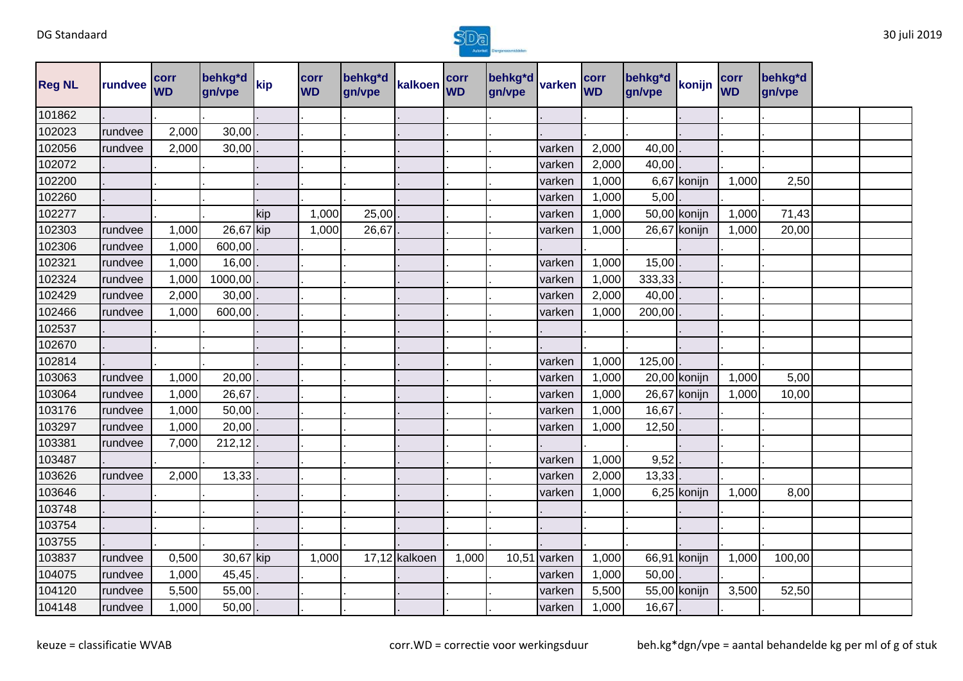

| <b>Reg NL</b> | rundvee | corr<br><b>WD</b> | behkg*d<br>gn/vpe | kip | corr<br><b>WD</b> | behkg*d<br>gn/vpe | kalkoen       | corr<br><b>WD</b> | behkg*d<br>gn/vpe | varken         | corr<br><b>WD</b> | behkg*d<br>gn/vpe | konijn       | corr<br><b>WD</b> | behkg*d<br>gn/vpe |  |
|---------------|---------|-------------------|-------------------|-----|-------------------|-------------------|---------------|-------------------|-------------------|----------------|-------------------|-------------------|--------------|-------------------|-------------------|--|
| 101862        |         |                   |                   |     |                   |                   |               |                   |                   |                |                   |                   |              |                   |                   |  |
| 102023        | rundvee | 2,000             | 30,00             |     |                   |                   |               |                   |                   |                |                   |                   |              |                   |                   |  |
| 102056        | rundvee | 2,000             | 30,00             |     |                   |                   |               |                   |                   | varken         | 2,000             | 40,00             |              |                   |                   |  |
| 102072        |         |                   |                   |     |                   |                   |               |                   |                   | varken         | 2,000             | 40,00             |              |                   |                   |  |
| 102200        |         |                   |                   |     |                   |                   |               |                   |                   | varken         | 1,000             |                   | 6,67 konijn  | 1,000             | 2,50              |  |
| 102260        |         |                   |                   |     |                   |                   |               |                   |                   | varken         | 1,000             | 5,00              |              |                   |                   |  |
| 102277        |         |                   |                   | kip | 1,000             | 25,00             |               |                   |                   | varken         | 1,000             |                   | 50,00 konijn | 1,000             | 71,43             |  |
| 102303        | rundvee | 1,000             | 26,67 kip         |     | 1,000             | 26,67             |               |                   |                   | varken         | 1,000             |                   | 26,67 konijn | 1,000             | 20,00             |  |
| 102306        | rundvee | 1,000             | 600,00            |     |                   |                   |               |                   |                   |                |                   |                   |              |                   |                   |  |
| 102321        | rundvee | 1,000             | 16,00             |     |                   |                   |               |                   |                   | varken         | 1,000             | 15,00             |              |                   |                   |  |
| 102324        | rundvee | 1,000             | 1000,00           |     |                   |                   |               |                   |                   | varken         | 1,000             | 333,33            |              |                   |                   |  |
| 102429        | rundvee | 2,000             | 30,00             |     |                   |                   |               |                   |                   | varken         | 2,000             | 40,00             |              |                   |                   |  |
| 102466        | rundvee | 1,000             | 600,00            |     |                   |                   |               |                   |                   | varken         | 1,000             | 200,00            |              |                   |                   |  |
| 102537        |         |                   |                   |     |                   |                   |               |                   |                   |                |                   |                   |              |                   |                   |  |
| 102670        |         |                   |                   |     |                   |                   |               |                   |                   |                |                   |                   |              |                   |                   |  |
| 102814        |         |                   |                   |     |                   |                   |               |                   |                   | varken         | 1,000             | 125,00            |              |                   |                   |  |
| 103063        | rundvee | 1,000             | 20,00             |     |                   |                   |               |                   |                   | varken         | 1,000             |                   | 20,00 konijn | 1,000             | 5,00              |  |
| 103064        | rundvee | 1,000             | 26,67             |     |                   |                   |               |                   |                   | varken         | 1,000             |                   | 26,67 konijn | 1,000             | 10,00             |  |
| 103176        | rundvee | 1,000             | 50,00             |     |                   |                   |               |                   |                   | varken         | 1,000             | 16,67             |              |                   |                   |  |
| 103297        | rundvee | 1,000             | 20,00             |     |                   |                   |               |                   |                   | varken         | 1,000             | 12,50             |              |                   |                   |  |
| 103381        | rundvee | 7,000             | 212,12            |     |                   |                   |               |                   |                   |                |                   |                   |              |                   |                   |  |
| 103487        |         |                   |                   |     |                   |                   |               |                   |                   | varken         | 1,000             | 9,52              |              |                   |                   |  |
| 103626        | rundvee | 2,000             | 13,33             |     |                   |                   |               |                   |                   | varken         | 2,000             | 13,33             |              |                   |                   |  |
| 103646        |         |                   |                   |     |                   |                   |               |                   |                   | varken         | 1,000             |                   | 6,25 konijn  | 1,000             | 8,00              |  |
| 103748        |         |                   |                   |     |                   |                   |               |                   |                   |                |                   |                   |              |                   |                   |  |
| 103754        |         |                   |                   |     |                   |                   |               |                   |                   |                |                   |                   |              |                   |                   |  |
| 103755        |         |                   |                   |     |                   |                   |               |                   |                   |                |                   |                   |              |                   |                   |  |
| 103837        | rundvee | 0,500             | 30,67 kip         |     | 1,000             |                   | 17,12 kalkoen | 1,000             |                   | $10,51$ varken | 1,000             |                   | 66,91 konijn | 1,000             | 100,00            |  |
| 104075        | rundvee | 1,000             | 45,45             |     |                   |                   |               |                   |                   | varken         | 1,000             | 50,00             |              |                   |                   |  |
| 104120        | rundvee | 5,500             | 55,00             |     |                   |                   |               |                   |                   | varken         | 5,500             |                   | 55,00 konijn | 3,500             | 52,50             |  |
| 104148        | rundvee | 1,000             | 50,00             |     |                   |                   |               |                   |                   | varken         | 1,000             | 16,67             |              |                   |                   |  |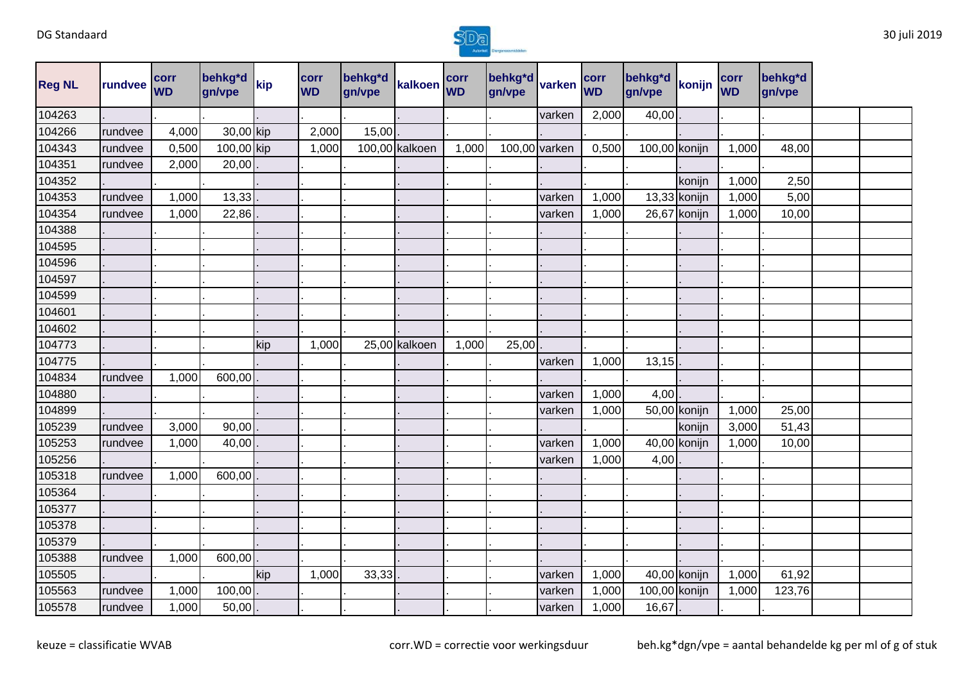

| <b>Reg NL</b> | rundvee | corr<br><b>WD</b> | behkg*d<br>gn/vpe | kip | corr<br><b>WD</b> | behkg*d<br>gn/vpe | kalkoen corr   |       | behkg*d varken<br>gn/vpe |               | corr<br><b>WD</b> | behkg*d<br>gn/vpe | konijn         | corr<br><b>WD</b> | behkg*d<br>gn/vpe |  |
|---------------|---------|-------------------|-------------------|-----|-------------------|-------------------|----------------|-------|--------------------------|---------------|-------------------|-------------------|----------------|-------------------|-------------------|--|
| 104263        |         |                   |                   |     |                   |                   |                |       |                          | varken        | 2,000             | 40,00             |                |                   |                   |  |
| 104266        | rundvee | 4,000             | 30,00 kip         |     | 2,000             | 15,00             |                |       |                          |               |                   |                   |                |                   |                   |  |
| 104343        | rundvee | 0,500             | 100,00 kip        |     | 1,000             |                   | 100,00 kalkoen | 1,000 |                          | 100,00 varken | 0,500             | 100,00 konijn     |                | 1,000             | 48,00             |  |
| 104351        | rundvee | 2,000             | 20,00             |     |                   |                   |                |       |                          |               |                   |                   |                |                   |                   |  |
| 104352        |         |                   |                   |     |                   |                   |                |       |                          |               |                   |                   | konijn         | 1,000             | 2,50              |  |
| 104353        | rundvee | 1,000             | 13,33             |     |                   |                   |                |       |                          | varken        | 1,000             |                   | $13,33$ konijn | 1,000             | 5,00              |  |
| 104354        | rundvee | 1,000             | 22,86             |     |                   |                   |                |       |                          | varken        | 1,000             |                   | 26,67 konijn   | 1,000             | 10,00             |  |
| 104388        |         |                   |                   |     |                   |                   |                |       |                          |               |                   |                   |                |                   |                   |  |
| 104595        |         |                   |                   |     |                   |                   |                |       |                          |               |                   |                   |                |                   |                   |  |
| 104596        |         |                   |                   |     |                   |                   |                |       |                          |               |                   |                   |                |                   |                   |  |
| 104597        |         |                   |                   |     |                   |                   |                |       |                          |               |                   |                   |                |                   |                   |  |
| 104599        |         |                   |                   |     |                   |                   |                |       |                          |               |                   |                   |                |                   |                   |  |
| 104601        |         |                   |                   |     |                   |                   |                |       |                          |               |                   |                   |                |                   |                   |  |
| 104602        |         |                   |                   |     |                   |                   |                |       |                          |               |                   |                   |                |                   |                   |  |
| 104773        |         |                   |                   | kip | 1,000             |                   | 25,00 kalkoen  | 1,000 | 25,00                    |               |                   |                   |                |                   |                   |  |
| 104775        |         |                   |                   |     |                   |                   |                |       |                          | varken        | 1,000             | 13,15             |                |                   |                   |  |
| 104834        | rundvee | 1,000             | 600,00            |     |                   |                   |                |       |                          |               |                   |                   |                |                   |                   |  |
| 104880        |         |                   |                   |     |                   |                   |                |       |                          | varken        | 1,000             | 4,00              |                |                   |                   |  |
| 104899        |         |                   |                   |     |                   |                   |                |       |                          | varken        | 1,000             |                   | 50,00 konijn   | 1,000             | 25,00             |  |
| 105239        | rundvee | 3,000             | 90,00             |     |                   |                   |                |       |                          |               |                   |                   | konijn         | 3,000             | 51,43             |  |
| 105253        | rundvee | 1,000             | 40,00             |     |                   |                   |                |       |                          | varken        | 1,000             |                   | 40,00 konijn   | 1,000             | 10,00             |  |
| 105256        |         |                   |                   |     |                   |                   |                |       |                          | varken        | 1,000             | 4,00              |                |                   |                   |  |
| 105318        | rundvee | 1,000             | 600,00            |     |                   |                   |                |       |                          |               |                   |                   |                |                   |                   |  |
| 105364        |         |                   |                   |     |                   |                   |                |       |                          |               |                   |                   |                |                   |                   |  |
| 105377        |         |                   |                   |     |                   |                   |                |       |                          |               |                   |                   |                |                   |                   |  |
| 105378        |         |                   |                   |     |                   |                   |                |       |                          |               |                   |                   |                |                   |                   |  |
| 105379        |         |                   |                   |     |                   |                   |                |       |                          |               |                   |                   |                |                   |                   |  |
| 105388        | rundvee | 1,000             | 600,00            |     |                   |                   |                |       |                          |               |                   |                   |                |                   |                   |  |
| 105505        |         |                   |                   | kip | 1,000             | 33,33             |                |       |                          | varken        | 1,000             |                   | 40,00 konijn   | 1,000             | 61,92             |  |
| 105563        | rundvee | 1,000             | 100,00            |     |                   |                   |                |       |                          | varken        | 1,000             | 100,00 konijn     |                | 1,000             | 123,76            |  |
| 105578        | rundvee | 1,000             | 50,00             |     |                   |                   |                |       |                          | varken        | 1,000             | 16,67             |                |                   |                   |  |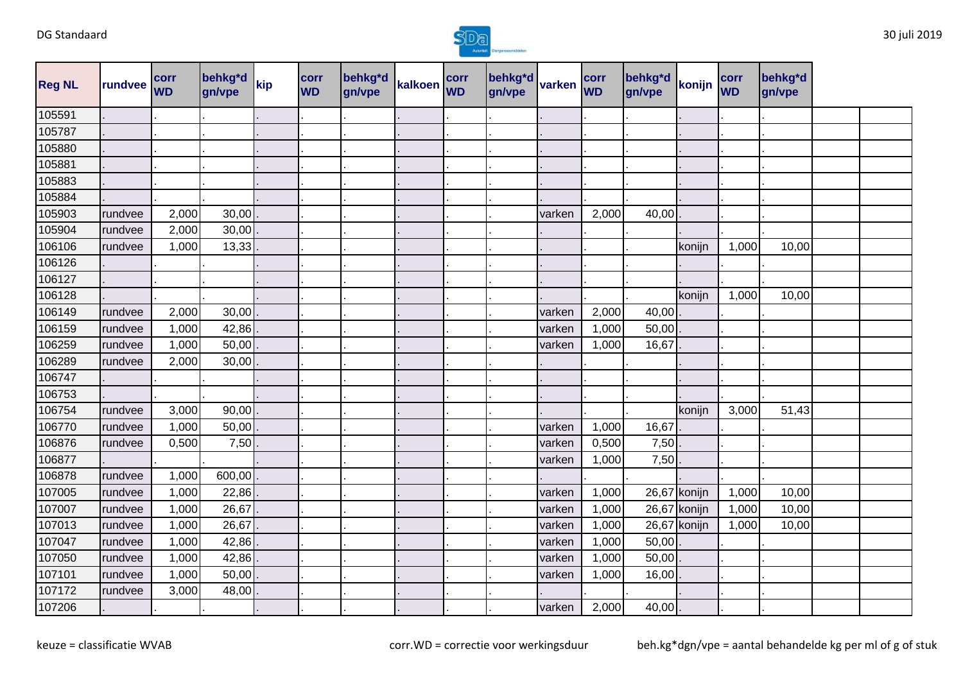

| <b>Reg NL</b> | rundvee | <b>corr</b><br><b>WD</b> | behkg*d<br>gn/vpe | kip | corr<br><b>WD</b> | behkg*d<br>gn/vpe | kalkoen | corr<br><b>WD</b> | behkg*d<br>gn/vpe | varken | corr<br><b>WD</b> | behkg*d<br>gn/vpe | konijn       | corr<br><b>WD</b> | behkg*d<br>gn/vpe |  |
|---------------|---------|--------------------------|-------------------|-----|-------------------|-------------------|---------|-------------------|-------------------|--------|-------------------|-------------------|--------------|-------------------|-------------------|--|
| 105591        |         |                          |                   |     |                   |                   |         |                   |                   |        |                   |                   |              |                   |                   |  |
| 105787        |         |                          |                   |     |                   |                   |         |                   |                   |        |                   |                   |              |                   |                   |  |
| 105880        |         |                          |                   |     |                   |                   |         |                   |                   |        |                   |                   |              |                   |                   |  |
| 105881        |         |                          |                   |     |                   |                   |         |                   |                   |        |                   |                   |              |                   |                   |  |
| 105883        |         |                          |                   |     |                   |                   |         |                   |                   |        |                   |                   |              |                   |                   |  |
| 105884        |         |                          |                   |     |                   |                   |         |                   |                   |        |                   |                   |              |                   |                   |  |
| 105903        | rundvee | 2,000                    | 30,00             |     |                   |                   |         |                   |                   | varken | 2,000             | 40,00             |              |                   |                   |  |
| 105904        | rundvee | 2,000                    | 30,00             |     |                   |                   |         |                   |                   |        |                   |                   |              |                   |                   |  |
| 106106        | rundvee | 1,000                    | 13,33             |     |                   |                   |         |                   |                   |        |                   |                   | konijn       | 1,000             | 10,00             |  |
| 106126        |         |                          |                   |     |                   |                   |         |                   |                   |        |                   |                   |              |                   |                   |  |
| 106127        |         |                          |                   |     |                   |                   |         |                   |                   |        |                   |                   |              |                   |                   |  |
| 106128        |         |                          |                   |     |                   |                   |         |                   |                   |        |                   |                   | konijn       | 1,000             | 10,00             |  |
| 106149        | rundvee | 2,000                    | 30,00             |     |                   |                   |         |                   |                   | varken | 2,000             | 40,00             |              |                   |                   |  |
| 106159        | rundvee | 1,000                    | 42,86             |     |                   |                   |         |                   |                   | varken | 1,000             | 50,00             |              |                   |                   |  |
| 106259        | rundvee | 1,000                    | 50,00             |     |                   |                   |         |                   |                   | varken | 1,000             | 16,67             |              |                   |                   |  |
| 106289        | rundvee | 2,000                    | 30,00             |     |                   |                   |         |                   |                   |        |                   |                   |              |                   |                   |  |
| 106747        |         |                          |                   |     |                   |                   |         |                   |                   |        |                   |                   |              |                   |                   |  |
| 106753        |         |                          |                   |     |                   |                   |         |                   |                   |        |                   |                   |              |                   |                   |  |
| 106754        | rundvee | 3,000                    | 90,00             |     |                   |                   |         |                   |                   |        |                   |                   | konijn       | 3,000             | 51,43             |  |
| 106770        | rundvee | 1,000                    | 50,00             |     |                   |                   |         |                   |                   | varken | 1,000             | 16,67             |              |                   |                   |  |
| 106876        | rundvee | 0,500                    | 7,50              |     |                   |                   |         |                   |                   | varken | 0,500             | 7,50              |              |                   |                   |  |
| 106877        |         |                          |                   |     |                   |                   |         |                   |                   | varken | 1,000             | 7,50              |              |                   |                   |  |
| 106878        | rundvee | 1,000                    | 600,00            |     |                   |                   |         |                   |                   |        |                   |                   |              |                   |                   |  |
| 107005        | rundvee | 1,000                    | 22,86             |     |                   |                   |         |                   |                   | varken | 1,000             |                   | 26,67 konijn | 1,000             | 10,00             |  |
| 107007        | rundvee | 1,000                    | 26,67             |     |                   |                   |         |                   |                   | varken | 1,000             |                   | 26,67 konijn | 1,000             | 10,00             |  |
| 107013        | rundvee | 1,000                    | 26,67             |     |                   |                   |         |                   |                   | varken | 1,000             |                   | 26,67 konijn | 1,000             | 10,00             |  |
| 107047        | rundvee | 1,000                    | 42,86             |     |                   |                   |         |                   |                   | varken | 1,000             | 50,00             |              |                   |                   |  |
| 107050        | rundvee | 1,000                    | 42,86             |     |                   |                   |         |                   |                   | varken | 1,000             | 50,00             |              |                   |                   |  |
| 107101        | rundvee | 1,000                    | 50,00             |     |                   |                   |         |                   |                   | varken | 1,000             | 16,00             |              |                   |                   |  |
| 107172        | rundvee | 3,000                    | 48,00             |     |                   |                   |         |                   |                   |        |                   |                   |              |                   |                   |  |
| 107206        |         |                          |                   |     |                   |                   |         |                   |                   | varken | 2,000             | 40,00             |              |                   |                   |  |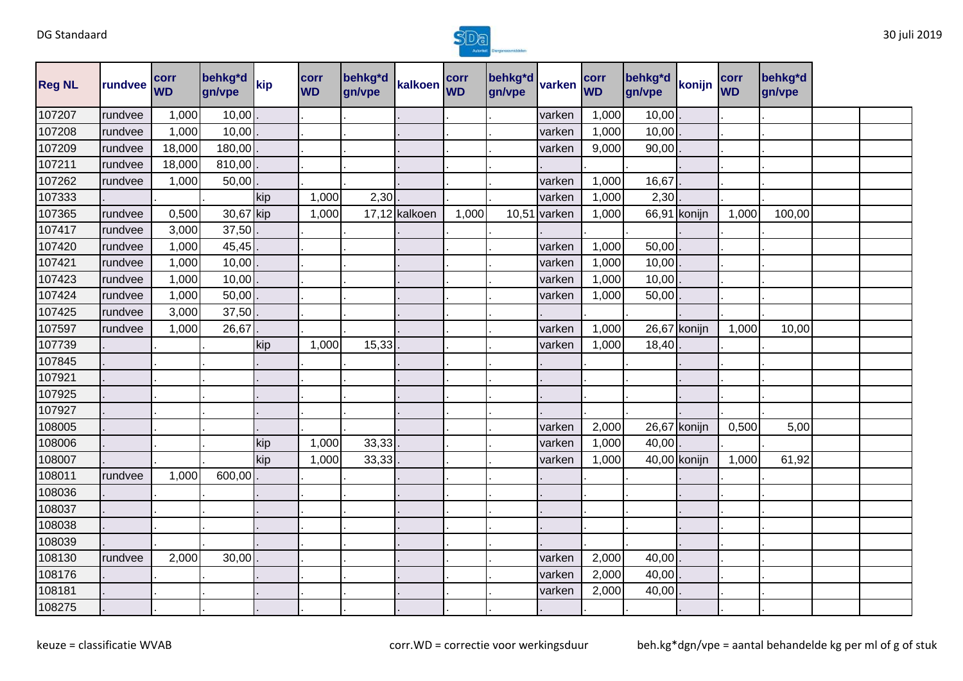

| <b>Reg NL</b> | rundvee | corr<br><b>WD</b> | behkg*d<br>gn/vpe | kip | corr<br><b>WD</b> | behkg*d<br>gn/vpe | kalkoen       | corr<br><b>WD</b> | behkg*d<br>gn/vpe | varken | corr<br><b>WD</b> | behkg*d<br>gn/vpe | konijn       | corr<br><b>WD</b> | behkg*d<br>gn/vpe |  |
|---------------|---------|-------------------|-------------------|-----|-------------------|-------------------|---------------|-------------------|-------------------|--------|-------------------|-------------------|--------------|-------------------|-------------------|--|
| 107207        | rundvee | 1,000             | 10,00             |     |                   |                   |               |                   |                   | varken | 1,000             | 10,00             |              |                   |                   |  |
| 107208        | rundvee | 1,000             | 10,00             |     |                   |                   |               |                   |                   | varken | 1,000             | 10,00             |              |                   |                   |  |
| 107209        | rundvee | 18,000            | 180,00            |     |                   |                   |               |                   |                   | varken | 9,000             | 90,00             |              |                   |                   |  |
| 107211        | rundvee | 18,000            | 810,00            |     |                   |                   |               |                   |                   |        |                   |                   |              |                   |                   |  |
| 107262        | rundvee | 1,000             | 50,00             |     |                   |                   |               |                   |                   | varken | 1,000             | 16,67             |              |                   |                   |  |
| 107333        |         |                   |                   | kip | 1,000             | 2,30              |               |                   |                   | varken | 1,000             | 2,30              |              |                   |                   |  |
| 107365        | rundvee | 0,500             | 30,67 kip         |     | 1,000             |                   | 17,12 kalkoen | 1,000             | 10,51             | varken | 1,000             |                   | 66,91 konijn | 1,000             | 100,00            |  |
| 107417        | rundvee | 3,000             | 37,50             |     |                   |                   |               |                   |                   |        |                   |                   |              |                   |                   |  |
| 107420        | rundvee | 1,000             | 45,45             |     |                   |                   |               |                   |                   | varken | 1,000             | 50,00             |              |                   |                   |  |
| 107421        | rundvee | 1,000             | 10,00             |     |                   |                   |               |                   |                   | varken | 1,000             | 10,00             |              |                   |                   |  |
| 107423        | rundvee | 1,000             | 10,00             |     |                   |                   |               |                   |                   | varken | 1,000             | 10,00             |              |                   |                   |  |
| 107424        | rundvee | 1,000             | 50,00             |     |                   |                   |               |                   |                   | varken | 1,000             | 50,00             |              |                   |                   |  |
| 107425        | rundvee | 3,000             | 37,50             |     |                   |                   |               |                   |                   |        |                   |                   |              |                   |                   |  |
| 107597        | rundvee | 1,000             | 26,67             |     |                   |                   |               |                   |                   | varken | 1,000             |                   | 26,67 konijn | 1,000             | 10,00             |  |
| 107739        |         |                   |                   | kip | 1,000             | 15,33             |               |                   |                   | varken | 1,000             | 18,40             |              |                   |                   |  |
| 107845        |         |                   |                   |     |                   |                   |               |                   |                   |        |                   |                   |              |                   |                   |  |
| 107921        |         |                   |                   |     |                   |                   |               |                   |                   |        |                   |                   |              |                   |                   |  |
| 107925        |         |                   |                   |     |                   |                   |               |                   |                   |        |                   |                   |              |                   |                   |  |
| 107927        |         |                   |                   |     |                   |                   |               |                   |                   |        |                   |                   |              |                   |                   |  |
| 108005        |         |                   |                   |     |                   |                   |               |                   |                   | varken | 2,000             |                   | 26,67 konijn | 0,500             | 5,00              |  |
| 108006        |         |                   |                   | kip | 1,000             | 33,33             |               |                   |                   | varken | 1,000             | 40,00             |              |                   |                   |  |
| 108007        |         |                   |                   | kip | 1,000             | 33,33             |               |                   |                   | varken | 1,000             |                   | 40,00 konijn | 1,000             | 61,92             |  |
| 108011        | rundvee | 1,000             | 600,00            |     |                   |                   |               |                   |                   |        |                   |                   |              |                   |                   |  |
| 108036        |         |                   |                   |     |                   |                   |               |                   |                   |        |                   |                   |              |                   |                   |  |
| 108037        |         |                   |                   |     |                   |                   |               |                   |                   |        |                   |                   |              |                   |                   |  |
| 108038        |         |                   |                   |     |                   |                   |               |                   |                   |        |                   |                   |              |                   |                   |  |
| 108039        |         |                   |                   |     |                   |                   |               |                   |                   |        |                   |                   |              |                   |                   |  |
| 108130        | rundvee | 2,000             | 30,00             |     |                   |                   |               |                   |                   | varken | 2,000             | 40,00             |              |                   |                   |  |
| 108176        |         |                   |                   |     |                   |                   |               |                   |                   | varken | 2,000             | 40,00             |              |                   |                   |  |
| 108181        |         |                   |                   |     |                   |                   |               |                   |                   | varken | 2,000             | 40,00             |              |                   |                   |  |
| 108275        |         |                   |                   |     |                   |                   |               |                   |                   |        |                   |                   |              |                   |                   |  |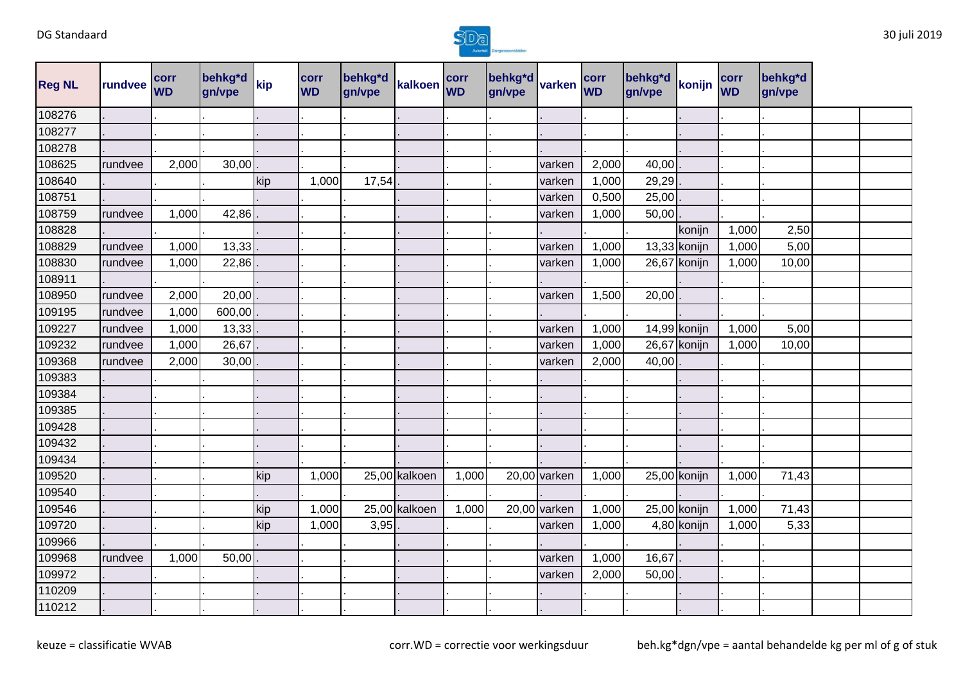

| <b>Reg NL</b> | rundvee | corr<br><b>WD</b> | behkg*d<br>gn/vpe | kip | corr<br><b>WD</b> | behkg*d<br>gn/vpe | kalkoen corr  |       | behkg*d<br>gn/vpe | varken         | corr<br><b>WD</b> | behkg*d<br>gn/vpe | konijn         | corr<br><b>WD</b> | behkg*d<br>gn/vpe |  |
|---------------|---------|-------------------|-------------------|-----|-------------------|-------------------|---------------|-------|-------------------|----------------|-------------------|-------------------|----------------|-------------------|-------------------|--|
| 108276        |         |                   |                   |     |                   |                   |               |       |                   |                |                   |                   |                |                   |                   |  |
| 108277        |         |                   |                   |     |                   |                   |               |       |                   |                |                   |                   |                |                   |                   |  |
| 108278        |         |                   |                   |     |                   |                   |               |       |                   |                |                   |                   |                |                   |                   |  |
| 108625        | rundvee | 2,000             | 30,00             |     |                   |                   |               |       |                   | varken         | 2,000             | 40,00             |                |                   |                   |  |
| 108640        |         |                   |                   | kip | 1,000             | 17,54             |               |       |                   | varken         | 1,000             | 29,29             |                |                   |                   |  |
| 108751        |         |                   |                   |     |                   |                   |               |       |                   | varken         | 0,500             | 25,00             |                |                   |                   |  |
| 108759        | rundvee | 1,000             | 42,86             |     |                   |                   |               |       |                   | varken         | 1,000             | 50,00             |                |                   |                   |  |
| 108828        |         |                   |                   |     |                   |                   |               |       |                   |                |                   |                   | konijn         | 1,000             | 2,50              |  |
| 108829        | rundvee | 1,000             | 13,33             |     |                   |                   |               |       |                   | varken         | 1,000             |                   | $13,33$ konijn | 1,000             | 5,00              |  |
| 108830        | rundvee | 1,000             | 22,86             |     |                   |                   |               |       |                   | varken         | 1,000             |                   | 26,67 konijn   | 1,000             | 10,00             |  |
| 108911        |         |                   |                   |     |                   |                   |               |       |                   |                |                   |                   |                |                   |                   |  |
| 108950        | rundvee | 2,000             | 20,00             |     |                   |                   |               |       |                   | varken         | 1,500             | 20,00             |                |                   |                   |  |
| 109195        | rundvee | 1,000             | 600,00            |     |                   |                   |               |       |                   |                |                   |                   |                |                   |                   |  |
| 109227        | rundvee | 1,000             | 13,33             |     |                   |                   |               |       |                   | varken         | 1,000             |                   | 14,99 konijn   | 1,000             | 5,00              |  |
| 109232        | rundvee | 1,000             | 26,67             |     |                   |                   |               |       |                   | varken         | 1,000             |                   | 26,67 konijn   | 1,000             | 10,00             |  |
| 109368        | rundvee | 2,000             | 30,00             |     |                   |                   |               |       |                   | varken         | 2,000             | 40,00             |                |                   |                   |  |
| 109383        |         |                   |                   |     |                   |                   |               |       |                   |                |                   |                   |                |                   |                   |  |
| 109384        |         |                   |                   |     |                   |                   |               |       |                   |                |                   |                   |                |                   |                   |  |
| 109385        |         |                   |                   |     |                   |                   |               |       |                   |                |                   |                   |                |                   |                   |  |
| 109428        |         |                   |                   |     |                   |                   |               |       |                   |                |                   |                   |                |                   |                   |  |
| 109432        |         |                   |                   |     |                   |                   |               |       |                   |                |                   |                   |                |                   |                   |  |
| 109434        |         |                   |                   |     |                   |                   |               |       |                   |                |                   |                   |                |                   |                   |  |
| 109520        |         |                   |                   | kip | 1,000             |                   | 25,00 kalkoen | 1,000 |                   | 20,00 varken   | 1,000             | 25,00 konijn      |                | 1,000             | 71,43             |  |
| 109540        |         |                   |                   |     |                   |                   |               |       |                   |                |                   |                   |                |                   |                   |  |
| 109546        |         |                   |                   | kip | 1,000             |                   | 25,00 kalkoen | 1,000 |                   | $20,00$ varken | 1,000             |                   | 25,00 konijn   | 1,000             | 71,43             |  |
| 109720        |         |                   |                   | kip | 1,000             | 3,95              |               |       |                   | varken         | 1,000             |                   | 4,80 konijn    | 1,000             | 5,33              |  |
| 109966        |         |                   |                   |     |                   |                   |               |       |                   |                |                   |                   |                |                   |                   |  |
| 109968        | rundvee | 1,000             | 50,00             |     |                   |                   |               |       |                   | varken         | 1,000             | 16,67             |                |                   |                   |  |
| 109972        |         |                   |                   |     |                   |                   |               |       |                   | varken         | 2,000             | 50,00             |                |                   |                   |  |
| 110209        |         |                   |                   |     |                   |                   |               |       |                   |                |                   |                   |                |                   |                   |  |
| 110212        |         |                   |                   |     |                   |                   |               |       |                   |                |                   |                   |                |                   |                   |  |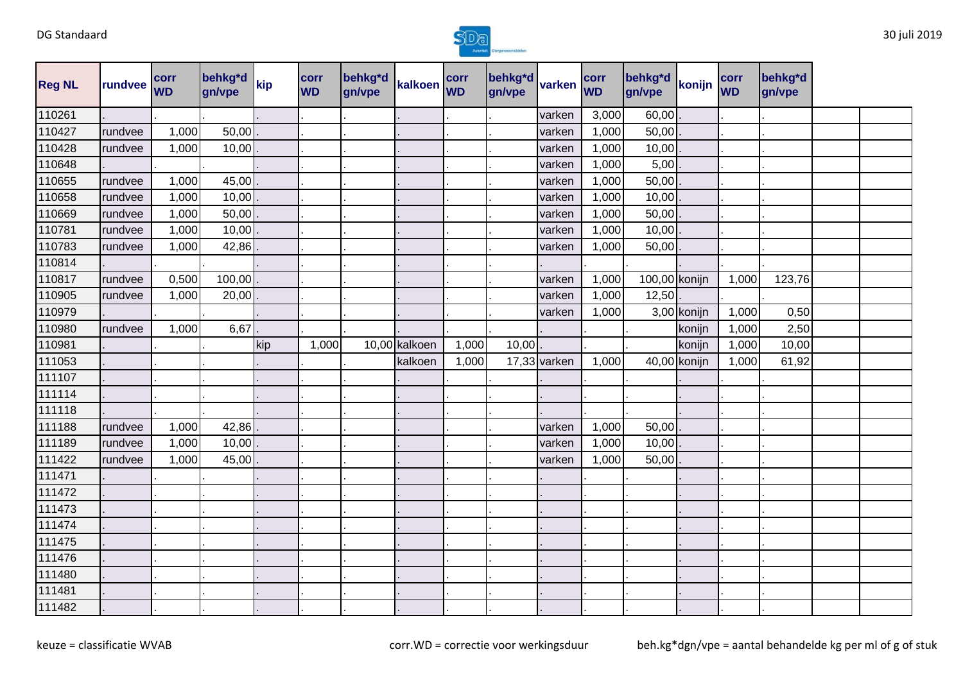

| <b>Reg NL</b> | rundvee | <b>corr</b><br><b>WD</b> | behkg*d<br>gn/vpe | kip | corr<br><b>WD</b> | behkg*d<br>gn/vpe | kalkoen corr  |       | behkg*d<br>gn/vpe | varken         | corr<br><b>WD</b> | behkg*d<br>gn/vpe | konijn       | corr<br><b>WD</b> | behkg*d<br>gn/vpe |  |
|---------------|---------|--------------------------|-------------------|-----|-------------------|-------------------|---------------|-------|-------------------|----------------|-------------------|-------------------|--------------|-------------------|-------------------|--|
| 110261        |         |                          |                   |     |                   |                   |               |       |                   | varken         | 3,000             | 60,00             |              |                   |                   |  |
| 110427        | rundvee | 1,000                    | 50,00             |     |                   |                   |               |       |                   | varken         | 1,000             | 50,00             |              |                   |                   |  |
| 110428        | rundvee | 1,000                    | 10,00             |     |                   |                   |               |       |                   | varken         | 1,000             | 10,00             |              |                   |                   |  |
| 110648        |         |                          |                   |     |                   |                   |               |       |                   | varken         | 1,000             | 5,00              |              |                   |                   |  |
| 110655        | rundvee | 1,000                    | 45,00             |     |                   |                   |               |       |                   | varken         | 1,000             | 50,00             |              |                   |                   |  |
| 110658        | rundvee | 1,000                    | 10,00             |     |                   |                   |               |       |                   | varken         | 1,000             | 10,00             |              |                   |                   |  |
| 110669        | rundvee | 1,000                    | 50,00             |     |                   |                   |               |       |                   | varken         | 1,000             | 50,00             |              |                   |                   |  |
| 110781        | rundvee | 1,000                    | 10,00             |     |                   |                   |               |       |                   | varken         | 1,000             | 10,00             |              |                   |                   |  |
| 110783        | rundvee | 1,000                    | 42,86             |     |                   |                   |               |       |                   | varken         | 1,000             | 50,00             |              |                   |                   |  |
| 110814        |         |                          |                   |     |                   |                   |               |       |                   |                |                   |                   |              |                   |                   |  |
| 110817        | rundvee | 0,500                    | 100,00            |     |                   |                   |               |       |                   | varken         | 1,000             | 100,00 konijn     |              | 1,000             | 123,76            |  |
| 110905        | rundvee | 1,000                    | 20,00             |     |                   |                   |               |       |                   | varken         | 1,000             | 12,50             |              |                   |                   |  |
| 110979        |         |                          |                   |     |                   |                   |               |       |                   | varken         | 1,000             |                   | 3,00 konijn  | 1,000             | 0,50              |  |
| 110980        | rundvee | 1,000                    | 6,67              |     |                   |                   |               |       |                   |                |                   |                   | konijn       | 1,000             | 2,50              |  |
| 110981        |         |                          |                   | kip | 1,000             |                   | 10,00 kalkoen | 1,000 | 10,00             |                |                   |                   | konijn       | 1,000             | 10,00             |  |
| 111053        |         |                          |                   |     |                   |                   | kalkoen       | 1,000 |                   | $17,33$ varken | 1,000             |                   | 40,00 konijn | 1,000             | 61,92             |  |
| 111107        |         |                          |                   |     |                   |                   |               |       |                   |                |                   |                   |              |                   |                   |  |
| 111114        |         |                          |                   |     |                   |                   |               |       |                   |                |                   |                   |              |                   |                   |  |
| 111118        |         |                          |                   |     |                   |                   |               |       |                   |                |                   |                   |              |                   |                   |  |
| 111188        | rundvee | 1,000                    | 42,86             |     |                   |                   |               |       |                   | varken         | 1,000             | 50,00             |              |                   |                   |  |
| 111189        | rundvee | 1,000                    | 10,00             |     |                   |                   |               |       |                   | varken         | 1,000             | 10,00             |              |                   |                   |  |
| 111422        | rundvee | 1,000                    | 45,00             |     |                   |                   |               |       |                   | varken         | 1,000             | 50,00             |              |                   |                   |  |
| 111471        |         |                          |                   |     |                   |                   |               |       |                   |                |                   |                   |              |                   |                   |  |
| 111472        |         |                          |                   |     |                   |                   |               |       |                   |                |                   |                   |              |                   |                   |  |
| 111473        |         |                          |                   |     |                   |                   |               |       |                   |                |                   |                   |              |                   |                   |  |
| 111474        |         |                          |                   |     |                   |                   |               |       |                   |                |                   |                   |              |                   |                   |  |
| 111475        |         |                          |                   |     |                   |                   |               |       |                   |                |                   |                   |              |                   |                   |  |
| 111476        |         |                          |                   |     |                   |                   |               |       |                   |                |                   |                   |              |                   |                   |  |
| 111480        |         |                          |                   |     |                   |                   |               |       |                   |                |                   |                   |              |                   |                   |  |
| 111481        |         |                          |                   |     |                   |                   |               |       |                   |                |                   |                   |              |                   |                   |  |
| 111482        |         |                          |                   |     |                   |                   |               |       |                   |                |                   |                   |              |                   |                   |  |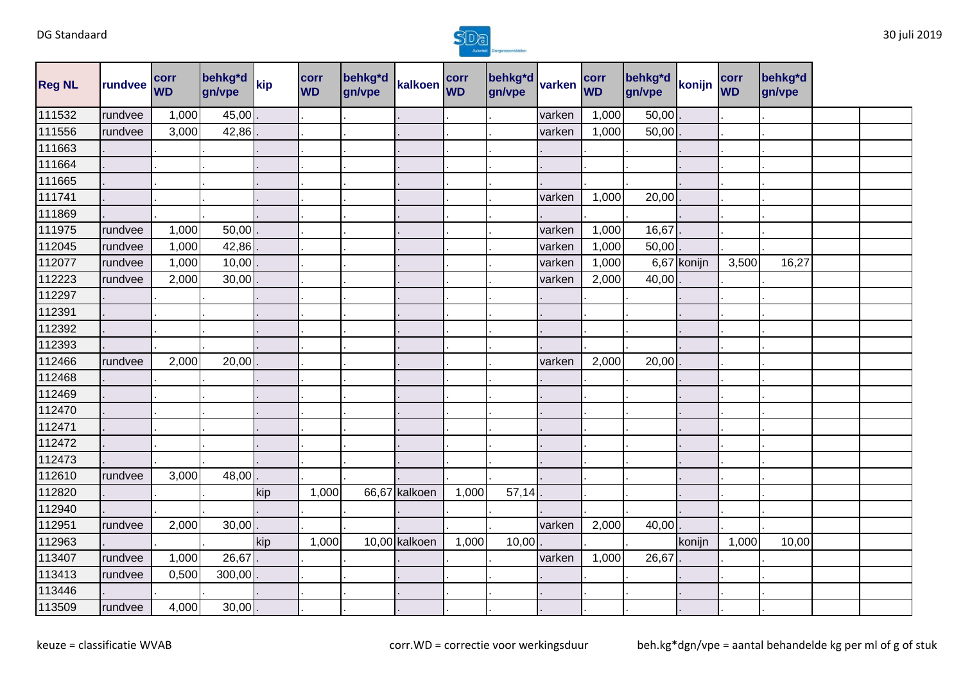

| <b>Reg NL</b> | rundvee | corr<br><b>WD</b> | behkg*d<br>gn/vpe | kip | corr<br><b>WD</b> | behkg*d<br>gn/vpe | kalkoen corr  |       | behkg <sup>*</sup> d<br>gn/vpe | varken | corr<br><b>WD</b> | behkg*d<br>gn/vpe | konijn      | corr<br><b>WD</b> | behkg*d<br>gn/vpe |  |
|---------------|---------|-------------------|-------------------|-----|-------------------|-------------------|---------------|-------|--------------------------------|--------|-------------------|-------------------|-------------|-------------------|-------------------|--|
| 111532        | rundvee | 1,000             | 45,00             |     |                   |                   |               |       |                                | varken | 1,000             | 50,00             |             |                   |                   |  |
| 111556        | rundvee | 3,000             | 42,86             |     |                   |                   |               |       |                                | varken | 1,000             | 50,00             |             |                   |                   |  |
| 111663        |         |                   |                   |     |                   |                   |               |       |                                |        |                   |                   |             |                   |                   |  |
| 111664        |         |                   |                   |     |                   |                   |               |       |                                |        |                   |                   |             |                   |                   |  |
| 111665        |         |                   |                   |     |                   |                   |               |       |                                |        |                   |                   |             |                   |                   |  |
| 111741        |         |                   |                   |     |                   |                   |               |       |                                | varken | 1,000             | 20,00             |             |                   |                   |  |
| 111869        |         |                   |                   |     |                   |                   |               |       |                                |        |                   |                   |             |                   |                   |  |
| 111975        | rundvee | 1,000             | 50,00             |     |                   |                   |               |       |                                | varken | 1,000             | 16,67             |             |                   |                   |  |
| 112045        | rundvee | 1,000             | 42,86             |     |                   |                   |               |       |                                | varken | 1,000             | 50,00             |             |                   |                   |  |
| 112077        | rundvee | 1,000             | 10,00             |     |                   |                   |               |       |                                | varken | 1,000             |                   | 6,67 konijn | 3,500             | 16,27             |  |
| 112223        | rundvee | 2,000             | 30,00             |     |                   |                   |               |       |                                | varken | 2,000             | 40,00             |             |                   |                   |  |
| 112297        |         |                   |                   |     |                   |                   |               |       |                                |        |                   |                   |             |                   |                   |  |
| 112391        |         |                   |                   |     |                   |                   |               |       |                                |        |                   |                   |             |                   |                   |  |
| 112392        |         |                   |                   |     |                   |                   |               |       |                                |        |                   |                   |             |                   |                   |  |
| 112393        |         |                   |                   |     |                   |                   |               |       |                                |        |                   |                   |             |                   |                   |  |
| 112466        | rundvee | 2,000             | 20,00             |     |                   |                   |               |       |                                | varken | 2,000             | 20,00             |             |                   |                   |  |
| 112468        |         |                   |                   |     |                   |                   |               |       |                                |        |                   |                   |             |                   |                   |  |
| 112469        |         |                   |                   |     |                   |                   |               |       |                                |        |                   |                   |             |                   |                   |  |
| 112470        |         |                   |                   |     |                   |                   |               |       |                                |        |                   |                   |             |                   |                   |  |
| 112471        |         |                   |                   |     |                   |                   |               |       |                                |        |                   |                   |             |                   |                   |  |
| 112472        |         |                   |                   |     |                   |                   |               |       |                                |        |                   |                   |             |                   |                   |  |
| 112473        |         |                   |                   |     |                   |                   |               |       |                                |        |                   |                   |             |                   |                   |  |
| 112610        | rundvee | 3,000             | 48,00             |     |                   |                   |               |       |                                |        |                   |                   |             |                   |                   |  |
| 112820        |         |                   |                   | kip | 1,000             |                   | 66,67 kalkoen | 1,000 | 57,14                          |        |                   |                   |             |                   |                   |  |
| 112940        |         |                   |                   |     |                   |                   |               |       |                                |        |                   |                   |             |                   |                   |  |
| 112951        | rundvee | 2,000             | 30,00             |     |                   |                   |               |       |                                | varken | 2,000             | 40,00             |             |                   |                   |  |
| 112963        |         |                   |                   | kip | 1,000             |                   | 10,00 kalkoen | 1,000 | 10,00                          |        |                   |                   | konijn      | 1,000             | 10,00             |  |
| 113407        | rundvee | 1,000             | 26,67             |     |                   |                   |               |       |                                | varken | 1,000             | 26,67             |             |                   |                   |  |
| 113413        | rundvee | 0,500             | 300,00            |     |                   |                   |               |       |                                |        |                   |                   |             |                   |                   |  |
| 113446        |         |                   |                   |     |                   |                   |               |       |                                |        |                   |                   |             |                   |                   |  |
| 113509        | rundvee | 4,000             | 30,00             |     |                   |                   |               |       |                                |        |                   |                   |             |                   |                   |  |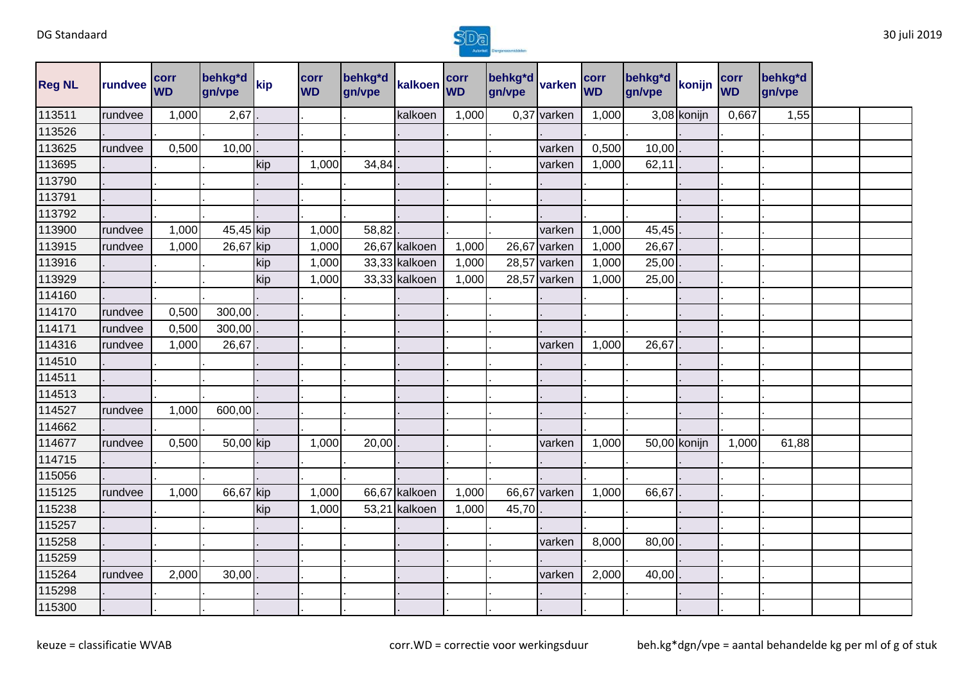

| <b>Reg NL</b> | rundvee | <b>corr</b><br><b>WD</b> | behkg*d<br>gn/vpe | kip | corr<br><b>WD</b> | behkg*d<br>gn/vpe | kalkoen corr  |       | behkg <sup>*d</sup><br>gn/vpe | varken       | corr<br><b>WD</b> | behkg*d<br>gn/vpe | konijn       | corr<br><b>WD</b> | behkg*d<br>gn/vpe |  |
|---------------|---------|--------------------------|-------------------|-----|-------------------|-------------------|---------------|-------|-------------------------------|--------------|-------------------|-------------------|--------------|-------------------|-------------------|--|
| 113511        | rundvee | 1,000                    | 2,67              |     |                   |                   | kalkoen       | 1,000 | 0,37                          | varken       | 1,000             |                   | 3,08 konijn  | 0,667             | 1,55              |  |
| 113526        |         |                          |                   |     |                   |                   |               |       |                               |              |                   |                   |              |                   |                   |  |
| 113625        | rundvee | 0,500                    | 10,00             |     |                   |                   |               |       |                               | varken       | 0,500             | 10,00             |              |                   |                   |  |
| 113695        |         |                          |                   | kip | 1,000             | 34,84             |               |       |                               | varken       | 1,000             | 62,11             |              |                   |                   |  |
| 113790        |         |                          |                   |     |                   |                   |               |       |                               |              |                   |                   |              |                   |                   |  |
| 113791        |         |                          |                   |     |                   |                   |               |       |                               |              |                   |                   |              |                   |                   |  |
| 113792        |         |                          |                   |     |                   |                   |               |       |                               |              |                   |                   |              |                   |                   |  |
| 113900        | rundvee | 1,000                    | 45,45 kip         |     | 1,000             | 58,82             |               |       |                               | varken       | 1,000             | 45,45             |              |                   |                   |  |
| 113915        | rundvee | 1,000                    | 26,67 kip         |     | 1,000             |                   | 26,67 kalkoen | 1,000 | 26,67                         | varken       | 1,000             | 26,67             |              |                   |                   |  |
| 113916        |         |                          |                   | kip | 1,000             |                   | 33,33 kalkoen | 1,000 |                               | 28,57 varken | 1,000             | 25,00             |              |                   |                   |  |
| 113929        |         |                          |                   | kip | 1,000             |                   | 33,33 kalkoen | 1,000 | 28,57                         | varken       | 1,000             | 25,00             |              |                   |                   |  |
| 114160        |         |                          |                   |     |                   |                   |               |       |                               |              |                   |                   |              |                   |                   |  |
| 114170        | rundvee | 0,500                    | 300,00            |     |                   |                   |               |       |                               |              |                   |                   |              |                   |                   |  |
| 114171        | rundvee | 0,500                    | 300,00            |     |                   |                   |               |       |                               |              |                   |                   |              |                   |                   |  |
| 114316        | rundvee | 1,000                    | 26,67             |     |                   |                   |               |       |                               | varken       | 1,000             | 26,67             |              |                   |                   |  |
| 114510        |         |                          |                   |     |                   |                   |               |       |                               |              |                   |                   |              |                   |                   |  |
| 114511        |         |                          |                   |     |                   |                   |               |       |                               |              |                   |                   |              |                   |                   |  |
| 114513        |         |                          |                   |     |                   |                   |               |       |                               |              |                   |                   |              |                   |                   |  |
| 114527        | rundvee | 1,000                    | 600,00            |     |                   |                   |               |       |                               |              |                   |                   |              |                   |                   |  |
| 114662        |         |                          |                   |     |                   |                   |               |       |                               |              |                   |                   |              |                   |                   |  |
| 114677        | rundvee | 0,500                    | 50,00 kip         |     | 1,000             | 20,00             |               |       |                               | varken       | 1,000             |                   | 50,00 konijn | 1,000             | 61,88             |  |
| 114715        |         |                          |                   |     |                   |                   |               |       |                               |              |                   |                   |              |                   |                   |  |
| 115056        |         |                          |                   |     |                   |                   |               |       |                               |              |                   |                   |              |                   |                   |  |
| 115125        | rundvee | 1,000                    | 66,67 kip         |     | 1,000             |                   | 66,67 kalkoen | 1,000 | 66,67                         | varken       | 1,000             | 66,67             |              |                   |                   |  |
| 115238        |         |                          |                   | kip | 1,000             |                   | 53,21 kalkoen | 1,000 | 45,70                         |              |                   |                   |              |                   |                   |  |
| 115257        |         |                          |                   |     |                   |                   |               |       |                               |              |                   |                   |              |                   |                   |  |
| 115258        |         |                          |                   |     |                   |                   |               |       |                               | varken       | 8,000             | 80,00             |              |                   |                   |  |
| 115259        |         |                          |                   |     |                   |                   |               |       |                               |              |                   |                   |              |                   |                   |  |
| 115264        | rundvee | 2,000                    | 30,00             |     |                   |                   |               |       |                               | varken       | 2,000             | 40,00             |              |                   |                   |  |
| 115298        |         |                          |                   |     |                   |                   |               |       |                               |              |                   |                   |              |                   |                   |  |
| 115300        |         |                          |                   |     |                   |                   |               |       |                               |              |                   |                   |              |                   |                   |  |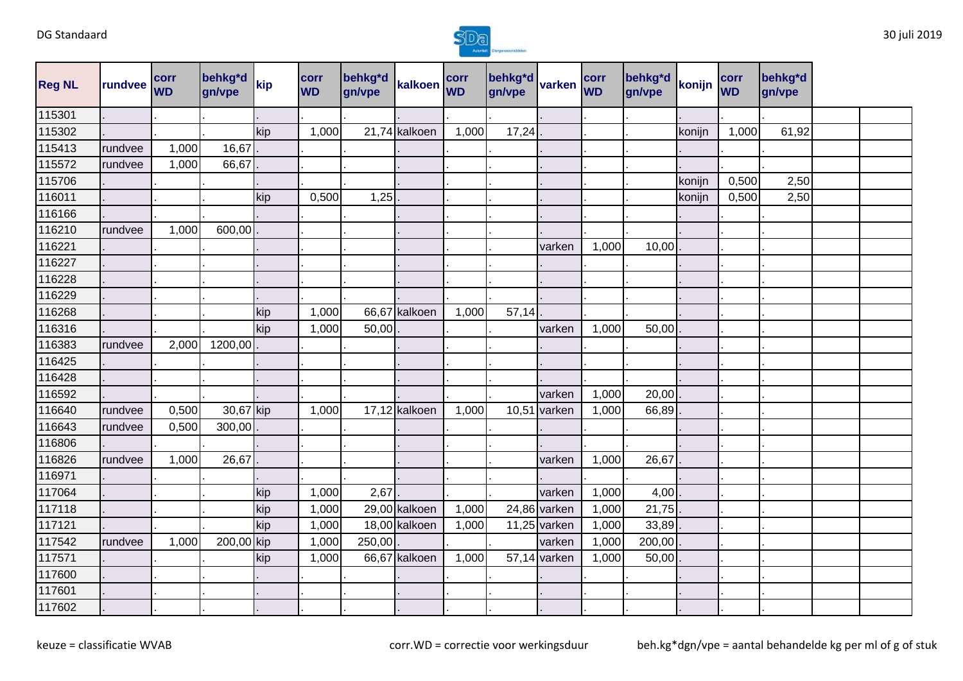

| <b>Reg NL</b> | rundvee | <b>corr</b><br><b>WD</b> | behkg*d<br>gn/vpe | kip | corr<br><b>WD</b> | behkg*d<br>gn/vpe | kalkoen       | corr<br><b>WD</b> | behkg*d<br>gn/vpe | varken         | corr<br><b>WD</b> | behkg*d<br>gn/vpe | konijn | corr<br><b>WD</b> | behkg*d<br>gn/vpe |  |
|---------------|---------|--------------------------|-------------------|-----|-------------------|-------------------|---------------|-------------------|-------------------|----------------|-------------------|-------------------|--------|-------------------|-------------------|--|
| 115301        |         |                          |                   |     |                   |                   |               |                   |                   |                |                   |                   |        |                   |                   |  |
| 115302        |         |                          |                   | kip | 1,000             |                   | 21,74 kalkoen | 1,000             | 17,24             |                |                   |                   | konijn | 1,000             | 61,92             |  |
| 115413        | rundvee | 1,000                    | 16,67             |     |                   |                   |               |                   |                   |                |                   |                   |        |                   |                   |  |
| 115572        | rundvee | 1,000                    | 66,67             |     |                   |                   |               |                   |                   |                |                   |                   |        |                   |                   |  |
| 115706        |         |                          |                   |     |                   |                   |               |                   |                   |                |                   |                   | konijn | 0,500             | 2,50              |  |
| 116011        |         |                          |                   | kip | 0,500             | 1,25              |               |                   |                   |                |                   |                   | konijn | 0,500             | 2,50              |  |
| 116166        |         |                          |                   |     |                   |                   |               |                   |                   |                |                   |                   |        |                   |                   |  |
| 116210        | rundvee | 1,000                    | 600,00            |     |                   |                   |               |                   |                   |                |                   |                   |        |                   |                   |  |
| 116221        |         |                          |                   |     |                   |                   |               |                   |                   | varken         | 1,000             | 10,00             |        |                   |                   |  |
| 116227        |         |                          |                   |     |                   |                   |               |                   |                   |                |                   |                   |        |                   |                   |  |
| 116228        |         |                          |                   |     |                   |                   |               |                   |                   |                |                   |                   |        |                   |                   |  |
| 116229        |         |                          |                   |     |                   |                   |               |                   |                   |                |                   |                   |        |                   |                   |  |
| 116268        |         |                          |                   | kip | 1,000             |                   | 66,67 kalkoen | 1,000             | 57,14             |                |                   |                   |        |                   |                   |  |
| 116316        |         |                          |                   | kip | 1,000             | 50,00             |               |                   |                   | varken         | 1,000             | 50,00             |        |                   |                   |  |
| 116383        | rundvee | 2,000                    | 1200,00           |     |                   |                   |               |                   |                   |                |                   |                   |        |                   |                   |  |
| 116425        |         |                          |                   |     |                   |                   |               |                   |                   |                |                   |                   |        |                   |                   |  |
| 116428        |         |                          |                   |     |                   |                   |               |                   |                   |                |                   |                   |        |                   |                   |  |
| 116592        |         |                          |                   |     |                   |                   |               |                   |                   | varken         | 1,000             | 20,00             |        |                   |                   |  |
| 116640        | rundvee | 0,500                    | 30,67 kip         |     | 1,000             |                   | 17,12 kalkoen | 1,000             | 10,51             | varken         | 1,000             | 66,89             |        |                   |                   |  |
| 116643        | rundvee | 0,500                    | 300,00            |     |                   |                   |               |                   |                   |                |                   |                   |        |                   |                   |  |
| 116806        |         |                          |                   |     |                   |                   |               |                   |                   |                |                   |                   |        |                   |                   |  |
| 116826        | rundvee | 1,000                    | 26,67             |     |                   |                   |               |                   |                   | varken         | 1,000             | 26,67             |        |                   |                   |  |
| 116971        |         |                          |                   |     |                   |                   |               |                   |                   |                |                   |                   |        |                   |                   |  |
| 117064        |         |                          |                   | kip | 1,000             | 2,67              |               |                   |                   | varken         | 1,000             | 4,00              |        |                   |                   |  |
| 117118        |         |                          |                   | kip | 1,000             |                   | 29,00 kalkoen | 1,000             |                   | 24,86 varken   | 1,000             | 21,75             |        |                   |                   |  |
| 117121        |         |                          |                   | kip | 1,000             |                   | 18,00 kalkoen | 1,000             |                   | $11,25$ varken | 1,000             | 33,89             |        |                   |                   |  |
| 117542        | rundvee | 1,000                    | 200,00 kip        |     | 1,000             | 250,00            |               |                   |                   | varken         | 1,000             | 200,00            |        |                   |                   |  |
| 117571        |         |                          |                   | kip | 1,000             |                   | 66,67 kalkoen | 1,000             |                   | 57,14 varken   | 1,000             | 50,00             |        |                   |                   |  |
| 117600        |         |                          |                   |     |                   |                   |               |                   |                   |                |                   |                   |        |                   |                   |  |
| 117601        |         |                          |                   |     |                   |                   |               |                   |                   |                |                   |                   |        |                   |                   |  |
| 117602        |         |                          |                   |     |                   |                   |               |                   |                   |                |                   |                   |        |                   |                   |  |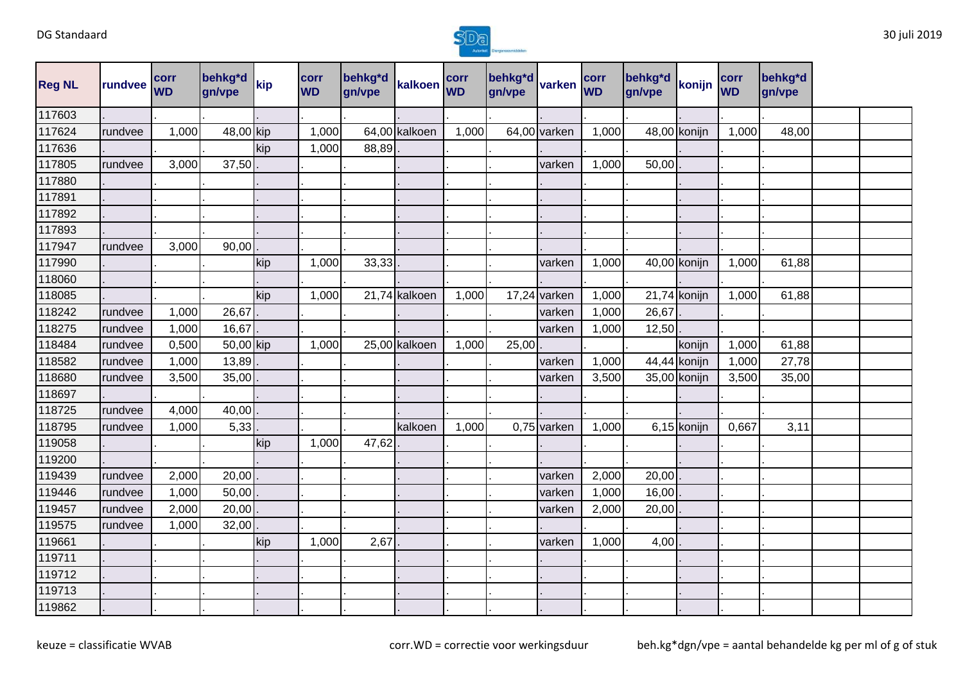

| <b>Reg NL</b> | rundvee | corr<br><b>WD</b> | behkg*d<br>gn/vpe | kip | corr<br><b>WD</b> | behkg*d<br>gn/vpe | kalkoen       | corr<br><b>WD</b> | behkg*d<br>gn/vpe | varken         | corr<br><b>WD</b> | behkg*d<br>gn/vpe | konijn         | corr<br><b>WD</b> | behkg*d<br>gn/vpe |  |
|---------------|---------|-------------------|-------------------|-----|-------------------|-------------------|---------------|-------------------|-------------------|----------------|-------------------|-------------------|----------------|-------------------|-------------------|--|
| 117603        |         |                   |                   |     |                   |                   |               |                   |                   |                |                   |                   |                |                   |                   |  |
| 117624        | rundvee | 1,000             | 48,00 kip         |     | 1,000             |                   | 64,00 kalkoen | 1,000             |                   | 64,00 varken   | 1,000             |                   | 48,00 konijn   | 1,000             | 48,00             |  |
| 117636        |         |                   |                   | kip | 1,000             | 88,89             |               |                   |                   |                |                   |                   |                |                   |                   |  |
| 117805        | rundvee | 3,000             | 37,50             |     |                   |                   |               |                   |                   | varken         | 1,000             | 50,00             |                |                   |                   |  |
| 117880        |         |                   |                   |     |                   |                   |               |                   |                   |                |                   |                   |                |                   |                   |  |
| 117891        |         |                   |                   |     |                   |                   |               |                   |                   |                |                   |                   |                |                   |                   |  |
| 117892        |         |                   |                   |     |                   |                   |               |                   |                   |                |                   |                   |                |                   |                   |  |
| 117893        |         |                   |                   |     |                   |                   |               |                   |                   |                |                   |                   |                |                   |                   |  |
| 117947        | rundvee | 3,000             | 90,00             |     |                   |                   |               |                   |                   |                |                   |                   |                |                   |                   |  |
| 117990        |         |                   |                   | kip | 1,000             | 33,33             |               |                   |                   | varken         | 1,000             |                   | 40,00 konijn   | 1,000             | 61,88             |  |
| 118060        |         |                   |                   |     |                   |                   |               |                   |                   |                |                   |                   |                |                   |                   |  |
| 118085        |         |                   |                   | kip | 1,000             |                   | 21,74 kalkoen | 1,000             |                   | $17,24$ varken | 1,000             |                   | $21,74$ konijn | 1,000             | 61,88             |  |
| 118242        | rundvee | 1,000             | 26,67             |     |                   |                   |               |                   |                   | varken         | 1,000             | 26,67             |                |                   |                   |  |
| 118275        | rundvee | 1,000             | 16,67             |     |                   |                   |               |                   |                   | varken         | 1,000             | 12,50             |                |                   |                   |  |
| 118484        | rundvee | 0,500             | 50,00 kip         |     | 1,000             |                   | 25,00 kalkoen | 1,000             | 25,00             |                |                   |                   | konijn         | 1,000             | 61,88             |  |
| 118582        | rundvee | 1,000             | 13,89             |     |                   |                   |               |                   |                   | varken         | 1,000             |                   | 44,44 konijn   | 1,000             | 27,78             |  |
| 118680        | rundvee | 3,500             | 35,00             |     |                   |                   |               |                   |                   | varken         | 3,500             |                   | 35,00 konijn   | 3,500             | 35,00             |  |
| 118697        |         |                   |                   |     |                   |                   |               |                   |                   |                |                   |                   |                |                   |                   |  |
| 118725        | rundvee | 4,000             | 40,00             |     |                   |                   |               |                   |                   |                |                   |                   |                |                   |                   |  |
| 118795        | rundvee | 1,000             | 5,33              |     |                   |                   | kalkoen       | 1,000             |                   | $0,75$ varken  | 1,000             |                   | 6,15 konijn    | 0,667             | 3,11              |  |
| 119058        |         |                   |                   | kip | 1,000             | 47,62             |               |                   |                   |                |                   |                   |                |                   |                   |  |
| 119200        |         |                   |                   |     |                   |                   |               |                   |                   |                |                   |                   |                |                   |                   |  |
| 119439        | rundvee | 2,000             | 20,00             |     |                   |                   |               |                   |                   | varken         | 2,000             | 20,00             |                |                   |                   |  |
| 119446        | rundvee | 1,000             | 50,00             |     |                   |                   |               |                   |                   | varken         | 1,000             | 16,00             |                |                   |                   |  |
| 119457        | rundvee | 2,000             | 20,00             |     |                   |                   |               |                   |                   | varken         | 2,000             | 20,00             |                |                   |                   |  |
| 119575        | rundvee | 1,000             | 32,00             |     |                   |                   |               |                   |                   |                |                   |                   |                |                   |                   |  |
| 119661        |         |                   |                   | kip | 1,000             | 2,67              |               |                   |                   | varken         | 1,000             | 4,00              |                |                   |                   |  |
| 119711        |         |                   |                   |     |                   |                   |               |                   |                   |                |                   |                   |                |                   |                   |  |
| 119712        |         |                   |                   |     |                   |                   |               |                   |                   |                |                   |                   |                |                   |                   |  |
| 119713        |         |                   |                   |     |                   |                   |               |                   |                   |                |                   |                   |                |                   |                   |  |
| 119862        |         |                   |                   |     |                   |                   |               |                   |                   |                |                   |                   |                |                   |                   |  |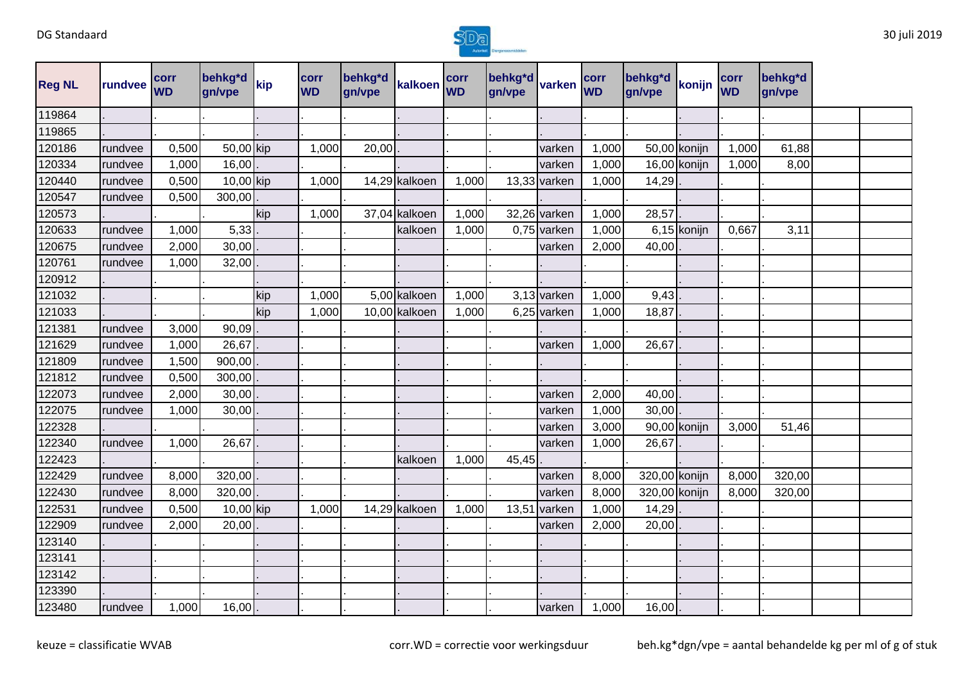

| <b>Reg NL</b> | rundvee | corr<br><b>WD</b> | behkg*d<br>gn/vpe | kip | corr<br><b>WD</b> | behkg*d<br>gn/vpe | kalkoen       | corr<br><b>WD</b> | behkg*d<br>gn/vpe | varken         | corr<br><b>WD</b> | behkg*d<br>gn/vpe | konijn       | corr<br><b>WD</b> | behkg*d<br>gn/vpe |  |
|---------------|---------|-------------------|-------------------|-----|-------------------|-------------------|---------------|-------------------|-------------------|----------------|-------------------|-------------------|--------------|-------------------|-------------------|--|
| 119864        |         |                   |                   |     |                   |                   |               |                   |                   |                |                   |                   |              |                   |                   |  |
| 119865        |         |                   |                   |     |                   |                   |               |                   |                   |                |                   |                   |              |                   |                   |  |
| 120186        | rundvee | 0,500             | 50,00 kip         |     | 1,000             | 20,00             |               |                   |                   | varken         | 1,000             |                   | 50,00 konijn | 1,000             | 61,88             |  |
| 120334        | rundvee | 1,000             | 16,00             |     |                   |                   |               |                   |                   | varken         | 1,000             |                   | 16,00 konijn | 1,000             | 8,00              |  |
| 120440        | rundvee | 0,500             | 10,00 kip         |     | 1,000             |                   | 14,29 kalkoen | 1,000             |                   | $13,33$ varken | 1,000             | 14,29             |              |                   |                   |  |
| 120547        | rundvee | 0,500             | 300,00            |     |                   |                   |               |                   |                   |                |                   |                   |              |                   |                   |  |
| 120573        |         |                   |                   | kip | 1,000             |                   | 37,04 kalkoen | 1,000             |                   | 32,26 varken   | 1,000             | 28,57             |              |                   |                   |  |
| 120633        | rundvee | 1,000             | 5,33              |     |                   |                   | kalkoen       | 1,000             |                   | $0,75$ varken  | 1,000             |                   | 6,15 konijn  | 0,667             | 3,11              |  |
| 120675        | rundvee | 2,000             | 30,00             |     |                   |                   |               |                   |                   | varken         | 2,000             | 40,00             |              |                   |                   |  |
| 120761        | rundvee | 1,000             | 32,00             |     |                   |                   |               |                   |                   |                |                   |                   |              |                   |                   |  |
| 120912        |         |                   |                   |     |                   |                   |               |                   |                   |                |                   |                   |              |                   |                   |  |
| 121032        |         |                   |                   | kip | 1,000             |                   | 5,00 kalkoen  | 1,000             |                   | 3,13 varken    | 1,000             | 9,43              |              |                   |                   |  |
| 121033        |         |                   |                   | kip | 1,000             |                   | 10,00 kalkoen | 1,000             |                   | 6,25 varken    | 1,000             | 18,87             |              |                   |                   |  |
| 121381        | rundvee | 3,000             | 90,09             |     |                   |                   |               |                   |                   |                |                   |                   |              |                   |                   |  |
| 121629        | rundvee | 1,000             | 26,67             |     |                   |                   |               |                   |                   | varken         | 1,000             | 26,67             |              |                   |                   |  |
| 121809        | rundvee | 1,500             | 900,00            |     |                   |                   |               |                   |                   |                |                   |                   |              |                   |                   |  |
| 121812        | rundvee | 0,500             | 300,00            |     |                   |                   |               |                   |                   |                |                   |                   |              |                   |                   |  |
| 122073        | rundvee | 2,000             | 30,00             |     |                   |                   |               |                   |                   | varken         | 2,000             | 40,00             |              |                   |                   |  |
| 122075        | rundvee | 1,000             | 30,00             |     |                   |                   |               |                   |                   | varken         | 1,000             | 30,00             |              |                   |                   |  |
| 122328        |         |                   |                   |     |                   |                   |               |                   |                   | varken         | 3,000             |                   | 90,00 konijn | 3,000             | 51,46             |  |
| 122340        | rundvee | 1,000             | 26,67             |     |                   |                   |               |                   |                   | varken         | 1,000             | 26,67             |              |                   |                   |  |
| 122423        |         |                   |                   |     |                   |                   | kalkoen       | 1,000             | 45,45             |                |                   |                   |              |                   |                   |  |
| 122429        | rundvee | 8,000             | 320,00            |     |                   |                   |               |                   |                   | varken         | 8,000             | 320,00 konijn     |              | 8,000             | 320,00            |  |
| 122430        | rundvee | 8,000             | 320,00            |     |                   |                   |               |                   |                   | varken         | 8,000             | 320,00 konijn     |              | 8,000             | 320,00            |  |
| 122531        | rundvee | 0,500             | 10,00 kip         |     | 1,000             |                   | 14,29 kalkoen | 1,000             | 13,5'             | varken         | 1,000             | 14,29             |              |                   |                   |  |
| 122909        | rundvee | 2,000             | 20,00             |     |                   |                   |               |                   |                   | varken         | 2,000             | 20,00             |              |                   |                   |  |
| 123140        |         |                   |                   |     |                   |                   |               |                   |                   |                |                   |                   |              |                   |                   |  |
| 123141        |         |                   |                   |     |                   |                   |               |                   |                   |                |                   |                   |              |                   |                   |  |
| 123142        |         |                   |                   |     |                   |                   |               |                   |                   |                |                   |                   |              |                   |                   |  |
| 123390        |         |                   |                   |     |                   |                   |               |                   |                   |                |                   |                   |              |                   |                   |  |
| 123480        | rundvee | 1,000             | $16,00$ .         |     |                   |                   |               |                   |                   | varken         | 1,000             | 16,00             |              |                   |                   |  |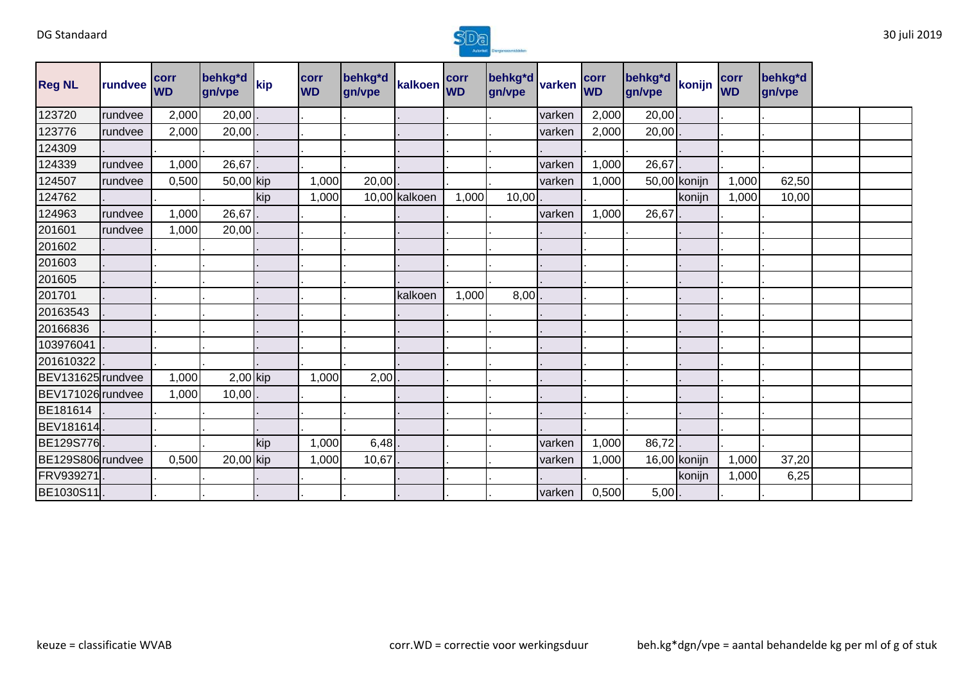

| <b>Reg NL</b>     | rundvee | <b>corr</b><br><b>WD</b> | behkg*d<br>gn/vpe | kip | <b>corr</b><br><b>WD</b> | behkg*d<br>gn/vpe | kalkoen WD    | corr  | behkg*d varken WD |        |       | behkg*d<br>gn/vpe | konijn       | corr<br><b>WD</b> | behkg*d<br>gn/vpe |  |
|-------------------|---------|--------------------------|-------------------|-----|--------------------------|-------------------|---------------|-------|-------------------|--------|-------|-------------------|--------------|-------------------|-------------------|--|
| 123720            | rundvee | 2,000                    | 20,00             |     |                          |                   |               |       |                   | varken | 2,000 | 20,00             |              |                   |                   |  |
| 123776            | rundvee | 2,000                    | 20,00             |     |                          |                   |               |       |                   | varken | 2,000 | 20,00             |              |                   |                   |  |
| 124309            |         |                          |                   |     |                          |                   |               |       |                   |        |       |                   |              |                   |                   |  |
| 124339            | rundvee | 1,000                    | 26,67             |     |                          |                   |               |       |                   | varken | 1,000 | 26,67             |              |                   |                   |  |
| 124507            | rundvee | 0,500                    | 50,00 kip         |     | 1,000                    | 20,00             |               |       |                   | varken | 1,000 |                   | 50,00 konijn | 1,000             | 62,50             |  |
| 124762            |         |                          |                   | kip | 1,000                    |                   | 10,00 kalkoen | 1,000 | 10,00             |        |       |                   | konijn       | 1,000             | 10,00             |  |
| 124963            | rundvee | 1,000                    | 26,67             |     |                          |                   |               |       |                   | varken | 1,000 | 26,67             |              |                   |                   |  |
| 201601            | rundvee | 1,000                    | 20,00             |     |                          |                   |               |       |                   |        |       |                   |              |                   |                   |  |
| 201602            |         |                          |                   |     |                          |                   |               |       |                   |        |       |                   |              |                   |                   |  |
| 201603            |         |                          |                   |     |                          |                   |               |       |                   |        |       |                   |              |                   |                   |  |
| 201605            |         |                          |                   |     |                          |                   |               |       |                   |        |       |                   |              |                   |                   |  |
| 201701            |         |                          |                   |     |                          |                   | kalkoen       | 1,000 | 8,00              |        |       |                   |              |                   |                   |  |
| 20163543          |         |                          |                   |     |                          |                   |               |       |                   |        |       |                   |              |                   |                   |  |
| 20166836          |         |                          |                   |     |                          |                   |               |       |                   |        |       |                   |              |                   |                   |  |
| 103976041         |         |                          |                   |     |                          |                   |               |       |                   |        |       |                   |              |                   |                   |  |
| 201610322         |         |                          |                   |     |                          |                   |               |       |                   |        |       |                   |              |                   |                   |  |
| BEV131625 rundvee |         | 1,000                    | $2,00$ kip        |     | 1,000                    | 2,00              |               |       |                   |        |       |                   |              |                   |                   |  |
| BEV171026 rundvee |         | 1,000                    | 10,00             |     |                          |                   |               |       |                   |        |       |                   |              |                   |                   |  |
| BE181614          |         |                          |                   |     |                          |                   |               |       |                   |        |       |                   |              |                   |                   |  |
| <b>BEV181614</b>  |         |                          |                   |     |                          |                   |               |       |                   |        |       |                   |              |                   |                   |  |
| BE129S776         |         |                          |                   | kip | 1,000                    | 6,48              |               |       |                   | varken | 1,000 | 86,72             |              |                   |                   |  |
| BE129S806 rundvee |         | 0,500                    | 20,00 kip         |     | 1,000                    | 10,67             |               |       |                   | varken | 1,000 |                   | 16,00 konijn | 1,000             | 37,20             |  |
| FRV939271         |         |                          |                   |     |                          |                   |               |       |                   |        |       |                   | konijn       | 1,000             | 6,25              |  |
| BE1030S11         |         |                          |                   |     |                          |                   |               |       |                   | varken | 0,500 | 5,00              |              |                   |                   |  |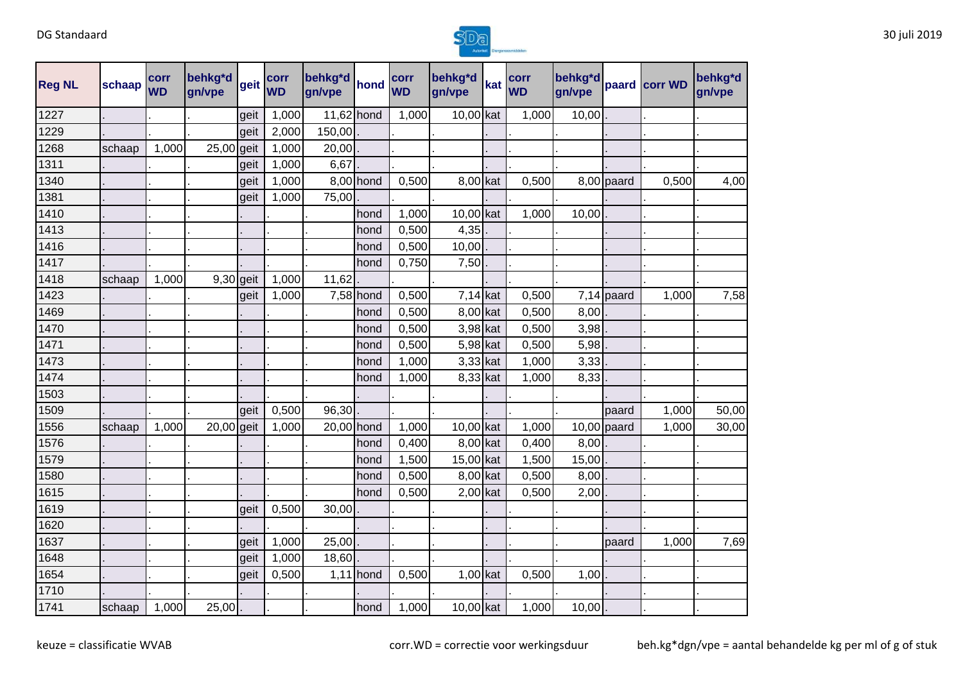

| <b>Reg NL</b> | schaap | corr<br><b>WD</b> | behkg*d<br>gn/vpe | geit | corr<br><b>WD</b> | behkg*d<br>gn/vpe | hond        | corr<br><b>WD</b> | behkg*d<br>gn/vpe | kat | corr<br><b>WD</b> | behkg*d<br>gn/vpe |               | paard corr WD | behkg*d<br>gn/vpe |
|---------------|--------|-------------------|-------------------|------|-------------------|-------------------|-------------|-------------------|-------------------|-----|-------------------|-------------------|---------------|---------------|-------------------|
| 1227          |        |                   |                   | geit | 1,000             | 11,62 hond        |             | 1,000             | 10,00 kat         |     | 1,000             | 10,00             |               |               |                   |
| 1229          |        |                   |                   | geit | 2,000             | 150,00            |             |                   |                   |     |                   |                   |               |               |                   |
| 1268          | schaap | 1,000             | 25,00 geit        |      | 1,000             | 20,00             |             |                   |                   |     |                   |                   |               |               |                   |
| 1311          |        |                   |                   | geit | 1,000             | 6,67              |             |                   |                   |     |                   |                   |               |               |                   |
| 1340          |        |                   |                   | geit | 1,000             |                   | 8,00 hond   | 0,500             | 8,00 kat          |     | 0,500             |                   | $8,00$ paard  | 0,500         | 4,00              |
| 1381          |        |                   |                   | geit | 1,000             | 75,00             |             |                   |                   |     |                   |                   |               |               |                   |
| 1410          |        |                   |                   |      |                   |                   | hond        | 1,000             | 10,00 kat         |     | 1,000             | 10,00             |               |               |                   |
| 1413          |        |                   |                   |      |                   |                   | hond        | 0,500             | 4,35              |     |                   |                   |               |               |                   |
| 1416          |        |                   |                   |      |                   |                   | hond        | 0,500             | 10,00             |     |                   |                   |               |               |                   |
| 1417          |        |                   |                   |      |                   |                   | hond        | 0,750             | 7,50              |     |                   |                   |               |               |                   |
| 1418          | schaap | 1,000             | $9,30$ geit       |      | 1,000             | 11,62             |             |                   |                   |     |                   |                   |               |               |                   |
| 1423          |        |                   |                   | geit | 1,000             |                   | 7,58 hond   | 0,500             | $7,14$ kat        |     | 0,500             |                   | $7,14$ paard  | 1,000         | 7,58              |
| 1469          |        |                   |                   |      |                   |                   | hond        | 0,500             | 8,00 kat          |     | 0,500             | 8,00              |               |               |                   |
| 1470          |        |                   |                   |      |                   |                   | hond        | 0,500             | 3,98 kat          |     | 0,500             | 3,98              |               |               |                   |
| 1471          |        |                   |                   |      |                   |                   | hond        | 0,500             | 5,98 kat          |     | 0,500             | 5,98              |               |               |                   |
| 1473          |        |                   |                   |      |                   |                   | hond        | 1,000             | 3,33 kat          |     | 1,000             | 3,33              |               |               |                   |
| 1474          |        |                   |                   |      |                   |                   | hond        | 1,000             | 8,33 kat          |     | 1,000             | 8,33              |               |               |                   |
| 1503          |        |                   |                   |      |                   |                   |             |                   |                   |     |                   |                   |               |               |                   |
| 1509          |        |                   |                   | geit | 0,500             | 96,30             |             |                   |                   |     |                   |                   | paard         | 1,000         | 50,00             |
| 1556          | schaap | 1,000             | 20,00 geit        |      | 1,000             | 20,00 hond        |             | 1,000             | 10,00 kat         |     | 1,000             |                   | $10,00$ paard | 1,000         | 30,00             |
| 1576          |        |                   |                   |      |                   |                   | hond        | 0,400             | 8,00 kat          |     | 0,400             | 8,00              |               |               |                   |
| 1579          |        |                   |                   |      |                   |                   | hond        | 1,500             | 15,00 kat         |     | 1,500             | 15,00             |               |               |                   |
| 1580          |        |                   |                   |      |                   |                   | hond        | 0,500             | 8,00 kat          |     | 0,500             | 8,00              |               |               |                   |
| 1615          |        |                   |                   |      |                   |                   | hond        | 0,500             | $2,00$ kat        |     | 0,500             | 2,00              |               |               |                   |
| 1619          |        |                   |                   | geit | 0,500             | 30,00             |             |                   |                   |     |                   |                   |               |               |                   |
| 1620          |        |                   |                   |      |                   |                   |             |                   |                   |     |                   |                   |               |               |                   |
| 1637          |        |                   |                   | geit | 1,000             | 25,00             |             |                   |                   |     |                   |                   | paard         | 1,000         | 7,69              |
| 1648          |        |                   |                   | geit | 1,000             | 18,60             |             |                   |                   |     |                   |                   |               |               |                   |
| 1654          |        |                   |                   | geit | 0,500             |                   | $1,11$ hond | 0,500             | $1,00$ kat        |     | 0,500             | 1,00              |               |               |                   |
| 1710          |        |                   |                   |      |                   |                   |             |                   |                   |     |                   |                   |               |               |                   |
| 1741          | schaap | 1,000             | 25,00             |      |                   |                   | hond        | 1,000             | 10,00 kat         |     | 1,000             | 10,00             |               |               |                   |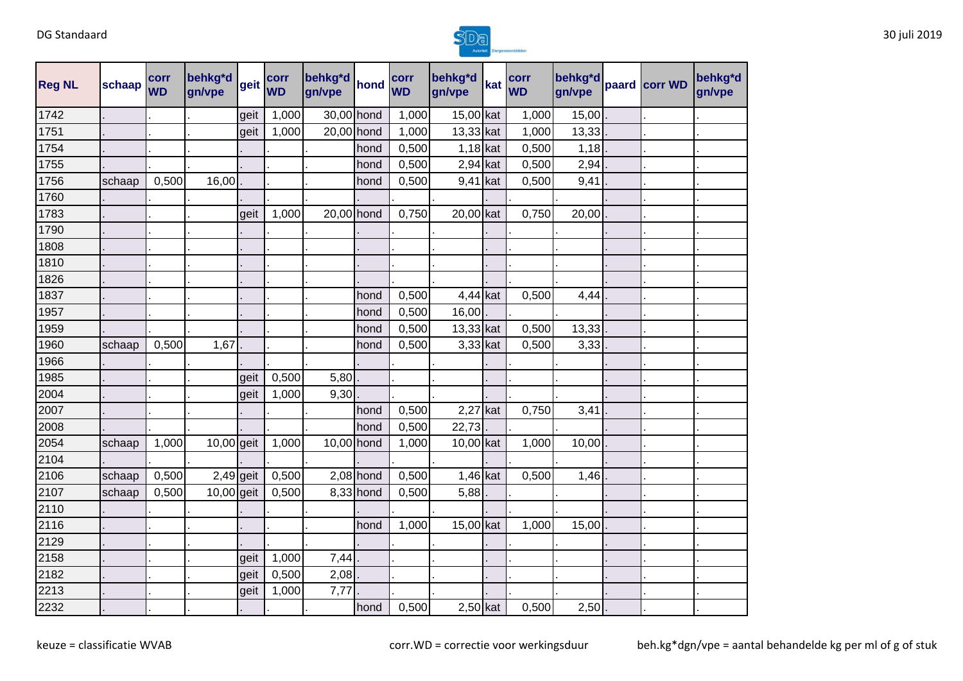

| <b>Reg NL</b> | schaap | corr<br><b>WD</b> | behkg*d<br>gn/vpe | geit | corr<br><b>WD</b> | behkg*d<br>gn/vpe | hond        | corr<br><b>WD</b> | behkg*d<br>gn/vpe | kat | corr<br><b>WD</b> | behkg*d<br>gn/vpe | paard corr WD | behkg*d<br>gn/vpe |
|---------------|--------|-------------------|-------------------|------|-------------------|-------------------|-------------|-------------------|-------------------|-----|-------------------|-------------------|---------------|-------------------|
| 1742          |        |                   |                   | geit | 1,000             | 30,00 hond        |             | 1,000             | 15,00 kat         |     | 1,000             | 15,00             |               |                   |
| 1751          |        |                   |                   | geit | 1,000             | $20,00$ hond      |             | 1,000             | 13,33 kat         |     | 1,000             | 13,33             |               |                   |
| 1754          |        |                   |                   |      |                   |                   | hond        | 0,500             | $1,18$ kat        |     | 0,500             | 1,18              |               |                   |
| 1755          |        |                   |                   |      |                   |                   | hond        | 0,500             | $2,94$ kat        |     | 0,500             | 2,94              |               |                   |
| 1756          | schaap | 0,500             | 16,00             |      |                   |                   | hond        | 0,500             | 9,41 kat          |     | 0,500             | 9,41              |               |                   |
| 1760          |        |                   |                   |      |                   |                   |             |                   |                   |     |                   |                   |               |                   |
| 1783          |        |                   |                   | geit | 1,000             | $20,00$ hond      |             | 0,750             | 20,00 kat         |     | 0,750             | 20,00             |               |                   |
| 1790          |        |                   |                   |      |                   |                   |             |                   |                   |     |                   |                   |               |                   |
| 1808          |        |                   |                   |      |                   |                   |             |                   |                   |     |                   |                   |               |                   |
| 1810          |        |                   |                   |      |                   |                   |             |                   |                   |     |                   |                   |               |                   |
| 1826          |        |                   |                   |      |                   |                   |             |                   |                   |     |                   |                   |               |                   |
| 1837          |        |                   |                   |      |                   |                   | hond        | 0,500             | $4,44$ kat        |     | 0,500             | 4,44              |               |                   |
| 1957          |        |                   |                   |      |                   |                   | hond        | 0,500             | 16,00             |     |                   |                   |               |                   |
| 1959          |        |                   |                   |      |                   |                   | hond        | 0,500             | 13,33 kat         |     | 0,500             | 13,33             |               |                   |
| 1960          | schaap | 0,500             | 1,67              |      |                   |                   | hond        | 0,500             | $3,33$ kat        |     | 0,500             | 3,33              |               |                   |
| 1966          |        |                   |                   |      |                   |                   |             |                   |                   |     |                   |                   |               |                   |
| 1985          |        |                   |                   | geit | 0,500             | 5,80              |             |                   |                   |     |                   |                   |               |                   |
| 2004          |        |                   |                   | geit | 1,000             | 9,30              |             |                   |                   |     |                   |                   |               |                   |
| 2007          |        |                   |                   |      |                   |                   | hond        | 0,500             | $2,27$ kat        |     | 0,750             | 3,41              |               |                   |
| 2008          |        |                   |                   |      |                   |                   | hond        | 0,500             | 22,73             |     |                   |                   |               |                   |
| 2054          | schaap | 1,000             | 10,00 geit        |      | 1,000             | 10,00 hond        |             | 1,000             | 10,00 kat         |     | 1,000             | 10,00             |               |                   |
| 2104          |        |                   |                   |      |                   |                   |             |                   |                   |     |                   |                   |               |                   |
| 2106          | schaap | 0,500             | $2,49$ geit       |      | 0,500             |                   | $2,08$ hond | 0,500             | $1,46$ kat        |     | 0,500             | 1,46              |               |                   |
| 2107          | schaap | 0,500             | $10,00$ geit      |      | 0,500             |                   | 8,33 hond   | 0,500             | 5,88              |     |                   |                   |               |                   |
| 2110          |        |                   |                   |      |                   |                   |             |                   |                   |     |                   |                   |               |                   |
| 2116          |        |                   |                   |      |                   |                   | hond        | 1,000             | 15,00 kat         |     | 1,000             | 15,00             |               |                   |
| 2129          |        |                   |                   |      |                   |                   |             |                   |                   |     |                   |                   |               |                   |
| 2158          |        |                   |                   | geit | 1,000             | 7,44              |             |                   |                   |     |                   |                   |               |                   |
| 2182          |        |                   |                   | geit | 0,500             | 2,08              |             |                   |                   |     |                   |                   |               |                   |
| 2213          |        |                   |                   | geit | 1,000             | 7,77              |             |                   |                   |     |                   |                   |               |                   |
| 2232          |        |                   |                   |      |                   |                   | hond        | 0,500             | $2,50$ kat        |     | 0,500             | 2,50              |               |                   |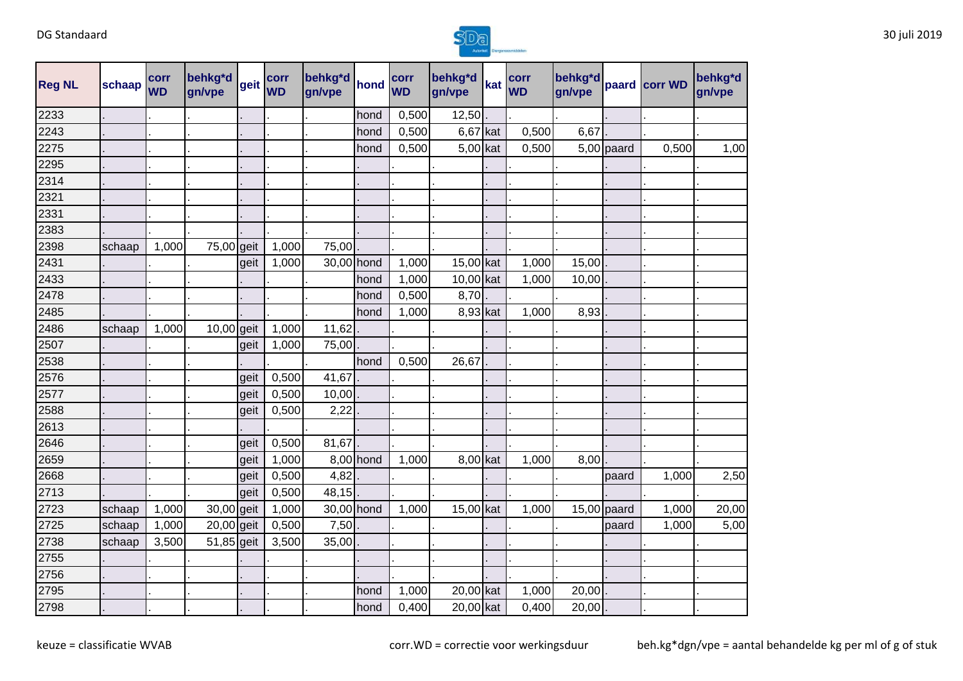

| <b>Reg NL</b> | schaap | corr<br><b>WD</b> | behkg*d<br>gn/vpe | geit | corr<br><b>WD</b> | behkg*d<br>gn/vpe | hond      | corr<br><b>WD</b> | behkg*d<br>gn/vpe | kat | corr<br><b>WD</b> | behkg*d<br>gn/vpe |               | paard corr WD | behkg*d<br>gn/vpe |
|---------------|--------|-------------------|-------------------|------|-------------------|-------------------|-----------|-------------------|-------------------|-----|-------------------|-------------------|---------------|---------------|-------------------|
| 2233          |        |                   |                   |      |                   |                   | hond      | 0,500             | 12,50             |     |                   |                   |               |               |                   |
| 2243          |        |                   |                   |      |                   |                   | hond      | 0,500             | 6,67              | kat | 0,500             | 6,67              |               |               |                   |
| 2275          |        |                   |                   |      |                   |                   | hond      | 0,500             | 5,00 kat          |     | 0,500             |                   | $5,00$ paard  | 0,500         | 1,00              |
| 2295          |        |                   |                   |      |                   |                   |           |                   |                   |     |                   |                   |               |               |                   |
| 2314          |        |                   |                   |      |                   |                   |           |                   |                   |     |                   |                   |               |               |                   |
| 2321          |        |                   |                   |      |                   |                   |           |                   |                   |     |                   |                   |               |               |                   |
| 2331          |        |                   |                   |      |                   |                   |           |                   |                   |     |                   |                   |               |               |                   |
| 2383          |        |                   |                   |      |                   |                   |           |                   |                   |     |                   |                   |               |               |                   |
| 2398          | schaap | 1,000             | 75,00 geit        |      | 1,000             | 75,00             |           |                   |                   |     |                   |                   |               |               |                   |
| 2431          |        |                   |                   | geit | 1,000             | 30,00 hond        |           | 1,000             | 15,00 kat         |     | 1,000             | 15,00             |               |               |                   |
| 2433          |        |                   |                   |      |                   |                   | hond      | 1,000             | 10,00 kat         |     | 1,000             | 10,00             |               |               |                   |
| 2478          |        |                   |                   |      |                   |                   | hond      | 0,500             | 8,70              |     |                   |                   |               |               |                   |
| 2485          |        |                   |                   |      |                   |                   | hond      | 1,000             | 8,93 kat          |     | 1,000             | 8,93              |               |               |                   |
| 2486          | schaap | 1,000             | 10,00 geit        |      | 1,000             | 11,62             |           |                   |                   |     |                   |                   |               |               |                   |
| 2507          |        |                   |                   | geit | 1,000             | 75,00             |           |                   |                   |     |                   |                   |               |               |                   |
| 2538          |        |                   |                   |      |                   |                   | hond      | 0,500             | 26,67             |     |                   |                   |               |               |                   |
| 2576          |        |                   |                   | geit | 0,500             | 41,67             |           |                   |                   |     |                   |                   |               |               |                   |
| 2577          |        |                   |                   | geit | 0,500             | 10,00             |           |                   |                   |     |                   |                   |               |               |                   |
| 2588          |        |                   |                   | geit | 0,500             | 2,22              |           |                   |                   |     |                   |                   |               |               |                   |
| 2613          |        |                   |                   |      |                   |                   |           |                   |                   |     |                   |                   |               |               |                   |
| 2646          |        |                   |                   | geit | 0,500             | 81,67             |           |                   |                   |     |                   |                   |               |               |                   |
| 2659          |        |                   |                   | geit | 1,000             |                   | 8,00 hond | 1,000             | 8,00 kat          |     | 1,000             | 8,00              |               |               |                   |
| 2668          |        |                   |                   | geit | 0,500             | 4,82              |           |                   |                   |     |                   |                   | paard         | 1,000         | 2,50              |
| 2713          |        |                   |                   | geit | 0,500             | 48,15             |           |                   |                   |     |                   |                   |               |               |                   |
| 2723          | schaap | 1,000             | 30,00 geit        |      | 1,000             | 30,00 hond        |           | 1,000             | 15,00 kat         |     | 1,000             |                   | $15,00$ paard | 1,000         | 20,00             |
| 2725          | schaap | 1,000             | 20,00 geit        |      | 0,500             | 7,50              |           |                   |                   |     |                   |                   | paard         | 1,000         | 5,00              |
| 2738          | schaap | 3,500             | 51,85 geit        |      | 3,500             | 35,00             |           |                   |                   |     |                   |                   |               |               |                   |
| 2755          |        |                   |                   |      |                   |                   |           |                   |                   |     |                   |                   |               |               |                   |
| 2756          |        |                   |                   |      |                   |                   |           |                   |                   |     |                   |                   |               |               |                   |
| 2795          |        |                   |                   |      |                   |                   | hond      | 1,000             | 20,00 kat         |     | 1,000             | 20,00             |               |               |                   |
| 2798          |        |                   |                   |      |                   |                   | hond      | 0,400             | 20,00 kat         |     | 0,400             | 20,00             |               |               |                   |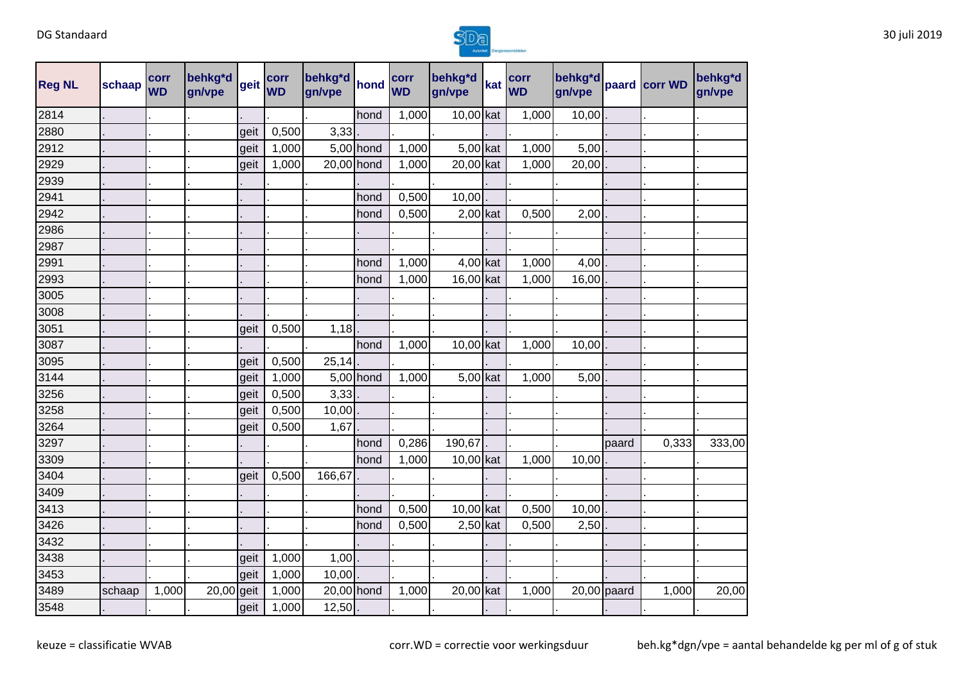

| <b>Reg NL</b> | schaap | corr<br><b>WD</b> | behkg*d<br>gn/vpe | geit | corr<br><b>WD</b> | behkg*d<br>gn/vpe | hond      | corr<br><b>WD</b> | behkg*d<br>gn/vpe | kat | corr<br><b>WD</b> | behkg*d<br>gn/vpe |       | paard corr WD | behkg*d<br>gn/vpe |
|---------------|--------|-------------------|-------------------|------|-------------------|-------------------|-----------|-------------------|-------------------|-----|-------------------|-------------------|-------|---------------|-------------------|
| 2814          |        |                   |                   |      |                   |                   | hond      | 1,000             | 10,00 kat         |     | 1,000             | 10,00             |       |               |                   |
| 2880          |        |                   |                   | geit | 0,500             | 3,33              |           |                   |                   |     |                   |                   |       |               |                   |
| 2912          |        |                   |                   | geit | 1,000             |                   | 5,00 hond | 1,000             | $5,00$ kat        |     | 1,000             | 5,00              |       |               |                   |
| 2929          |        |                   |                   | geit | 1,000             | 20,00 hond        |           | 1,000             | 20,00 kat         |     | 1,000             | 20,00             |       |               |                   |
| 2939          |        |                   |                   |      |                   |                   |           |                   |                   |     |                   |                   |       |               |                   |
| 2941          |        |                   |                   |      |                   |                   | hond      | 0,500             | 10,00             |     |                   |                   |       |               |                   |
| 2942          |        |                   |                   |      |                   |                   | hond      | 0,500             | $2,00$ kat        |     | 0,500             | 2,00              |       |               |                   |
| 2986          |        |                   |                   |      |                   |                   |           |                   |                   |     |                   |                   |       |               |                   |
| 2987          |        |                   |                   |      |                   |                   |           |                   |                   |     |                   |                   |       |               |                   |
| 2991          |        |                   |                   |      |                   |                   | hond      | 1,000             | $4,00$ kat        |     | 1,000             | 4,00              |       |               |                   |
| 2993          |        |                   |                   |      |                   |                   | hond      | 1,000             | 16,00 kat         |     | 1,000             | 16,00             |       |               |                   |
| 3005          |        |                   |                   |      |                   |                   |           |                   |                   |     |                   |                   |       |               |                   |
| 3008          |        |                   |                   |      |                   |                   |           |                   |                   |     |                   |                   |       |               |                   |
| 3051          |        |                   |                   | geit | 0,500             | 1,18              |           |                   |                   |     |                   |                   |       |               |                   |
| 3087          |        |                   |                   |      |                   |                   | hond      | 1,000             | 10,00 kat         |     | 1,000             | 10,00             |       |               |                   |
| 3095          |        |                   |                   | geit | 0,500             | 25,14             |           |                   |                   |     |                   |                   |       |               |                   |
| 3144          |        |                   |                   | geit | 1,000             |                   | 5,00 hond | 1,000             | $5,00$ kat        |     | 1,000             | 5,00              |       |               |                   |
| 3256          |        |                   |                   | geit | 0,500             | 3,33              |           |                   |                   |     |                   |                   |       |               |                   |
| 3258          |        |                   |                   | geit | 0,500             | 10,00             |           |                   |                   |     |                   |                   |       |               |                   |
| 3264          |        |                   |                   | geit | 0,500             | 1,67              |           |                   |                   |     |                   |                   |       |               |                   |
| 3297          |        |                   |                   |      |                   |                   | hond      | 0,286             | 190,67            |     |                   |                   | paard | 0,333         | 333,00            |
| 3309          |        |                   |                   |      |                   |                   | hond      | 1,000             | 10,00 kat         |     | 1,000             | 10,00             |       |               |                   |
| 3404          |        |                   |                   | geit | 0,500             | 166,67            |           |                   |                   |     |                   |                   |       |               |                   |
| 3409          |        |                   |                   |      |                   |                   |           |                   |                   |     |                   |                   |       |               |                   |
| 3413          |        |                   |                   |      |                   |                   | hond      | 0,500             | 10,00 kat         |     | 0,500             | 10,00             |       |               |                   |
| 3426          |        |                   |                   |      |                   |                   | hond      | 0,500             | $2,50$ kat        |     | 0,500             | 2,50              |       |               |                   |
| 3432          |        |                   |                   |      |                   |                   |           |                   |                   |     |                   |                   |       |               |                   |
| 3438          |        |                   |                   | geit | 1,000             | 1,00              |           |                   |                   |     |                   |                   |       |               |                   |
| 3453          |        |                   |                   | geit | 1,000             | 10,00             |           |                   |                   |     |                   |                   |       |               |                   |
| 3489          | schaap | 1,000             | $20,00$ geit      |      | 1,000             | 20,00 hond        |           | 1,000             | 20,00 kat         |     | 1,000             | $20,00$ paard     |       | 1,000         | 20,00             |
| 3548          |        |                   |                   | geit | 1,000             | 12,50             |           |                   |                   |     |                   |                   |       |               |                   |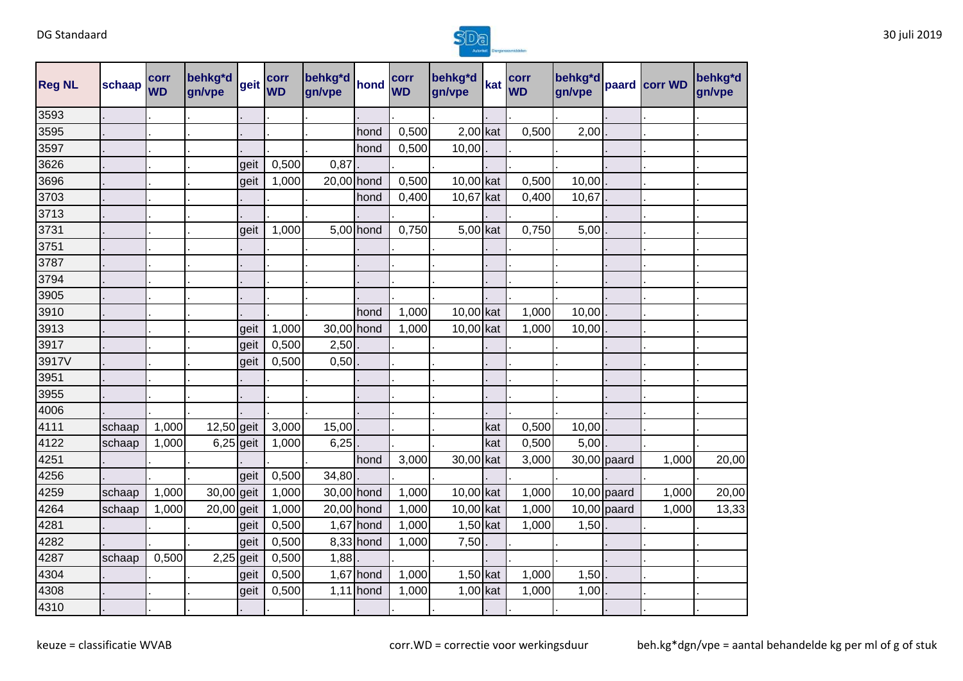

| <b>Reg NL</b> | schaap | corr<br><b>WD</b> | behkg*d<br>gn/vpe | geit | corr<br><b>WD</b> | behkg*d<br>gn/vpe | hond        | corr<br><b>WD</b> | behkg*d<br>gn/vpe | kat | corr<br><b>WD</b> | behkg*d<br>gn/vpe |               | paard corr WD | behkg <sup>*</sup> d<br>gn/vpe |
|---------------|--------|-------------------|-------------------|------|-------------------|-------------------|-------------|-------------------|-------------------|-----|-------------------|-------------------|---------------|---------------|--------------------------------|
| 3593          |        |                   |                   |      |                   |                   |             |                   |                   |     |                   |                   |               |               |                                |
| 3595          |        |                   |                   |      |                   |                   | hond        | 0,500             | $2,00$ kat        |     | 0,500             | 2,00              |               |               |                                |
| 3597          |        |                   |                   |      |                   |                   | hond        | 0,500             | 10,00             |     |                   |                   |               |               |                                |
| 3626          |        |                   |                   | geit | 0,500             | 0,87              |             |                   |                   |     |                   |                   |               |               |                                |
| 3696          |        |                   |                   | geit | 1,000             | 20,00 hond        |             | 0,500             | 10,00 kat         |     | 0,500             | 10,00             |               |               |                                |
| 3703          |        |                   |                   |      |                   |                   | hond        | 0,400             | 10,67 kat         |     | 0,400             | 10,67             |               |               |                                |
| 3713          |        |                   |                   |      |                   |                   |             |                   |                   |     |                   |                   |               |               |                                |
| 3731          |        |                   |                   | geit | 1,000             |                   | $5,00$ hond | 0,750             | 5,00 kat          |     | 0,750             | 5,00              |               |               |                                |
| 3751          |        |                   |                   |      |                   |                   |             |                   |                   |     |                   |                   |               |               |                                |
| 3787          |        |                   |                   |      |                   |                   |             |                   |                   |     |                   |                   |               |               |                                |
| 3794          |        |                   |                   |      |                   |                   |             |                   |                   |     |                   |                   |               |               |                                |
| 3905          |        |                   |                   |      |                   |                   |             |                   |                   |     |                   |                   |               |               |                                |
| 3910          |        |                   |                   |      |                   |                   | hond        | 1,000             | 10,00 kat         |     | 1,000             | 10,00             |               |               |                                |
| 3913          |        |                   |                   | geit | 1,000             | 30,00 hond        |             | 1,000             | 10,00 kat         |     | 1,000             | 10,00             |               |               |                                |
| 3917          |        |                   |                   | geit | 0,500             | 2,50              |             |                   |                   |     |                   |                   |               |               |                                |
| 3917V         |        |                   |                   | geit | 0,500             | 0,50              |             |                   |                   |     |                   |                   |               |               |                                |
| 3951          |        |                   |                   |      |                   |                   |             |                   |                   |     |                   |                   |               |               |                                |
| 3955          |        |                   |                   |      |                   |                   |             |                   |                   |     |                   |                   |               |               |                                |
| 4006          |        |                   |                   |      |                   |                   |             |                   |                   |     |                   |                   |               |               |                                |
| 4111          | schaap | 1,000             | $12,50$ geit      |      | 3,000             | 15,00             |             |                   |                   | kat | 0,500             | 10,00             |               |               |                                |
| 4122          | schaap | 1,000             | $6,25$ geit       |      | 1,000             | 6,25              |             |                   |                   | kat | 0,500             | 5,00              |               |               |                                |
| 4251          |        |                   |                   |      |                   |                   | hond        | 3,000             | 30,00 kat         |     | 3,000             |                   | 30,00 paard   | 1,000         | 20,00                          |
| 4256          |        |                   |                   | geit | 0,500             | 34,80             |             |                   |                   |     |                   |                   |               |               |                                |
| 4259          | schaap | 1,000             | 30,00 geit        |      | 1,000             | 30,00 hond        |             | 1,000             | 10,00 kat         |     | 1,000             |                   | $10,00$ paard | 1,000         | 20,00                          |
| 4264          | schaap | 1,000             | 20,00 geit        |      | 1,000             | 20,00 hond        |             | 1,000             | 10,00 kat         |     | 1,000             |                   | $10,00$ paard | 1,000         | 13,33                          |
| 4281          |        |                   |                   | geit | 0,500             |                   | $1,67$ hond | 1,000             | $1,50$ kat        |     | 1,000             | 1,50              |               |               |                                |
| 4282          |        |                   |                   | geit | 0,500             |                   | 8,33 hond   | 1,000             | 7,50              |     |                   |                   |               |               |                                |
| 4287          | schaap | 0,500             | $2,25$ geit       |      | 0,500             | 1,88              |             |                   |                   |     |                   |                   |               |               |                                |
| 4304          |        |                   |                   | geit | 0,500             |                   | $1,67$ hond | 1,000             | $1,50$ kat        |     | 1,000             | 1,50              |               |               |                                |
| 4308          |        |                   |                   | geit | 0,500             |                   | $1,11$ hond | 1,000             | $1,00$ kat        |     | 1,000             | 1,00              |               |               |                                |
| 4310          |        |                   |                   |      |                   |                   |             |                   |                   |     |                   |                   |               |               |                                |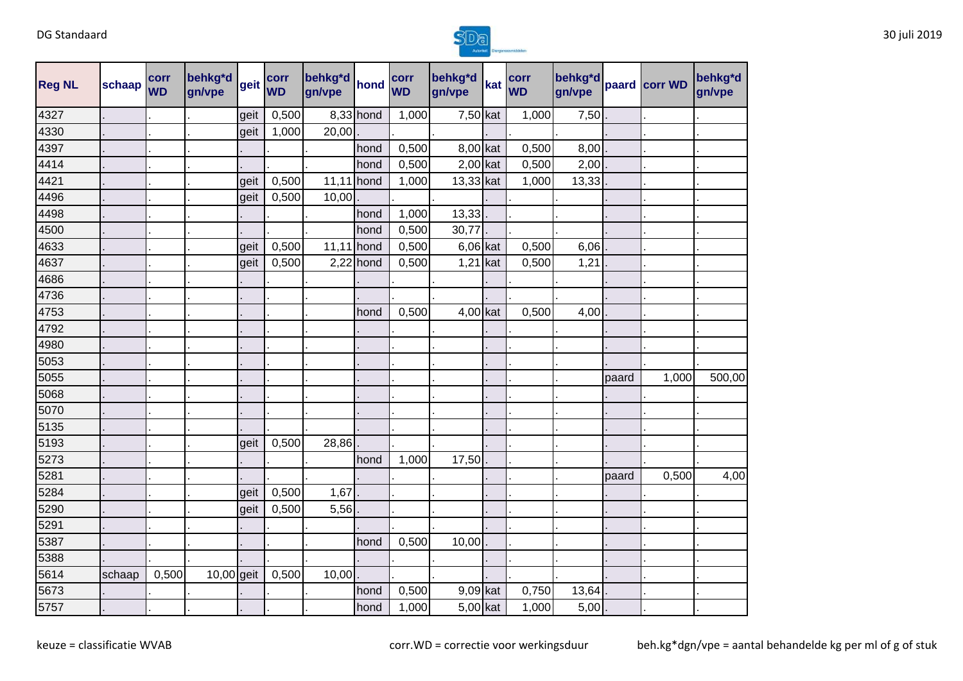

| <b>Reg NL</b> | schaap | corr<br><b>WD</b> | behkg*d<br> gn/vpe  geit  WD |      |       | gn/vpe       |             | corr<br><b>WD</b> | behkg*d<br>gn/vpe | kat WD | gn/vpe |       | behkg <sup>*d</sup> paard corr WD | behkg <sup>*</sup> d<br>gn/vpe |
|---------------|--------|-------------------|------------------------------|------|-------|--------------|-------------|-------------------|-------------------|--------|--------|-------|-----------------------------------|--------------------------------|
| 4327          |        |                   |                              | geit | 0,500 |              | 8,33 hond   | 1,000             | $7,50$ kat        | 1,000  | 7,50   |       |                                   |                                |
| 4330          |        |                   |                              | geit | 1,000 | 20,00        |             |                   |                   |        |        |       |                                   |                                |
| 4397          |        |                   |                              |      |       |              | hond        | 0,500             | 8,00 kat          | 0,500  | 8,00   |       |                                   |                                |
| 4414          |        |                   |                              |      |       |              | hond        | 0,500             | $2,00$ kat        | 0,500  | 2,00   |       |                                   |                                |
| 4421          |        |                   |                              | geit | 0,500 | $11,11$ hond |             | 1,000             | 13,33 kat         | 1,000  | 13,33  |       |                                   |                                |
| 4496          |        |                   |                              | geit | 0,500 | 10,00        |             |                   |                   |        |        |       |                                   |                                |
| 4498          |        |                   |                              |      |       |              | hond        | 1,000             | 13,33             |        |        |       |                                   |                                |
| 4500          |        |                   |                              |      |       |              | hond        | 0,500             | 30,77             |        |        |       |                                   |                                |
| 4633          |        |                   |                              | geit | 0,500 | 11,11 hond   |             | 0,500             | $6,06$ kat        | 0,500  | 6,06   |       |                                   |                                |
| 4637          |        |                   |                              | geit | 0,500 |              | $2,22$ hond | 0,500             | $1,21$ kat        | 0,500  | 1,21   |       |                                   |                                |
| 4686          |        |                   |                              |      |       |              |             |                   |                   |        |        |       |                                   |                                |
| 4736          |        |                   |                              |      |       |              |             |                   |                   |        |        |       |                                   |                                |
| 4753          |        |                   |                              |      |       |              | hond        | 0,500             | $4,00$ kat        | 0,500  | 4,00   |       |                                   |                                |
| 4792          |        |                   |                              |      |       |              |             |                   |                   |        |        |       |                                   |                                |
| 4980          |        |                   |                              |      |       |              |             |                   |                   |        |        |       |                                   |                                |
| 5053          |        |                   |                              |      |       |              |             |                   |                   |        |        |       |                                   |                                |
| 5055          |        |                   |                              |      |       |              |             |                   |                   |        |        | paard | 1,000                             | 500,00                         |
| 5068          |        |                   |                              |      |       |              |             |                   |                   |        |        |       |                                   |                                |
| 5070          |        |                   |                              |      |       |              |             |                   |                   |        |        |       |                                   |                                |
| 5135          |        |                   |                              |      |       |              |             |                   |                   |        |        |       |                                   |                                |
| 5193          |        |                   |                              | geit | 0,500 | 28,86        |             |                   |                   |        |        |       |                                   |                                |
| 5273          |        |                   |                              |      |       |              | hond        | 1,000             | 17,50             |        |        |       |                                   |                                |
| 5281          |        |                   |                              |      |       |              |             |                   |                   |        |        | paard | 0,500                             | 4,00                           |
| 5284          |        |                   |                              | geit | 0,500 | 1,67         |             |                   |                   |        |        |       |                                   |                                |
| 5290          |        |                   |                              | geit | 0,500 | $5,56$ .     |             |                   |                   |        |        |       |                                   |                                |
| 5291          |        |                   |                              |      |       |              |             |                   |                   |        |        |       |                                   |                                |
| 5387          |        |                   |                              |      |       |              | hond        | 0,500             | 10,00             |        |        |       |                                   |                                |
| 5388          |        |                   |                              |      |       |              |             |                   |                   |        |        |       |                                   |                                |
| 5614          | schaap | 0,500             | $10,00$ geit                 |      | 0,500 | 10,00        |             |                   |                   |        |        |       |                                   |                                |
| 5673          |        |                   |                              |      |       |              | hond        | 0,500             | 9,09 kat          | 0,750  | 13,64  |       |                                   |                                |
| 5757          |        |                   |                              |      |       |              | hond        | 1,000             | $5,00$ kat        | 1,000  | 5,00   |       |                                   |                                |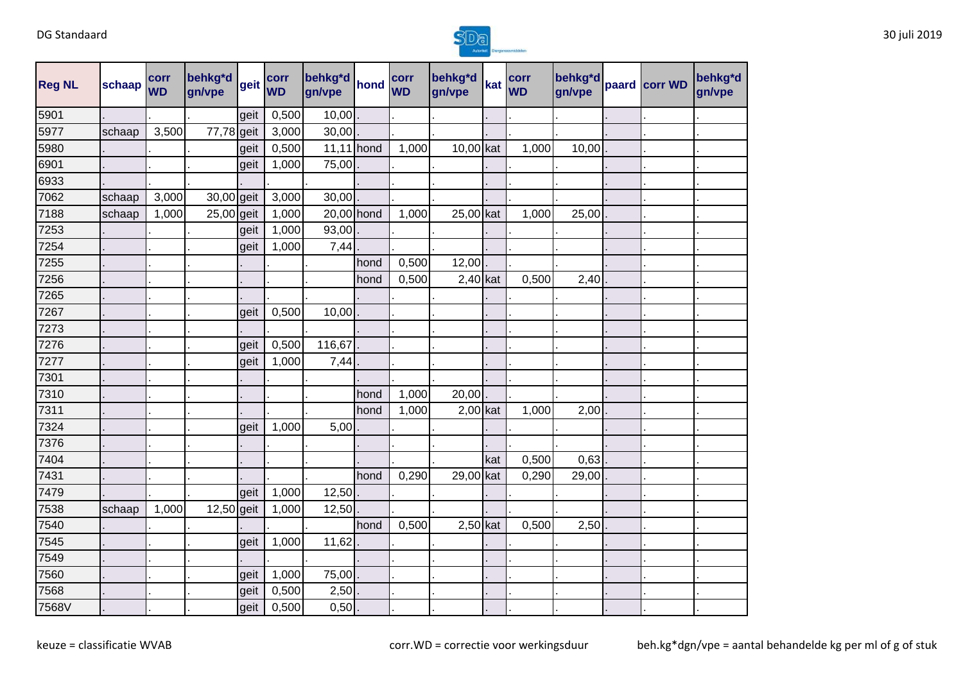

| <b>Reg NL</b> | schaap | corr<br><b>WD</b> | behkg*d<br>gn/vpe | geit | corr<br><b>WD</b> | behkg*d<br>gn/vpe | hond | corr<br><b>WD</b> | behkg*d<br>gn/vpe | kat | corr<br><b>WD</b> | behkg*d<br>gn/vpe | paard corr WD | behkg*d<br>gn/vpe |
|---------------|--------|-------------------|-------------------|------|-------------------|-------------------|------|-------------------|-------------------|-----|-------------------|-------------------|---------------|-------------------|
| 5901          |        |                   |                   | geit | 0,500             | 10,00             |      |                   |                   |     |                   |                   |               |                   |
| 5977          | schaap | 3,500             | 77,78 geit        |      | 3,000             | 30,00             |      |                   |                   |     |                   |                   |               |                   |
| 5980          |        |                   |                   | geit | 0,500             | $11,11$ hond      |      | 1,000             | 10,00 kat         |     | 1,000             | 10,00             |               |                   |
| 6901          |        |                   |                   | geit | 1,000             | 75,00             |      |                   |                   |     |                   |                   |               |                   |
| 6933          |        |                   |                   |      |                   |                   |      |                   |                   |     |                   |                   |               |                   |
| 7062          | schaap | 3,000             | 30,00 geit        |      | 3,000             | 30,00             |      |                   |                   |     |                   |                   |               |                   |
| 7188          | schaap | 1,000             | $25,00$ geit      |      | 1,000             | 20,00 hond        |      | 1,000             | 25,00 kat         |     | 1,000             | 25,00             |               |                   |
| 7253          |        |                   |                   | geit | 1,000             | 93,00             |      |                   |                   |     |                   |                   |               |                   |
| 7254          |        |                   |                   | geit | 1,000             | 7,44              |      |                   |                   |     |                   |                   |               |                   |
| 7255          |        |                   |                   |      |                   |                   | hond | 0,500             | 12,00             |     |                   |                   |               |                   |
| 7256          |        |                   |                   |      |                   |                   | hond | 0,500             | $2,40$ kat        |     | 0,500             | 2,40              |               |                   |
| 7265          |        |                   |                   |      |                   |                   |      |                   |                   |     |                   |                   |               |                   |
| 7267          |        |                   |                   | geit | 0,500             | 10,00             |      |                   |                   |     |                   |                   |               |                   |
| 7273          |        |                   |                   |      |                   |                   |      |                   |                   |     |                   |                   |               |                   |
| 7276          |        |                   |                   | geit | 0,500             | 116,67            |      |                   |                   |     |                   |                   |               |                   |
| 7277          |        |                   |                   | geit | 1,000             | 7,44              |      |                   |                   |     |                   |                   |               |                   |
| 7301          |        |                   |                   |      |                   |                   |      |                   |                   |     |                   |                   |               |                   |
| 7310          |        |                   |                   |      |                   |                   | hond | 1,000             | 20,00             |     |                   |                   |               |                   |
| 7311          |        |                   |                   |      |                   |                   | hond | 1,000             | $2,00$ kat        |     | 1,000             | 2,00              |               |                   |
| 7324          |        |                   |                   | geit | 1,000             | 5,00              |      |                   |                   |     |                   |                   |               |                   |
| 7376          |        |                   |                   |      |                   |                   |      |                   |                   |     |                   |                   |               |                   |
| 7404          |        |                   |                   |      |                   |                   |      |                   |                   | kat | 0,500             | 0,63              |               |                   |
| 7431          |        |                   |                   |      |                   |                   | hond | 0,290             | 29,00 kat         |     | 0,290             | 29,00             |               |                   |
| 7479          |        |                   |                   | geit | 1,000             | 12,50             |      |                   |                   |     |                   |                   |               |                   |
| 7538          | schaap | 1,000             | 12,50 geit        |      | 1,000             | 12,50             |      |                   |                   |     |                   |                   |               |                   |
| 7540          |        |                   |                   |      |                   |                   | hond | 0,500             | $2,50$ kat        |     | 0,500             | 2,50              |               |                   |
| 7545          |        |                   |                   | geit | 1,000             | 11,62             |      |                   |                   |     |                   |                   |               |                   |
| 7549          |        |                   |                   |      |                   |                   |      |                   |                   |     |                   |                   |               |                   |
| 7560          |        |                   |                   | geit | 1,000             | 75,00             |      |                   |                   |     |                   |                   |               |                   |
| 7568          |        |                   |                   | geit | 0,500             | 2,50              |      |                   |                   |     |                   |                   |               |                   |
| 7568V         |        |                   |                   | geit | 0,500             | 0,50              |      |                   |                   |     |                   |                   |               |                   |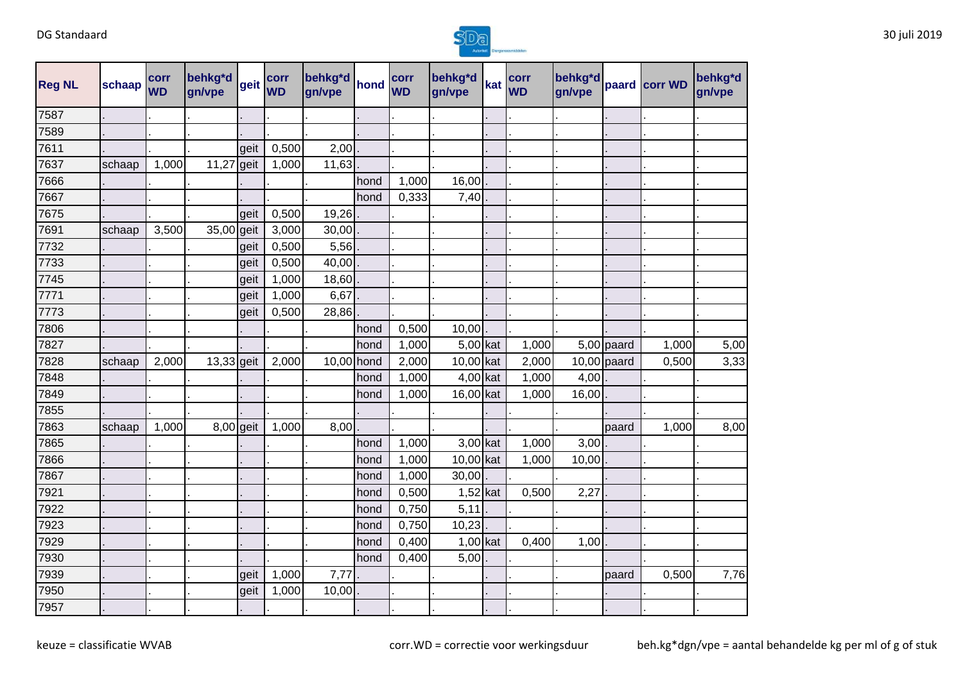

| <b>Reg NL</b> | schaap | corr<br><b>WD</b> | behkg*d<br>gn/vpe | geit | corr<br><b>WD</b> | behkg*d<br>gn/vpe | hond | corr<br><b>WD</b> | behkg*d<br>gn/vpe | kat | corr<br><b>WD</b> | behkg*d<br>gn/vpe |               | paard corr WD | behkg <sup>*</sup> d<br>gn/vpe |
|---------------|--------|-------------------|-------------------|------|-------------------|-------------------|------|-------------------|-------------------|-----|-------------------|-------------------|---------------|---------------|--------------------------------|
| 7587          |        |                   |                   |      |                   |                   |      |                   |                   |     |                   |                   |               |               |                                |
| 7589          |        |                   |                   |      |                   |                   |      |                   |                   |     |                   |                   |               |               |                                |
| 7611          |        |                   |                   | geit | 0,500             | 2,00              |      |                   |                   |     |                   |                   |               |               |                                |
| 7637          | schaap | 1,000             | 11,27             | geit | 1,000             | 11,63             |      |                   |                   |     |                   |                   |               |               |                                |
| 7666          |        |                   |                   |      |                   |                   | hond | 1,000             | 16,00             |     |                   |                   |               |               |                                |
| 7667          |        |                   |                   |      |                   |                   | hond | 0,333             | 7,40              |     |                   |                   |               |               |                                |
| 7675          |        |                   |                   | geit | 0,500             | 19,26             |      |                   |                   |     |                   |                   |               |               |                                |
| 7691          | schaap | 3,500             | 35,00 geit        |      | 3,000             | 30,00             |      |                   |                   |     |                   |                   |               |               |                                |
| 7732          |        |                   |                   | geit | 0,500             | 5,56              |      |                   |                   |     |                   |                   |               |               |                                |
| 7733          |        |                   |                   | geit | 0,500             | 40,00             |      |                   |                   |     |                   |                   |               |               |                                |
| 7745          |        |                   |                   | geit | 1,000             | 18,60             |      |                   |                   |     |                   |                   |               |               |                                |
| 7771          |        |                   |                   | geit | 1,000             | 6,67              |      |                   |                   |     |                   |                   |               |               |                                |
| 7773          |        |                   |                   | geit | 0,500             | 28,86             |      |                   |                   |     |                   |                   |               |               |                                |
| 7806          |        |                   |                   |      |                   |                   | hond | 0,500             | 10,00             |     |                   |                   |               |               |                                |
| 7827          |        |                   |                   |      |                   |                   | hond | 1,000             | $5,00$ kat        |     | 1,000             |                   | $5,00$ paard  | 1,000         | 5,00                           |
| 7828          | schaap | 2,000             | 13,33 geit        |      | 2,000             | 10,00 hond        |      | 2,000             | 10,00 kat         |     | 2,000             |                   | $10,00$ paard | 0,500         | 3,33                           |
| 7848          |        |                   |                   |      |                   |                   | hond | 1,000             | 4,00 kat          |     | 1,000             | 4,00              |               |               |                                |
| 7849          |        |                   |                   |      |                   |                   | hond | 1,000             | 16,00 kat         |     | 1,000             | 16,00             |               |               |                                |
| 7855          |        |                   |                   |      |                   |                   |      |                   |                   |     |                   |                   |               |               |                                |
| 7863          | schaap | 1,000             | 8,00 geit         |      | 1,000             | 8,00              |      |                   |                   |     |                   |                   | paard         | 1,000         | 8,00                           |
| 7865          |        |                   |                   |      |                   |                   | hond | 1,000             | 3,00 kat          |     | 1,000             | 3,00              |               |               |                                |
| 7866          |        |                   |                   |      |                   |                   | hond | 1,000             | 10,00 kat         |     | 1,000             | 10,00             |               |               |                                |
| 7867          |        |                   |                   |      |                   |                   | hond | 1,000             | 30,00             |     |                   |                   |               |               |                                |
| 7921          |        |                   |                   |      |                   |                   | hond | 0,500             | $1,52$ kat        |     | 0,500             | 2,27              |               |               |                                |
| 7922          |        |                   |                   |      |                   |                   | hond | 0,750             | 5,11              |     |                   |                   |               |               |                                |
| 7923          |        |                   |                   |      |                   |                   | hond | 0,750             | 10,23             |     |                   |                   |               |               |                                |
| 7929          |        |                   |                   |      |                   |                   | hond | 0,400             | $1,00$ kat        |     | 0,400             | 1,00              |               |               |                                |
| 7930          |        |                   |                   |      |                   |                   | hond | 0,400             | 5,00              |     |                   |                   |               |               |                                |
| 7939          |        |                   |                   | geit | 1,000             | 7,77              |      |                   |                   |     |                   |                   | paard         | 0,500         | 7,76                           |
| 7950          |        |                   |                   | geit | 1,000             | 10,00             |      |                   |                   |     |                   |                   |               |               |                                |
| 7957          |        |                   |                   |      |                   |                   |      |                   |                   |     |                   |                   |               |               |                                |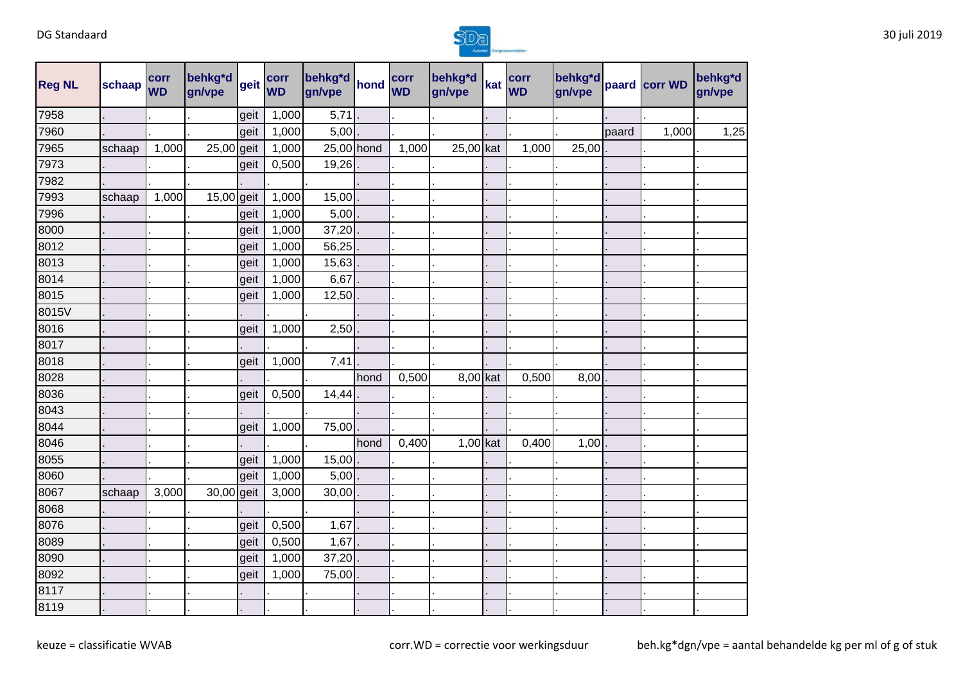

| <b>Reg NL</b> | schaap | corr<br><b>WD</b> | behkg*d<br>gn/vpe | geit | corr<br><b>WD</b> | behkg*d<br>gn/vpe | hond | corr<br><b>WD</b> | behkg*d<br>gn/vpe | kat | corr<br><b>WD</b> | behkg*d<br>gn/vpe |       | paard corr WD | behkg*d<br>gn/vpe |      |
|---------------|--------|-------------------|-------------------|------|-------------------|-------------------|------|-------------------|-------------------|-----|-------------------|-------------------|-------|---------------|-------------------|------|
| 7958          |        |                   |                   | geit | 1,000             | 5,71              |      |                   |                   |     |                   |                   |       |               |                   |      |
| 7960          |        |                   |                   | geit | 1,000             | 5,00              |      |                   |                   |     |                   |                   | paard | 1,000         |                   | 1,25 |
| 7965          | schaap | 1,000             | 25,00 geit        |      | 1,000             | 25,00 hond        |      | 1,000             | 25,00 kat         |     | 1,000             | 25,00             |       |               |                   |      |
| 7973          |        |                   |                   | geit | 0,500             | 19,26             |      |                   |                   |     |                   |                   |       |               |                   |      |
| 7982          |        |                   |                   |      |                   |                   |      |                   |                   |     |                   |                   |       |               |                   |      |
| 7993          | schaap | 1,000             | 15,00 geit        |      | 1,000             | 15,00             |      |                   |                   |     |                   |                   |       |               |                   |      |
| 7996          |        |                   |                   | geit | 1,000             | 5,00              |      |                   |                   |     |                   |                   |       |               |                   |      |
| 8000          |        |                   |                   | geit | 1,000             | 37,20             |      |                   |                   |     |                   |                   |       |               |                   |      |
| 8012          |        |                   |                   | geit | 1,000             | 56,25             |      |                   |                   |     |                   |                   |       |               |                   |      |
| 8013          |        |                   |                   | geit | 1,000             | 15,63             |      |                   |                   |     |                   |                   |       |               |                   |      |
| 8014          |        |                   |                   | geit | 1,000             | 6,67              |      |                   |                   |     |                   |                   |       |               |                   |      |
| 8015          |        |                   |                   | geit | 1,000             | 12,50             |      |                   |                   |     |                   |                   |       |               |                   |      |
| 8015V         |        |                   |                   |      |                   |                   |      |                   |                   |     |                   |                   |       |               |                   |      |
| 8016          |        |                   |                   | geit | 1,000             | 2,50              |      |                   |                   |     |                   |                   |       |               |                   |      |
| 8017          |        |                   |                   |      |                   |                   |      |                   |                   |     |                   |                   |       |               |                   |      |
| 8018          |        |                   |                   | geit | 1,000             | 7,41              |      |                   |                   |     |                   |                   |       |               |                   |      |
| 8028          |        |                   |                   |      |                   |                   | hond | 0,500             | 8,00 kat          |     | 0,500             | 8,00              |       |               |                   |      |
| 8036          |        |                   |                   | geit | 0,500             | 14,44             |      |                   |                   |     |                   |                   |       |               |                   |      |
| 8043          |        |                   |                   |      |                   |                   |      |                   |                   |     |                   |                   |       |               |                   |      |
| 8044          |        |                   |                   | geit | 1,000             | 75,00             |      |                   |                   |     |                   |                   |       |               |                   |      |
| 8046          |        |                   |                   |      |                   |                   | hond | 0,400             | $1,00$ kat        |     | 0,400             | 1,00              |       |               |                   |      |
| 8055          |        |                   |                   | geit | 1,000             | 15,00             |      |                   |                   |     |                   |                   |       |               |                   |      |
| 8060          |        |                   |                   | geit | 1,000             | 5,00              |      |                   |                   |     |                   |                   |       |               |                   |      |
| 8067          | schaap | 3,000             | 30,00 geit        |      | 3,000             | 30,00             |      |                   |                   |     |                   |                   |       |               |                   |      |
| 8068          |        |                   |                   |      |                   |                   |      |                   |                   |     |                   |                   |       |               |                   |      |
| 8076          |        |                   |                   | geit | 0,500             | 1,67              |      |                   |                   |     |                   |                   |       |               |                   |      |
| 8089          |        |                   |                   | geit | 0,500             | 1,67              |      |                   |                   |     |                   |                   |       |               |                   |      |
| 8090          |        |                   |                   | geit | 1,000             | 37,20             |      |                   |                   |     |                   |                   |       |               |                   |      |
| 8092          |        |                   |                   | geit | 1,000             | 75,00             |      |                   |                   |     |                   |                   |       |               |                   |      |
| 8117          |        |                   |                   |      |                   |                   |      |                   |                   |     |                   |                   |       |               |                   |      |
| 8119          |        |                   |                   |      |                   |                   |      |                   |                   |     |                   |                   |       |               |                   |      |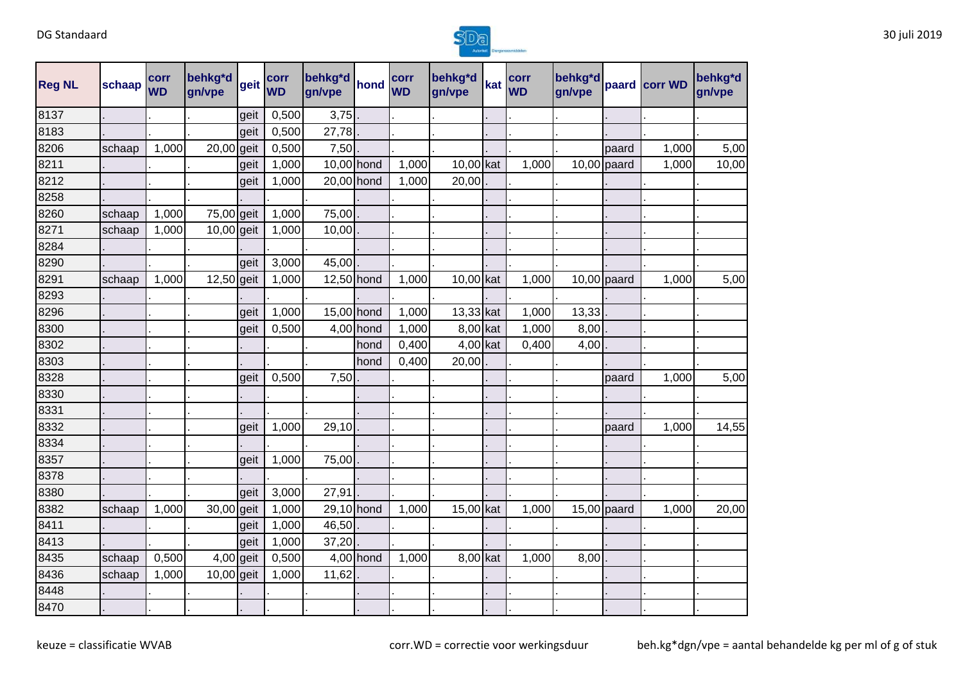

| <b>Reg NL</b> | schaap | corr<br><b>WD</b> | behkg*d<br>gn/vpe | geit | corr<br><b>WD</b> | behkg*d<br>gn/vpe | hond      | corr<br><b>WD</b> | behkg*d<br>gn/vpe | kat | corr<br><b>WD</b> | behkg*d<br>gn/vpe |               | paard corr WD | behkg*d<br>gn/vpe |
|---------------|--------|-------------------|-------------------|------|-------------------|-------------------|-----------|-------------------|-------------------|-----|-------------------|-------------------|---------------|---------------|-------------------|
| 8137          |        |                   |                   | geit | 0,500             | 3,75              |           |                   |                   |     |                   |                   |               |               |                   |
| 8183          |        |                   |                   | geit | 0,500             | 27,78             |           |                   |                   |     |                   |                   |               |               |                   |
| 8206          | schaap | 1,000             | 20,00             | geit | 0,500             | 7,50              |           |                   |                   |     |                   |                   | paard         | 1,000         | 5,00              |
| 8211          |        |                   |                   | geit | 1,000             | 10,00 hond        |           | 1,000             | 10,00 kat         |     | 1,000             |                   | $10,00$ paard | 1,000         | 10,00             |
| 8212          |        |                   |                   | geit | 1,000             | 20,00 hond        |           | 1,000             | 20,00             |     |                   |                   |               |               |                   |
| 8258          |        |                   |                   |      |                   |                   |           |                   |                   |     |                   |                   |               |               |                   |
| 8260          | schaap | 1,000             | 75,00 geit        |      | 1,000             | 75,00             |           |                   |                   |     |                   |                   |               |               |                   |
| 8271          | schaap | 1,000             | 10,00 geit        |      | 1,000             | 10,00             |           |                   |                   |     |                   |                   |               |               |                   |
| 8284          |        |                   |                   |      |                   |                   |           |                   |                   |     |                   |                   |               |               |                   |
| 8290          |        |                   |                   | geit | 3,000             | 45,00             |           |                   |                   |     |                   |                   |               |               |                   |
| 8291          | schaap | 1,000             | 12,50 geit        |      | 1,000             | 12,50 hond        |           | 1,000             | 10,00 kat         |     | 1,000             |                   | $10,00$ paard | 1,000         | 5,00              |
| 8293          |        |                   |                   |      |                   |                   |           |                   |                   |     |                   |                   |               |               |                   |
| 8296          |        |                   |                   | geit | 1,000             | 15,00 hond        |           | 1,000             | 13,33 kat         |     | 1,000             | 13,33             |               |               |                   |
| 8300          |        |                   |                   | geit | 0,500             |                   | 4,00 hond | 1,000             | 8,00 kat          |     | 1,000             | 8,00              |               |               |                   |
| 8302          |        |                   |                   |      |                   |                   | hond      | 0,400             | $4,00$ kat        |     | 0,400             | 4,00              |               |               |                   |
| 8303          |        |                   |                   |      |                   |                   | hond      | 0,400             | 20,00             |     |                   |                   |               |               |                   |
| 8328          |        |                   |                   | geit | 0,500             | 7,50              |           |                   |                   |     |                   |                   | paard         | 1,000         | 5,00              |
| 8330          |        |                   |                   |      |                   |                   |           |                   |                   |     |                   |                   |               |               |                   |
| 8331          |        |                   |                   |      |                   |                   |           |                   |                   |     |                   |                   |               |               |                   |
| 8332          |        |                   |                   | geit | 1,000             | 29,10             |           |                   |                   |     |                   |                   | paard         | 1,000         | 14,55             |
| 8334          |        |                   |                   |      |                   |                   |           |                   |                   |     |                   |                   |               |               |                   |
| 8357          |        |                   |                   | geit | 1,000             | 75,00             |           |                   |                   |     |                   |                   |               |               |                   |
| 8378          |        |                   |                   |      |                   |                   |           |                   |                   |     |                   |                   |               |               |                   |
| 8380          |        |                   |                   | geit | 3,000             | 27,91             |           |                   |                   |     |                   |                   |               |               |                   |
| 8382          | schaap | 1,000             | 30,00             | geit | 1,000             | 29,10 hond        |           | 1,000             | 15,00 kat         |     | 1,000             |                   | $15,00$ paard | 1,000         | 20,00             |
| 8411          |        |                   |                   | qeit | 1,000             | 46,50             |           |                   |                   |     |                   |                   |               |               |                   |
| 8413          |        |                   |                   | geit | 1,000             | 37,20             |           |                   |                   |     |                   |                   |               |               |                   |
| 8435          | schaap | 0,500             | 4,00 geit         |      | 0,500             |                   | 4,00 hond | 1,000             | 8,00 kat          |     | 1,000             | 8,00              |               |               |                   |
| 8436          | schaap | 1,000             | $10,00$ geit      |      | 1,000             | 11,62             |           |                   |                   |     |                   |                   |               |               |                   |
| 8448          |        |                   |                   |      |                   |                   |           |                   |                   |     |                   |                   |               |               |                   |
| 8470          |        |                   |                   |      |                   |                   |           |                   |                   |     |                   |                   |               |               |                   |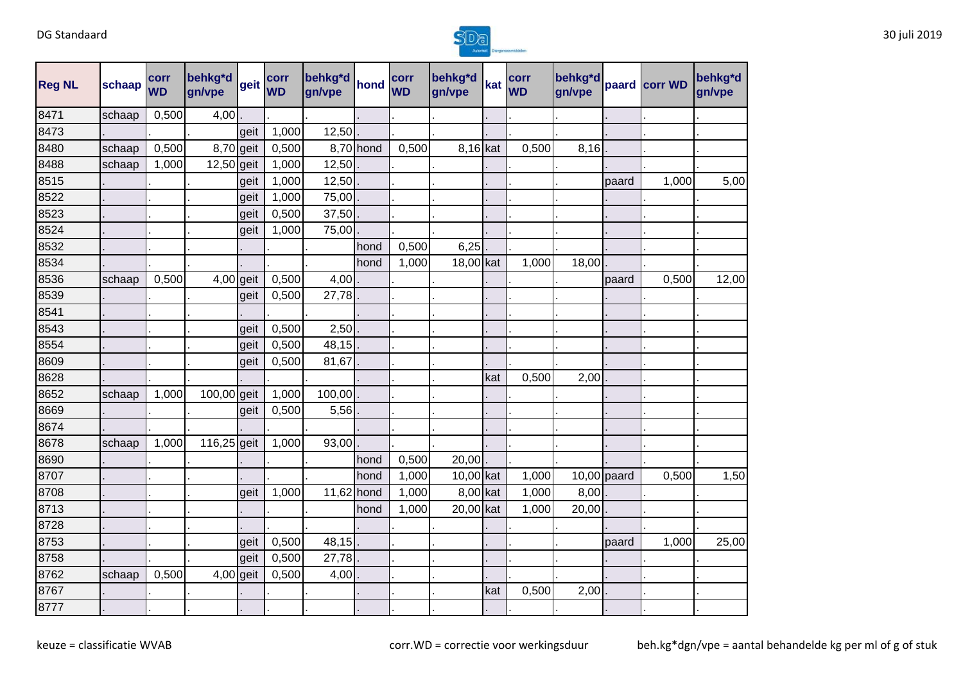

| <b>Reg NL</b> | schaap | corr<br><b>WD</b> | behkg*d<br>gn/vpe | Igeit | corr<br><b>WD</b> | behkg*d<br>gn/vpe | hond      | corr<br><b>WD</b> | behkg*d<br>gn/vpe | kat | corr<br><b>WD</b> | behkg*d<br>gn/vpe |               | paard corr WD | behkg*d<br>gn/vpe |
|---------------|--------|-------------------|-------------------|-------|-------------------|-------------------|-----------|-------------------|-------------------|-----|-------------------|-------------------|---------------|---------------|-------------------|
| 8471          | schaap | 0,500             | 4,00              |       |                   |                   |           |                   |                   |     |                   |                   |               |               |                   |
| 8473          |        |                   |                   | geit  | 1,000             | 12,50             |           |                   |                   |     |                   |                   |               |               |                   |
| 8480          | schaap | 0,500             | 8,70 geit         |       | 0,500             |                   | 8,70 hond | 0,500             | 8,16 kat          |     | 0,500             | 8,16              |               |               |                   |
| 8488          | schaap | 1,000             | 12,50 geit        |       | 1,000             | 12,50             |           |                   |                   |     |                   |                   |               |               |                   |
| 8515          |        |                   |                   | geit  | 1,000             | 12,50             |           |                   |                   |     |                   |                   | paard         | 1,000         | 5,00              |
| 8522          |        |                   |                   | geit  | 1,000             | 75,00             |           |                   |                   |     |                   |                   |               |               |                   |
| 8523          |        |                   |                   | geit  | 0,500             | 37,50             |           |                   |                   |     |                   |                   |               |               |                   |
| 8524          |        |                   |                   | geit  | 1,000             | 75,00             |           |                   |                   |     |                   |                   |               |               |                   |
| 8532          |        |                   |                   |       |                   |                   | hond      | 0,500             | 6,25              |     |                   |                   |               |               |                   |
| 8534          |        |                   |                   |       |                   |                   | hond      | 1,000             | 18,00 kat         |     | 1,000             | 18,00             |               |               |                   |
| 8536          | schaap | 0,500             | $4,00$ geit       |       | 0,500             | 4,00              |           |                   |                   |     |                   |                   | paard         | 0,500         | 12,00             |
| 8539          |        |                   |                   | geit  | 0,500             | 27,78             |           |                   |                   |     |                   |                   |               |               |                   |
| 8541          |        |                   |                   |       |                   |                   |           |                   |                   |     |                   |                   |               |               |                   |
| 8543          |        |                   |                   | geit  | 0,500             | 2,50              |           |                   |                   |     |                   |                   |               |               |                   |
| 8554          |        |                   |                   | geit  | 0,500             | 48,15             |           |                   |                   |     |                   |                   |               |               |                   |
| 8609          |        |                   |                   | geit  | 0,500             | 81,67             |           |                   |                   |     |                   |                   |               |               |                   |
| 8628          |        |                   |                   |       |                   |                   |           |                   |                   | kat | 0,500             | 2,00              |               |               |                   |
| 8652          | schaap | 1,000             | 100,00 geit       |       | 1,000             | 100,00            |           |                   |                   |     |                   |                   |               |               |                   |
| 8669          |        |                   |                   | geit  | 0,500             | 5,56              |           |                   |                   |     |                   |                   |               |               |                   |
| 8674          |        |                   |                   |       |                   |                   |           |                   |                   |     |                   |                   |               |               |                   |
| 8678          | schaap | 1,000             | $116,25$ geit     |       | 1,000             | 93,00             |           |                   |                   |     |                   |                   |               |               |                   |
| 8690          |        |                   |                   |       |                   |                   | hond      | 0,500             | 20,00             |     |                   |                   |               |               |                   |
| 8707          |        |                   |                   |       |                   |                   | hond      | 1,000             | 10,00 kat         |     | 1,000             |                   | $10,00$ paard | 0,500         | 1,50              |
| 8708          |        |                   |                   | geit  | 1,000             | 11,62 hond        |           | 1,000             | 8,00 kat          |     | 1,000             | 8,00              |               |               |                   |
| 8713          |        |                   |                   |       |                   |                   | hond      | 1,000             | 20,00 kat         |     | 1,000             | 20,00             |               |               |                   |
| 8728          |        |                   |                   |       |                   |                   |           |                   |                   |     |                   |                   |               |               |                   |
| 8753          |        |                   |                   | geit  | 0,500             | 48,15             |           |                   |                   |     |                   |                   | paard         | 1,000         | 25,00             |
| 8758          |        |                   |                   | geit  | 0,500             | 27,78             |           |                   |                   |     |                   |                   |               |               |                   |
| 8762          | schaap | 0,500             | $4,00$ geit       |       | 0,500             | 4,00              |           |                   |                   |     |                   |                   |               |               |                   |
| 8767          |        |                   |                   |       |                   |                   |           |                   |                   | kat | 0,500             | 2,00              |               |               |                   |
| 8777          |        |                   |                   |       |                   |                   |           |                   |                   |     |                   |                   |               |               |                   |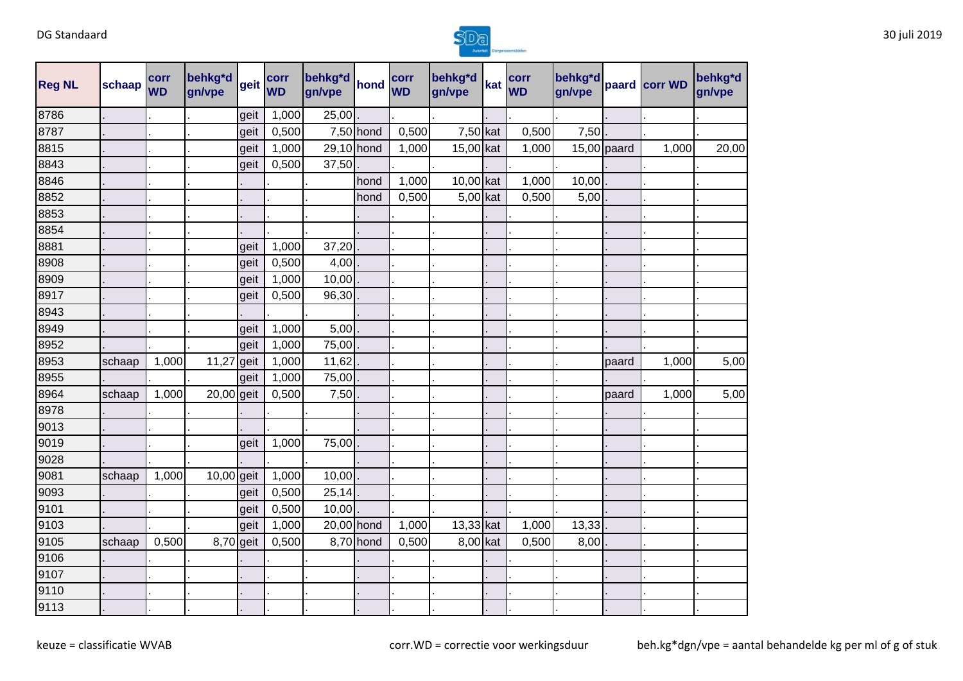

| <b>Reg NL</b> | schaap | corr<br><b>WD</b> | behkg*d<br>gn/vpe | geit | corr<br><b>WD</b> | behkg*d<br>gn/vpe | hond        | corr<br><b>WD</b> | behkg*d<br>gn/vpe | kat | corr<br><b>WD</b> | behkg*d<br>gn/vpe |               | paard corr WD | behkg*d<br>gn/vpe |
|---------------|--------|-------------------|-------------------|------|-------------------|-------------------|-------------|-------------------|-------------------|-----|-------------------|-------------------|---------------|---------------|-------------------|
| 8786          |        |                   |                   | geit | 1,000             | 25,00             |             |                   |                   |     |                   |                   |               |               |                   |
| 8787          |        |                   |                   | geit | 0,500             |                   | $7,50$ hond | 0,500             | 7,50 kat          |     | 0,500             | 7,50              |               |               |                   |
| 8815          |        |                   |                   | geit | 1,000             | 29,10 hond        |             | 1,000             | 15,00 kat         |     | 1,000             |                   | $15,00$ paard | 1,000         | 20,00             |
| 8843          |        |                   |                   | geit | 0,500             | 37,50             |             |                   |                   |     |                   |                   |               |               |                   |
| 8846          |        |                   |                   |      |                   |                   | hond        | 1,000             | 10,00 kat         |     | 1,000             | 10,00             |               |               |                   |
| 8852          |        |                   |                   |      |                   |                   | hond        | 0,500             | $5,00$ kat        |     | 0,500             | 5,00              |               |               |                   |
| 8853          |        |                   |                   |      |                   |                   |             |                   |                   |     |                   |                   |               |               |                   |
| 8854          |        |                   |                   |      |                   |                   |             |                   |                   |     |                   |                   |               |               |                   |
| 8881          |        |                   |                   | geit | 1,000             | 37,20             |             |                   |                   |     |                   |                   |               |               |                   |
| 8908          |        |                   |                   | geit | 0,500             | 4,00              |             |                   |                   |     |                   |                   |               |               |                   |
| 8909          |        |                   |                   | geit | 1,000             | 10,00             |             |                   |                   |     |                   |                   |               |               |                   |
| 8917          |        |                   |                   | geit | 0,500             | 96,30             |             |                   |                   |     |                   |                   |               |               |                   |
| 8943          |        |                   |                   |      |                   |                   |             |                   |                   |     |                   |                   |               |               |                   |
| 8949          |        |                   |                   | geit | 1,000             | 5,00              |             |                   |                   |     |                   |                   |               |               |                   |
| 8952          |        |                   |                   | geit | 1,000             | 75,00             |             |                   |                   |     |                   |                   |               |               |                   |
| 8953          | schaap | 1,000             | 11,27             | geit | 1,000             | 11,62             |             |                   |                   |     |                   |                   | paard         | 1,000         | 5,00              |
| 8955          |        |                   |                   | geit | 1,000             | 75,00             |             |                   |                   |     |                   |                   |               |               |                   |
| 8964          | schaap | 1,000             | 20,00 geit        |      | 0,500             | 7,50              |             |                   |                   |     |                   |                   | paard         | 1,000         | 5,00              |
| 8978          |        |                   |                   |      |                   |                   |             |                   |                   |     |                   |                   |               |               |                   |
| 9013          |        |                   |                   |      |                   |                   |             |                   |                   |     |                   |                   |               |               |                   |
| 9019          |        |                   |                   | geit | 1,000             | 75,00             |             |                   |                   |     |                   |                   |               |               |                   |
| 9028          |        |                   |                   |      |                   |                   |             |                   |                   |     |                   |                   |               |               |                   |
| 9081          | schaap | 1,000             | 10,00 geit        |      | 1,000             | 10,00             |             |                   |                   |     |                   |                   |               |               |                   |
| 9093          |        |                   |                   | geit | 0,500             | 25,14             |             |                   |                   |     |                   |                   |               |               |                   |
| 9101          |        |                   |                   | geit | 0,500             | 10,00             |             |                   |                   |     |                   |                   |               |               |                   |
| 9103          |        |                   |                   | geit | 1,000             | 20,00 hond        |             | 1,000             | 13,33 kat         |     | 1,000             | 13,33             |               |               |                   |
| 9105          | schaap | 0,500             | 8,70 geit         |      | 0,500             |                   | 8,70 hond   | 0,500             | 8,00 kat          |     | 0,500             | 8,00              |               |               |                   |
| 9106          |        |                   |                   |      |                   |                   |             |                   |                   |     |                   |                   |               |               |                   |
| 9107          |        |                   |                   |      |                   |                   |             |                   |                   |     |                   |                   |               |               |                   |
| 9110          |        |                   |                   |      |                   |                   |             |                   |                   |     |                   |                   |               |               |                   |
| 9113          |        |                   |                   |      |                   |                   |             |                   |                   |     |                   |                   |               |               |                   |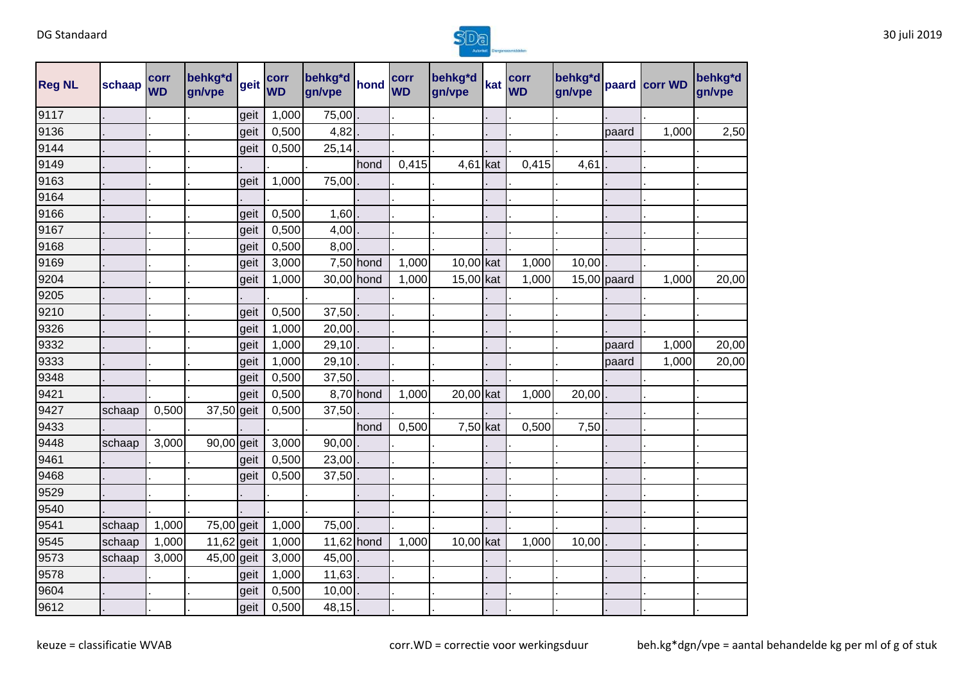

| <b>Reg NL</b> | schaap | corr<br><b>WD</b> | behkg*d<br>gn/vpe | geit | corr<br><b>WD</b> | behkg <sup>*d</sup> hond<br>gn/vpe |             | corr<br><b>WD</b> | behkg*d<br>gn/vpe | kat | corr<br><b>WD</b> | behkg*d<br>gn/vpe |               | paard corr WD | behkg*d<br>gn/vpe |
|---------------|--------|-------------------|-------------------|------|-------------------|------------------------------------|-------------|-------------------|-------------------|-----|-------------------|-------------------|---------------|---------------|-------------------|
| 9117          |        |                   |                   | geit | 1,000             | 75,00                              |             |                   |                   |     |                   |                   |               |               |                   |
| 9136          |        |                   |                   | geit | 0,500             | 4,82                               |             |                   |                   |     |                   |                   | paard         | 1,000         | 2,50              |
| 9144          |        |                   |                   | geit | 0,500             | 25,14                              |             |                   |                   |     |                   |                   |               |               |                   |
| 9149          |        |                   |                   |      |                   |                                    | hond        | 0,415             | $4,61$ kat        |     | 0,415             | 4,61              |               |               |                   |
| 9163          |        |                   |                   | geit | 1,000             | 75,00                              |             |                   |                   |     |                   |                   |               |               |                   |
| 9164          |        |                   |                   |      |                   |                                    |             |                   |                   |     |                   |                   |               |               |                   |
| 9166          |        |                   |                   | geit | 0,500             | 1,60                               |             |                   |                   |     |                   |                   |               |               |                   |
| 9167          |        |                   |                   | geit | 0,500             | 4,00                               |             |                   |                   |     |                   |                   |               |               |                   |
| 9168          |        |                   |                   | geit | 0,500             | 8,00                               |             |                   |                   |     |                   |                   |               |               |                   |
| 9169          |        |                   |                   | geit | 3,000             |                                    | $7,50$ hond | 1,000             | 10,00 kat         |     | 1,000             | 10,00             |               |               |                   |
| 9204          |        |                   |                   | geit | 1,000             | 30,00 hond                         |             | 1,000             | 15,00 kat         |     | 1,000             |                   | $15,00$ paard | 1,000         | 20,00             |
| 9205          |        |                   |                   |      |                   |                                    |             |                   |                   |     |                   |                   |               |               |                   |
| 9210          |        |                   |                   | geit | 0,500             | 37,50                              |             |                   |                   |     |                   |                   |               |               |                   |
| 9326          |        |                   |                   | geit | 1,000             | 20,00                              |             |                   |                   |     |                   |                   |               |               |                   |
| 9332          |        |                   |                   | geit | 1,000             | 29,10                              |             |                   |                   |     |                   |                   | paard         | 1,000         | 20,00             |
| 9333          |        |                   |                   | geit | 1,000             | 29,10                              |             |                   |                   |     |                   |                   | paard         | 1,000         | 20,00             |
| 9348          |        |                   |                   | geit | 0,500             | 37,50                              |             |                   |                   |     |                   |                   |               |               |                   |
| 9421          |        |                   |                   | geit | 0,500             |                                    | 8,70 hond   | 1,000             | 20,00 kat         |     | 1,000             | 20,00             |               |               |                   |
| 9427          | schaap | 0,500             | 37,50 geit        |      | 0,500             | 37,50                              |             |                   |                   |     |                   |                   |               |               |                   |
| 9433          |        |                   |                   |      |                   |                                    | hond        | 0,500             | $7,50$ kat        |     | 0,500             | 7,50              |               |               |                   |
| 9448          | schaap | 3,000             | 90,00 geit        |      | 3,000             | 90,00                              |             |                   |                   |     |                   |                   |               |               |                   |
| 9461          |        |                   |                   | geit | 0,500             | 23,00                              |             |                   |                   |     |                   |                   |               |               |                   |
| 9468          |        |                   |                   | geit | 0,500             | $37,50$ .                          |             |                   |                   |     |                   |                   |               |               |                   |
| 9529          |        |                   |                   |      |                   |                                    |             |                   |                   |     |                   |                   |               |               |                   |
| 9540          |        |                   |                   |      |                   |                                    |             |                   |                   |     |                   |                   |               |               |                   |
| 9541          | schaap | 1,000             | 75,00 geit        |      | 1,000             | 75,00                              |             |                   |                   |     |                   |                   |               |               |                   |
| 9545          | schaap | 1,000             | 11,62 geit        |      | 1,000             | $11,62$ hond                       |             | 1,000             | 10,00 kat         |     | 1,000             | 10,00             |               |               |                   |
| 9573          | schaap | 3,000             | 45,00 geit        |      | 3,000             | 45,00                              |             |                   |                   |     |                   |                   |               |               |                   |
| 9578          |        |                   |                   | geit | 1,000             | 11,63                              |             |                   |                   |     |                   |                   |               |               |                   |
| 9604          |        |                   |                   | geit | 0,500             | 10,00                              |             |                   |                   |     |                   |                   |               |               |                   |
| 9612          |        |                   |                   | geit | 0,500             | 48,15                              |             |                   |                   |     |                   |                   |               |               |                   |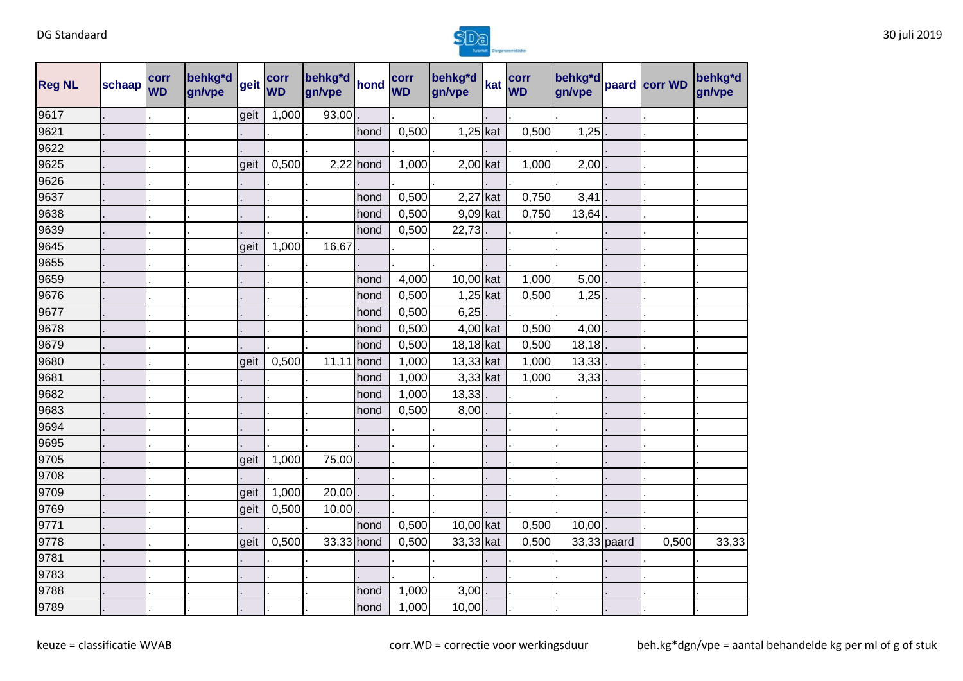

| <b>Reg NL</b> | schaap | corr<br><b>WD</b> | behkg*d<br>gn/vpe | geit | corr<br><b>WD</b> | behkg*d<br>gn/vpe | hond        | corr<br><b>WD</b> | behkg*d<br>gn/vpe | kat | corr<br><b>WD</b> | behkg*d<br>gn/vpe | paard corr WD | behkg*d<br>gn/vpe |
|---------------|--------|-------------------|-------------------|------|-------------------|-------------------|-------------|-------------------|-------------------|-----|-------------------|-------------------|---------------|-------------------|
| 9617          |        |                   |                   | geit | 1,000             | 93,00             |             |                   |                   |     |                   |                   |               |                   |
| 9621          |        |                   |                   |      |                   |                   | hond        | 0,500             | $1,25$ kat        |     | 0,500             | 1,25              |               |                   |
| 9622          |        |                   |                   |      |                   |                   |             |                   |                   |     |                   |                   |               |                   |
| 9625          |        |                   |                   | geit | 0,500             |                   | $2,22$ hond | 1,000             | $2,00$ kat        |     | 1,000             | 2,00              |               |                   |
| 9626          |        |                   |                   |      |                   |                   |             |                   |                   |     |                   |                   |               |                   |
| 9637          |        |                   |                   |      |                   |                   | hond        | 0,500             | $2,27$ kat        |     | 0,750             | 3,41              |               |                   |
| 9638          |        |                   |                   |      |                   |                   | hond        | 0,500             | $9,09$ kat        |     | 0,750             | 13,64             |               |                   |
| 9639          |        |                   |                   |      |                   |                   | hond        | 0,500             | 22,73             |     |                   |                   |               |                   |
| 9645          |        |                   |                   | geit | 1,000             | 16,67             |             |                   |                   |     |                   |                   |               |                   |
| 9655          |        |                   |                   |      |                   |                   |             |                   |                   |     |                   |                   |               |                   |
| 9659          |        |                   |                   |      |                   |                   | hond        | 4,000             | 10,00 kat         |     | 1,000             | 5,00              |               |                   |
| 9676          |        |                   |                   |      |                   |                   | hond        | 0,500             | $1,25$ kat        |     | 0,500             | $1,25$ .          |               |                   |
| 9677          |        |                   |                   |      |                   |                   | hond        | 0,500             | 6,25              |     |                   |                   |               |                   |
| 9678          |        |                   |                   |      |                   |                   | hond        | 0,500             | 4,00 kat          |     | 0,500             | $4,00$ .          |               |                   |
| 9679          |        |                   |                   |      |                   |                   | hond        | 0,500             | 18,18 kat         |     | 0,500             | 18,18             |               |                   |
| 9680          |        |                   |                   | geit | 0,500             | 11,11             | hond        | 1,000             | 13,33 kat         |     | 1,000             | 13,33             |               |                   |
| 9681          |        |                   |                   |      |                   |                   | hond        | 1,000             | 3,33 kat          |     | 1,000             | 3,33              |               |                   |
| 9682          |        |                   |                   |      |                   |                   | hond        | 1,000             | 13,33             |     |                   |                   |               |                   |
| 9683          |        |                   |                   |      |                   |                   | hond        | 0,500             | 8,00              |     |                   |                   |               |                   |
| 9694          |        |                   |                   |      |                   |                   |             |                   |                   |     |                   |                   |               |                   |
| 9695          |        |                   |                   |      |                   |                   |             |                   |                   |     |                   |                   |               |                   |
| 9705          |        |                   |                   | geit | 1,000             | 75,00             |             |                   |                   |     |                   |                   |               |                   |
| 9708          |        |                   |                   |      |                   |                   |             |                   |                   |     |                   |                   |               |                   |
| 9709          |        |                   |                   | geit | 1,000             | 20,00             |             |                   |                   |     |                   |                   |               |                   |
| 9769          |        |                   |                   | geit | 0,500             | 10,00             |             |                   |                   |     |                   |                   |               |                   |
| 9771          |        |                   |                   |      |                   |                   | hond        | 0,500             | 10,00 kat         |     | 0,500             | 10,00             |               |                   |
| 9778          |        |                   |                   | geit | 0,500             | 33,33 hond        |             | 0,500             | 33,33 kat         |     | 0,500             | 33,33 paard       | 0,500         | 33,33             |
| 9781          |        |                   |                   |      |                   |                   |             |                   |                   |     |                   |                   |               |                   |
| 9783          |        |                   |                   |      |                   |                   |             |                   |                   |     |                   |                   |               |                   |
| 9788          |        |                   |                   |      |                   |                   | hond        | 1,000             | 3,00              |     |                   |                   |               |                   |
| 9789          |        |                   |                   |      |                   |                   | hond        | 1,000             | 10,00             |     |                   |                   |               |                   |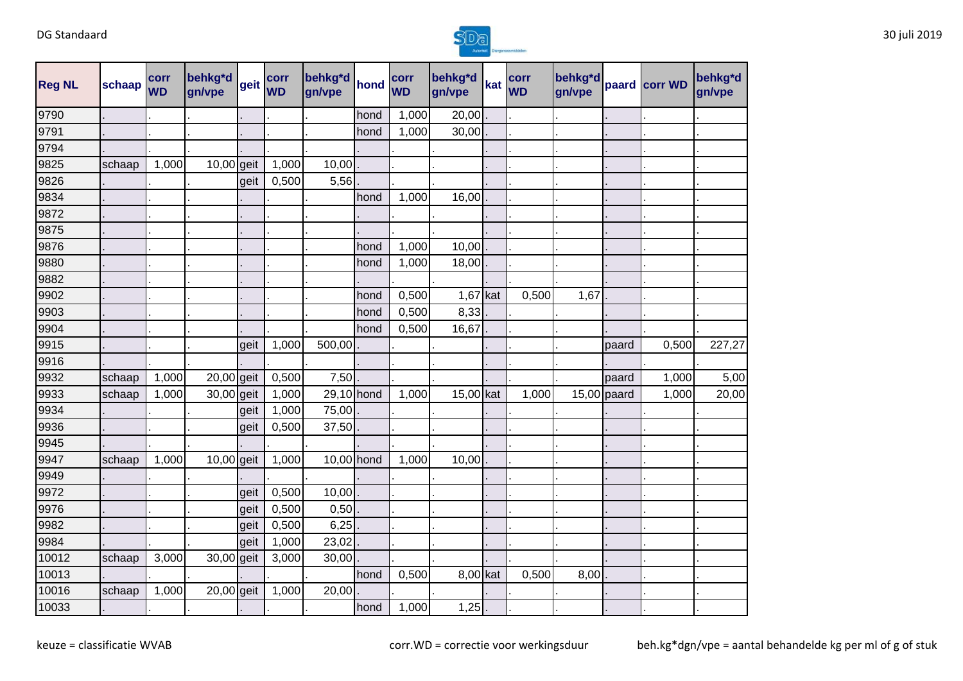

| <b>Reg NL</b> | schaap | corr<br><b>WD</b> | behkg*d<br>gn/vpe | geit | corr<br><b>WD</b> | behkg*d<br>gn/vpe | hond | corr<br><b>WD</b> | behkg <sup>*</sup> d<br>gn/vpe | kat | corr<br><b>WD</b> | behkg*d<br>gn/vpe |               | paard corr WD | behkg*d<br>gn/vpe |
|---------------|--------|-------------------|-------------------|------|-------------------|-------------------|------|-------------------|--------------------------------|-----|-------------------|-------------------|---------------|---------------|-------------------|
| 9790          |        |                   |                   |      |                   |                   | hond | 1,000             | 20,00                          |     |                   |                   |               |               |                   |
| 9791          |        |                   |                   |      |                   |                   | hond | 1,000             | 30,00                          |     |                   |                   |               |               |                   |
| 9794          |        |                   |                   |      |                   |                   |      |                   |                                |     |                   |                   |               |               |                   |
| 9825          | schaap | 1,000             | 10,00 geit        |      | 1,000             | 10,00             |      |                   |                                |     |                   |                   |               |               |                   |
| 9826          |        |                   |                   | geit | 0,500             | 5,56              |      |                   |                                |     |                   |                   |               |               |                   |
| 9834          |        |                   |                   |      |                   |                   | hond | 1,000             | 16,00                          |     |                   |                   |               |               |                   |
| 9872          |        |                   |                   |      |                   |                   |      |                   |                                |     |                   |                   |               |               |                   |
| 9875          |        |                   |                   |      |                   |                   |      |                   |                                |     |                   |                   |               |               |                   |
| 9876          |        |                   |                   |      |                   |                   | hond | 1,000             | 10,00                          |     |                   |                   |               |               |                   |
| 9880          |        |                   |                   |      |                   |                   | hond | 1,000             | 18,00                          |     |                   |                   |               |               |                   |
| 9882          |        |                   |                   |      |                   |                   |      |                   |                                |     |                   |                   |               |               |                   |
| 9902          |        |                   |                   |      |                   |                   | hond | 0,500             | $1,67$ kat                     |     | 0,500             | 1,67              |               |               |                   |
| 9903          |        |                   |                   |      |                   |                   | hond | 0,500             | 8,33                           |     |                   |                   |               |               |                   |
| 9904          |        |                   |                   |      |                   |                   | hond | 0,500             | 16,67                          |     |                   |                   |               |               |                   |
| 9915          |        |                   |                   | geit | 1,000             | 500,00            |      |                   |                                |     |                   |                   | paard         | 0,500         | 227,27            |
| 9916          |        |                   |                   |      |                   |                   |      |                   |                                |     |                   |                   |               |               |                   |
| 9932          | schaap | 1,000             | 20,00 geit        |      | 0,500             | 7,50              |      |                   |                                |     |                   |                   | paard         | 1,000         | 5,00              |
| 9933          | schaap | 1,000             | 30,00 geit        |      | 1,000             | 29,10 hond        |      | 1,000             | 15,00 kat                      |     | 1,000             |                   | $15,00$ paard | 1,000         | 20,00             |
| 9934          |        |                   |                   | geit | 1,000             | 75,00             |      |                   |                                |     |                   |                   |               |               |                   |
| 9936          |        |                   |                   | geit | 0,500             | 37,50             |      |                   |                                |     |                   |                   |               |               |                   |
| 9945          |        |                   |                   |      |                   |                   |      |                   |                                |     |                   |                   |               |               |                   |
| 9947          | schaap | 1,000             | 10,00 geit        |      | 1,000             | 10,00 hond        |      | 1,000             | 10,00                          |     |                   |                   |               |               |                   |
| 9949          |        |                   |                   |      |                   |                   |      |                   |                                |     |                   |                   |               |               |                   |
| 9972          |        |                   |                   | geit | 0,500             | 10,00             |      |                   |                                |     |                   |                   |               |               |                   |
| 9976          |        |                   |                   | geit | 0,500             | 0,50              |      |                   |                                |     |                   |                   |               |               |                   |
| 9982          |        |                   |                   | geit | 0,500             | 6,25              |      |                   |                                |     |                   |                   |               |               |                   |
| 9984          |        |                   |                   | geit | 1,000             | 23,02             |      |                   |                                |     |                   |                   |               |               |                   |
| 10012         | schaap | 3,000             | 30,00 geit        |      | 3,000             | 30,00             |      |                   |                                |     |                   |                   |               |               |                   |
| 10013         |        |                   |                   |      |                   |                   | hond | 0,500             | 8,00 kat                       |     | 0,500             | 8,00              |               |               |                   |
| 10016         | schaap | 1,000             | 20,00 geit        |      | 1,000             | 20,00             |      |                   |                                |     |                   |                   |               |               |                   |
| 10033         |        |                   |                   |      |                   |                   | hond | 1,000             | 1,25                           |     |                   |                   |               |               |                   |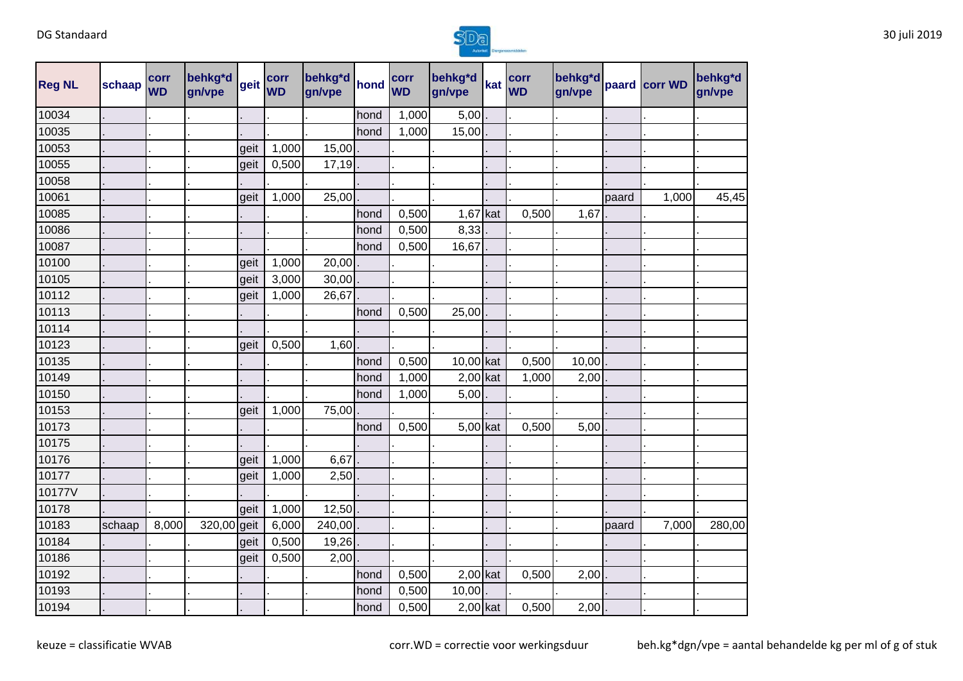

| <b>Reg NL</b> | schaap | corr<br><b>WD</b> | behkg*d<br>gn/vpe | geit | corr<br><b>WD</b> | behkg*d<br>gn/vpe | hond | corr<br><b>WD</b> | behkg*d<br>gn/vpe | kat | corr<br><b>WD</b> | behkg*d<br>gn/vpe |       | paard corr WD | behkg*d<br>gn/vpe |
|---------------|--------|-------------------|-------------------|------|-------------------|-------------------|------|-------------------|-------------------|-----|-------------------|-------------------|-------|---------------|-------------------|
| 10034         |        |                   |                   |      |                   |                   | hond | 1,000             | 5,00              |     |                   |                   |       |               |                   |
| 10035         |        |                   |                   |      |                   |                   | hond | 1,000             | 15,00             |     |                   |                   |       |               |                   |
| 10053         |        |                   |                   | geit | 1,000             | 15,00             |      |                   |                   |     |                   |                   |       |               |                   |
| 10055         |        |                   |                   | geit | 0,500             | 17,19             |      |                   |                   |     |                   |                   |       |               |                   |
| 10058         |        |                   |                   |      |                   |                   |      |                   |                   |     |                   |                   |       |               |                   |
| 10061         |        |                   |                   | geit | 1,000             | 25,00             |      |                   |                   |     |                   |                   | paard | 1,000         | 45,45             |
| 10085         |        |                   |                   |      |                   |                   | hond | 0,500             | 1,67              | kat | 0,500             | 1,67              |       |               |                   |
| 10086         |        |                   |                   |      |                   |                   | hond | 0,500             | 8,33              |     |                   |                   |       |               |                   |
| 10087         |        |                   |                   |      |                   |                   | hond | 0,500             | 16,67             |     |                   |                   |       |               |                   |
| 10100         |        |                   |                   | geit | 1,000             | 20,00             |      |                   |                   |     |                   |                   |       |               |                   |
| 10105         |        |                   |                   | geit | 3,000             | 30,00             |      |                   |                   |     |                   |                   |       |               |                   |
| 10112         |        |                   |                   | geit | 1,000             | 26,67             |      |                   |                   |     |                   |                   |       |               |                   |
| 10113         |        |                   |                   |      |                   |                   | hond | 0,500             | 25,00             |     |                   |                   |       |               |                   |
| 10114         |        |                   |                   |      |                   |                   |      |                   |                   |     |                   |                   |       |               |                   |
| 10123         |        |                   |                   | geit | 0,500             | 1,60              |      |                   |                   |     |                   |                   |       |               |                   |
| 10135         |        |                   |                   |      |                   |                   | hond | 0,500             | 10,00 kat         |     | 0,500             | 10,00             |       |               |                   |
| 10149         |        |                   |                   |      |                   |                   | hond | 1,000             | $2,00$ kat        |     | 1,000             | 2,00              |       |               |                   |
| 10150         |        |                   |                   |      |                   |                   | hond | 1,000             | 5,00              |     |                   |                   |       |               |                   |
| 10153         |        |                   |                   | geit | 1,000             | 75,00             |      |                   |                   |     |                   |                   |       |               |                   |
| 10173         |        |                   |                   |      |                   |                   | hond | 0,500             | 5,00 kat          |     | 0,500             | 5,00              |       |               |                   |
| 10175         |        |                   |                   |      |                   |                   |      |                   |                   |     |                   |                   |       |               |                   |
| 10176         |        |                   |                   | geit | 1,000             | 6,67              |      |                   |                   |     |                   |                   |       |               |                   |
| 10177         |        |                   |                   | geit | 1,000             | 2,50              |      |                   |                   |     |                   |                   |       |               |                   |
| 10177V        |        |                   |                   |      |                   |                   |      |                   |                   |     |                   |                   |       |               |                   |
| 10178         |        |                   |                   | geit | 1,000             | 12,50             |      |                   |                   |     |                   |                   |       |               |                   |
| 10183         | schaap | 8,000             | 320,00 geit       |      | 6,000             | 240,00            |      |                   |                   |     |                   |                   | paard | 7,000         | 280,00            |
| 10184         |        |                   |                   | geit | 0,500             | 19,26             |      |                   |                   |     |                   |                   |       |               |                   |
| 10186         |        |                   |                   | geit | 0,500             | 2,00              |      |                   |                   |     |                   |                   |       |               |                   |
| 10192         |        |                   |                   |      |                   |                   | hond | 0,500             | $2,00$ kat        |     | 0,500             | 2,00              |       |               |                   |
| 10193         |        |                   |                   |      |                   |                   | hond | 0,500             | 10,00             |     |                   |                   |       |               |                   |
| 10194         |        |                   |                   |      |                   |                   | hond | 0,500             | $2,00$ kat        |     | 0,500             | 2,00              |       |               |                   |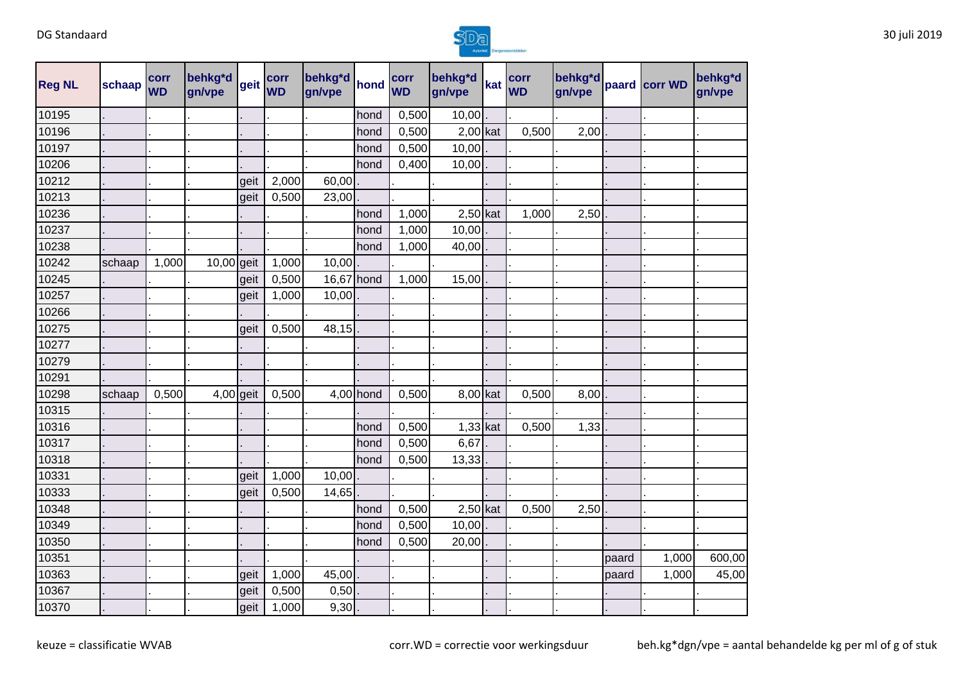

| <b>Reg NL</b> | schaap | corr<br><b>WD</b> | behkg*d<br>gn/vpe | geit | corr<br><b>WD</b> | behkg*d<br>gn/vpe | hond      | corr<br><b>WD</b> | behkg*d<br>gn/vpe | kat | corr<br><b>WD</b> | behkg*d<br>gn/vpe |       | paard corr WD | behkg*d<br>gn/vpe |
|---------------|--------|-------------------|-------------------|------|-------------------|-------------------|-----------|-------------------|-------------------|-----|-------------------|-------------------|-------|---------------|-------------------|
| 10195         |        |                   |                   |      |                   |                   | hond      | 0,500             | 10,00             |     |                   |                   |       |               |                   |
| 10196         |        |                   |                   |      |                   |                   | hond      | 0,500             | $2,00$ kat        |     | 0,500             | 2,00              |       |               |                   |
| 10197         |        |                   |                   |      |                   |                   | hond      | 0,500             | 10,00             |     |                   |                   |       |               |                   |
| 10206         |        |                   |                   |      |                   |                   | hond      | 0,400             | 10,00             |     |                   |                   |       |               |                   |
| 10212         |        |                   |                   | geit | 2,000             | 60,00             |           |                   |                   |     |                   |                   |       |               |                   |
| 10213         |        |                   |                   | geit | 0,500             | 23,00             |           |                   |                   |     |                   |                   |       |               |                   |
| 10236         |        |                   |                   |      |                   |                   | hond      | 1,000             | $2,50$ kat        |     | 1,000             | 2,50              |       |               |                   |
| 10237         |        |                   |                   |      |                   |                   | hond      | 1,000             | 10,00             |     |                   |                   |       |               |                   |
| 10238         |        |                   |                   |      |                   |                   | hond      | 1,000             | 40,00             |     |                   |                   |       |               |                   |
| 10242         | schaap | 1,000             | 10,00 geit        |      | 1,000             | 10,00             |           |                   |                   |     |                   |                   |       |               |                   |
| 10245         |        |                   |                   | geit | 0,500             | 16,67 hond        |           | 1,000             | 15,00             |     |                   |                   |       |               |                   |
| 10257         |        |                   |                   | geit | 1,000             | 10,00             |           |                   |                   |     |                   |                   |       |               |                   |
| 10266         |        |                   |                   |      |                   |                   |           |                   |                   |     |                   |                   |       |               |                   |
| 10275         |        |                   |                   | geit | 0,500             | 48,15             |           |                   |                   |     |                   |                   |       |               |                   |
| 10277         |        |                   |                   |      |                   |                   |           |                   |                   |     |                   |                   |       |               |                   |
| 10279         |        |                   |                   |      |                   |                   |           |                   |                   |     |                   |                   |       |               |                   |
| 10291         |        |                   |                   |      |                   |                   |           |                   |                   |     |                   |                   |       |               |                   |
| 10298         | schaap | 0,500             | $4,00$ geit       |      | 0,500             |                   | 4,00 hond | 0,500             | 8,00 kat          |     | 0,500             | 8,00              |       |               |                   |
| 10315         |        |                   |                   |      |                   |                   |           |                   |                   |     |                   |                   |       |               |                   |
| 10316         |        |                   |                   |      |                   |                   | hond      | 0,500             | $1,33$ kat        |     | 0,500             | 1,33              |       |               |                   |
| 10317         |        |                   |                   |      |                   |                   | hond      | 0,500             | 6,67              |     |                   |                   |       |               |                   |
| 10318         |        |                   |                   |      |                   |                   | hond      | 0,500             | 13,33             |     |                   |                   |       |               |                   |
| 10331         |        |                   |                   | geit | 1,000             | 10,00             |           |                   |                   |     |                   |                   |       |               |                   |
| 10333         |        |                   |                   | geit | 0,500             | 14,65             |           |                   |                   |     |                   |                   |       |               |                   |
| 10348         |        |                   |                   |      |                   |                   | hond      | 0,500             | $2,50$ kat        |     | 0,500             | 2,50              |       |               |                   |
| 10349         |        |                   |                   |      |                   |                   | hond      | 0,500             | 10,00             |     |                   |                   |       |               |                   |
| 10350         |        |                   |                   |      |                   |                   | hond      | 0,500             | 20,00             |     |                   |                   |       |               |                   |
| 10351         |        |                   |                   |      |                   |                   |           |                   |                   |     |                   |                   | paard | 1,000         | 600,00            |
| 10363         |        |                   |                   | geit | 1,000             | 45,00             |           |                   |                   |     |                   |                   | paard | 1,000         | 45,00             |
| 10367         |        |                   |                   | geit | 0,500             | 0,50              |           |                   |                   |     |                   |                   |       |               |                   |
| 10370         |        |                   |                   | geit | 1,000             | 9,30              |           |                   |                   |     |                   |                   |       |               |                   |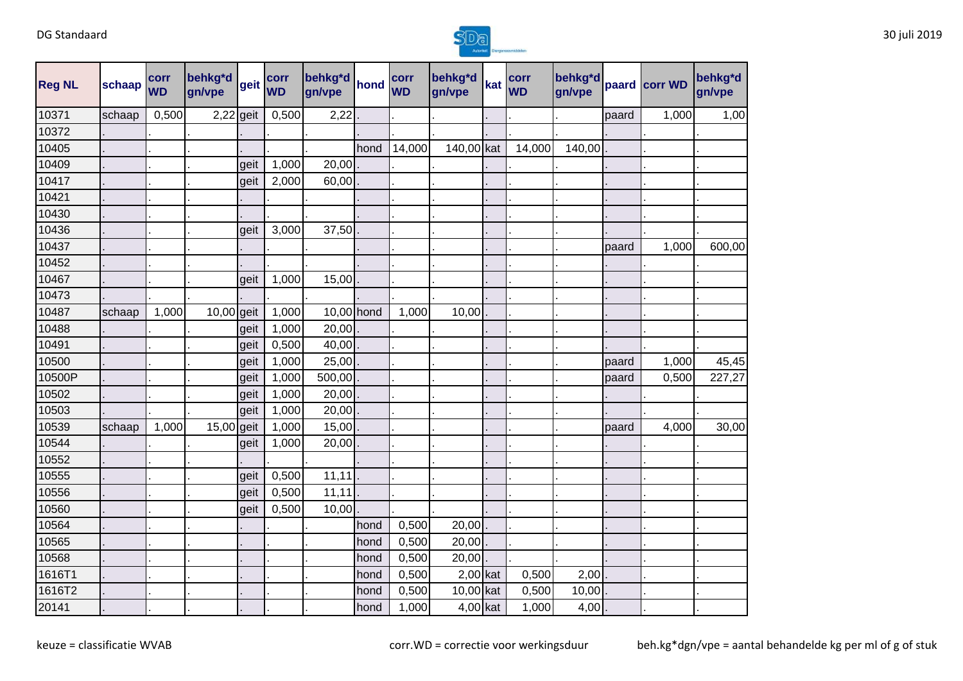

| <b>Reg NL</b> | schaap | corr<br><b>WD</b> | behkg*d<br>gn/vpe | Igeit | corr<br><b>WD</b> | behkg*d<br>gn/vpe | hond | corr<br><b>WD</b> | behkg*d<br>gn/vpe | kat | corr<br><b>WD</b> | behkg*d<br>gn/vpe |       | paard corr WD | behkg*d<br>gn/vpe |
|---------------|--------|-------------------|-------------------|-------|-------------------|-------------------|------|-------------------|-------------------|-----|-------------------|-------------------|-------|---------------|-------------------|
| 10371         | schaap | 0,500             | 2,22              | geit  | 0,500             | 2,22              |      |                   |                   |     |                   |                   | paard | 1,000         | 1,00              |
| 10372         |        |                   |                   |       |                   |                   |      |                   |                   |     |                   |                   |       |               |                   |
| 10405         |        |                   |                   |       |                   |                   | hond | 14,000            | 140,00 kat        |     | 14,000            | 140,00            |       |               |                   |
| 10409         |        |                   |                   | geit  | 1,000             | 20,00             |      |                   |                   |     |                   |                   |       |               |                   |
| 10417         |        |                   |                   | geit  | 2,000             | 60,00             |      |                   |                   |     |                   |                   |       |               |                   |
| 10421         |        |                   |                   |       |                   |                   |      |                   |                   |     |                   |                   |       |               |                   |
| 10430         |        |                   |                   |       |                   |                   |      |                   |                   |     |                   |                   |       |               |                   |
| 10436         |        |                   |                   | geit  | 3,000             | 37,50             |      |                   |                   |     |                   |                   |       |               |                   |
| 10437         |        |                   |                   |       |                   |                   |      |                   |                   |     |                   |                   | paard | 1,000         | 600,00            |
| 10452         |        |                   |                   |       |                   |                   |      |                   |                   |     |                   |                   |       |               |                   |
| 10467         |        |                   |                   | geit  | 1,000             | 15,00             |      |                   |                   |     |                   |                   |       |               |                   |
| 10473         |        |                   |                   |       |                   |                   |      |                   |                   |     |                   |                   |       |               |                   |
| 10487         | schaap | 1,000             | $10,00$ geit      |       | 1,000             | 10,00 hond        |      | 1,000             | 10,00             |     |                   |                   |       |               |                   |
| 10488         |        |                   |                   | geit  | 1,000             | 20,00             |      |                   |                   |     |                   |                   |       |               |                   |
| 10491         |        |                   |                   | geit  | 0,500             | 40,00             |      |                   |                   |     |                   |                   |       |               |                   |
| 10500         |        |                   |                   | geit  | 1,000             | 25,00             |      |                   |                   |     |                   |                   | paard | 1,000         | 45,45             |
| 10500P        |        |                   |                   | geit  | 1,000             | 500,00            |      |                   |                   |     |                   |                   | paard | 0,500         | 227,27            |
| 10502         |        |                   |                   | geit  | 1,000             | 20,00             |      |                   |                   |     |                   |                   |       |               |                   |
| 10503         |        |                   |                   | geit  | 1,000             | 20,00             |      |                   |                   |     |                   |                   |       |               |                   |
| 10539         | schaap | 1,000             | 15,00 geit        |       | 1,000             | 15,00             |      |                   |                   |     |                   |                   | paard | 4,000         | 30,00             |
| 10544         |        |                   |                   | geit  | 1,000             | 20,00             |      |                   |                   |     |                   |                   |       |               |                   |
| 10552         |        |                   |                   |       |                   |                   |      |                   |                   |     |                   |                   |       |               |                   |
| 10555         |        |                   |                   | geit  | 0,500             | 11,11             |      |                   |                   |     |                   |                   |       |               |                   |
| 10556         |        |                   |                   | geit  | 0,500             | 11,11             |      |                   |                   |     |                   |                   |       |               |                   |
| 10560         |        |                   |                   | geit  | 0,500             | 10,00             |      |                   |                   |     |                   |                   |       |               |                   |
| 10564         |        |                   |                   |       |                   |                   | hond | 0,500             | 20,00             |     |                   |                   |       |               |                   |
| 10565         |        |                   |                   |       |                   |                   | hond | 0,500             | 20,00             |     |                   |                   |       |               |                   |
| 10568         |        |                   |                   |       |                   |                   | hond | 0,500             | 20,00             |     |                   |                   |       |               |                   |
| 1616T1        |        |                   |                   |       |                   |                   | hond | 0,500             | $2,00$ kat        |     | 0,500             | 2,00              |       |               |                   |
| 1616T2        |        |                   |                   |       |                   |                   | hond | 0,500             | 10,00 kat         |     | 0,500             | 10,00             |       |               |                   |
| 20141         |        |                   |                   |       |                   |                   | hond | 1,000             | $4,00$ kat        |     | 1,000             | $4,00$ .          |       |               |                   |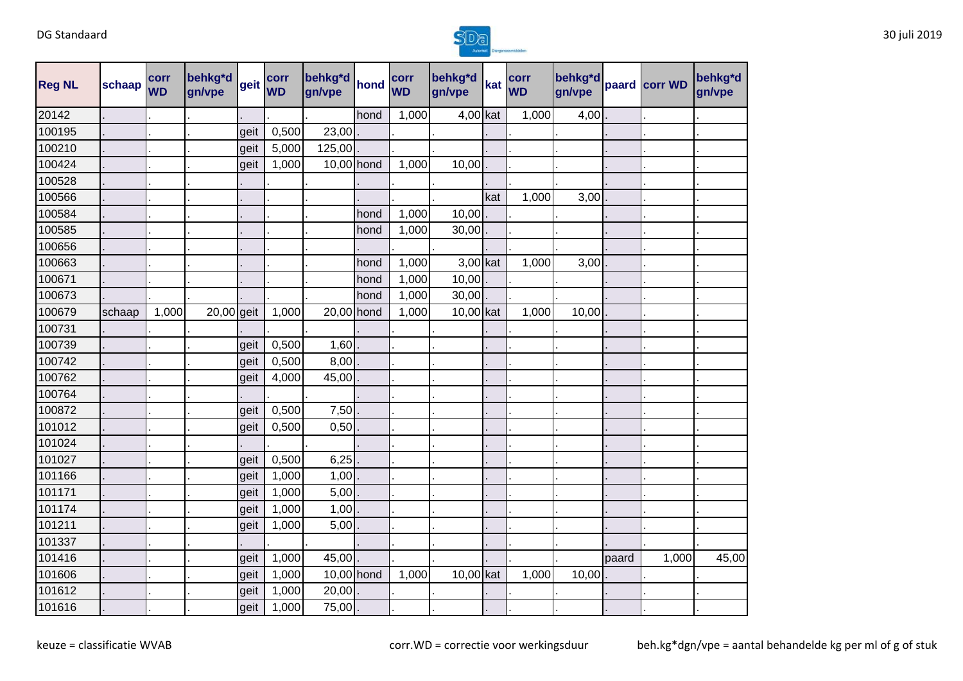

| <b>Reg NL</b> | schaap | corr<br><b>WD</b> | behkg*d<br>gn/vpe | geit | corr<br><b>WD</b> | behkg*d<br>gn/vpe | hond       | corr<br><b>WD</b> | behkg*d<br>gn/vpe |     | corr<br>kat WD | behkg*d<br>gn/vpe |       | paard corr WD | behkg*d<br>gn/vpe |
|---------------|--------|-------------------|-------------------|------|-------------------|-------------------|------------|-------------------|-------------------|-----|----------------|-------------------|-------|---------------|-------------------|
| 20142         |        |                   |                   |      |                   |                   | hond       | 1,000             | $4,00$ kat        |     | 1,000          | 4,00              |       |               |                   |
| 100195        |        |                   |                   | geit | 0,500             | 23,00             |            |                   |                   |     |                |                   |       |               |                   |
| 100210        |        |                   |                   | geit | 5,000             | 125,00            |            |                   |                   |     |                |                   |       |               |                   |
| 100424        |        |                   |                   | geit | 1,000             | 10,00 hond        |            | 1,000             | 10,00             |     |                |                   |       |               |                   |
| 100528        |        |                   |                   |      |                   |                   |            |                   |                   |     |                |                   |       |               |                   |
| 100566        |        |                   |                   |      |                   |                   |            |                   |                   | kat | 1,000          | 3,00              |       |               |                   |
| 100584        |        |                   |                   |      |                   |                   | hond       | 1,000             | 10,00             |     |                |                   |       |               |                   |
| 100585        |        |                   |                   |      |                   |                   | hond       | 1,000             | 30,00             |     |                |                   |       |               |                   |
| 100656        |        |                   |                   |      |                   |                   |            |                   |                   |     |                |                   |       |               |                   |
| 100663        |        |                   |                   |      |                   |                   | hond       | 1,000             | 3,00 kat          |     | 1,000          | 3,00              |       |               |                   |
| 100671        |        |                   |                   |      |                   |                   | hond       | 1,000             | 10,00             |     |                |                   |       |               |                   |
| 100673        |        |                   |                   |      |                   |                   | hond       | 1,000             | 30,00             |     |                |                   |       |               |                   |
| 100679        | schaap | 1,000             | $20,00$ geit      |      | 1,000             | 20,00 hond        |            | 1,000             | 10,00 kat         |     | 1,000          | 10,00             |       |               |                   |
| 100731        |        |                   |                   |      |                   |                   |            |                   |                   |     |                |                   |       |               |                   |
| 100739        |        |                   |                   | geit | 0,500             | 1,60              |            |                   |                   |     |                |                   |       |               |                   |
| 100742        |        |                   |                   | geit | 0,500             | 8,00              |            |                   |                   |     |                |                   |       |               |                   |
| 100762        |        |                   |                   | geit | 4,000             | 45,00             |            |                   |                   |     |                |                   |       |               |                   |
| 100764        |        |                   |                   |      |                   |                   |            |                   |                   |     |                |                   |       |               |                   |
| 100872        |        |                   |                   | geit | 0,500             | 7,50              |            |                   |                   |     |                |                   |       |               |                   |
| 101012        |        |                   |                   | geit | 0,500             | 0,50              |            |                   |                   |     |                |                   |       |               |                   |
| 101024        |        |                   |                   |      |                   |                   |            |                   |                   |     |                |                   |       |               |                   |
| 101027        |        |                   |                   | geit | 0,500             | 6,25              |            |                   |                   |     |                |                   |       |               |                   |
| 101166        |        |                   |                   | geit | 1,000             | 1,00              |            |                   |                   |     |                |                   |       |               |                   |
| 101171        |        |                   |                   | geit | 1,000             | 5,00              |            |                   |                   |     |                |                   |       |               |                   |
| 101174        |        |                   |                   | geit | 1,000             | 1,00              |            |                   |                   |     |                |                   |       |               |                   |
| 101211        |        |                   |                   | geit | 1,000             | 5,00              |            |                   |                   |     |                |                   |       |               |                   |
| 101337        |        |                   |                   |      |                   |                   |            |                   |                   |     |                |                   |       |               |                   |
| 101416        |        |                   |                   | geit | 1,000             | 45,00             |            |                   |                   |     |                |                   | paard | 1,000         | 45,00             |
| 101606        |        |                   |                   | geit | 1,000             |                   | 10,00 hond | 1,000             | 10,00 kat         |     | 1,000          | 10,00             |       |               |                   |
| 101612        |        |                   |                   | geit | 1,000             | 20,00             |            |                   |                   |     |                |                   |       |               |                   |
| 101616        |        |                   |                   | geit | 1,000             | 75,00             |            |                   |                   |     |                |                   |       |               |                   |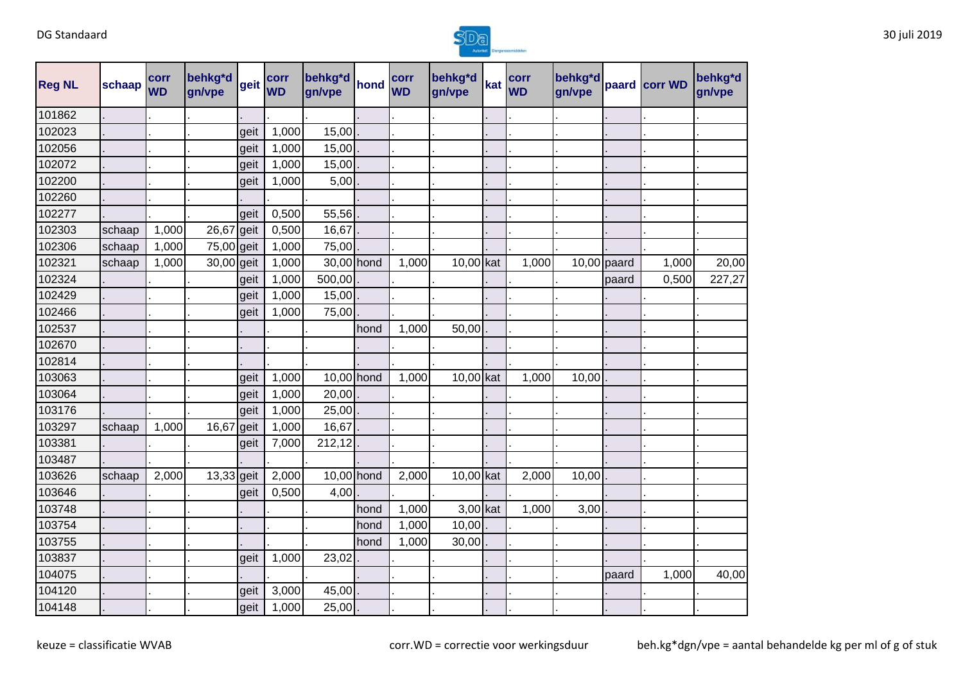

| <b>Reg NL</b> | schaap | corr<br><b>WD</b> | behkg*d<br>gn/vpe | geit | corr<br><b>WD</b> | behkg*d<br>gn/vpe | hond | corr<br><b>WD</b> | behkg*d<br>gn/vpe | kat | corr<br><b>WD</b> | behkg*d<br>gn/vpe |               | paard corr WD | behkg*d<br>gn/vpe |
|---------------|--------|-------------------|-------------------|------|-------------------|-------------------|------|-------------------|-------------------|-----|-------------------|-------------------|---------------|---------------|-------------------|
| 101862        |        |                   |                   |      |                   |                   |      |                   |                   |     |                   |                   |               |               |                   |
| 102023        |        |                   |                   | geit | 1,000             | 15,00             |      |                   |                   |     |                   |                   |               |               |                   |
| 102056        |        |                   |                   | geit | 1,000             | 15,00             |      |                   |                   |     |                   |                   |               |               |                   |
| 102072        |        |                   |                   | geit | 1,000             | 15,00             |      |                   |                   |     |                   |                   |               |               |                   |
| 102200        |        |                   |                   | geit | 1,000             | 5,00              |      |                   |                   |     |                   |                   |               |               |                   |
| 102260        |        |                   |                   |      |                   |                   |      |                   |                   |     |                   |                   |               |               |                   |
| 102277        |        |                   |                   | geit | 0,500             | 55,56             |      |                   |                   |     |                   |                   |               |               |                   |
| 102303        | schaap | 1,000             | 26,67 geit        |      | 0,500             | 16,67             |      |                   |                   |     |                   |                   |               |               |                   |
| 102306        | schaap | 1,000             | 75,00 geit        |      | 1,000             | 75,00             |      |                   |                   |     |                   |                   |               |               |                   |
| 102321        | schaap | 1,000             | 30,00 geit        |      | 1,000             | 30,00 hond        |      | 1,000             | 10,00 kat         |     | 1,000             |                   | $10,00$ paard | 1,000         | 20,00             |
| 102324        |        |                   |                   | geit | 1,000             | 500,00            |      |                   |                   |     |                   |                   | paard         | 0,500         | 227,27            |
| 102429        |        |                   |                   | geit | 1,000             | 15,00             |      |                   |                   |     |                   |                   |               |               |                   |
| 102466        |        |                   |                   | geit | 1,000             | 75,00             |      |                   |                   |     |                   |                   |               |               |                   |
| 102537        |        |                   |                   |      |                   |                   | hond | 1,000             | 50,00             |     |                   |                   |               |               |                   |
| 102670        |        |                   |                   |      |                   |                   |      |                   |                   |     |                   |                   |               |               |                   |
| 102814        |        |                   |                   |      |                   |                   |      |                   |                   |     |                   |                   |               |               |                   |
| 103063        |        |                   |                   | geit | 1,000             | $10,00$ hond      |      | 1,000             | 10,00 kat         |     | 1,000             | 10,00             |               |               |                   |
| 103064        |        |                   |                   | geit | 1,000             | 20,00             |      |                   |                   |     |                   |                   |               |               |                   |
| 103176        |        |                   |                   | geit | 1,000             | 25,00             |      |                   |                   |     |                   |                   |               |               |                   |
| 103297        | schaap | 1,000             | 16,67 geit        |      | 1,000             | 16,67             |      |                   |                   |     |                   |                   |               |               |                   |
| 103381        |        |                   |                   | geit | 7,000             | 212,12            |      |                   |                   |     |                   |                   |               |               |                   |
| 103487        |        |                   |                   |      |                   |                   |      |                   |                   |     |                   |                   |               |               |                   |
| 103626        | schaap | 2,000             | 13,33 geit        |      | 2,000             | 10,00 hond        |      | 2,000             | 10,00 kat         |     | 2,000             | 10,00             |               |               |                   |
| 103646        |        |                   |                   | geit | 0,500             | 4,00              |      |                   |                   |     |                   |                   |               |               |                   |
| 103748        |        |                   |                   |      |                   |                   | hond | 1,000             | $3,00$ kat        |     | 1,000             | 3,00              |               |               |                   |
| 103754        |        |                   |                   |      |                   |                   | hond | 1,000             | 10,00             |     |                   |                   |               |               |                   |
| 103755        |        |                   |                   |      |                   |                   | hond | 1,000             | 30,00             |     |                   |                   |               |               |                   |
| 103837        |        |                   |                   | geit | 1,000             | 23,02             |      |                   |                   |     |                   |                   |               |               |                   |
| 104075        |        |                   |                   |      |                   |                   |      |                   |                   |     |                   |                   | paard         | 1,000         | 40,00             |
| 104120        |        |                   |                   | geit | 3,000             | 45,00             |      |                   |                   |     |                   |                   |               |               |                   |
| 104148        |        |                   |                   | geit | 1,000             | 25,00             |      |                   |                   |     |                   |                   |               |               |                   |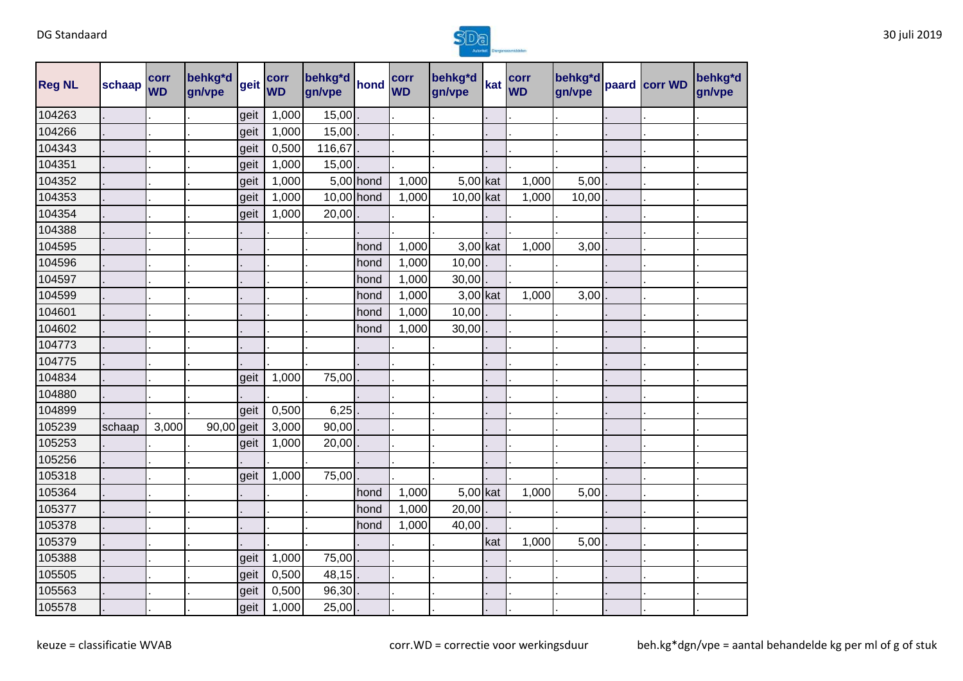

| <b>Reg NL</b> | schaap | corr<br><b>WD</b> | behkg*d<br>gn/vpe       | geit | corr<br><b>WD</b> | behkg*d<br>gn/vpe | hond      | corr<br><b>WD</b> | behkg*d<br>gn/vpe | kat | corr<br><b>WD</b> | behkg*d<br>gn/vpe | paard corr WD | behkg*d<br>gn/vpe |
|---------------|--------|-------------------|-------------------------|------|-------------------|-------------------|-----------|-------------------|-------------------|-----|-------------------|-------------------|---------------|-------------------|
| 104263        |        |                   |                         | geit | 1,000             | 15,00             |           |                   |                   |     |                   |                   |               |                   |
| 104266        |        |                   |                         | geit | 1,000             | 15,00             |           |                   |                   |     |                   |                   |               |                   |
| 104343        |        |                   |                         | geit | 0,500             | 116,67            |           |                   |                   |     |                   |                   |               |                   |
| 104351        |        |                   |                         | geit | 1,000             | 15,00             |           |                   |                   |     |                   |                   |               |                   |
| 104352        |        |                   |                         | geit | 1,000             |                   | 5,00 hond | 1,000             | 5,00 kat          |     | 1,000             | 5,00              |               |                   |
| 104353        |        |                   |                         | geit | 1,000             | 10,00 hond        |           | 1,000             | 10,00 kat         |     | 1,000             | 10,00             |               |                   |
| 104354        |        |                   |                         | geit | 1,000             | 20,00             |           |                   |                   |     |                   |                   |               |                   |
| 104388        |        |                   |                         |      |                   |                   |           |                   |                   |     |                   |                   |               |                   |
| 104595        |        |                   |                         |      |                   |                   | hond      | 1,000             | $3,00$ kat        |     | 1,000             | 3,00              |               |                   |
| 104596        |        |                   |                         |      |                   |                   | hond      | 1,000             | 10,00             |     |                   |                   |               |                   |
| 104597        |        |                   |                         |      |                   |                   | hond      | 1,000             | 30,00             |     |                   |                   |               |                   |
| 104599        |        |                   |                         |      |                   |                   | hond      | 1,000             | 3,00 kat          |     | 1,000             | 3,00              |               |                   |
| 104601        |        |                   |                         |      |                   |                   | hond      | 1,000             | 10,00             |     |                   |                   |               |                   |
| 104602        |        |                   |                         |      |                   |                   | hond      | 1,000             | 30,00             |     |                   |                   |               |                   |
| 104773        |        |                   |                         |      |                   |                   |           |                   |                   |     |                   |                   |               |                   |
| 104775        |        |                   |                         |      |                   |                   |           |                   |                   |     |                   |                   |               |                   |
| 104834        |        |                   |                         | geit | 1,000             | 75,00             |           |                   |                   |     |                   |                   |               |                   |
| 104880        |        |                   |                         |      |                   |                   |           |                   |                   |     |                   |                   |               |                   |
| 104899        |        |                   |                         | geit | 0,500             | 6,25              |           |                   |                   |     |                   |                   |               |                   |
| 105239        | schaap | 3,000             | $\overline{90,00}$ geit |      | 3,000             | 90,00             |           |                   |                   |     |                   |                   |               |                   |
| 105253        |        |                   |                         | geit | 1,000             | 20,00             |           |                   |                   |     |                   |                   |               |                   |
| 105256        |        |                   |                         |      |                   |                   |           |                   |                   |     |                   |                   |               |                   |
| 105318        |        |                   |                         | geit | 1,000             | 75,00             |           |                   |                   |     |                   |                   |               |                   |
| 105364        |        |                   |                         |      |                   |                   | hond      | 1,000             | 5,00 kat          |     | 1,000             | 5,00              |               |                   |
| 105377        |        |                   |                         |      |                   |                   | hond      | 1,000             | 20,00             |     |                   |                   |               |                   |
| 105378        |        |                   |                         |      |                   |                   | hond      | 1,000             | 40,00             |     |                   |                   |               |                   |
| 105379        |        |                   |                         |      |                   |                   |           |                   |                   | kat | 1,000             | 5,00              |               |                   |
| 105388        |        |                   |                         | geit | 1,000             | 75,00             |           |                   |                   |     |                   |                   |               |                   |
| 105505        |        |                   |                         | geit | 0,500             | 48,15             |           |                   |                   |     |                   |                   |               |                   |
| 105563        |        |                   |                         | geit | 0,500             | 96,30             |           |                   |                   |     |                   |                   |               |                   |
| 105578        |        |                   |                         | geit | 1,000             | 25,00             |           |                   |                   |     |                   |                   |               |                   |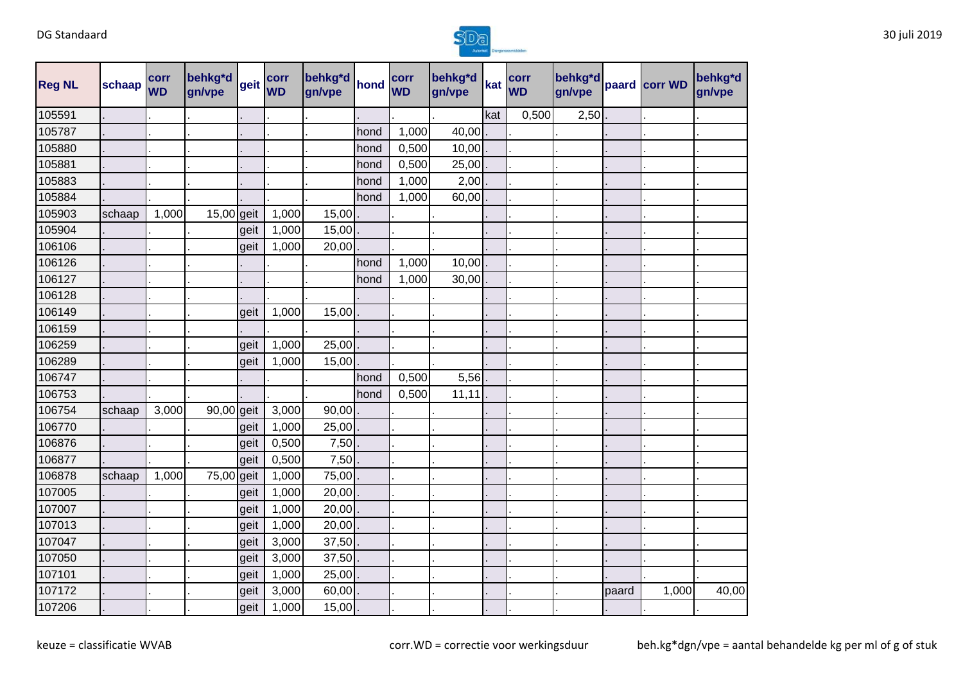

| <b>Reg NL</b> | schaap | corr<br><b>WD</b> | behkg*d<br>gn/vpe | geit | corr<br><b>WD</b> | behkg*d<br>gn/vpe | hond | corr<br><b>WD</b> | behkg*d<br>gn/vpe | kat | corr<br><b>WD</b> | behkg*d<br>gn/vpe |       | paard corr WD | behkg <sup>*</sup> d<br>gn/vpe |
|---------------|--------|-------------------|-------------------|------|-------------------|-------------------|------|-------------------|-------------------|-----|-------------------|-------------------|-------|---------------|--------------------------------|
| 105591        |        |                   |                   |      |                   |                   |      |                   |                   | kat | 0,500             | 2,50              |       |               |                                |
| 105787        |        |                   |                   |      |                   |                   | hond | 1,000             | 40,00             |     |                   |                   |       |               |                                |
| 105880        |        |                   |                   |      |                   |                   | hond | 0,500             | 10,00             |     |                   |                   |       |               |                                |
| 105881        |        |                   |                   |      |                   |                   | hond | 0,500             | 25,00             |     |                   |                   |       |               |                                |
| 105883        |        |                   |                   |      |                   |                   | hond | 1,000             | 2,00              |     |                   |                   |       |               |                                |
| 105884        |        |                   |                   |      |                   |                   | hond | 1,000             | 60,00             |     |                   |                   |       |               |                                |
| 105903        | schaap | 1,000             | 15,00 geit        |      | 1,000             | 15,00             |      |                   |                   |     |                   |                   |       |               |                                |
| 105904        |        |                   |                   | geit | 1,000             | 15,00             |      |                   |                   |     |                   |                   |       |               |                                |
| 106106        |        |                   |                   | geit | 1,000             | 20,00             |      |                   |                   |     |                   |                   |       |               |                                |
| 106126        |        |                   |                   |      |                   |                   | hond | 1,000             | 10,00             |     |                   |                   |       |               |                                |
| 106127        |        |                   |                   |      |                   |                   | hond | 1,000             | 30,00             |     |                   |                   |       |               |                                |
| 106128        |        |                   |                   |      |                   |                   |      |                   |                   |     |                   |                   |       |               |                                |
| 106149        |        |                   |                   | geit | 1,000             | 15,00             |      |                   |                   |     |                   |                   |       |               |                                |
| 106159        |        |                   |                   |      |                   |                   |      |                   |                   |     |                   |                   |       |               |                                |
| 106259        |        |                   |                   | geit | 1,000             | 25,00             |      |                   |                   |     |                   |                   |       |               |                                |
| 106289        |        |                   |                   | geit | 1,000             | 15,00             |      |                   |                   |     |                   |                   |       |               |                                |
| 106747        |        |                   |                   |      |                   |                   | hond | 0,500             | 5,56              |     |                   |                   |       |               |                                |
| 106753        |        |                   |                   |      |                   |                   | hond | 0,500             | 11,11             |     |                   |                   |       |               |                                |
| 106754        | schaap | 3,000             | 90,00 geit        |      | 3,000             | 90,00             |      |                   |                   |     |                   |                   |       |               |                                |
| 106770        |        |                   |                   | geit | 1,000             | 25,00             |      |                   |                   |     |                   |                   |       |               |                                |
| 106876        |        |                   |                   | geit | 0,500             | 7,50              |      |                   |                   |     |                   |                   |       |               |                                |
| 106877        |        |                   |                   | geit | 0,500             | 7,50              |      |                   |                   |     |                   |                   |       |               |                                |
| 106878        | schaap | 1,000             | 75,00 geit        |      | 1,000             | 75,00             |      |                   |                   |     |                   |                   |       |               |                                |
| 107005        |        |                   |                   | geit | 1,000             | 20,00             |      |                   |                   |     |                   |                   |       |               |                                |
| 107007        |        |                   |                   | geit | 1,000             | 20,00             |      |                   |                   |     |                   |                   |       |               |                                |
| 107013        |        |                   |                   | geit | 1,000             | 20,00             |      |                   |                   |     |                   |                   |       |               |                                |
| 107047        |        |                   |                   | geit | 3,000             | 37,50             |      |                   |                   |     |                   |                   |       |               |                                |
| 107050        |        |                   |                   | geit | 3,000             | 37,50             |      |                   |                   |     |                   |                   |       |               |                                |
| 107101        |        |                   |                   | geit | 1,000             | 25,00             |      |                   |                   |     |                   |                   |       |               |                                |
| 107172        |        |                   |                   | geit | 3,000             | 60,00             |      |                   |                   |     |                   |                   | paard | 1,000         | 40,00                          |
| 107206        |        |                   |                   | geit | 1,000             | 15,00             |      |                   |                   |     |                   |                   |       |               |                                |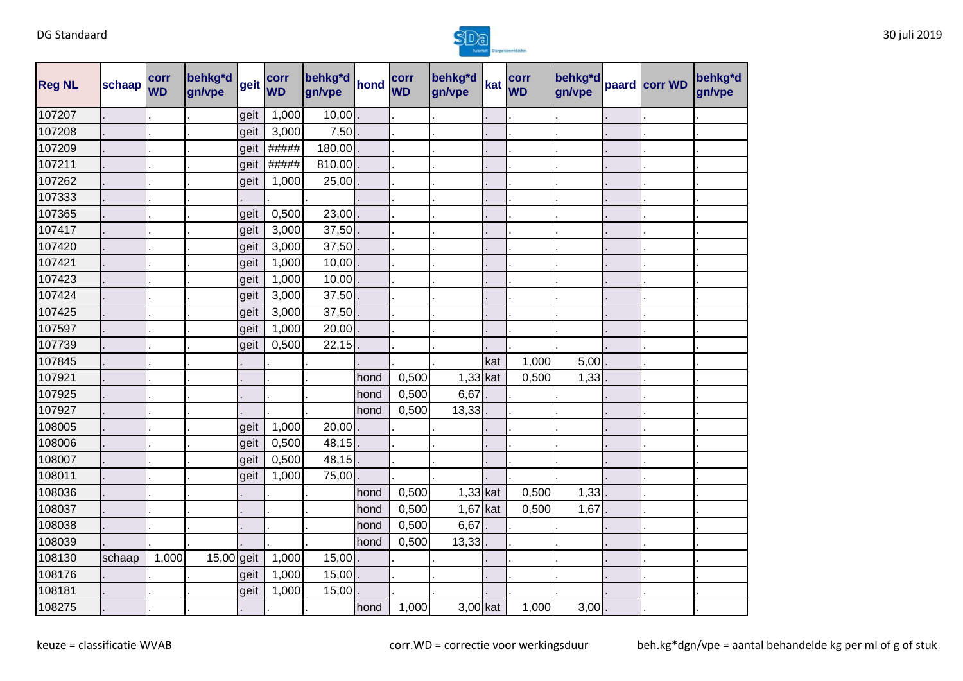

| <b>Reg NL</b> | schaap | corr<br><b>WD</b> | behkg*d<br>gn/vpe | geit | corr<br><b>WD</b> | behkg*d<br>gn/vpe | hond | corr<br><b>WD</b> | behkg*d<br>gn/vpe | kat | corr<br><b>WD</b> | behkg*d<br>gn/vpe | paard corr WD | behkg*d<br>gn/vpe |
|---------------|--------|-------------------|-------------------|------|-------------------|-------------------|------|-------------------|-------------------|-----|-------------------|-------------------|---------------|-------------------|
| 107207        |        |                   |                   | geit | 1,000             | 10,00             |      |                   |                   |     |                   |                   |               |                   |
| 107208        |        |                   |                   | geit | 3,000             | 7,50              |      |                   |                   |     |                   |                   |               |                   |
| 107209        |        |                   |                   | geit | #####             | 180,00            |      |                   |                   |     |                   |                   |               |                   |
| 107211        |        |                   |                   | geit | #####             | 810,00            |      |                   |                   |     |                   |                   |               |                   |
| 107262        |        |                   |                   | geit | 1,000             | 25,00             |      |                   |                   |     |                   |                   |               |                   |
| 107333        |        |                   |                   |      |                   |                   |      |                   |                   |     |                   |                   |               |                   |
| 107365        |        |                   |                   | geit | 0,500             | 23,00             |      |                   |                   |     |                   |                   |               |                   |
| 107417        |        |                   |                   | geit | 3,000             | 37,50             |      |                   |                   |     |                   |                   |               |                   |
| 107420        |        |                   |                   | geit | 3,000             | 37,50             |      |                   |                   |     |                   |                   |               |                   |
| 107421        |        |                   |                   | geit | 1,000             | 10,00             |      |                   |                   |     |                   |                   |               |                   |
| 107423        |        |                   |                   | geit | 1,000             | 10,00             |      |                   |                   |     |                   |                   |               |                   |
| 107424        |        |                   |                   | geit | 3,000             | 37,50             |      |                   |                   |     |                   |                   |               |                   |
| 107425        |        |                   |                   | geit | 3,000             | 37,50             |      |                   |                   |     |                   |                   |               |                   |
| 107597        |        |                   |                   | geit | 1,000             | 20,00             |      |                   |                   |     |                   |                   |               |                   |
| 107739        |        |                   |                   | geit | 0,500             | 22,15             |      |                   |                   |     |                   |                   |               |                   |
| 107845        |        |                   |                   |      |                   |                   |      |                   |                   | kat | 1,000             | 5,00              |               |                   |
| 107921        |        |                   |                   |      |                   |                   | hond | 0,500             | 1,33              | kat | 0,500             | 1,33              |               |                   |
| 107925        |        |                   |                   |      |                   |                   | hond | 0,500             | 6,67              |     |                   |                   |               |                   |
| 107927        |        |                   |                   |      |                   |                   | hond | 0,500             | 13,33             |     |                   |                   |               |                   |
| 108005        |        |                   |                   | geit | 1,000             | 20,00             |      |                   |                   |     |                   |                   |               |                   |
| 108006        |        |                   |                   | geit | 0,500             | 48,15             |      |                   |                   |     |                   |                   |               |                   |
| 108007        |        |                   |                   | geit | 0,500             | 48,15             |      |                   |                   |     |                   |                   |               |                   |
| 108011        |        |                   |                   | geit | 1,000             | 75,00             |      |                   |                   |     |                   |                   |               |                   |
| 108036        |        |                   |                   |      |                   |                   | hond | 0,500             | $1,33$ kat        |     | 0,500             | 1,33              |               |                   |
| 108037        |        |                   |                   |      |                   |                   | hond | 0,500             | 1,67 kat          |     | 0,500             | 1,67              |               |                   |
| 108038        |        |                   |                   |      |                   |                   | hond | 0,500             | 6,67              |     |                   |                   |               |                   |
| 108039        |        |                   |                   |      |                   |                   | hond | 0,500             | 13,33             |     |                   |                   |               |                   |
| 108130        | schaap | 1,000             | 15,00 geit        |      | 1,000             | 15,00             |      |                   |                   |     |                   |                   |               |                   |
| 108176        |        |                   |                   | geit | 1,000             | 15,00             |      |                   |                   |     |                   |                   |               |                   |
| 108181        |        |                   |                   | geit | 1,000             | 15,00             |      |                   |                   |     |                   |                   |               |                   |
| 108275        |        |                   |                   |      |                   |                   | hond | 1,000             | 3,00 kat          |     | 1,000             | $3,00$ .          |               |                   |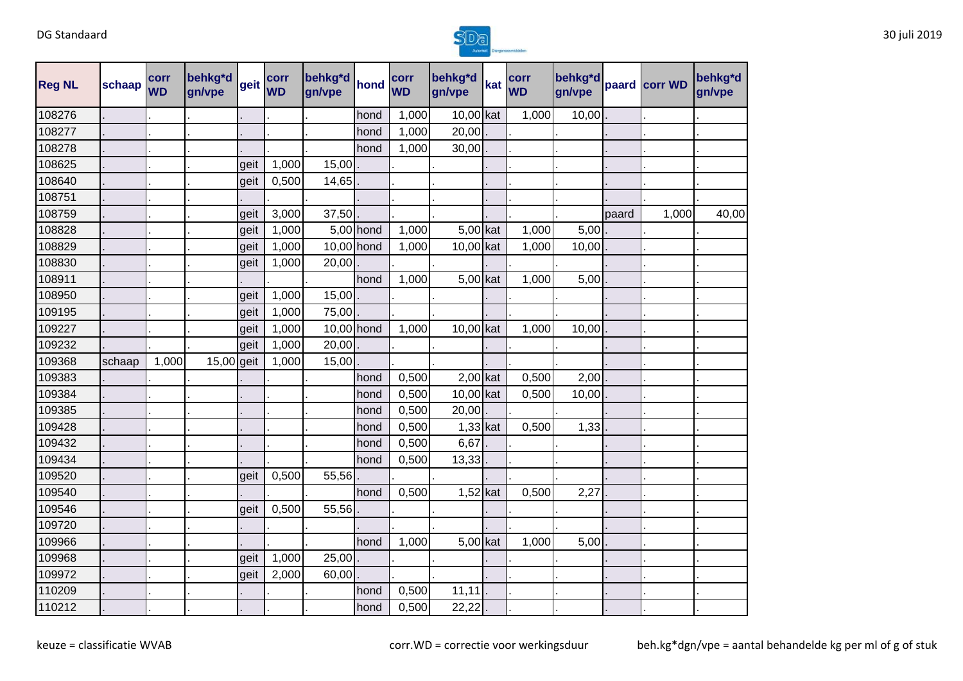

| <b>Reg NL</b> | schaap | corr<br><b>WD</b> | behkg*d<br>gn/vpe | geit | corr<br><b>WD</b> | behkg*d<br>gn/vpe | hond      | corr<br><b>WD</b> | behkg*d<br>gn/vpe | kat | corr<br><b>WD</b> | behkg*d<br>gn/vpe |       | paard corr WD | behkg*d<br>gn/vpe |
|---------------|--------|-------------------|-------------------|------|-------------------|-------------------|-----------|-------------------|-------------------|-----|-------------------|-------------------|-------|---------------|-------------------|
| 108276        |        |                   |                   |      |                   |                   | hond      | 1,000             | 10,00 kat         |     | 1,000             | 10,00             |       |               |                   |
| 108277        |        |                   |                   |      |                   |                   | hond      | 1,000             | 20,00             |     |                   |                   |       |               |                   |
| 108278        |        |                   |                   |      |                   |                   | hond      | 1,000             | 30,00             |     |                   |                   |       |               |                   |
| 108625        |        |                   |                   | geit | 1,000             | 15,00             |           |                   |                   |     |                   |                   |       |               |                   |
| 108640        |        |                   |                   | geit | 0,500             | 14,65             |           |                   |                   |     |                   |                   |       |               |                   |
| 108751        |        |                   |                   |      |                   |                   |           |                   |                   |     |                   |                   |       |               |                   |
| 108759        |        |                   |                   | geit | 3,000             | 37,50             |           |                   |                   |     |                   |                   | paard | 1,000         | 40,00             |
| 108828        |        |                   |                   | geit | 1,000             |                   | 5,00 hond | 1,000             | 5,00 kat          |     | 1,000             | 5,00              |       |               |                   |
| 108829        |        |                   |                   | geit | 1,000             | 10,00 hond        |           | 1,000             | 10,00 kat         |     | 1,000             | 10,00             |       |               |                   |
| 108830        |        |                   |                   | geit | 1,000             | 20,00             |           |                   |                   |     |                   |                   |       |               |                   |
| 108911        |        |                   |                   |      |                   |                   | hond      | 1,000             | $5,00$ kat        |     | 1,000             | 5,00              |       |               |                   |
| 108950        |        |                   |                   | geit | 1,000             | 15,00             |           |                   |                   |     |                   |                   |       |               |                   |
| 109195        |        |                   |                   | geit | 1,000             | 75,00             |           |                   |                   |     |                   |                   |       |               |                   |
| 109227        |        |                   |                   | geit | 1,000             | 10,00 hond        |           | 1,000             | 10,00 kat         |     | 1,000             | 10,00             |       |               |                   |
| 109232        |        |                   |                   | geit | 1,000             | 20,00             |           |                   |                   |     |                   |                   |       |               |                   |
| 109368        | schaap | 1,000             | 15,00 geit        |      | 1,000             | 15,00             |           |                   |                   |     |                   |                   |       |               |                   |
| 109383        |        |                   |                   |      |                   |                   | hond      | 0,500             | 2,00 kat          |     | 0,500             | 2,00              |       |               |                   |
| 109384        |        |                   |                   |      |                   |                   | hond      | 0,500             | 10,00 kat         |     | 0,500             | 10,00             |       |               |                   |
| 109385        |        |                   |                   |      |                   |                   | hond      | 0,500             | 20,00             |     |                   |                   |       |               |                   |
| 109428        |        |                   |                   |      |                   |                   | hond      | 0,500             | $1,33$ kat        |     | 0,500             | 1,33              |       |               |                   |
| 109432        |        |                   |                   |      |                   |                   | hond      | 0,500             | 6,67              |     |                   |                   |       |               |                   |
| 109434        |        |                   |                   |      |                   |                   | hond      | 0,500             | 13,33             |     |                   |                   |       |               |                   |
| 109520        |        |                   |                   | geit | 0,500             | 55,56             |           |                   |                   |     |                   |                   |       |               |                   |
| 109540        |        |                   |                   |      |                   |                   | hond      | 0,500             | $1,52$ kat        |     | 0,500             | 2,27              |       |               |                   |
| 109546        |        |                   |                   | geit | 0,500             | 55,56             |           |                   |                   |     |                   |                   |       |               |                   |
| 109720        |        |                   |                   |      |                   |                   |           |                   |                   |     |                   |                   |       |               |                   |
| 109966        |        |                   |                   |      |                   |                   | hond      | 1,000             | 5,00 kat          |     | 1,000             | 5,00              |       |               |                   |
| 109968        |        |                   |                   | geit | 1,000             | 25,00             |           |                   |                   |     |                   |                   |       |               |                   |
| 109972        |        |                   |                   | geit | 2,000             | 60,00             |           |                   |                   |     |                   |                   |       |               |                   |
| 110209        |        |                   |                   |      |                   |                   | hond      | 0,500             | 11,11             |     |                   |                   |       |               |                   |
| 110212        |        |                   |                   |      |                   |                   | hond      | 0,500             | 22,22             |     |                   |                   |       |               |                   |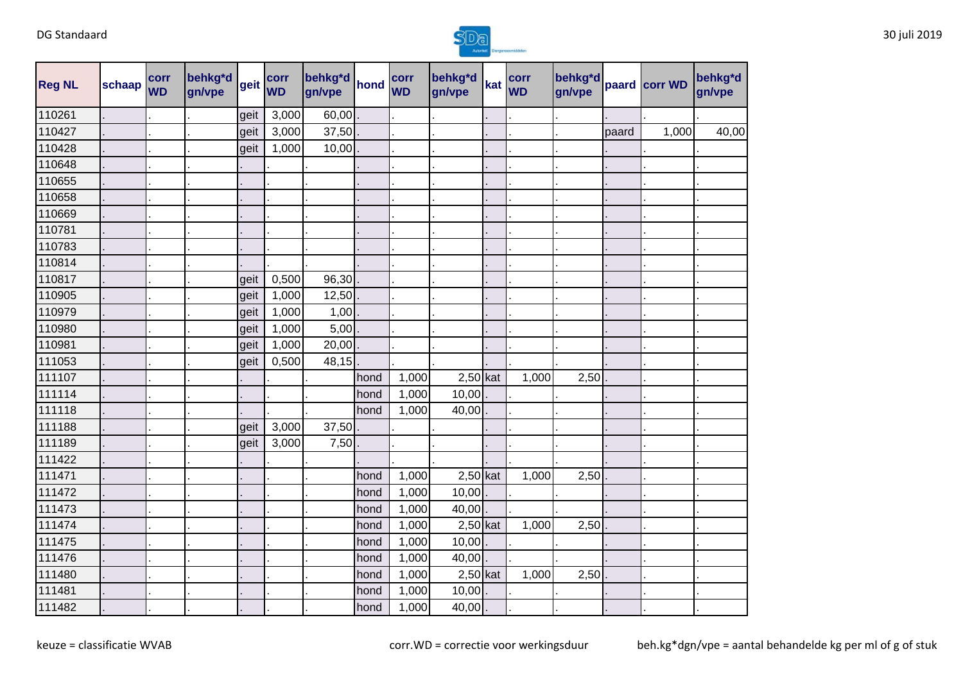

| <b>Reg NL</b> | schaap | corr<br><b>WD</b> | behkg*d<br>gn/vpe | geit | corr<br><b>WD</b> | behkg*d<br>gn/vpe | hond | corr<br><b>WD</b> | behkg*d<br>gn/vpe | kat | corr<br><b>WD</b> | behkg*d<br>gn/vpe |       | paard corr WD | behkg*d<br>gn/vpe |
|---------------|--------|-------------------|-------------------|------|-------------------|-------------------|------|-------------------|-------------------|-----|-------------------|-------------------|-------|---------------|-------------------|
| 110261        |        |                   |                   | geit | 3,000             | 60,00             |      |                   |                   |     |                   |                   |       |               |                   |
| 110427        |        |                   |                   | geit | 3,000             | 37,50             |      |                   |                   |     |                   |                   | paard | 1,000         | 40,00             |
| 110428        |        |                   |                   | geit | 1,000             | 10,00             |      |                   |                   |     |                   |                   |       |               |                   |
| 110648        |        |                   |                   |      |                   |                   |      |                   |                   |     |                   |                   |       |               |                   |
| 110655        |        |                   |                   |      |                   |                   |      |                   |                   |     |                   |                   |       |               |                   |
| 110658        |        |                   |                   |      |                   |                   |      |                   |                   |     |                   |                   |       |               |                   |
| 110669        |        |                   |                   |      |                   |                   |      |                   |                   |     |                   |                   |       |               |                   |
| 110781        |        |                   |                   |      |                   |                   |      |                   |                   |     |                   |                   |       |               |                   |
| 110783        |        |                   |                   |      |                   |                   |      |                   |                   |     |                   |                   |       |               |                   |
| 110814        |        |                   |                   |      |                   |                   |      |                   |                   |     |                   |                   |       |               |                   |
| 110817        |        |                   |                   | geit | 0,500             | 96,30             |      |                   |                   |     |                   |                   |       |               |                   |
| 110905        |        |                   |                   | geit | 1,000             | 12,50             |      |                   |                   |     |                   |                   |       |               |                   |
| 110979        |        |                   |                   | geit | 1,000             | 1,00              |      |                   |                   |     |                   |                   |       |               |                   |
| 110980        |        |                   |                   | geit | 1,000             | 5,00              |      |                   |                   |     |                   |                   |       |               |                   |
| 110981        |        |                   |                   | geit | 1,000             | 20,00             |      |                   |                   |     |                   |                   |       |               |                   |
| 111053        |        |                   |                   | geit | 0,500             | 48,15             |      |                   |                   |     |                   |                   |       |               |                   |
| 111107        |        |                   |                   |      |                   |                   | hond | 1,000             | $2,50$ kat        |     | 1,000             | 2,50              |       |               |                   |
| 111114        |        |                   |                   |      |                   |                   | hond | 1,000             | 10,00             |     |                   |                   |       |               |                   |
| 111118        |        |                   |                   |      |                   |                   | hond | 1,000             | 40,00             |     |                   |                   |       |               |                   |
| 111188        |        |                   |                   | geit | 3,000             | 37,50             |      |                   |                   |     |                   |                   |       |               |                   |
| 111189        |        |                   |                   | geit | 3,000             | 7,50              |      |                   |                   |     |                   |                   |       |               |                   |
| 111422        |        |                   |                   |      |                   |                   |      |                   |                   |     |                   |                   |       |               |                   |
| 111471        |        |                   |                   |      |                   |                   | hond | 1,000             | $2,50$ kat        |     | 1,000             | 2,50              |       |               |                   |
| 111472        |        |                   |                   |      |                   |                   | hond | 1,000             | 10,00             |     |                   |                   |       |               |                   |
| 111473        |        |                   |                   |      |                   |                   | hond | 1,000             | 40,00             |     |                   |                   |       |               |                   |
| 111474        |        |                   |                   |      |                   |                   | hond | 1,000             | $2,50$ kat        |     | 1,000             | 2,50              |       |               |                   |
| 111475        |        |                   |                   |      |                   |                   | hond | 1,000             | 10,00             |     |                   |                   |       |               |                   |
| 111476        |        |                   |                   |      |                   |                   | hond | 1,000             | 40,00             |     |                   |                   |       |               |                   |
| 111480        |        |                   |                   |      |                   |                   | hond | 1,000             | $2,50$ kat        |     | 1,000             | 2,50              |       |               |                   |
| 111481        |        |                   |                   |      |                   |                   | hond | 1,000             | 10,00             |     |                   |                   |       |               |                   |
| 111482        |        |                   |                   |      |                   |                   | hond | 1,000             | 40,00             |     |                   |                   |       |               |                   |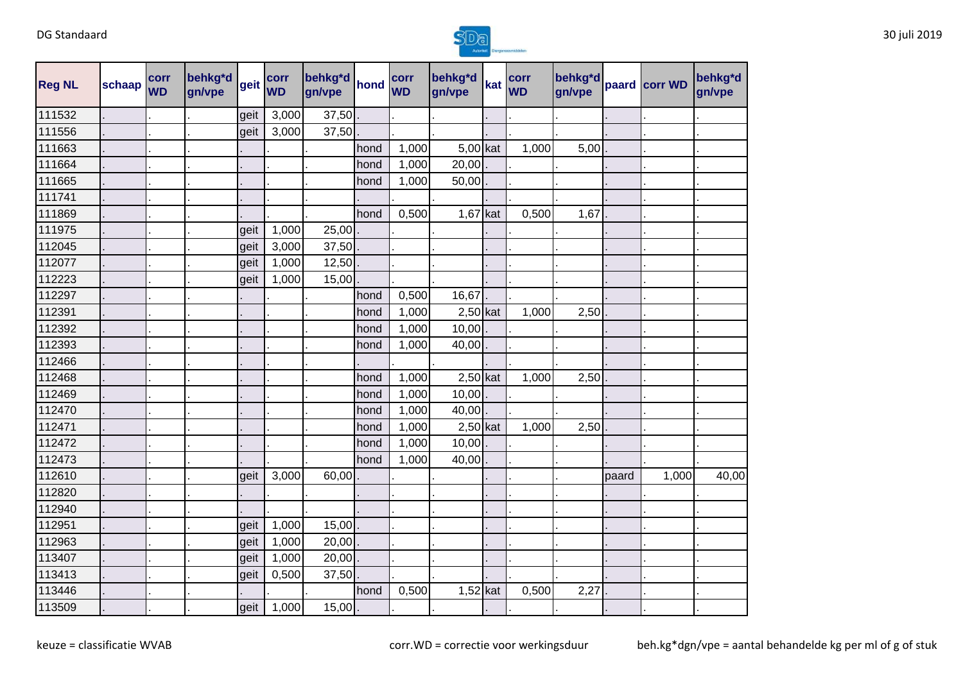

| <b>Reg NL</b> | schaap | corr<br><b>WD</b> | behkg*d<br>gn/vpe | geit | corr<br><b>WD</b> | behkg*d<br>gn/vpe | hond | corr<br><b>WD</b> | behkg*d<br>gn/vpe | kat | corr<br><b>WD</b> | behkg*d<br>gn/vpe |       | paard corr WD | behkg*d<br>gn/vpe |
|---------------|--------|-------------------|-------------------|------|-------------------|-------------------|------|-------------------|-------------------|-----|-------------------|-------------------|-------|---------------|-------------------|
| 111532        |        |                   |                   | geit | 3,000             | 37,50             |      |                   |                   |     |                   |                   |       |               |                   |
| 111556        |        |                   |                   | geit | 3,000             | 37,50             |      |                   |                   |     |                   |                   |       |               |                   |
| 111663        |        |                   |                   |      |                   |                   | hond | 1,000             | $5,00$ kat        |     | 1,000             | 5,00              |       |               |                   |
| 111664        |        |                   |                   |      |                   |                   | hond | 1,000             | 20,00             |     |                   |                   |       |               |                   |
| 111665        |        |                   |                   |      |                   |                   | hond | 1,000             | 50,00             |     |                   |                   |       |               |                   |
| 111741        |        |                   |                   |      |                   |                   |      |                   |                   |     |                   |                   |       |               |                   |
| 111869        |        |                   |                   |      |                   |                   | hond | 0,500             | $1,67$ kat        |     | 0,500             | 1,67              |       |               |                   |
| 111975        |        |                   |                   | geit | 1,000             | 25,00             |      |                   |                   |     |                   |                   |       |               |                   |
| 112045        |        |                   |                   | geit | 3,000             | 37,50             |      |                   |                   |     |                   |                   |       |               |                   |
| 112077        |        |                   |                   | geit | 1,000             | 12,50             |      |                   |                   |     |                   |                   |       |               |                   |
| 112223        |        |                   |                   | geit | 1,000             | 15,00             |      |                   |                   |     |                   |                   |       |               |                   |
| 112297        |        |                   |                   |      |                   |                   | hond | 0,500             | 16,67             |     |                   |                   |       |               |                   |
| 112391        |        |                   |                   |      |                   |                   | hond | 1,000             | $2,50$ kat        |     | 1,000             | 2,50              |       |               |                   |
| 112392        |        |                   |                   |      |                   |                   | hond | 1,000             | 10,00             |     |                   |                   |       |               |                   |
| 112393        |        |                   |                   |      |                   |                   | hond | 1,000             | 40,00             |     |                   |                   |       |               |                   |
| 112466        |        |                   |                   |      |                   |                   |      |                   |                   |     |                   |                   |       |               |                   |
| 112468        |        |                   |                   |      |                   |                   | hond | 1,000             | $2,50$ kat        |     | 1,000             | 2,50              |       |               |                   |
| 112469        |        |                   |                   |      |                   |                   | hond | 1,000             | 10,00             |     |                   |                   |       |               |                   |
| 112470        |        |                   |                   |      |                   |                   | hond | 1,000             | 40,00             |     |                   |                   |       |               |                   |
| 112471        |        |                   |                   |      |                   |                   | hond | 1,000             | $2,50$ kat        |     | 1,000             | 2,50              |       |               |                   |
| 112472        |        |                   |                   |      |                   |                   | hond | 1,000             | 10,00             |     |                   |                   |       |               |                   |
| 112473        |        |                   |                   |      |                   |                   | hond | 1,000             | 40,00             |     |                   |                   |       |               |                   |
| 112610        |        |                   |                   | geit | 3,000             | 60,00             |      |                   |                   |     |                   |                   | paard | 1,000         | 40,00             |
| 112820        |        |                   |                   |      |                   |                   |      |                   |                   |     |                   |                   |       |               |                   |
| 112940        |        |                   |                   |      |                   |                   |      |                   |                   |     |                   |                   |       |               |                   |
| 112951        |        |                   |                   | geit | 1,000             | 15,00             |      |                   |                   |     |                   |                   |       |               |                   |
| 112963        |        |                   |                   | geit | 1,000             | 20,00             |      |                   |                   |     |                   |                   |       |               |                   |
| 113407        |        |                   |                   | geit | 1,000             | 20,00             |      |                   |                   |     |                   |                   |       |               |                   |
| 113413        |        |                   |                   | geit | 0,500             | 37,50             |      |                   |                   |     |                   |                   |       |               |                   |
| 113446        |        |                   |                   |      |                   |                   | hond | 0,500             | $1,52$ kat        |     | 0,500             | 2,27              |       |               |                   |
| 113509        |        |                   |                   | geit | 1,000             | 15,00             |      |                   |                   |     |                   |                   |       |               |                   |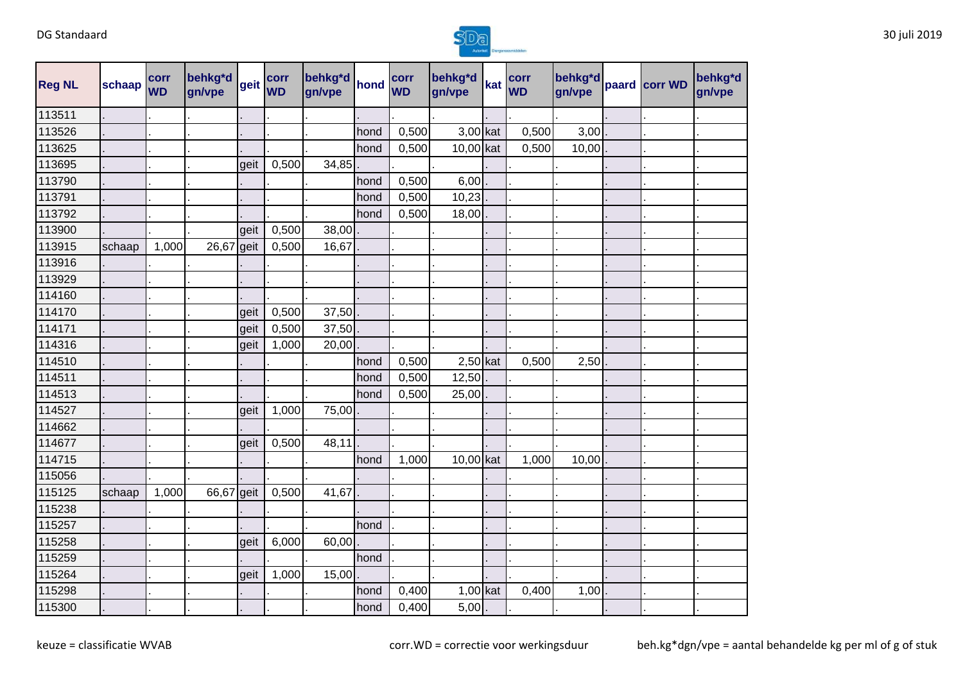

| <b>Reg NL</b> | schaap | corr<br><b>WD</b> | behkg*d<br>gn/vpe | geit | corr<br><b>WD</b> | behkg*d<br>gn/vpe | hond | corr<br><b>WD</b> | behkg*d<br>gn/vpe | kat | corr<br><b>WD</b> | behkg*d<br>gn/vpe | paard corr WD | behkg*d<br>gn/vpe |
|---------------|--------|-------------------|-------------------|------|-------------------|-------------------|------|-------------------|-------------------|-----|-------------------|-------------------|---------------|-------------------|
| 113511        |        |                   |                   |      |                   |                   |      |                   |                   |     |                   |                   |               |                   |
| 113526        |        |                   |                   |      |                   |                   | hond | 0,500             | 3,00 kat          |     | 0,500             | $3,00$ .          |               |                   |
| 113625        |        |                   |                   |      |                   |                   | hond | 0,500             | 10,00 kat         |     | 0,500             | 10,00             |               |                   |
| 113695        |        |                   |                   | geit | 0,500             | 34,85             |      |                   |                   |     |                   |                   |               |                   |
| 113790        |        |                   |                   |      |                   |                   | hond | 0,500             | 6,00              |     |                   |                   |               |                   |
| 113791        |        |                   |                   |      |                   |                   | hond | 0,500             | 10,23             |     |                   |                   |               |                   |
| 113792        |        |                   |                   |      |                   |                   | hond | 0,500             | 18,00             |     |                   |                   |               |                   |
| 113900        |        |                   |                   | geit | 0,500             | 38,00             |      |                   |                   |     |                   |                   |               |                   |
| 113915        | schaap | 1,000             | 26,67 geit        |      | 0,500             | 16,67             |      |                   |                   |     |                   |                   |               |                   |
| 113916        |        |                   |                   |      |                   |                   |      |                   |                   |     |                   |                   |               |                   |
| 113929        |        |                   |                   |      |                   |                   |      |                   |                   |     |                   |                   |               |                   |
| 114160        |        |                   |                   |      |                   |                   |      |                   |                   |     |                   |                   |               |                   |
| 114170        |        |                   |                   | geit | 0,500             | 37,50             |      |                   |                   |     |                   |                   |               |                   |
| 114171        |        |                   |                   | geit | 0,500             | 37,50             |      |                   |                   |     |                   |                   |               |                   |
| 114316        |        |                   |                   | geit | 1,000             | 20,00             |      |                   |                   |     |                   |                   |               |                   |
| 114510        |        |                   |                   |      |                   |                   | hond | 0,500             | $2,50$ kat        |     | 0,500             | 2,50              |               |                   |
| 114511        |        |                   |                   |      |                   |                   | hond | 0,500             | 12,50             |     |                   |                   |               |                   |
| 114513        |        |                   |                   |      |                   |                   | hond | 0,500             | 25,00             |     |                   |                   |               |                   |
| 114527        |        |                   |                   | geit | 1,000             | 75,00             |      |                   |                   |     |                   |                   |               |                   |
| 114662        |        |                   |                   |      |                   |                   |      |                   |                   |     |                   |                   |               |                   |
| 114677        |        |                   |                   | geit | 0,500             | 48,11             |      |                   |                   |     |                   |                   |               |                   |
| 114715        |        |                   |                   |      |                   |                   | hond | 1,000             | 10,00 kat         |     | 1,000             | 10,00             |               |                   |
| 115056        |        |                   |                   |      |                   |                   |      |                   |                   |     |                   |                   |               |                   |
| 115125        | schaap | 1,000             | 66,67 geit        |      | 0,500             | 41,67             |      |                   |                   |     |                   |                   |               |                   |
| 115238        |        |                   |                   |      |                   |                   |      |                   |                   |     |                   |                   |               |                   |
| 115257        |        |                   |                   |      |                   |                   | hond |                   |                   |     |                   |                   |               |                   |
| 115258        |        |                   |                   | geit | 6,000             | 60,00             |      |                   |                   |     |                   |                   |               |                   |
| 115259        |        |                   |                   |      |                   |                   | hond |                   |                   |     |                   |                   |               |                   |
| 115264        |        |                   |                   | geit | 1,000             | 15,00             |      |                   |                   |     |                   |                   |               |                   |
| 115298        |        |                   |                   |      |                   |                   | hond | 0,400             | $1,00$ kat        |     | 0,400             | 1,00              |               |                   |
| 115300        |        |                   |                   |      |                   |                   | hond | 0,400             | 5,00              |     |                   |                   |               |                   |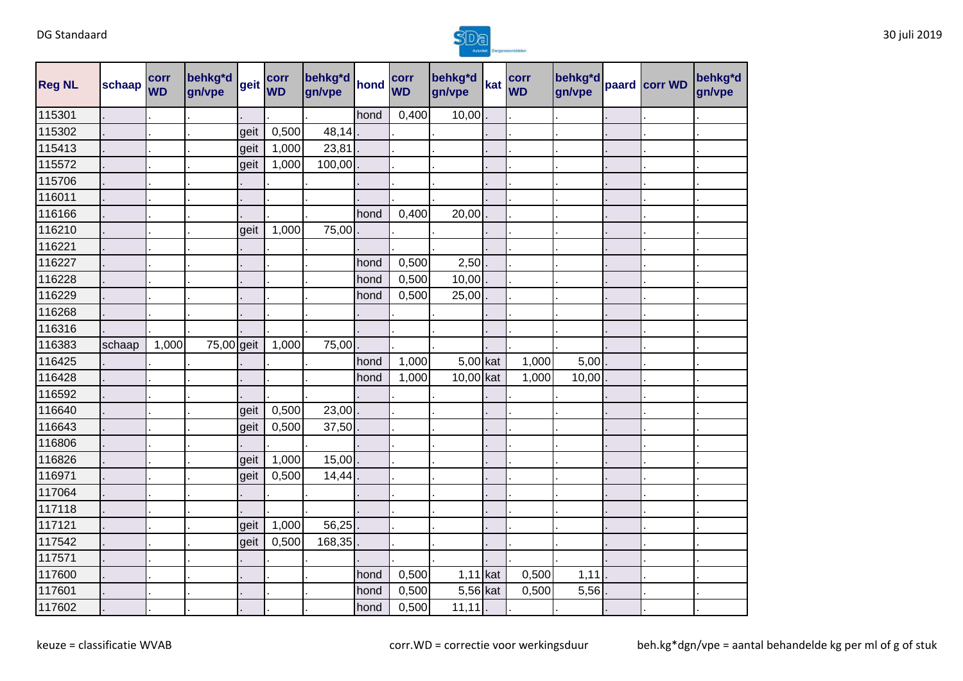

| <b>Reg NL</b> | schaap | corr<br><b>WD</b> | behkg*d<br>gn/vpe | geit | corr<br><b>WD</b> | behkg*d<br>gn/vpe | hond | corr<br><b>WD</b> | behkg*d<br>gn/vpe | kat | corr<br><b>WD</b> | behkg*d<br>gn/vpe | paard corr WD | behkg*d<br>gn/vpe |
|---------------|--------|-------------------|-------------------|------|-------------------|-------------------|------|-------------------|-------------------|-----|-------------------|-------------------|---------------|-------------------|
| 115301        |        |                   |                   |      |                   |                   | hond | 0,400             | 10,00             |     |                   |                   |               |                   |
| 115302        |        |                   |                   | geit | 0,500             | 48,14             |      |                   |                   |     |                   |                   |               |                   |
| 115413        |        |                   |                   | geit | 1,000             | 23,81             |      |                   |                   |     |                   |                   |               |                   |
| 115572        |        |                   |                   | geit | 1,000             | 100,00            |      |                   |                   |     |                   |                   |               |                   |
| 115706        |        |                   |                   |      |                   |                   |      |                   |                   |     |                   |                   |               |                   |
| 116011        |        |                   |                   |      |                   |                   |      |                   |                   |     |                   |                   |               |                   |
| 116166        |        |                   |                   |      |                   |                   | hond | 0,400             | 20,00             |     |                   |                   |               |                   |
| 116210        |        |                   |                   | geit | 1,000             | 75,00             |      |                   |                   |     |                   |                   |               |                   |
| 116221        |        |                   |                   |      |                   |                   |      |                   |                   |     |                   |                   |               |                   |
| 116227        |        |                   |                   |      |                   |                   | hond | 0,500             | 2,50              |     |                   |                   |               |                   |
| 116228        |        |                   |                   |      |                   |                   | hond | 0,500             | 10,00             |     |                   |                   |               |                   |
| 116229        |        |                   |                   |      |                   |                   | hond | 0,500             | 25,00             |     |                   |                   |               |                   |
| 116268        |        |                   |                   |      |                   |                   |      |                   |                   |     |                   |                   |               |                   |
| 116316        |        |                   |                   |      |                   |                   |      |                   |                   |     |                   |                   |               |                   |
| 116383        | schaap | 1,000             | 75,00 geit        |      | 1,000             | 75,00             |      |                   |                   |     |                   |                   |               |                   |
| 116425        |        |                   |                   |      |                   |                   | hond | 1,000             | 5,00 kat          |     | 1,000             | 5,00              |               |                   |
| 116428        |        |                   |                   |      |                   |                   | hond | 1,000             | 10,00 kat         |     | 1,000             | 10,00             |               |                   |
| 116592        |        |                   |                   |      |                   |                   |      |                   |                   |     |                   |                   |               |                   |
| 116640        |        |                   |                   | geit | 0,500             | 23,00             |      |                   |                   |     |                   |                   |               |                   |
| 116643        |        |                   |                   | geit | 0,500             | 37,50             |      |                   |                   |     |                   |                   |               |                   |
| 116806        |        |                   |                   |      |                   |                   |      |                   |                   |     |                   |                   |               |                   |
| 116826        |        |                   |                   | geit | 1,000             | 15,00             |      |                   |                   |     |                   |                   |               |                   |
| 116971        |        |                   |                   | geit | 0,500             | 14,44             |      |                   |                   |     |                   |                   |               |                   |
| 117064        |        |                   |                   |      |                   |                   |      |                   |                   |     |                   |                   |               |                   |
| 117118        |        |                   |                   |      |                   |                   |      |                   |                   |     |                   |                   |               |                   |
| 117121        |        |                   |                   | geit | 1,000             | 56,25             |      |                   |                   |     |                   |                   |               |                   |
| 117542        |        |                   |                   | geit | 0,500             | 168,35            |      |                   |                   |     |                   |                   |               |                   |
| 117571        |        |                   |                   |      |                   |                   |      |                   |                   |     |                   |                   |               |                   |
| 117600        |        |                   |                   |      |                   |                   | hond | 0,500             | $1,11$ kat        |     | 0,500             | 1,11              |               |                   |
| 117601        |        |                   |                   |      |                   |                   | hond | 0,500             | 5,56 kat          |     | 0,500             | 5,56              |               |                   |
| 117602        |        |                   |                   |      |                   |                   | hond | 0,500             | 11, 11            |     |                   |                   |               |                   |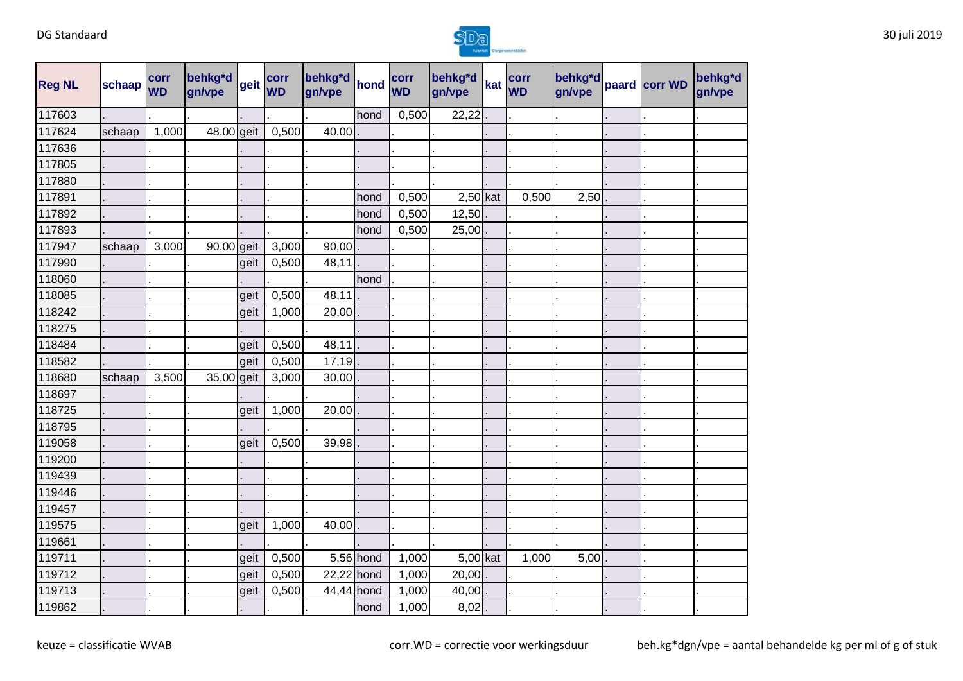

| <b>Reg NL</b> | schaap | corr<br><b>WD</b> | behkg*d<br>gn/vpe | geit | corr<br><b>WD</b> | behkg*d<br>gn/vpe | hond      | corr<br><b>WD</b> | behkg*d<br>gn/vpe | kat | corr<br><b>WD</b> | behkg*d<br>gn/vpe | paard corr WD | behkg*d<br>gn/vpe |
|---------------|--------|-------------------|-------------------|------|-------------------|-------------------|-----------|-------------------|-------------------|-----|-------------------|-------------------|---------------|-------------------|
| 117603        |        |                   |                   |      |                   |                   | hond      | 0,500             | 22,22             |     |                   |                   |               |                   |
| 117624        | schaap | 1,000             | 48,00 geit        |      | 0,500             | 40,00             |           |                   |                   |     |                   |                   |               |                   |
| 117636        |        |                   |                   |      |                   |                   |           |                   |                   |     |                   |                   |               |                   |
| 117805        |        |                   |                   |      |                   |                   |           |                   |                   |     |                   |                   |               |                   |
| 117880        |        |                   |                   |      |                   |                   |           |                   |                   |     |                   |                   |               |                   |
| 117891        |        |                   |                   |      |                   |                   | hond      | 0,500             | $2,50$ kat        |     | 0,500             | 2,50              |               |                   |
| 117892        |        |                   |                   |      |                   |                   | hond      | 0,500             | 12,50             |     |                   |                   |               |                   |
| 117893        |        |                   |                   |      |                   |                   | hond      | 0,500             | 25,00             |     |                   |                   |               |                   |
| 117947        | schaap | 3,000             | 90,00 geit        |      | 3,000             | 90,00             |           |                   |                   |     |                   |                   |               |                   |
| 117990        |        |                   |                   | geit | 0,500             | 48,11             |           |                   |                   |     |                   |                   |               |                   |
| 118060        |        |                   |                   |      |                   |                   | hond      |                   |                   |     |                   |                   |               |                   |
| 118085        |        |                   |                   | geit | 0,500             | 48,11             |           |                   |                   |     |                   |                   |               |                   |
| 118242        |        |                   |                   | geit | 1,000             | 20,00             |           |                   |                   |     |                   |                   |               |                   |
| 118275        |        |                   |                   |      |                   |                   |           |                   |                   |     |                   |                   |               |                   |
| 118484        |        |                   |                   | geit | 0,500             | 48,11             |           |                   |                   |     |                   |                   |               |                   |
| 118582        |        |                   |                   | geit | 0,500             | 17,19             |           |                   |                   |     |                   |                   |               |                   |
| 118680        | schaap | 3,500             | 35,00 geit        |      | 3,000             | 30,00             |           |                   |                   |     |                   |                   |               |                   |
| 118697        |        |                   |                   |      |                   |                   |           |                   |                   |     |                   |                   |               |                   |
| 118725        |        |                   |                   | geit | 1,000             | 20,00             |           |                   |                   |     |                   |                   |               |                   |
| 118795        |        |                   |                   |      |                   |                   |           |                   |                   |     |                   |                   |               |                   |
| 119058        |        |                   |                   | geit | 0,500             | 39,98             |           |                   |                   |     |                   |                   |               |                   |
| 119200        |        |                   |                   |      |                   |                   |           |                   |                   |     |                   |                   |               |                   |
| 119439        |        |                   |                   |      |                   |                   |           |                   |                   |     |                   |                   |               |                   |
| 119446        |        |                   |                   |      |                   |                   |           |                   |                   |     |                   |                   |               |                   |
| 119457        |        |                   |                   |      |                   |                   |           |                   |                   |     |                   |                   |               |                   |
| 119575        |        |                   |                   | geit | 1,000             | 40,00             |           |                   |                   |     |                   |                   |               |                   |
| 119661        |        |                   |                   |      |                   |                   |           |                   |                   |     |                   |                   |               |                   |
| 119711        |        |                   |                   | geit | 0,500             |                   | 5,56 hond | 1,000             | 5,00 kat          |     | 1,000             | 5,00              |               |                   |
| 119712        |        |                   |                   | geit | 0,500             | 22,22 hond        |           | 1,000             | 20,00             |     |                   |                   |               |                   |
| 119713        |        |                   |                   | geit | 0,500             | 44,44 hond        |           | 1,000             | 40,00             |     |                   |                   |               |                   |
| 119862        |        |                   |                   |      |                   |                   | hond      | 1,000             | 8,02              |     |                   |                   |               |                   |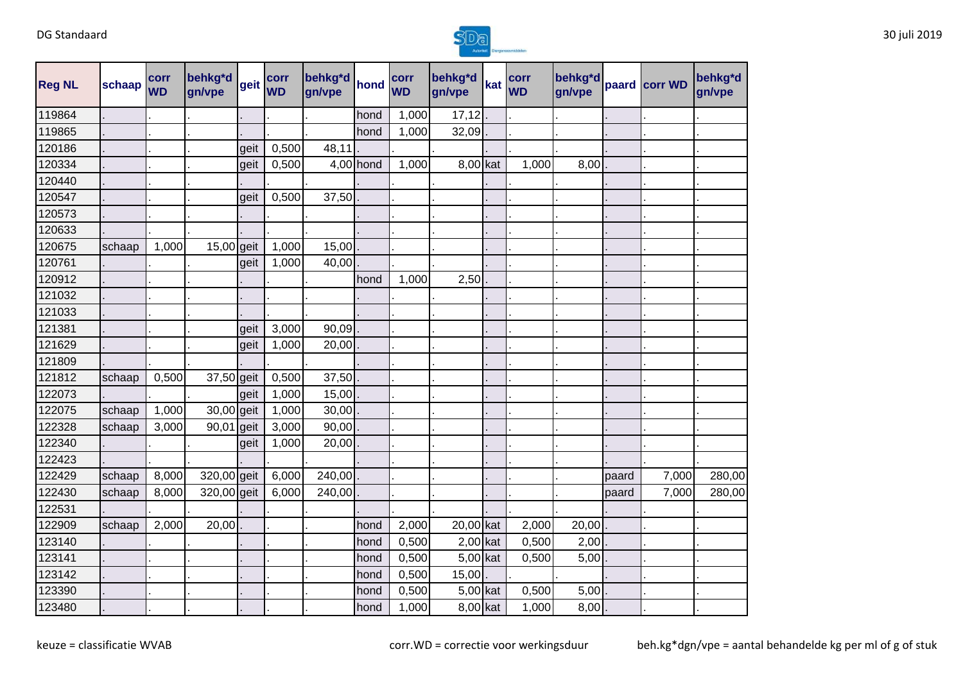

| <b>Reg NL</b> | schaap | corr<br><b>WD</b> | behkg*d<br>gn/vpe | geit | corr<br><b>WD</b> | behkg <sup>*d</sup> hond<br>gn/vpe |           | corr<br><b>WD</b> | behkg*d<br>gn/vpe | kat | corr<br><b>WD</b> | behkg*d<br>gn/vpe |       | paard corr WD | behkg*d<br>gn/vpe |
|---------------|--------|-------------------|-------------------|------|-------------------|------------------------------------|-----------|-------------------|-------------------|-----|-------------------|-------------------|-------|---------------|-------------------|
| 119864        |        |                   |                   |      |                   |                                    | hond      | 1,000             | 17,12             |     |                   |                   |       |               |                   |
| 119865        |        |                   |                   |      |                   |                                    | hond      | 1,000             | 32,09             |     |                   |                   |       |               |                   |
| 120186        |        |                   |                   | geit | 0,500             | 48,11                              |           |                   |                   |     |                   |                   |       |               |                   |
| 120334        |        |                   |                   | geit | 0,500             |                                    | 4,00 hond | 1,000             | 8,00 kat          |     | 1,000             | 8,00              |       |               |                   |
| 120440        |        |                   |                   |      |                   |                                    |           |                   |                   |     |                   |                   |       |               |                   |
| 120547        |        |                   |                   | geit | 0,500             | 37,50                              |           |                   |                   |     |                   |                   |       |               |                   |
| 120573        |        |                   |                   |      |                   |                                    |           |                   |                   |     |                   |                   |       |               |                   |
| 120633        |        |                   |                   |      |                   |                                    |           |                   |                   |     |                   |                   |       |               |                   |
| 120675        | schaap | 1,000             | 15,00 geit        |      | 1,000             | 15,00                              |           |                   |                   |     |                   |                   |       |               |                   |
| 120761        |        |                   |                   | geit | 1,000             | 40,00                              |           |                   |                   |     |                   |                   |       |               |                   |
| 120912        |        |                   |                   |      |                   |                                    | hond      | 1,000             | 2,50              |     |                   |                   |       |               |                   |
| 121032        |        |                   |                   |      |                   |                                    |           |                   |                   |     |                   |                   |       |               |                   |
| 121033        |        |                   |                   |      |                   |                                    |           |                   |                   |     |                   |                   |       |               |                   |
| 121381        |        |                   |                   | geit | 3,000             | 90,09                              |           |                   |                   |     |                   |                   |       |               |                   |
| 121629        |        |                   |                   | geit | 1,000             | 20,00                              |           |                   |                   |     |                   |                   |       |               |                   |
| 121809        |        |                   |                   |      |                   |                                    |           |                   |                   |     |                   |                   |       |               |                   |
| 121812        | schaap | 0,500             | 37,50 geit        |      | 0,500             | 37,50                              |           |                   |                   |     |                   |                   |       |               |                   |
| 122073        |        |                   |                   | geit | 1,000             | 15,00                              |           |                   |                   |     |                   |                   |       |               |                   |
| 122075        | schaap | 1,000             | 30,00 geit        |      | 1,000             | 30,00                              |           |                   |                   |     |                   |                   |       |               |                   |
| 122328        | schaap | 3,000             | 90,01 geit        |      | 3,000             | 90,00                              |           |                   |                   |     |                   |                   |       |               |                   |
| 122340        |        |                   |                   | geit | 1,000             | 20,00                              |           |                   |                   |     |                   |                   |       |               |                   |
| 122423        |        |                   |                   |      |                   |                                    |           |                   |                   |     |                   |                   |       |               |                   |
| 122429        | schaap | 8,000             | 320,00 geit       |      | 6,000             | 240,00                             |           |                   |                   |     |                   |                   | paard | 7,000         | 280,00            |
| 122430        | schaap | 8,000             | 320,00 geit       |      | 6,000             | 240,00                             |           |                   |                   |     |                   |                   | paard | 7,000         | 280,00            |
| 122531        |        |                   |                   |      |                   |                                    |           |                   |                   |     |                   |                   |       |               |                   |
| 122909        | schaap | 2,000             | 20,00             |      |                   |                                    | hond      | 2,000             | 20,00 kat         |     | 2,000             | 20,00             |       |               |                   |
| 123140        |        |                   |                   |      |                   |                                    | hond      | 0,500             | $2,00$ kat        |     | 0,500             | 2,00              |       |               |                   |
| 123141        |        |                   |                   |      |                   |                                    | hond      | 0,500             | 5,00 kat          |     | 0,500             | 5,00              |       |               |                   |
| 123142        |        |                   |                   |      |                   |                                    | hond      | 0,500             | 15,00             |     |                   |                   |       |               |                   |
| 123390        |        |                   |                   |      |                   |                                    | hond      | 0,500             | 5,00 kat          |     | 0,500             | 5,00              |       |               |                   |
| 123480        |        |                   |                   |      |                   |                                    | hond      | 1,000             | 8,00 kat          |     | 1,000             | 8,00              |       |               |                   |